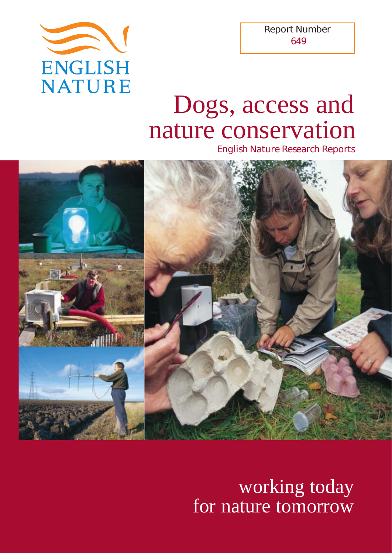

Report Number 649

# Dogs, access and nature conservation

English Nature Research Reports



working today for nature tomorrow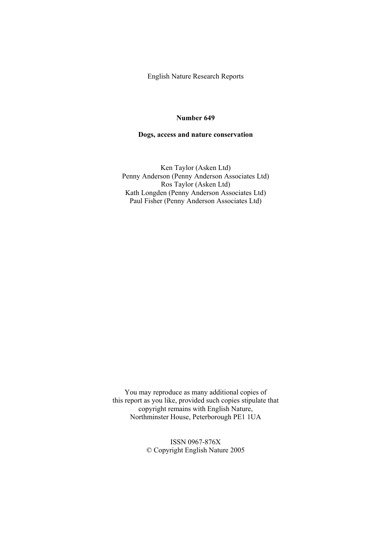English Nature Research Reports

#### **Number 649**

#### **Dogs, access and nature conservation**

Ken Taylor (Asken Ltd) Penny Anderson (Penny Anderson Associates Ltd) Ros Taylor (Asken Ltd) Kath Longden (Penny Anderson Associates Ltd) Paul Fisher (Penny Anderson Associates Ltd)

You may reproduce as many additional copies of this report as you like, provided such copies stipulate that copyright remains with English Nature, Northminster House, Peterborough PE1 1UA

> ISSN 0967-876X © Copyright English Nature 2005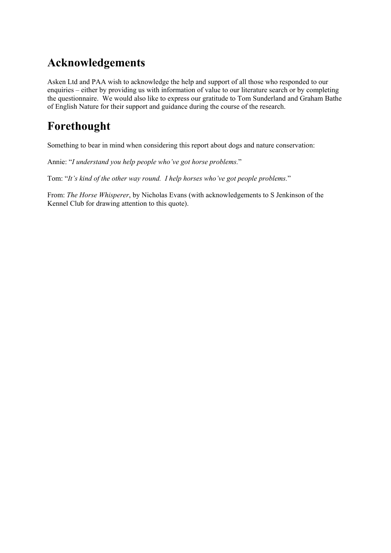# **Acknowledgements**

Asken Ltd and PAA wish to acknowledge the help and support of all those who responded to our enquiries – either by providing us with information of value to our literature search or by completing the questionnaire. We would also like to express our gratitude to Tom Sunderland and Graham Bathe of English Nature for their support and guidance during the course of the research.

# **Forethought**

Something to bear in mind when considering this report about dogs and nature conservation:

Annie: "*I understand you help people who've got horse problems.*"

Tom: "*It's kind of the other way round. I help horses who've got people problems.*"

From: *The Horse Whisperer*, by Nicholas Evans (with acknowledgements to S Jenkinson of the Kennel Club for drawing attention to this quote).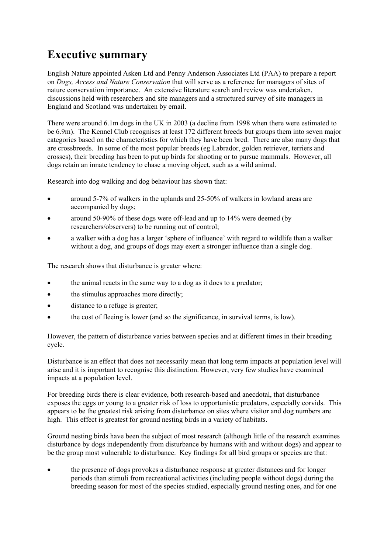# **Executive summary**

English Nature appointed Asken Ltd and Penny Anderson Associates Ltd (PAA) to prepare a report on *Dogs, Access and Nature Conservation* that will serve as a reference for managers of sites of nature conservation importance. An extensive literature search and review was undertaken, discussions held with researchers and site managers and a structured survey of site managers in England and Scotland was undertaken by email.

There were around 6.1m dogs in the UK in 2003 (a decline from 1998 when there were estimated to be 6.9m). The Kennel Club recognises at least 172 different breeds but groups them into seven major categories based on the characteristics for which they have been bred. There are also many dogs that are crossbreeds. In some of the most popular breeds (eg Labrador, golden retriever, terriers and crosses), their breeding has been to put up birds for shooting or to pursue mammals. However, all dogs retain an innate tendency to chase a moving object, such as a wild animal.

Research into dog walking and dog behaviour has shown that:

- around 5-7% of walkers in the uplands and 25-50% of walkers in lowland areas are accompanied by dogs;
- around 50-90% of these dogs were off-lead and up to 14% were deemed (by researchers/observers) to be running out of control;
- a walker with a dog has a larger 'sphere of influence' with regard to wildlife than a walker without a dog, and groups of dogs may exert a stronger influence than a single dog.

The research shows that disturbance is greater where:

- the animal reacts in the same way to a dog as it does to a predator;
- the stimulus approaches more directly;
- distance to a refuge is greater;
- the cost of fleeing is lower (and so the significance, in survival terms, is low).

However, the pattern of disturbance varies between species and at different times in their breeding cycle.

Disturbance is an effect that does not necessarily mean that long term impacts at population level will arise and it is important to recognise this distinction. However, very few studies have examined impacts at a population level.

For breeding birds there is clear evidence, both research-based and anecdotal, that disturbance exposes the eggs or young to a greater risk of loss to opportunistic predators, especially corvids. This appears to be the greatest risk arising from disturbance on sites where visitor and dog numbers are high. This effect is greatest for ground nesting birds in a variety of habitats.

Ground nesting birds have been the subject of most research (although little of the research examines disturbance by dogs independently from disturbance by humans with and without dogs) and appear to be the group most vulnerable to disturbance. Key findings for all bird groups or species are that:

• the presence of dogs provokes a disturbance response at greater distances and for longer periods than stimuli from recreational activities (including people without dogs) during the breeding season for most of the species studied, especially ground nesting ones, and for one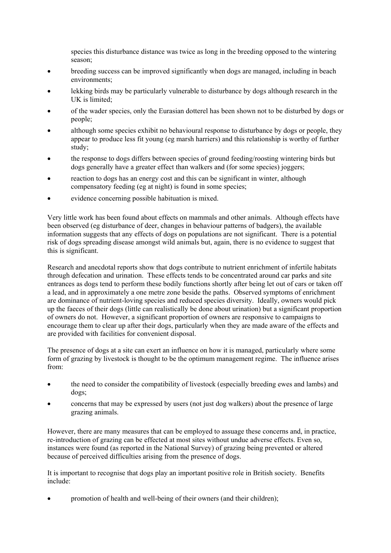species this disturbance distance was twice as long in the breeding opposed to the wintering season;

- breeding success can be improved significantly when dogs are managed, including in beach environments;
- lekking birds may be particularly vulnerable to disturbance by dogs although research in the UK is limited;
- of the wader species, only the Eurasian dotterel has been shown not to be disturbed by dogs or people;
- although some species exhibit no behavioural response to disturbance by dogs or people, they appear to produce less fit young (eg marsh harriers) and this relationship is worthy of further study;
- the response to dogs differs between species of ground feeding/roosting wintering birds but dogs generally have a greater effect than walkers and (for some species) joggers;
- reaction to dogs has an energy cost and this can be significant in winter, although compensatory feeding (eg at night) is found in some species;
- evidence concerning possible habituation is mixed.

Very little work has been found about effects on mammals and other animals. Although effects have been observed (eg disturbance of deer, changes in behaviour patterns of badgers), the available information suggests that any effects of dogs on populations are not significant. There is a potential risk of dogs spreading disease amongst wild animals but, again, there is no evidence to suggest that this is significant.

Research and anecdotal reports show that dogs contribute to nutrient enrichment of infertile habitats through defecation and urination. These effects tends to be concentrated around car parks and site entrances as dogs tend to perform these bodily functions shortly after being let out of cars or taken off a lead, and in approximately a one metre zone beside the paths. Observed symptoms of enrichment are dominance of nutrient-loving species and reduced species diversity. Ideally, owners would pick up the faeces of their dogs (little can realistically be done about urination) but a significant proportion of owners do not. However, a significant proportion of owners are responsive to campaigns to encourage them to clear up after their dogs, particularly when they are made aware of the effects and are provided with facilities for convenient disposal.

The presence of dogs at a site can exert an influence on how it is managed, particularly where some form of grazing by livestock is thought to be the optimum management regime. The influence arises from:

- the need to consider the compatibility of livestock (especially breeding ewes and lambs) and dogs;
- concerns that may be expressed by users (not just dog walkers) about the presence of large grazing animals.

However, there are many measures that can be employed to assuage these concerns and, in practice, re-introduction of grazing can be effected at most sites without undue adverse effects. Even so, instances were found (as reported in the National Survey) of grazing being prevented or altered because of perceived difficulties arising from the presence of dogs.

It is important to recognise that dogs play an important positive role in British society. Benefits include:

• promotion of health and well-being of their owners (and their children);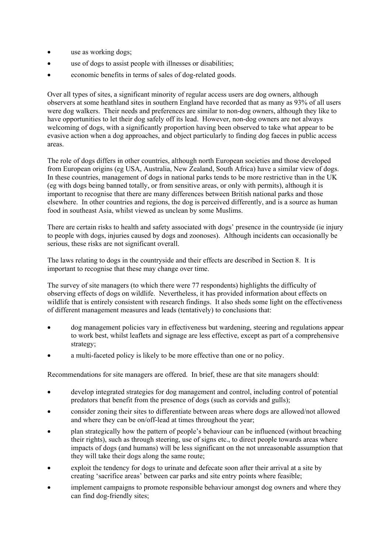- use as working dogs;
- use of dogs to assist people with illnesses or disabilities;
- economic benefits in terms of sales of dog-related goods.

Over all types of sites, a significant minority of regular access users are dog owners, although observers at some heathland sites in southern England have recorded that as many as 93% of all users were dog walkers. Their needs and preferences are similar to non-dog owners, although they like to have opportunities to let their dog safely off its lead. However, non-dog owners are not always welcoming of dogs, with a significantly proportion having been observed to take what appear to be evasive action when a dog approaches, and object particularly to finding dog faeces in public access areas.

The role of dogs differs in other countries, although north European societies and those developed from European origins (eg USA, Australia, New Zealand, South Africa) have a similar view of dogs. In these countries, management of dogs in national parks tends to be more restrictive than in the UK (eg with dogs being banned totally, or from sensitive areas, or only with permits), although it is important to recognise that there are many differences between British national parks and those elsewhere. In other countries and regions, the dog is perceived differently, and is a source as human food in southeast Asia, whilst viewed as unclean by some Muslims.

There are certain risks to health and safety associated with dogs' presence in the countryside (ie injury to people with dogs, injuries caused by dogs and zoonoses). Although incidents can occasionally be serious, these risks are not significant overall.

The laws relating to dogs in the countryside and their effects are described in Section 8. It is important to recognise that these may change over time.

The survey of site managers (to which there were 77 respondents) highlights the difficulty of observing effects of dogs on wildlife. Nevertheless, it has provided information about effects on wildlife that is entirely consistent with research findings. It also sheds some light on the effectiveness of different management measures and leads (tentatively) to conclusions that:

- dog management policies vary in effectiveness but wardening, steering and regulations appear to work best, whilst leaflets and signage are less effective, except as part of a comprehensive strategy;
- a multi-faceted policy is likely to be more effective than one or no policy.

Recommendations for site managers are offered. In brief, these are that site managers should:

- develop integrated strategies for dog management and control, including control of potential predators that benefit from the presence of dogs (such as corvids and gulls);
- consider zoning their sites to differentiate between areas where dogs are allowed/not allowed and where they can be on/off-lead at times throughout the year;
- plan strategically how the pattern of people's behaviour can be influenced (without breaching their rights), such as through steering, use of signs etc., to direct people towards areas where impacts of dogs (and humans) will be less significant on the not unreasonable assumption that they will take their dogs along the same route;
- exploit the tendency for dogs to urinate and defecate soon after their arrival at a site by creating 'sacrifice areas' between car parks and site entry points where feasible;
- implement campaigns to promote responsible behaviour amongst dog owners and where they can find dog-friendly sites;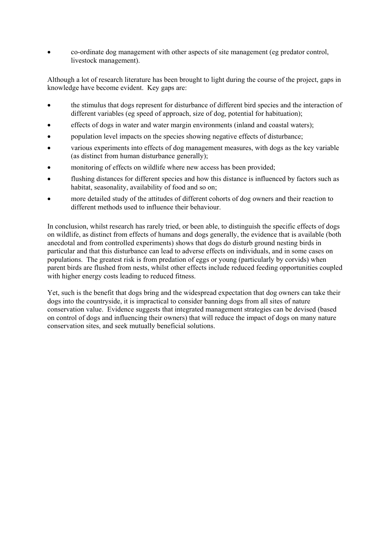• co-ordinate dog management with other aspects of site management (eg predator control, livestock management).

Although a lot of research literature has been brought to light during the course of the project, gaps in knowledge have become evident. Key gaps are:

- the stimulus that dogs represent for disturbance of different bird species and the interaction of different variables (eg speed of approach, size of dog, potential for habituation);
- effects of dogs in water and water margin environments (inland and coastal waters);
- population level impacts on the species showing negative effects of disturbance;
- various experiments into effects of dog management measures, with dogs as the key variable (as distinct from human disturbance generally);
- monitoring of effects on wildlife where new access has been provided;
- flushing distances for different species and how this distance is influenced by factors such as habitat, seasonality, availability of food and so on;
- more detailed study of the attitudes of different cohorts of dog owners and their reaction to different methods used to influence their behaviour.

In conclusion, whilst research has rarely tried, or been able, to distinguish the specific effects of dogs on wildlife, as distinct from effects of humans and dogs generally, the evidence that is available (both anecdotal and from controlled experiments) shows that dogs do disturb ground nesting birds in particular and that this disturbance can lead to adverse effects on individuals, and in some cases on populations. The greatest risk is from predation of eggs or young (particularly by corvids) when parent birds are flushed from nests, whilst other effects include reduced feeding opportunities coupled with higher energy costs leading to reduced fitness.

Yet, such is the benefit that dogs bring and the widespread expectation that dog owners can take their dogs into the countryside, it is impractical to consider banning dogs from all sites of nature conservation value. Evidence suggests that integrated management strategies can be devised (based on control of dogs and influencing their owners) that will reduce the impact of dogs on many nature conservation sites, and seek mutually beneficial solutions.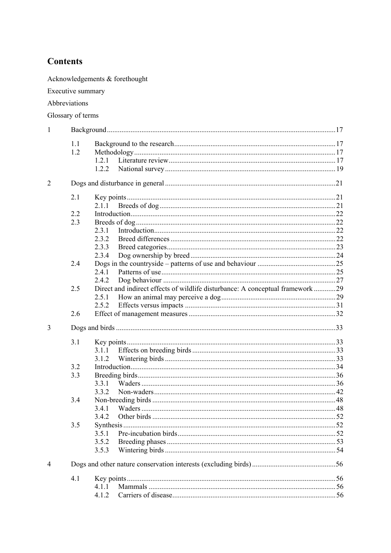# **Contents**

Acknowledgements  $\&$  for<br>ethought

Executive summary

Abbreviations

Glossary of terms

| 1              |     |                                                                                |  |  |
|----------------|-----|--------------------------------------------------------------------------------|--|--|
|                | 1.1 |                                                                                |  |  |
|                | 1.2 |                                                                                |  |  |
|                |     | 1.2.1                                                                          |  |  |
|                |     | 1.2.2                                                                          |  |  |
| $\overline{2}$ |     |                                                                                |  |  |
|                | 2.1 |                                                                                |  |  |
|                |     | 2.1.1                                                                          |  |  |
|                | 2.2 |                                                                                |  |  |
|                | 2.3 |                                                                                |  |  |
|                |     | 2.3.1                                                                          |  |  |
|                |     | 2.3.2                                                                          |  |  |
|                |     | 2.3.3                                                                          |  |  |
|                |     | 2.3.4                                                                          |  |  |
|                | 2.4 |                                                                                |  |  |
|                |     | 2.4.1                                                                          |  |  |
|                |     | 2.4.2                                                                          |  |  |
|                | 2.5 | Direct and indirect effects of wildlife disturbance: A conceptual framework 29 |  |  |
|                |     | 2.5.1                                                                          |  |  |
|                |     | 2.5.2                                                                          |  |  |
|                | 2.6 |                                                                                |  |  |
| 3              |     |                                                                                |  |  |
|                | 3.1 |                                                                                |  |  |
|                |     | 3.1.1                                                                          |  |  |
|                |     | 3.1.2                                                                          |  |  |
|                | 3.2 |                                                                                |  |  |
|                | 3.3 |                                                                                |  |  |
|                |     | 3.3.1                                                                          |  |  |
|                |     | 3.3.2                                                                          |  |  |
|                | 3.4 |                                                                                |  |  |
|                |     | 3.4.1                                                                          |  |  |
|                |     | 3.4.2                                                                          |  |  |
|                | 3.5 |                                                                                |  |  |
|                |     | 3.5.1                                                                          |  |  |
|                |     | 3.5.2                                                                          |  |  |
|                |     | 3.5.3                                                                          |  |  |
| 4              |     |                                                                                |  |  |
|                | 4.1 |                                                                                |  |  |
|                |     | 4.1.1                                                                          |  |  |
|                |     | 4.1.2                                                                          |  |  |
|                |     |                                                                                |  |  |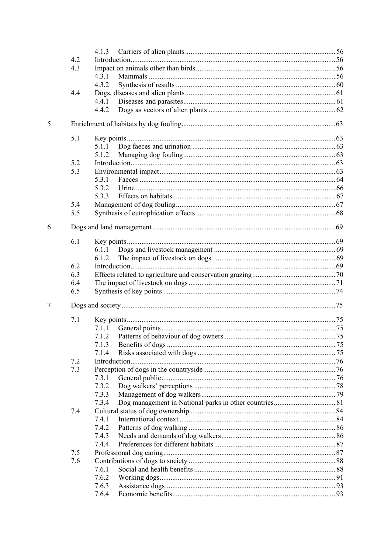|   |     | 4.1.3 |  |
|---|-----|-------|--|
|   | 4.2 |       |  |
|   | 4.3 |       |  |
|   |     | 4.3.1 |  |
|   |     | 4.3.2 |  |
|   | 4.4 |       |  |
|   |     | 4.4.1 |  |
|   |     | 4.4.2 |  |
|   |     |       |  |
| 5 |     |       |  |
|   | 5.1 |       |  |
|   |     | 5.1.1 |  |
|   |     | 5.1.2 |  |
|   | 5.2 |       |  |
|   | 5.3 |       |  |
|   |     | 5.3.1 |  |
|   |     | 5.3.2 |  |
|   |     | 5.3.3 |  |
|   | 5.4 |       |  |
|   | 5.5 |       |  |
|   |     |       |  |
| 6 |     |       |  |
|   |     |       |  |
|   | 6.1 |       |  |
|   |     | 6.1.1 |  |
|   |     | 6.1.2 |  |
|   | 6.2 |       |  |
|   | 6.3 |       |  |
|   | 6.4 |       |  |
|   | 6.5 |       |  |
| 7 |     |       |  |
|   |     |       |  |
|   | 7.1 |       |  |
|   |     | 7.1.1 |  |
|   |     | 7.1.2 |  |
|   |     | 7.1.3 |  |
|   |     | 7.1.4 |  |
|   | 7.2 |       |  |
|   | 7.3 |       |  |
|   |     | 7.3.1 |  |
|   |     | 7.3.2 |  |
|   |     | 7.3.3 |  |
|   |     | 7.3.4 |  |
|   | 7.4 |       |  |
|   |     | 7.4.1 |  |
|   |     | 7.4.2 |  |
|   |     | 7.4.3 |  |
|   |     | 7.4.4 |  |
|   | 7.5 |       |  |
|   | 7.6 |       |  |
|   |     | 7.6.1 |  |
|   |     | 7.6.2 |  |
|   |     | 7.6.3 |  |
|   |     | 7.6.4 |  |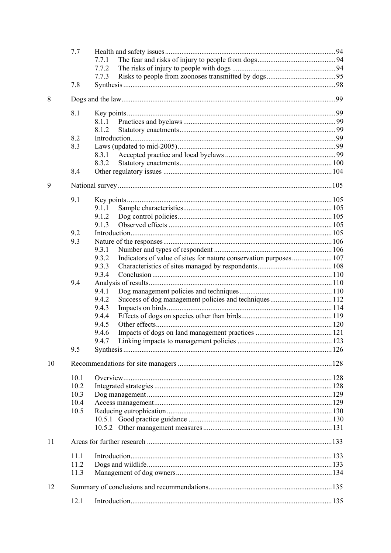|    | 7.7  | 7.7.1                                                                      |  |
|----|------|----------------------------------------------------------------------------|--|
|    |      | 7.7.2                                                                      |  |
|    |      | 7.7.3                                                                      |  |
|    | 7.8  |                                                                            |  |
| 8  |      |                                                                            |  |
|    | 8.1  |                                                                            |  |
|    |      | 8.1.1                                                                      |  |
|    |      | 8.1.2                                                                      |  |
|    | 8.2  |                                                                            |  |
|    | 8.3  |                                                                            |  |
|    |      | 8.3.1                                                                      |  |
|    |      | 8.3.2                                                                      |  |
|    | 8.4  |                                                                            |  |
| 9  |      |                                                                            |  |
|    | 9.1  |                                                                            |  |
|    |      | 9.1.1                                                                      |  |
|    |      | 9.1.2                                                                      |  |
|    |      | 9.1.3                                                                      |  |
|    | 9.2  |                                                                            |  |
|    | 9.3  |                                                                            |  |
|    |      | 9.3.1                                                                      |  |
|    |      | 9.3.2<br>Indicators of value of sites for nature conservation purposes 107 |  |
|    |      | 9.3.3                                                                      |  |
|    |      | 9.3.4                                                                      |  |
|    | 9.4  |                                                                            |  |
|    |      | 9.4.1                                                                      |  |
|    |      | 9.4.2                                                                      |  |
|    |      | 9.4.3                                                                      |  |
|    |      | 9.4.4                                                                      |  |
|    |      | 9.4.5                                                                      |  |
|    |      | 9.4.6                                                                      |  |
|    |      | 9.4.7                                                                      |  |
|    | 9.5  |                                                                            |  |
| 10 |      |                                                                            |  |
|    | 10.1 |                                                                            |  |
|    | 10.2 |                                                                            |  |
|    | 10.3 |                                                                            |  |
|    | 10.4 |                                                                            |  |
|    | 10.5 |                                                                            |  |
|    |      |                                                                            |  |
|    |      |                                                                            |  |
| 11 |      |                                                                            |  |
|    | 11.1 |                                                                            |  |
|    | 11.2 |                                                                            |  |
|    | 11.3 |                                                                            |  |
| 12 |      |                                                                            |  |
|    | 12.1 |                                                                            |  |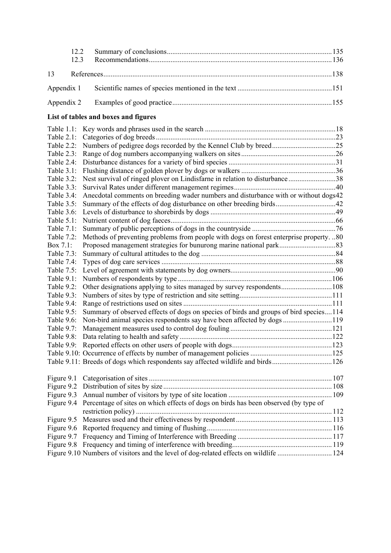| 13<br>Appendix 1<br>Appendix 2<br>List of tables and boxes and figures<br>Table $1.1$ :<br>Table 2.1:<br>Table 2.2:<br>Table 2.3:<br>Table 2.4:<br>Table 3.1:<br>Nest survival of ringed plover on Lindisfarne in relation to disturbance 38<br>Table 3.2:<br>Table 3.3:<br>Anecdotal comments on breeding wader numbers and disturbance with or without dogs42<br>Table 3.4:<br>Table 3.5:<br>Table 3.6:<br>Table 5.1:<br>Table 7.1:<br>Methods of preventing problems from people with dogs on forest enterprise property80<br>Table 7.2:<br>Box 7.1:<br>Table 7.3:<br>Table 7.4:<br>Table 7.5:<br>Table 9.1:<br>Table 9.2:<br>Table 9.3:<br>Table 9.4:<br>Summary of observed effects of dogs on species of birds and groups of bird species114<br>Table 9.5:<br>Non-bird animal species respondents say have been affected by dogs119<br>Table 9.6:<br>Table 9.7:<br>Table 9.8:<br>Table 9.11: Breeds of dogs which respondents say affected wildlife and birds126<br>Figure 9.1<br>Figure 9.2<br>Figure 9.3<br>Percentage of sites on which effects of dogs on birds has been observed (by type of<br>Figure 9.4<br>Figure 9.5<br>Figure 9.6<br>Figure 9.7<br>Figure 9.8<br>Figure 9.10 Numbers of visitors and the level of dog-related effects on wildlife  124 | 12.2<br>12.3 |  |
|------------------------------------------------------------------------------------------------------------------------------------------------------------------------------------------------------------------------------------------------------------------------------------------------------------------------------------------------------------------------------------------------------------------------------------------------------------------------------------------------------------------------------------------------------------------------------------------------------------------------------------------------------------------------------------------------------------------------------------------------------------------------------------------------------------------------------------------------------------------------------------------------------------------------------------------------------------------------------------------------------------------------------------------------------------------------------------------------------------------------------------------------------------------------------------------------------------------------------------------------------------------------|--------------|--|
|                                                                                                                                                                                                                                                                                                                                                                                                                                                                                                                                                                                                                                                                                                                                                                                                                                                                                                                                                                                                                                                                                                                                                                                                                                                                        |              |  |
|                                                                                                                                                                                                                                                                                                                                                                                                                                                                                                                                                                                                                                                                                                                                                                                                                                                                                                                                                                                                                                                                                                                                                                                                                                                                        |              |  |
|                                                                                                                                                                                                                                                                                                                                                                                                                                                                                                                                                                                                                                                                                                                                                                                                                                                                                                                                                                                                                                                                                                                                                                                                                                                                        |              |  |
|                                                                                                                                                                                                                                                                                                                                                                                                                                                                                                                                                                                                                                                                                                                                                                                                                                                                                                                                                                                                                                                                                                                                                                                                                                                                        |              |  |
|                                                                                                                                                                                                                                                                                                                                                                                                                                                                                                                                                                                                                                                                                                                                                                                                                                                                                                                                                                                                                                                                                                                                                                                                                                                                        |              |  |
|                                                                                                                                                                                                                                                                                                                                                                                                                                                                                                                                                                                                                                                                                                                                                                                                                                                                                                                                                                                                                                                                                                                                                                                                                                                                        |              |  |
|                                                                                                                                                                                                                                                                                                                                                                                                                                                                                                                                                                                                                                                                                                                                                                                                                                                                                                                                                                                                                                                                                                                                                                                                                                                                        |              |  |
|                                                                                                                                                                                                                                                                                                                                                                                                                                                                                                                                                                                                                                                                                                                                                                                                                                                                                                                                                                                                                                                                                                                                                                                                                                                                        |              |  |
|                                                                                                                                                                                                                                                                                                                                                                                                                                                                                                                                                                                                                                                                                                                                                                                                                                                                                                                                                                                                                                                                                                                                                                                                                                                                        |              |  |
|                                                                                                                                                                                                                                                                                                                                                                                                                                                                                                                                                                                                                                                                                                                                                                                                                                                                                                                                                                                                                                                                                                                                                                                                                                                                        |              |  |
|                                                                                                                                                                                                                                                                                                                                                                                                                                                                                                                                                                                                                                                                                                                                                                                                                                                                                                                                                                                                                                                                                                                                                                                                                                                                        |              |  |
|                                                                                                                                                                                                                                                                                                                                                                                                                                                                                                                                                                                                                                                                                                                                                                                                                                                                                                                                                                                                                                                                                                                                                                                                                                                                        |              |  |
|                                                                                                                                                                                                                                                                                                                                                                                                                                                                                                                                                                                                                                                                                                                                                                                                                                                                                                                                                                                                                                                                                                                                                                                                                                                                        |              |  |
|                                                                                                                                                                                                                                                                                                                                                                                                                                                                                                                                                                                                                                                                                                                                                                                                                                                                                                                                                                                                                                                                                                                                                                                                                                                                        |              |  |
|                                                                                                                                                                                                                                                                                                                                                                                                                                                                                                                                                                                                                                                                                                                                                                                                                                                                                                                                                                                                                                                                                                                                                                                                                                                                        |              |  |
|                                                                                                                                                                                                                                                                                                                                                                                                                                                                                                                                                                                                                                                                                                                                                                                                                                                                                                                                                                                                                                                                                                                                                                                                                                                                        |              |  |
|                                                                                                                                                                                                                                                                                                                                                                                                                                                                                                                                                                                                                                                                                                                                                                                                                                                                                                                                                                                                                                                                                                                                                                                                                                                                        |              |  |
|                                                                                                                                                                                                                                                                                                                                                                                                                                                                                                                                                                                                                                                                                                                                                                                                                                                                                                                                                                                                                                                                                                                                                                                                                                                                        |              |  |
|                                                                                                                                                                                                                                                                                                                                                                                                                                                                                                                                                                                                                                                                                                                                                                                                                                                                                                                                                                                                                                                                                                                                                                                                                                                                        |              |  |
|                                                                                                                                                                                                                                                                                                                                                                                                                                                                                                                                                                                                                                                                                                                                                                                                                                                                                                                                                                                                                                                                                                                                                                                                                                                                        |              |  |
|                                                                                                                                                                                                                                                                                                                                                                                                                                                                                                                                                                                                                                                                                                                                                                                                                                                                                                                                                                                                                                                                                                                                                                                                                                                                        |              |  |
|                                                                                                                                                                                                                                                                                                                                                                                                                                                                                                                                                                                                                                                                                                                                                                                                                                                                                                                                                                                                                                                                                                                                                                                                                                                                        |              |  |
|                                                                                                                                                                                                                                                                                                                                                                                                                                                                                                                                                                                                                                                                                                                                                                                                                                                                                                                                                                                                                                                                                                                                                                                                                                                                        |              |  |
|                                                                                                                                                                                                                                                                                                                                                                                                                                                                                                                                                                                                                                                                                                                                                                                                                                                                                                                                                                                                                                                                                                                                                                                                                                                                        |              |  |
|                                                                                                                                                                                                                                                                                                                                                                                                                                                                                                                                                                                                                                                                                                                                                                                                                                                                                                                                                                                                                                                                                                                                                                                                                                                                        |              |  |
|                                                                                                                                                                                                                                                                                                                                                                                                                                                                                                                                                                                                                                                                                                                                                                                                                                                                                                                                                                                                                                                                                                                                                                                                                                                                        |              |  |
|                                                                                                                                                                                                                                                                                                                                                                                                                                                                                                                                                                                                                                                                                                                                                                                                                                                                                                                                                                                                                                                                                                                                                                                                                                                                        |              |  |
|                                                                                                                                                                                                                                                                                                                                                                                                                                                                                                                                                                                                                                                                                                                                                                                                                                                                                                                                                                                                                                                                                                                                                                                                                                                                        |              |  |
|                                                                                                                                                                                                                                                                                                                                                                                                                                                                                                                                                                                                                                                                                                                                                                                                                                                                                                                                                                                                                                                                                                                                                                                                                                                                        |              |  |
|                                                                                                                                                                                                                                                                                                                                                                                                                                                                                                                                                                                                                                                                                                                                                                                                                                                                                                                                                                                                                                                                                                                                                                                                                                                                        |              |  |
|                                                                                                                                                                                                                                                                                                                                                                                                                                                                                                                                                                                                                                                                                                                                                                                                                                                                                                                                                                                                                                                                                                                                                                                                                                                                        |              |  |
|                                                                                                                                                                                                                                                                                                                                                                                                                                                                                                                                                                                                                                                                                                                                                                                                                                                                                                                                                                                                                                                                                                                                                                                                                                                                        |              |  |
|                                                                                                                                                                                                                                                                                                                                                                                                                                                                                                                                                                                                                                                                                                                                                                                                                                                                                                                                                                                                                                                                                                                                                                                                                                                                        |              |  |
|                                                                                                                                                                                                                                                                                                                                                                                                                                                                                                                                                                                                                                                                                                                                                                                                                                                                                                                                                                                                                                                                                                                                                                                                                                                                        |              |  |
|                                                                                                                                                                                                                                                                                                                                                                                                                                                                                                                                                                                                                                                                                                                                                                                                                                                                                                                                                                                                                                                                                                                                                                                                                                                                        |              |  |
|                                                                                                                                                                                                                                                                                                                                                                                                                                                                                                                                                                                                                                                                                                                                                                                                                                                                                                                                                                                                                                                                                                                                                                                                                                                                        |              |  |
|                                                                                                                                                                                                                                                                                                                                                                                                                                                                                                                                                                                                                                                                                                                                                                                                                                                                                                                                                                                                                                                                                                                                                                                                                                                                        |              |  |
|                                                                                                                                                                                                                                                                                                                                                                                                                                                                                                                                                                                                                                                                                                                                                                                                                                                                                                                                                                                                                                                                                                                                                                                                                                                                        |              |  |
|                                                                                                                                                                                                                                                                                                                                                                                                                                                                                                                                                                                                                                                                                                                                                                                                                                                                                                                                                                                                                                                                                                                                                                                                                                                                        |              |  |
|                                                                                                                                                                                                                                                                                                                                                                                                                                                                                                                                                                                                                                                                                                                                                                                                                                                                                                                                                                                                                                                                                                                                                                                                                                                                        |              |  |
|                                                                                                                                                                                                                                                                                                                                                                                                                                                                                                                                                                                                                                                                                                                                                                                                                                                                                                                                                                                                                                                                                                                                                                                                                                                                        |              |  |
|                                                                                                                                                                                                                                                                                                                                                                                                                                                                                                                                                                                                                                                                                                                                                                                                                                                                                                                                                                                                                                                                                                                                                                                                                                                                        |              |  |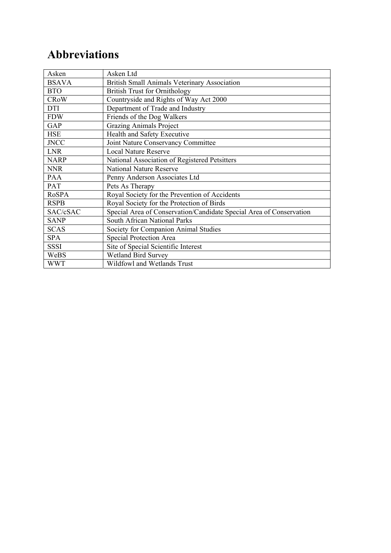# **Abbreviations**

| Asken        | Asken Ltd                                                           |
|--------------|---------------------------------------------------------------------|
| <b>BSAVA</b> | <b>British Small Animals Veterinary Association</b>                 |
| <b>BTO</b>   | <b>British Trust for Ornithology</b>                                |
| <b>CRoW</b>  | Countryside and Rights of Way Act 2000                              |
| <b>DTI</b>   | Department of Trade and Industry                                    |
| <b>FDW</b>   | Friends of the Dog Walkers                                          |
| GAP          | <b>Grazing Animals Project</b>                                      |
| <b>HSE</b>   | Health and Safety Executive                                         |
| <b>JNCC</b>  | Joint Nature Conservancy Committee                                  |
| <b>LNR</b>   | <b>Local Nature Reserve</b>                                         |
| <b>NARP</b>  | National Association of Registered Petsitters                       |
| <b>NNR</b>   | <b>National Nature Reserve</b>                                      |
| <b>PAA</b>   | Penny Anderson Associates Ltd                                       |
| PAT          | Pets As Therapy                                                     |
| <b>RoSPA</b> | Royal Society for the Prevention of Accidents                       |
| <b>RSPB</b>  | Royal Society for the Protection of Birds                           |
| SAC/cSAC     | Special Area of Conservation/Candidate Special Area of Conservation |
| <b>SANP</b>  | South African National Parks                                        |
| <b>SCAS</b>  | Society for Companion Animal Studies                                |
| SPA          | Special Protection Area                                             |
| <b>SSSI</b>  | Site of Special Scientific Interest                                 |
| WeBS         | <b>Wetland Bird Survey</b>                                          |
| <b>WWT</b>   | Wildfowl and Wetlands Trust                                         |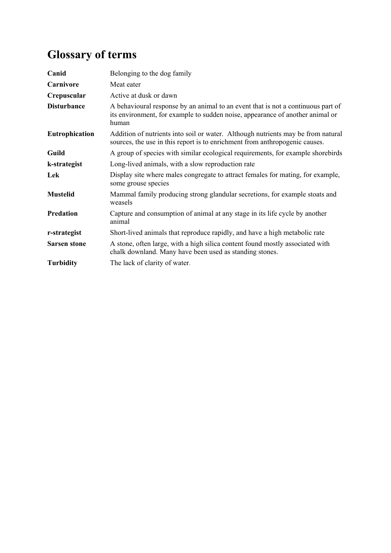# **Glossary of terms**

| Canid                 | Belonging to the dog family                                                                                                                                                |
|-----------------------|----------------------------------------------------------------------------------------------------------------------------------------------------------------------------|
| Carnivore             | Meat eater                                                                                                                                                                 |
| Crepuscular           | Active at dusk or dawn                                                                                                                                                     |
| <b>Disturbance</b>    | A behavioural response by an animal to an event that is not a continuous part of<br>its environment, for example to sudden noise, appearance of another animal or<br>human |
| <b>Eutrophication</b> | Addition of nutrients into soil or water. Although nutrients may be from natural<br>sources, the use in this report is to enrichment from anthropogenic causes.            |
| Guild                 | A group of species with similar ecological requirements, for example shorebirds                                                                                            |
| k-strategist          | Long-lived animals, with a slow reproduction rate                                                                                                                          |
| Lek                   | Display site where males congregate to attract females for mating, for example,<br>some grouse species                                                                     |
| <b>Mustelid</b>       | Mammal family producing strong glandular secretions, for example stoats and<br>weasels                                                                                     |
| Predation             | Capture and consumption of animal at any stage in its life cycle by another<br>animal                                                                                      |
| r-strategist          | Short-lived animals that reproduce rapidly, and have a high metabolic rate                                                                                                 |
| <b>Sarsen stone</b>   | A stone, often large, with a high silica content found mostly associated with<br>chalk downland. Many have been used as standing stones.                                   |
| <b>Turbidity</b>      | The lack of clarity of water.                                                                                                                                              |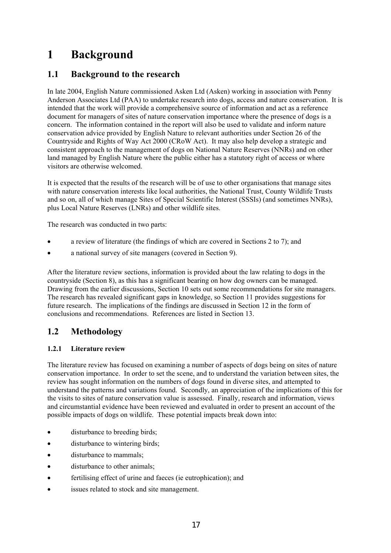# **1 Background**

# **1.1 Background to the research**

In late 2004, English Nature commissioned Asken Ltd (Asken) working in association with Penny Anderson Associates Ltd (PAA) to undertake research into dogs, access and nature conservation. It is intended that the work will provide a comprehensive source of information and act as a reference document for managers of sites of nature conservation importance where the presence of dogs is a concern. The information contained in the report will also be used to validate and inform nature conservation advice provided by English Nature to relevant authorities under Section 26 of the Countryside and Rights of Way Act 2000 (CRoW Act). It may also help develop a strategic and consistent approach to the management of dogs on National Nature Reserves (NNRs) and on other land managed by English Nature where the public either has a statutory right of access or where visitors are otherwise welcomed.

It is expected that the results of the research will be of use to other organisations that manage sites with nature conservation interests like local authorities, the National Trust, County Wildlife Trusts and so on, all of which manage Sites of Special Scientific Interest (SSSIs) (and sometimes NNRs), plus Local Nature Reserves (LNRs) and other wildlife sites.

The research was conducted in two parts:

- a review of literature (the findings of which are covered in Sections 2 to 7); and
- a national survey of site managers (covered in Section 9).

After the literature review sections, information is provided about the law relating to dogs in the countryside (Section 8), as this has a significant bearing on how dog owners can be managed. Drawing from the earlier discussions, Section 10 sets out some recommendations for site managers. The research has revealed significant gaps in knowledge, so Section 11 provides suggestions for future research. The implications of the findings are discussed in Section 12 in the form of conclusions and recommendations. References are listed in Section 13.

## **1.2 Methodology**

#### **1.2.1 Literature review**

The literature review has focused on examining a number of aspects of dogs being on sites of nature conservation importance. In order to set the scene, and to understand the variation between sites, the review has sought information on the numbers of dogs found in diverse sites, and attempted to understand the patterns and variations found. Secondly, an appreciation of the implications of this for the visits to sites of nature conservation value is assessed. Finally, research and information, views and circumstantial evidence have been reviewed and evaluated in order to present an account of the possible impacts of dogs on wildlife. These potential impacts break down into:

- disturbance to breeding birds;
- disturbance to wintering birds:
- disturbance to mammals;
- disturbance to other animals;
- fertilising effect of urine and faeces (ie eutrophication); and
- issues related to stock and site management.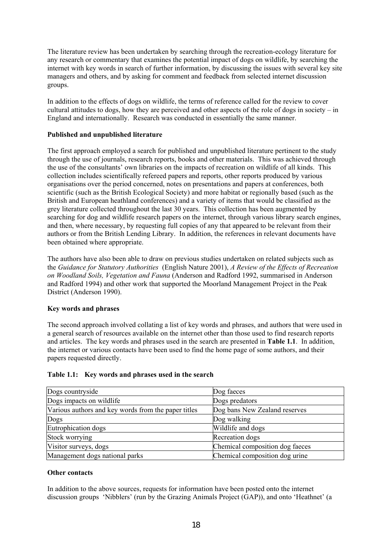The literature review has been undertaken by searching through the recreation-ecology literature for any research or commentary that examines the potential impact of dogs on wildlife, by searching the internet with key words in search of further information, by discussing the issues with several key site managers and others, and by asking for comment and feedback from selected internet discussion groups.

In addition to the effects of dogs on wildlife, the terms of reference called for the review to cover cultural attitudes to dogs, how they are perceived and other aspects of the role of dogs in society – in England and internationally. Research was conducted in essentially the same manner.

#### **Published and unpublished literature**

The first approach employed a search for published and unpublished literature pertinent to the study through the use of journals, research reports, books and other materials. This was achieved through the use of the consultants' own libraries on the impacts of recreation on wildlife of all kinds. This collection includes scientifically refereed papers and reports, other reports produced by various organisations over the period concerned, notes on presentations and papers at conferences, both scientific (such as the British Ecological Society) and more habitat or regionally based (such as the British and European heathland conferences) and a variety of items that would be classified as the grey literature collected throughout the last 30 years. This collection has been augmented by searching for dog and wildlife research papers on the internet, through various library search engines, and then, where necessary, by requesting full copies of any that appeared to be relevant from their authors or from the British Lending Library. In addition, the references in relevant documents have been obtained where appropriate.

The authors have also been able to draw on previous studies undertaken on related subjects such as the *Guidance for Statutory Authorities* (English Nature 2001), *A Review of the Effects of Recreation on Woodland Soils, Vegetation and Fauna* (Anderson and Radford 1992, summarised in Anderson and Radford 1994) and other work that supported the Moorland Management Project in the Peak District (Anderson 1990).

#### **Key words and phrases**

The second approach involved collating a list of key words and phrases, and authors that were used in a general search of resources available on the internet other than those used to find research reports and articles. The key words and phrases used in the search are presented in **Table 1.1**. In addition, the internet or various contacts have been used to find the home page of some authors, and their papers requested directly.

#### **Table 1.1: Key words and phrases used in the search**

| Dogs countryside                                    | Dog faeces                      |
|-----------------------------------------------------|---------------------------------|
| Dogs impacts on wildlife                            | Dogs predators                  |
| Various authors and key words from the paper titles | Dog bans New Zealand reserves   |
| Dogs                                                | Dog walking                     |
| Eutrophication dogs                                 | Wildlife and dogs               |
| Stock worrying                                      | Recreation dogs                 |
| Visitor surveys, dogs                               | Chemical composition dog faeces |
| Management dogs national parks                      | Chemical composition dog urine  |

#### **Other contacts**

In addition to the above sources, requests for information have been posted onto the internet discussion groups 'Nibblers' (run by the Grazing Animals Project (GAP)), and onto 'Heathnet' (a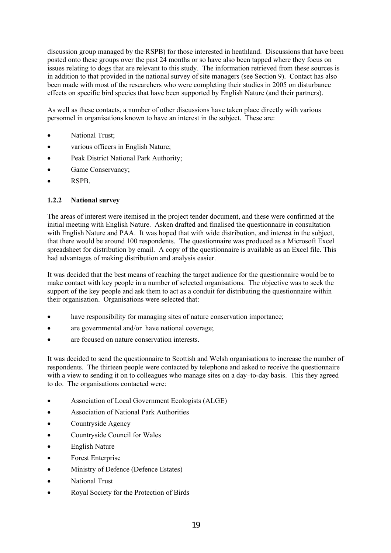discussion group managed by the RSPB) for those interested in heathland. Discussions that have been posted onto these groups over the past 24 months or so have also been tapped where they focus on issues relating to dogs that are relevant to this study. The information retrieved from these sources is in addition to that provided in the national survey of site managers (see Section 9). Contact has also been made with most of the researchers who were completing their studies in 2005 on disturbance effects on specific bird species that have been supported by English Nature (and their partners).

As well as these contacts, a number of other discussions have taken place directly with various personnel in organisations known to have an interest in the subject. These are:

- National Trust<sup>;</sup>
- various officers in English Nature;
- Peak District National Park Authority;
- Game Conservancy;
- RSPB.

#### **1.2.2 National survey**

The areas of interest were itemised in the project tender document, and these were confirmed at the initial meeting with English Nature. Asken drafted and finalised the questionnaire in consultation with English Nature and PAA. It was hoped that with wide distribution, and interest in the subject, that there would be around 100 respondents. The questionnaire was produced as a Microsoft Excel spreadsheet for distribution by email. A copy of the questionnaire is available as an Excel file. This had advantages of making distribution and analysis easier.

It was decided that the best means of reaching the target audience for the questionnaire would be to make contact with key people in a number of selected organisations. The objective was to seek the support of the key people and ask them to act as a conduit for distributing the questionnaire within their organisation. Organisations were selected that:

- have responsibility for managing sites of nature conservation importance;
- are governmental and/or have national coverage;
- are focused on nature conservation interests.

It was decided to send the questionnaire to Scottish and Welsh organisations to increase the number of respondents. The thirteen people were contacted by telephone and asked to receive the questionnaire with a view to sending it on to colleagues who manage sites on a day–to-day basis. This they agreed to do. The organisations contacted were:

- Association of Local Government Ecologists (ALGE)
- Association of National Park Authorities
- Countryside Agency
- Countryside Council for Wales
- English Nature
- Forest Enterprise
- Ministry of Defence (Defence Estates)
- National Trust
- Royal Society for the Protection of Birds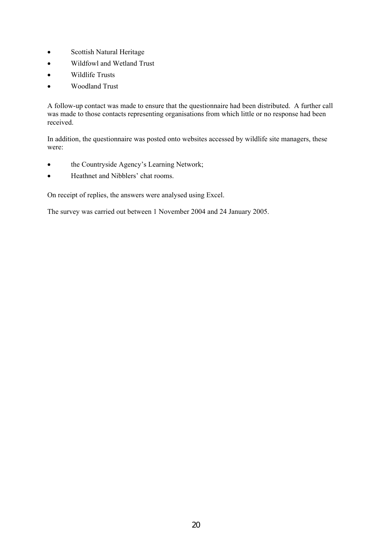- Scottish Natural Heritage
- Wildfowl and Wetland Trust
- Wildlife Trusts
- Woodland Trust

A follow-up contact was made to ensure that the questionnaire had been distributed. A further call was made to those contacts representing organisations from which little or no response had been received.

In addition, the questionnaire was posted onto websites accessed by wildlife site managers, these were:

- the Countryside Agency's Learning Network;
- Heathnet and Nibblers' chat rooms.

On receipt of replies, the answers were analysed using Excel.

The survey was carried out between 1 November 2004 and 24 January 2005.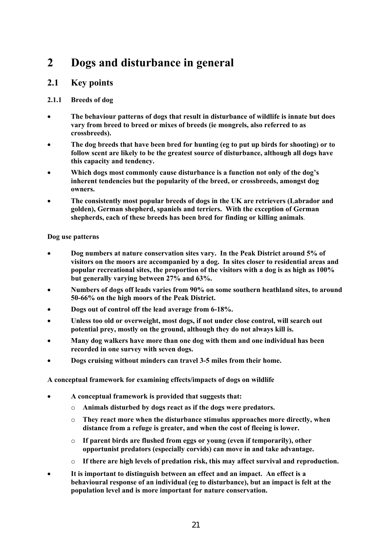# **2 Dogs and disturbance in general**

### **2.1 Key points**

#### **2.1.1 Breeds of dog**

- **The behaviour patterns of dogs that result in disturbance of wildlife is innate but does vary from breed to breed or mixes of breeds (ie mongrels, also referred to as crossbreeds).**
- **The dog breeds that have been bred for hunting (eg to put up birds for shooting) or to follow scent are likely to be the greatest source of disturbance, although all dogs have this capacity and tendency.**
- **Which dogs most commonly cause disturbance is a function not only of the dog's inherent tendencies but the popularity of the breed, or crossbreeds, amongst dog owners.**
- **The consistently most popular breeds of dogs in the UK are retrievers (Labrador and golden), German shepherd, spaniels and terriers. With the exception of German shepherds, each of these breeds has been bred for finding or killing animals**.

#### **Dog use patterns**

- **Dog numbers at nature conservation sites vary. In the Peak District around 5% of visitors on the moors are accompanied by a dog. In sites closer to residential areas and popular recreational sites, the proportion of the visitors with a dog is as high as 100% but generally varying between 27% and 63%.**
- **Numbers of dogs off leads varies from 90% on some southern heathland sites, to around 50-66% on the high moors of the Peak District.**
- **Dogs out of control off the lead average from 6-18%.**
- **Unless too old or overweight, most dogs, if not under close control, will search out potential prey, mostly on the ground, although they do not always kill is.**
- **Many dog walkers have more than one dog with them and one individual has been recorded in one survey with seven dogs.**
- **Dogs cruising without minders can travel 3-5 miles from their home.**

#### **A conceptual framework for examining effects/impacts of dogs on wildlife**

- **A conceptual framework is provided that suggests that:** 
	- o **Animals disturbed by dogs react as if the dogs were predators.**
	- o **They react more when the disturbance stimulus approaches more directly, when distance from a refuge is greater, and when the cost of fleeing is lower.**
	- o **If parent birds are flushed from eggs or young (even if temporarily), other opportunist predators (especially corvids) can move in and take advantage.**
	- o **If there are high levels of predation risk, this may affect survival and reproduction.**
- **It is important to distinguish between an effect and an impact. An effect is a behavioural response of an individual (eg to disturbance), but an impact is felt at the population level and is more important for nature conservation.**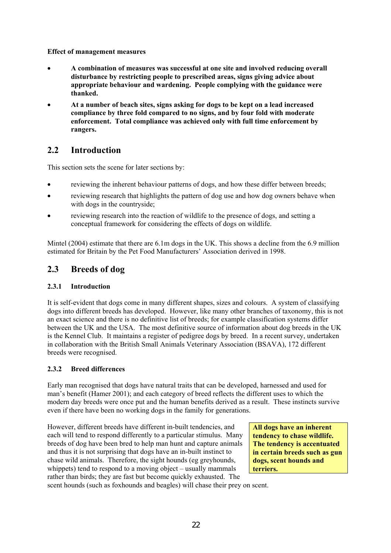**Effect of management measures** 

- **A combination of measures was successful at one site and involved reducing overall disturbance by restricting people to prescribed areas, signs giving advice about appropriate behaviour and wardening. People complying with the guidance were thanked.**
- **At a number of beach sites, signs asking for dogs to be kept on a lead increased compliance by three fold compared to no signs, and by four fold with moderate enforcement. Total compliance was achieved only with full time enforcement by rangers.**

## **2.2 Introduction**

This section sets the scene for later sections by:

- reviewing the inherent behaviour patterns of dogs, and how these differ between breeds;
- reviewing research that highlights the pattern of dog use and how dog owners behave when with dogs in the countryside;
- reviewing research into the reaction of wildlife to the presence of dogs, and setting a conceptual framework for considering the effects of dogs on wildlife.

Mintel (2004) estimate that there are 6.1m dogs in the UK. This shows a decline from the 6.9 million estimated for Britain by the Pet Food Manufacturers' Association derived in 1998.

# **2.3 Breeds of dog**

#### **2.3.1 Introduction**

It is self-evident that dogs come in many different shapes, sizes and colours. A system of classifying dogs into different breeds has developed. However, like many other branches of taxonomy, this is not an exact science and there is no definitive list of breeds; for example classification systems differ between the UK and the USA. The most definitive source of information about dog breeds in the UK is the Kennel Club. It maintains a register of pedigree dogs by breed. In a recent survey, undertaken in collaboration with the British Small Animals Veterinary Association (BSAVA), 172 different breeds were recognised.

#### **2.3.2 Breed differences**

Early man recognised that dogs have natural traits that can be developed, harnessed and used for man's benefit (Hamer 2001); and each category of breed reflects the different uses to which the modern day breeds were once put and the human benefits derived as a result. These instincts survive even if there have been no working dogs in the family for generations.

However, different breeds have different in-built tendencies, and each will tend to respond differently to a particular stimulus. Many breeds of dog have been bred to help man hunt and capture animals and thus it is not surprising that dogs have an in-built instinct to chase wild animals. Therefore, the sight hounds (eg greyhounds, whippets) tend to respond to a moving object – usually mammals rather than birds; they are fast but become quickly exhausted. The

**All dogs have an inherent tendency to chase wildlife. The tendency is accentuated in certain breeds such as gun dogs, scent hounds and terriers.** 

scent hounds (such as foxhounds and beagles) will chase their prey on scent.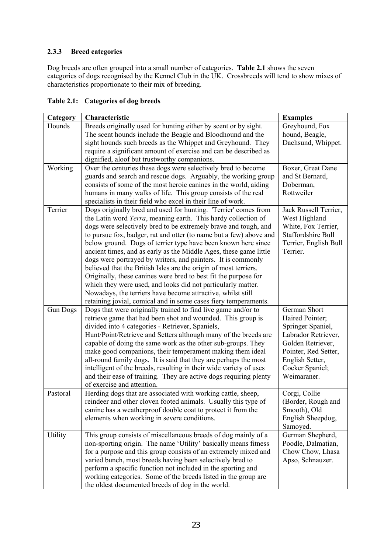#### **2.3.3 Breed categories**

Dog breeds are often grouped into a small number of categories. **Table 2.1** shows the seven categories of dogs recognised by the Kennel Club in the UK. Crossbreeds will tend to show mixes of characteristics proportionate to their mix of breeding.

| Table 2.1: Categories of dog breeds |  |
|-------------------------------------|--|
|                                     |  |

| Category        | Characteristic                                                                                                                      | <b>Examples</b>                      |
|-----------------|-------------------------------------------------------------------------------------------------------------------------------------|--------------------------------------|
| Hounds          | Breeds originally used for hunting either by scent or by sight.                                                                     | Greyhound, Fox                       |
|                 | The scent hounds include the Beagle and Bloodhound and the                                                                          | hound, Beagle,                       |
|                 | sight hounds such breeds as the Whippet and Greyhound. They                                                                         | Dachsund, Whippet.                   |
|                 | require a significant amount of exercise and can be described as                                                                    |                                      |
|                 | dignified, aloof but trustworthy companions.                                                                                        |                                      |
| Working         | Over the centuries these dogs were selectively bred to become<br>guards and search and rescue dogs. Arguably, the working group     | Boxer, Great Dane<br>and St Bernard, |
|                 | consists of some of the most heroic canines in the world, aiding                                                                    | Doberman,                            |
|                 | humans in many walks of life. This group consists of the real                                                                       | Rottweiler                           |
|                 | specialists in their field who excel in their line of work.                                                                         |                                      |
| Terrier         | Dogs originally bred and used for hunting. 'Terrier' comes from                                                                     | Jack Russell Terrier,                |
|                 | the Latin word Terra, meaning earth. This hardy collection of                                                                       | West Highland                        |
|                 | dogs were selectively bred to be extremely brave and tough, and                                                                     | White, Fox Terrier,                  |
|                 | to pursue fox, badger, rat and otter (to name but a few) above and                                                                  | <b>Staffordshire Bull</b>            |
|                 | below ground. Dogs of terrier type have been known here since                                                                       | Terrier, English Bull                |
|                 | ancient times, and as early as the Middle Ages, these game little                                                                   | Terrier.                             |
|                 | dogs were portrayed by writers, and painters. It is commonly                                                                        |                                      |
|                 | believed that the British Isles are the origin of most terriers.<br>Originally, these canines were bred to best fit the purpose for |                                      |
|                 | which they were used, and looks did not particularly matter.                                                                        |                                      |
|                 | Nowadays, the terriers have become attractive, whilst still                                                                         |                                      |
|                 | retaining jovial, comical and in some cases fiery temperaments.                                                                     |                                      |
| <b>Gun Dogs</b> | Dogs that were originally trained to find live game and/or to                                                                       | German Short                         |
|                 | retrieve game that had been shot and wounded. This group is                                                                         | Haired Pointer;                      |
|                 | divided into 4 categories - Retriever, Spaniels,                                                                                    | Springer Spaniel,                    |
|                 | Hunt/Point/Retrieve and Setters although many of the breeds are                                                                     | Labrador Retriever,                  |
|                 | capable of doing the same work as the other sub-groups. They                                                                        | Golden Retriever,                    |
|                 | make good companions, their temperament making them ideal                                                                           | Pointer, Red Setter,                 |
|                 | all-round family dogs. It is said that they are perhaps the most                                                                    | English Setter,                      |
|                 | intelligent of the breeds, resulting in their wide variety of uses                                                                  | Cocker Spaniel;<br>Weimaraner.       |
|                 | and their ease of training. They are active dogs requiring plenty<br>of exercise and attention.                                     |                                      |
| Pastoral        | Herding dogs that are associated with working cattle, sheep,                                                                        | Corgi, Collie                        |
|                 | reindeer and other cloven footed animals. Usually this type of                                                                      | (Border, Rough and                   |
|                 | canine has a weatherproof double coat to protect it from the                                                                        | Smooth), Old                         |
|                 | elements when working in severe conditions.                                                                                         | English Sheepdog,                    |
|                 |                                                                                                                                     | Samoyed.                             |
| Utility         | This group consists of miscellaneous breeds of dog mainly of a                                                                      | German Shepherd,                     |
|                 | non-sporting origin. The name 'Utility' basically means fitness                                                                     | Poodle, Dalmatian,                   |
|                 | for a purpose and this group consists of an extremely mixed and                                                                     | Chow Chow, Lhasa                     |
|                 | varied bunch, most breeds having been selectively bred to                                                                           | Apso, Schnauzer.                     |
|                 | perform a specific function not included in the sporting and                                                                        |                                      |
|                 | working categories. Some of the breeds listed in the group are                                                                      |                                      |
|                 | the oldest documented breeds of dog in the world.                                                                                   |                                      |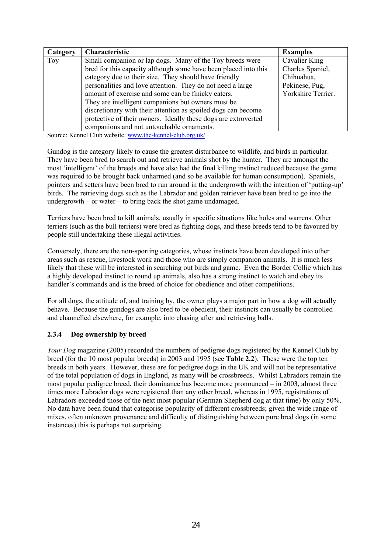| Category | <b>Characteristic</b>                                           | <b>Examples</b>    |
|----------|-----------------------------------------------------------------|--------------------|
| Toy      | Small companion or lap dogs. Many of the Toy breeds were        | Cavalier King      |
|          | bred for this capacity although some have been placed into this | Charles Spaniel,   |
|          | category due to their size. They should have friendly           | Chihuahua,         |
|          | personalities and love attention. They do not need a large      | Pekinese, Pug,     |
|          | amount of exercise and some can be finicky eaters.              | Yorkshire Terrier. |
|          | They are intelligent companions but owners must be              |                    |
|          | discretionary with their attention as spoiled dogs can become   |                    |
|          | protective of their owners. Ideally these dogs are extroverted  |                    |
|          | companions and not untouchable ornaments.                       |                    |

Source: Kennel Club website: www.the-kennel-club.org.uk/

Gundog is the category likely to cause the greatest disturbance to wildlife, and birds in particular. They have been bred to search out and retrieve animals shot by the hunter. They are amongst the most 'intelligent' of the breeds and have also had the final killing instinct reduced because the game was required to be brought back unharmed (and so be available for human consumption). Spaniels, pointers and setters have been bred to run around in the undergrowth with the intention of 'putting-up' birds. The retrieving dogs such as the Labrador and golden retriever have been bred to go into the undergrowth – or water – to bring back the shot game undamaged.

Terriers have been bred to kill animals, usually in specific situations like holes and warrens. Other terriers (such as the bull terriers) were bred as fighting dogs, and these breeds tend to be favoured by people still undertaking these illegal activities.

Conversely, there are the non-sporting categories, whose instincts have been developed into other areas such as rescue, livestock work and those who are simply companion animals. It is much less likely that these will be interested in searching out birds and game. Even the Border Collie which has a highly developed instinct to round up animals, also has a strong instinct to watch and obey its handler's commands and is the breed of choice for obedience and other competitions.

For all dogs, the attitude of, and training by, the owner plays a major part in how a dog will actually behave. Because the gundogs are also bred to be obedient, their instincts can usually be controlled and channelled elsewhere, for example, into chasing after and retrieving balls.

#### **2.3.4 Dog ownership by breed**

*Your Dog* magazine (2005) recorded the numbers of pedigree dogs registered by the Kennel Club by breed (for the 10 most popular breeds) in 2003 and 1995 (see **Table 2.2**). These were the top ten breeds in both years. However, these are for pedigree dogs in the UK and will not be representative of the total population of dogs in England, as many will be crossbreeds. Whilst Labradors remain the most popular pedigree breed, their dominance has become more pronounced – in 2003, almost three times more Labrador dogs were registered than any other breed, whereas in 1995, registrations of Labradors exceeded those of the next most popular (German Shepherd dog at that time) by only 50%. No data have been found that categorise popularity of different crossbreeds; given the wide range of mixes, often unknown provenance and difficulty of distinguishing between pure bred dogs (in some instances) this is perhaps not surprising.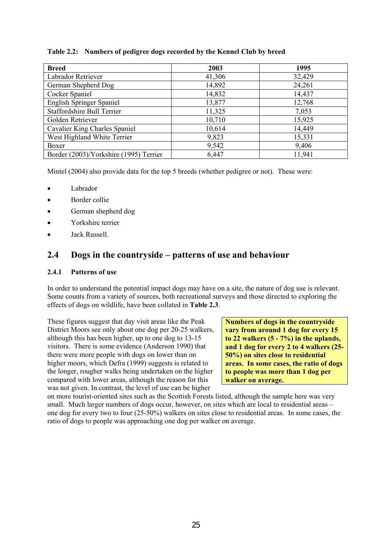#### **Table 2.2: Numbers of pedigree dogs recorded by the Kennel Club by breed**

| <b>Breed</b>                           | 2003   | 1995   |
|----------------------------------------|--------|--------|
| Labrador Retriever                     | 41,306 | 32,429 |
| German Shepherd Dog                    | 14,892 | 24,261 |
| Cocker Spaniel                         | 14,832 | 14,437 |
| <b>English Springer Spaniel</b>        | 13,877 | 12,768 |
| <b>Staffordshire Bull Terrier</b>      | 11,325 | 7,053  |
| Golden Retriever                       | 10,710 | 15,925 |
| Cavalier King Charles Spaniel          | 10,614 | 14,449 |
| West Highland White Terrier            | 9,823  | 15,331 |
| Boxer                                  | 9,542  | 9,406  |
| Border (2003)/Yorkshire (1995) Terrier | 6,447  | 11,941 |

Mintel (2004) also provide data for the top 5 breeds (whether pedigree or not). These were:

- **Labrador**
- Border collie
- German shepherd dog
- Yorkshire terrier
- Jack Russell.

### **2.4 Dogs in the countryside – patterns of use and behaviour**

#### **2.4.1 Patterns of use**

In order to understand the potential impact dogs may have on a site, the nature of dog use is relevant. Some counts from a variety of sources, both recreational surveys and those directed to exploring the effects of dogs on wildlife, have been collated in **Table 2.3**.

These figures suggest that day visit areas like the Peak District Moors see only about one dog per 20-25 walkers, although this has been higher, up to one dog to 13-15 visitors. There is some evidence (Anderson 1990) that there were more people with dogs on lower than on higher moors, which Defra (1999) suggests is related to the longer, rougher walks being undertaken on the higher compared with lower areas, although the reason for this was not given. In contrast, the level of use can be higher

**Numbers of dogs in the countryside vary from around 1 dog for every 15 to 22 walkers (5 - 7%) in the uplands, and 1 dog for every 2 to 4 walkers (25- 50%) on sites close to residential areas. In some cases, the ratio of dogs to people was more than 1 dog per walker on average.** 

on more tourist-oriented sites such as the Scottish Forests listed, although the sample here was very small. Much larger numbers of dogs occur, however, on sites which are local to residential areas – one dog for every two to four (25-50%) walkers on sites close to residential areas. In some cases, the ratio of dogs to people was approaching one dog per walker on average.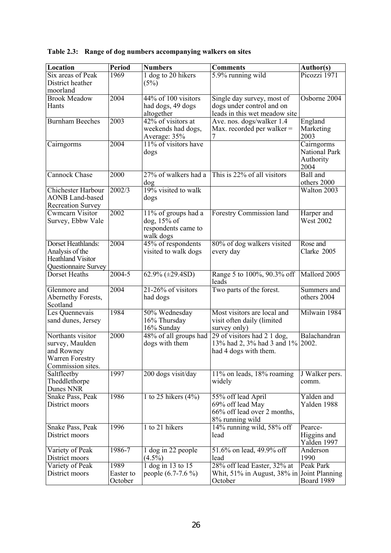| <b>Location</b>                      | <b>Period</b> | <b>Numbers</b>             | <b>Comments</b>                   | Author(s)        |
|--------------------------------------|---------------|----------------------------|-----------------------------------|------------------|
| Six areas of Peak                    | 1969          | 1 dog to 20 hikers         | 5.9% running wild                 | Picozzi 1971     |
| District heather                     |               | (5%)                       |                                   |                  |
| moorland                             |               |                            |                                   |                  |
| <b>Brook Meadow</b>                  | 2004          | 44% of 100 visitors        | Single day survey, most of        | Osborne 2004     |
| Hants                                |               | had dogs, 49 dogs          | dogs under control and on         |                  |
|                                      |               | altogether                 | leads in this wet meadow site     |                  |
| <b>Burnham Beeches</b>               | 2003          | 42% of visitors at         | Ave. nos. dogs/walker 1.4         | England          |
|                                      |               | weekends had dogs,         | Max. recorded per walker $=$      | Marketing        |
|                                      |               | Average: 35%               |                                   | 2003             |
| Cairngorms                           | 2004          | 11% of visitors have       |                                   | Cairngorms       |
|                                      |               | dogs                       |                                   | National Park    |
|                                      |               |                            |                                   | Authority        |
| <b>Cannock Chase</b>                 | 2000          | 27% of walkers had a       | This is 22% of all visitors       | 2004<br>Ball and |
|                                      |               |                            |                                   | others 2000      |
| <b>Chichester Harbour</b>            | 2002/3        | dog<br>19% visited to walk |                                   | Walton 2003      |
| <b>AONB Land-based</b>               |               | dogs                       |                                   |                  |
| <b>Recreation Survey</b>             |               |                            |                                   |                  |
| Cwmcarn Visitor                      | 2002          | 11% of groups had a        | Forestry Commission land          | Harper and       |
| Survey, Ebbw Vale                    |               | $dog, 15%$ of              |                                   | <b>West 2002</b> |
|                                      |               | respondents came to        |                                   |                  |
|                                      |               | walk dogs                  |                                   |                  |
| Dorset Heathlands:                   | 2004          | 45% of respondents         | 80% of dog walkers visited        | Rose and         |
| Analysis of the                      |               | visited to walk dogs       | every day                         | Clarke 2005      |
| <b>Heathland Visitor</b>             |               |                            |                                   |                  |
| Questionnaire Survey                 |               |                            |                                   |                  |
| Dorset Heaths                        | $2004 - 5$    | $62.9\% (\pm 29.4SD)$      | Range 5 to 100%, 90.3% off        | Mallord 2005     |
|                                      |               |                            | leads                             |                  |
| Glenmore and                         | 2004          | 21-26% of visitors         | Two parts of the forest.          | Summers and      |
| Abernethy Forests,                   |               | had dogs                   |                                   | others 2004      |
| Scotland                             |               |                            |                                   |                  |
| Les Quennevais                       | 1984          | 50% Wednesday              | Most visitors are local and       | Milwain 1984     |
| sand dunes, Jersey                   |               | 16% Thursday               | visit often daily (limited        |                  |
|                                      |               | 16% Sunday                 | survey only)                      |                  |
| Northants visitor                    | 2000          | 48% of all groups had      | 29 of visitors had 2 1 dog,       | Balachandran     |
| survey, Maulden                      |               | dogs with them             | 13% had 2, 3% had 3 and 1% 2002.  |                  |
| and Rowney                           |               |                            | had 4 dogs with them.             |                  |
| Warren Forestry<br>Commission sites. |               |                            |                                   |                  |
| Saltfleetby                          | 1997          | 200 dogs visit/day         | 11% on leads, 18% roaming         | J Walker pers.   |
| Theddlethorpe                        |               |                            | widely                            | comm.            |
| Dunes NNR                            |               |                            |                                   |                  |
| Snake Pass, Peak                     | 1986          | 1 to 25 hikers $(4\%)$     | 55% off lead April                | Yalden and       |
| District moors                       |               |                            | 69% off lead May                  | Yalden 1988      |
|                                      |               |                            | 66% off lead over 2 months,       |                  |
|                                      |               |                            | 8% running wild                   |                  |
| Snake Pass, Peak                     | 1996          | 1 to 21 hikers             | 14% running wild, 58% off         | Pearce-          |
| District moors                       |               |                            | lead                              | Higgins and      |
|                                      |               |                            |                                   | Yalden 1997      |
| Variety of Peak                      | 1986-7        | 1 dog in 22 people         | 51.6% on lead, 49.9% off          | Anderson         |
| District moors                       |               | $(4.5\%)$                  | lead                              | 1990             |
| Variety of Peak                      | 1989          | $1$ dog in 13 to 15        | 28% off lead Easter, 32% at       | Peak Park        |
| District moors                       | Easter to     | people (6.7-7.6 %)         | Whit, $51\%$ in August, $38\%$ in | Joint Planning   |
|                                      | October       |                            | October                           | Board 1989       |

# **Table 2.3: Range of dog numbers accompanying walkers on sites**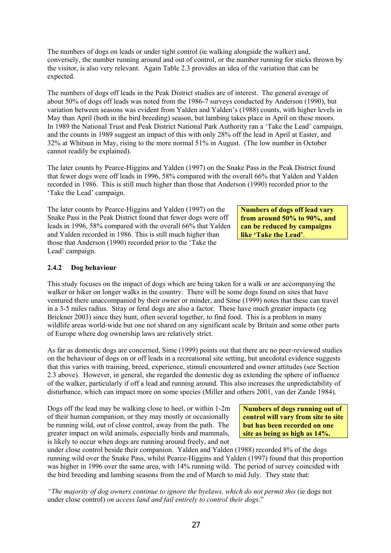The numbers of dogs on leads or under tight control (ie walking alongside the walker) and, conversely, the number running around and out of control, or the number running for sticks thrown by the visitor, is also very relevant. Again Table 2.3 provides an idea of the variation that can be expected.

The numbers of dogs off leads in the Peak District studies are of interest. The general average of about 50% of dogs off leads was noted from the 1986-7 surveys conducted by Anderson (1990), but variation between seasons was evident from Yalden and Yalden's (1988) counts, with higher levels in May than April (both in the bird breeding) season, but lambing takes place in April on these moors. In 1989 the National Trust and Peak District National Park Authority ran a 'Take the Lead' campaign, and the counts in 1989 suggest an impact of this with only 28% off the lead in April at Easter, and 32% at Whitsun in May, rising to the more normal 51% in August. (The low number in October cannot readily be explained).

The later counts by Pearce-Higgins and Yalden (1997) on the Snake Pass in the Peak District found that fewer dogs were off leads in 1996, 58% compared with the overall 66% that Yalden and Yalden recorded in 1986. This is still much higher than those that Anderson (1990) recorded prior to the 'Take the Lead' campaign.

The later counts by Pearce-Higgins and Yalden (1997) on the Snake Pass in the Peak District found that fewer dogs were off leads in 1996, 58% compared with the overall 66% that Yalden and Yalden recorded in 1986. This is still much higher than those that Anderson (1990) recorded prior to the 'Take the Lead' campaign.

**Numbers of dogs off lead vary from around 50% to 90%, and can be reduced by campaigns like 'Take the Lead'**.

#### **2.4.2 Dog behaviour**

This study focuses on the impact of dogs which are being taken for a walk or are accompanying the walker or hiker on longer walks in the country. There will be some dogs found on sites that have ventured there unaccompanied by their owner or minder, and Sime (1999) notes that these can travel in a 3-5 miles radius. Stray or feral dogs are also a factor. These have much greater impacts (eg Brickner 2003) since they hunt, often several together, to find food. This is a problem in many wildlife areas world-wide but one not shared on any significant scale by Britain and some other parts of Europe where dog ownership laws are relatively strict.

As far as domestic dogs are concerned, Sime (1999) points out that there are no peer-reviewed studies on the behaviour of dogs on or off leads in a recreational site setting, but anecdotal evidence suggests that this varies with training, breed, experience, stimuli encountered and owner attitudes (see Section 2.3 above). However, in general, she regarded the domestic dog as extending the sphere of influence of the walker, particularly if off a lead and running around. This also increases the unpredictability of disturbance, which can impact more on some species (Miller and others 2001, van der Zande 1984).

Dogs off the lead may be walking close to heel, or within 1-2m of their human companion, or they may mostly or occasionally be running wild, out of close control, away from the path. The greater impact on wild animals, especially birds and mammals, is likely to occur when dogs are running around freely, and not

**Numbers of dogs running out of control will vary from site to site but has been recorded on one site as being as high as 14%.** 

under close control beside their companion. Yalden and Yalden (1988) recorded 8% of the dogs running wild over the Snake Pass, whilst Pearce-Higgins and Yalden (1997) found that this proportion was higher in 1996 over the same area, with 14% running wild. The period of survey coincided with the bird breeding and lambing seasons from the end of March to mid July. They state that:

*"The majority of dog owners continue to ignore the byelaws, which do not permit this (ie dogs not* under close control) *on access land and fail entirely to control their dogs*."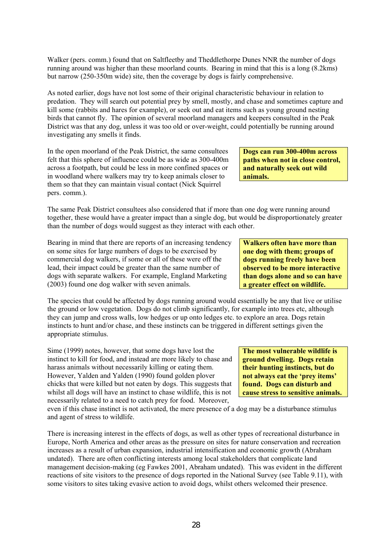Walker (pers. comm.) found that on Saltfleetby and Theddlethorpe Dunes NNR the number of dogs running around was higher than these moorland counts. Bearing in mind that this is a long (8.2kms) but narrow (250-350m wide) site, then the coverage by dogs is fairly comprehensive.

As noted earlier, dogs have not lost some of their original characteristic behaviour in relation to predation. They will search out potential prey by smell, mostly, and chase and sometimes capture and kill some (rabbits and hares for example), or seek out and eat items such as young ground nesting birds that cannot fly. The opinion of several moorland managers and keepers consulted in the Peak District was that any dog, unless it was too old or over-weight, could potentially be running around investigating any smells it finds.

In the open moorland of the Peak District, the same consultees felt that this sphere of influence could be as wide as 300-400m across a footpath, but could be less in more confined spaces or in woodland where walkers may try to keep animals closer to them so that they can maintain visual contact (Nick Squirrel pers. comm.).

The same Peak District consultees also considered that if more than one dog were running around together, these would have a greater impact than a single dog, but would be disproportionately greater than the number of dogs would suggest as they interact with each other.

Bearing in mind that there are reports of an increasing tendency on some sites for large numbers of dogs to be exercised by commercial dog walkers, if some or all of these were off the lead, their impact could be greater than the same number of dogs with separate walkers. For example, England Marketing (2003) found one dog walker with seven animals.

The species that could be affected by dogs running around would essentially be any that live or utilise the ground or low vegetation. Dogs do not climb significantly, for example into trees etc, although they can jump and cross walls, low hedges or up onto ledges etc. to explore an area. Dogs retain instincts to hunt and/or chase, and these instincts can be triggered in different settings given the appropriate stimulus.

Sime (1999) notes, however, that some dogs have lost the instinct to kill for food, and instead are more likely to chase and harass animals without necessarily killing or eating them. However, Yalden and Yalden (1990) found golden plover chicks that were killed but not eaten by dogs. This suggests that whilst all dogs will have an instinct to chase wildlife, this is not necessarily related to a need to catch prey for food. Moreover,

even if this chase instinct is not activated, the mere presence of a dog may be a disturbance stimulus and agent of stress to wildlife.

There is increasing interest in the effects of dogs, as well as other types of recreational disturbance in Europe, North America and other areas as the pressure on sites for nature conservation and recreation increases as a result of urban expansion, industrial intensification and economic growth (Abraham undated). There are often conflicting interests among local stakeholders that complicate land management decision-making (eg Fawkes 2001, Abraham undated). This was evident in the different reactions of site visitors to the presence of dogs reported in the National Survey (see Table 9.11), with some visitors to sites taking evasive action to avoid dogs, whilst others welcomed their presence.

**Walkers often have more than one dog with them; groups of dogs running freely have been observed to be more interactive than dogs alone and so can have a greater effect on wildlife.** 

**Dogs can run 300-400m across paths when not in close control, and naturally seek out wild** 

**animals.** 

**The most vulnerable wildlife is ground dwelling. Dogs retain their hunting instincts, but do not always eat the 'prey items' found. Dogs can disturb and cause stress to sensitive animals.**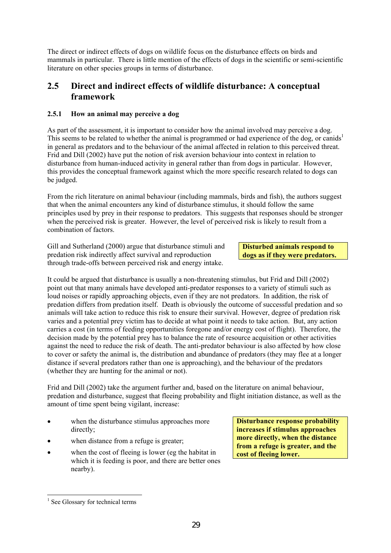The direct or indirect effects of dogs on wildlife focus on the disturbance effects on birds and mammals in particular. There is little mention of the effects of dogs in the scientific or semi-scientific literature on other species groups in terms of disturbance.

### **2.5 Direct and indirect effects of wildlife disturbance: A conceptual framework**

#### **2.5.1 How an animal may perceive a dog**

As part of the assessment, it is important to consider how the animal involved may perceive a dog. This seems to be related to whether the animal is programmed or had experience of the dog, or canids<sup>1</sup> in general as predators and to the behaviour of the animal affected in relation to this perceived threat. Frid and Dill (2002) have put the notion of risk aversion behaviour into context in relation to disturbance from human-induced activity in general rather than from dogs in particular. However, this provides the conceptual framework against which the more specific research related to dogs can be judged.

From the rich literature on animal behaviour (including mammals, birds and fish), the authors suggest that when the animal encounters any kind of disturbance stimulus, it should follow the same principles used by prey in their response to predators. This suggests that responses should be stronger when the perceived risk is greater. However, the level of perceived risk is likely to result from a combination of factors.

Gill and Sutherland (2000) argue that disturbance stimuli and predation risk indirectly affect survival and reproduction through trade-offs between perceived risk and energy intake.

#### **Disturbed animals respond to dogs as if they were predators.**

It could be argued that disturbance is usually a non-threatening stimulus, but Frid and Dill (2002) point out that many animals have developed anti-predator responses to a variety of stimuli such as loud noises or rapidly approaching objects, even if they are not predators. In addition, the risk of predation differs from predation itself. Death is obviously the outcome of successful predation and so animals will take action to reduce this risk to ensure their survival. However, degree of predation risk varies and a potential prey victim has to decide at what point it needs to take action. But, any action carries a cost (in terms of feeding opportunities foregone and/or energy cost of flight). Therefore, the decision made by the potential prey has to balance the rate of resource acquisition or other activities against the need to reduce the risk of death. The anti-predator behaviour is also affected by how close to cover or safety the animal is, the distribution and abundance of predators (they may flee at a longer distance if several predators rather than one is approaching), and the behaviour of the predators (whether they are hunting for the animal or not).

Frid and Dill (2002) take the argument further and, based on the literature on animal behaviour, predation and disturbance, suggest that fleeing probability and flight initiation distance, as well as the amount of time spent being vigilant, increase:

- when the disturbance stimulus approaches more directly;
- when distance from a refuge is greater;
- when the cost of fleeing is lower (eg the habitat in which it is feeding is poor, and there are better ones nearby).

**Disturbance response probability increases if stimulus approaches more directly, when the distance from a refuge is greater, and the cost of fleeing lower.** 

l <sup>1</sup> See Glossary for technical terms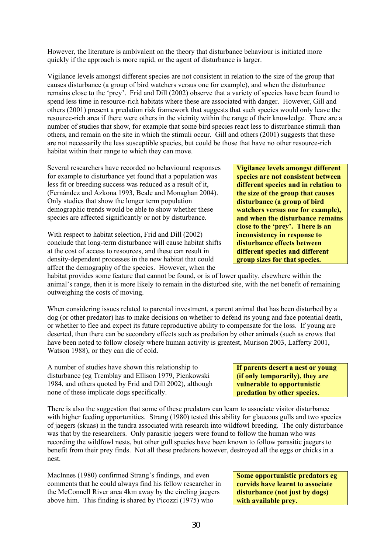However, the literature is ambivalent on the theory that disturbance behaviour is initiated more quickly if the approach is more rapid, or the agent of disturbance is larger.

Vigilance levels amongst different species are not consistent in relation to the size of the group that causes disturbance (a group of bird watchers versus one for example), and when the disturbance remains close to the 'prey'. Frid and Dill (2002) observe that a variety of species have been found to spend less time in resource-rich habitats where these are associated with danger. However, Gill and others (2001) present a predation risk framework that suggests that such species would only leave the resource-rich area if there were others in the vicinity within the range of their knowledge. There are a number of studies that show, for example that some bird species react less to disturbance stimuli than others, and remain on the site in which the stimuli occur. Gill and others (2001) suggests that these are not necessarily the less susceptible species, but could be those that have no other resource-rich habitat within their range to which they can move.

Several researchers have recorded no behavioural responses for example to disturbance yet found that a population was less fit or breeding success was reduced as a result of it, (Fernández and Azkona 1993, Beale and Monaghan 2004). Only studies that show the longer term population demographic trends would be able to show whether these species are affected significantly or not by disturbance.

With respect to habitat selection, Frid and Dill (2002) conclude that long-term disturbance will cause habitat shifts at the cost of access to resources, and these can result in density-dependent processes in the new habitat that could affect the demography of the species. However, when the

habitat provides some feature that cannot be found, or is of lower quality, elsewhere within the animal's range, then it is more likely to remain in the disturbed site, with the net benefit of remaining outweighing the costs of moving.

When considering issues related to parental investment, a parent animal that has been disturbed by a dog (or other predator) has to make decisions on whether to defend its young and face potential death, or whether to flee and expect its future reproductive ability to compensate for the loss. If young are deserted, then there can be secondary effects such as predation by other animals (such as crows that have been noted to follow closely where human activity is greatest, Murison 2003, Lafferty 2001, Watson 1988), or they can die of cold.

A number of studies have shown this relationship to disturbance (eg Tremblay and Ellison 1979, Pienkowski 1984, and others quoted by Frid and Dill 2002), although none of these implicate dogs specifically.

There is also the suggestion that some of these predators can learn to associate visitor disturbance with higher feeding opportunities. Strang (1980) tested this ability for glaucous gulls and two species of jaegers (skuas) in the tundra associated with research into wildfowl breeding. The only disturbance was that by the researchers. Only parasitic jaegers were found to follow the human who was recording the wildfowl nests, but other gull species have been known to follow parasitic jaegers to benefit from their prey finds. Not all these predators however, destroyed all the eggs or chicks in a nest.

MacInnes (1980) confirmed Strang's findings, and even comments that he could always find his fellow researcher in the McConnell River area 4km away by the circling jaegers above him. This finding is shared by Picozzi (1975) who

**If parents desert a nest or young (if only temporarily), they are vulnerable to opportunistic** 

**predation by other species.** 

**Some opportunistic predators eg corvids have learnt to associate disturbance (not just by dogs) with available prey.** 

**different species and different group sizes for that species.** 

**Vigilance levels amongst different species are not consistent between different species and in relation to the size of the group that causes disturbance (a group of bird watchers versus one for example), and when the disturbance remains close to the 'prey'. There is an inconsistency in response to disturbance effects between**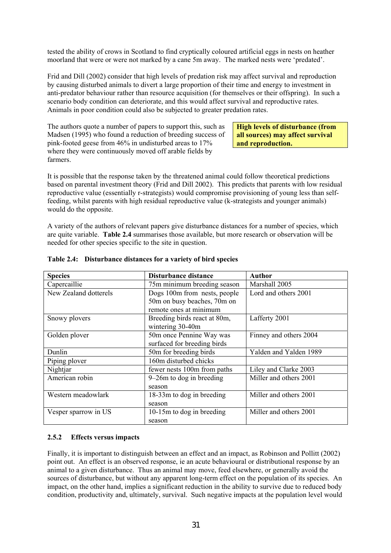tested the ability of crows in Scotland to find cryptically coloured artificial eggs in nests on heather moorland that were or were not marked by a cane 5m away. The marked nests were 'predated'.

Frid and Dill (2002) consider that high levels of predation risk may affect survival and reproduction by causing disturbed animals to divert a large proportion of their time and energy to investment in anti-predator behaviour rather than resource acquisition (for themselves or their offspring). In such a scenario body condition can deteriorate, and this would affect survival and reproductive rates. Animals in poor condition could also be subjected to greater predation rates.

The authors quote a number of papers to support this, such as Madsen (1995) who found a reduction of breeding success of pink-footed geese from 46% in undisturbed areas to 17% where they were continuously moved off arable fields by farmers.

**High levels of disturbance (from all sources) may affect survival and reproduction.** 

It is possible that the response taken by the threatened animal could follow theoretical predictions based on parental investment theory (Frid and Dill 2002). This predicts that parents with low residual reproductive value (essentially r-strategists) would compromise provisioning of young less than selffeeding, whilst parents with high residual reproductive value (k-strategists and younger animals) would do the opposite.

A variety of the authors of relevant papers give disturbance distances for a number of species, which are quite variable. **Table 2.4** summarises those available, but more research or observation will be needed for other species specific to the site in question.

| <b>Species</b>        | Disturbance distance         | Author                 |  |
|-----------------------|------------------------------|------------------------|--|
| Capercaillie          | 75m minimum breeding season  | Marshall 2005          |  |
| New Zealand dotterels | Dogs 100m from nests, people | Lord and others 2001   |  |
|                       | 50m on busy beaches, 70m on  |                        |  |
|                       | remote ones at minimum       |                        |  |
| Snowy plovers         | Breeding birds react at 80m, | Lafferty 2001          |  |
|                       | wintering 30-40m             |                        |  |
| Golden plover         | 50m once Pennine Way was     | Finney and others 2004 |  |
|                       | surfaced for breeding birds  |                        |  |
| Dunlin                | 50m for breeding birds       | Yalden and Yalden 1989 |  |
| Piping plover         | 160m disturbed chicks        |                        |  |
| Nightjar              | fewer nests 100m from paths  | Liley and Clarke 2003  |  |
| American robin        | $9-26m$ to dog in breeding   | Miller and others 2001 |  |
|                       | season                       |                        |  |
| Western meadowlark    | 18-33m to dog in breeding    | Miller and others 2001 |  |
|                       | season                       |                        |  |
| Vesper sparrow in US  | 10-15m to dog in breeding    | Miller and others 2001 |  |
|                       | season                       |                        |  |

#### **Table 2.4: Disturbance distances for a variety of bird species**

#### **2.5.2 Effects versus impacts**

Finally, it is important to distinguish between an effect and an impact, as Robinson and Pollitt (2002) point out. An effect is an observed response, ie an acute behavioural or distributional response by an animal to a given disturbance. Thus an animal may move, feed elsewhere, or generally avoid the sources of disturbance, but without any apparent long-term effect on the population of its species. An impact, on the other hand, implies a significant reduction in the ability to survive due to reduced body condition, productivity and, ultimately, survival. Such negative impacts at the population level would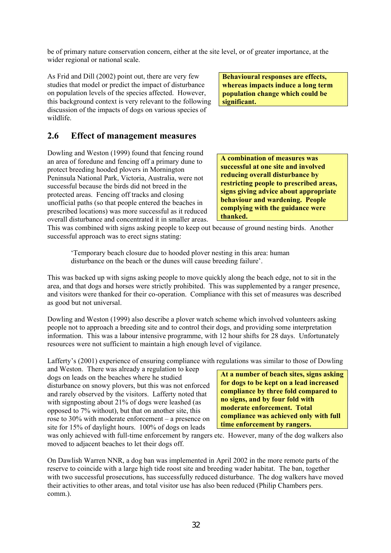be of primary nature conservation concern, either at the site level, or of greater importance, at the wider regional or national scale.

As Frid and Dill (2002) point out, there are very few studies that model or predict the impact of disturbance on population levels of the species affected. However, this background context is very relevant to the following discussion of the impacts of dogs on various species of wildlife.

**Behavioural responses are effects, whereas impacts induce a long term population change which could be significant.** 

### **2.6 Effect of management measures**

Dowling and Weston (1999) found that fencing round an area of foredune and fencing off a primary dune to protect breeding hooded plovers in Mornington Peninsula National Park, Victoria, Australia, were not successful because the birds did not breed in the protected areas. Fencing off tracks and closing unofficial paths (so that people entered the beaches in prescribed locations) was more successful as it reduced overall disturbance and concentrated it in smaller areas.

**A combination of measures was successful at one site and involved reducing overall disturbance by restricting people to prescribed areas, signs giving advice about appropriate behaviour and wardening. People complying with the guidance were thanked.** 

This was combined with signs asking people to keep out because of ground nesting birds. Another successful approach was to erect signs stating:

'Temporary beach closure due to hooded plover nesting in this area: human disturbance on the beach or the dunes will cause breeding failure'.

This was backed up with signs asking people to move quickly along the beach edge, not to sit in the area, and that dogs and horses were strictly prohibited. This was supplemented by a ranger presence, and visitors were thanked for their co-operation. Compliance with this set of measures was described as good but not universal.

Dowling and Weston (1999) also describe a plover watch scheme which involved volunteers asking people not to approach a breeding site and to control their dogs, and providing some interpretation information. This was a labour intensive programme, with 12 hour shifts for 28 days. Unfortunately resources were not sufficient to maintain a high enough level of vigilance.

Lafferty's (2001) experience of ensuring compliance with regulations was similar to those of Dowling

and Weston. There was already a regulation to keep dogs on leads on the beaches where he studied disturbance on snowy plovers, but this was not enforced and rarely observed by the visitors. Lafferty noted that with signposting about 21% of dogs were leashed (as opposed to 7% without), but that on another site, this rose to 30% with moderate enforcement – a presence on site for 15% of daylight hours. 100% of dogs on leads

**At a number of beach sites, signs asking for dogs to be kept on a lead increased compliance by three fold compared to no signs, and by four fold with moderate enforcement. Total compliance was achieved only with full time enforcement by rangers.** 

was only achieved with full-time enforcement by rangers etc. However, many of the dog walkers also moved to adjacent beaches to let their dogs off.

On Dawlish Warren NNR, a dog ban was implemented in April 2002 in the more remote parts of the reserve to coincide with a large high tide roost site and breeding wader habitat. The ban, together with two successful prosecutions, has successfully reduced disturbance. The dog walkers have moved their activities to other areas, and total visitor use has also been reduced (Philip Chambers pers. comm.).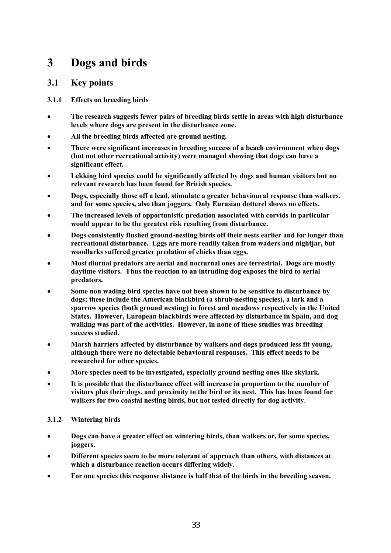# **3 Dogs and birds**

### **3.1 Key points**

#### **3.1.1 Effects on breeding birds**

- **The research suggests fewer pairs of breeding birds settle in areas with high disturbance levels where dogs are present in the disturbance zone.**
- **All the breeding birds affected are ground nesting.**
- **There were significant increases in breeding success of a beach environment when dogs (but not other recreational activity) were managed showing that dogs can have a significant effect.**
- **Lekking bird species could be significantly affected by dogs and human visitors but no relevant research has been found for British species.**
- **Dogs, especially those off a lead, stimulate a greater behavioural response than walkers, and for some species, also than joggers. Only Eurasian dotterel shows no effects.**
- **The increased levels of opportunistic predation associated with corvids in particular would appear to be the greatest risk resulting from disturbance.**
- **Dogs consistently flushed ground-nesting birds off their nests earlier and for longer than recreational disturbance. Eggs are more readily taken from waders and nightjar, but woodlarks suffered greater predation of chicks than eggs.**
- **Most diurnal predators are aerial and nocturnal ones are terrestrial. Dogs are mostly daytime visitors. Thus the reaction to an intruding dog exposes the bird to aerial predators.**
- **Some non wading bird species have not been shown to be sensitive to disturbance by dogs; these include the American blackbird (a shrub-nesting species), a lark and a sparrow species (both ground nesting) in forest and meadows respectively in the United States. However, European blackbirds were affected by disturbance in Spain, and dog walking was part of the activities. However, in none of these studies was breeding success studied.**
- **Marsh harriers affected by disturbance by walkers and dogs produced less fit young, although there were no detectable behavioural responses. This effect needs to be researched for other species.**
- **More species need to be investigated, especially ground nesting ones like skylark.**
- **It is possible that the disturbance effect will increase in proportion to the number of visitors plus their dogs, and proximity to the bird or its nest. This has been found for walkers for two coastal nesting birds, but not tested directly for dog activity**.

#### **3.1.2 Wintering birds**

- **Dogs can have a greater effect on wintering birds, than walkers or, for some species, joggers.**
- **Different species seem to be more tolerant of approach than others, with distances at which a disturbance reaction occurs differing widely.**
- **For one species this response distance is half that of the birds in the breeding season.**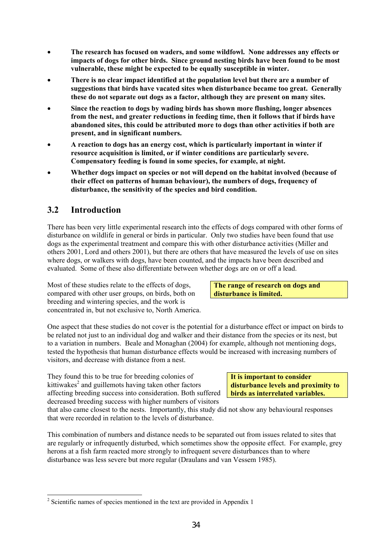- **The research has focused on waders, and some wildfowl. None addresses any effects or impacts of dogs for other birds. Since ground nesting birds have been found to be most vulnerable, these might be expected to be equally susceptible in winter.**
- **There is no clear impact identified at the population level but there are a number of suggestions that birds have vacated sites when disturbance became too great. Generally these do not separate out dogs as a factor, although they are present on many sites.**
- **Since the reaction to dogs by wading birds has shown more flushing, longer absences from the nest, and greater reductions in feeding time, then it follows that if birds have abandoned sites, this could be attributed more to dogs than other activities if both are present, and in significant numbers.**
- **A reaction to dogs has an energy cost, which is particularly important in winter if resource acquisition is limited, or if winter conditions are particularly severe. Compensatory feeding is found in some species, for example, at night.**
- **Whether dogs impact on species or not will depend on the habitat involved (because of their effect on patterns of human behaviour), the numbers of dogs, frequency of disturbance, the sensitivity of the species and bird condition.**

## **3.2 Introduction**

There has been very little experimental research into the effects of dogs compared with other forms of disturbance on wildlife in general or birds in particular. Only two studies have been found that use dogs as the experimental treatment and compare this with other disturbance activities (Miller and others 2001, Lord and others 2001), but there are others that have measured the levels of use on sites where dogs, or walkers with dogs, have been counted, and the impacts have been described and evaluated. Some of these also differentiate between whether dogs are on or off a lead.

Most of these studies relate to the effects of dogs, compared with other user groups, on birds, both on breeding and wintering species, and the work is concentrated in, but not exclusive to, North America.

**The range of research on dogs and disturbance is limited.** 

One aspect that these studies do not cover is the potential for a disturbance effect or impact on birds to be related not just to an individual dog and walker and their distance from the species or its nest, but to a variation in numbers. Beale and Monaghan (2004) for example, although not mentioning dogs, tested the hypothesis that human disturbance effects would be increased with increasing numbers of visitors, and decrease with distance from a nest.

They found this to be true for breeding colonies of kittiwakes<sup>2</sup> and guillemots having taken other factors affecting breeding success into consideration. Both suffered decreased breeding success with higher numbers of visitors

**It is important to consider disturbance levels and proximity to birds as interrelated variables.** 

that also came closest to the nests. Importantly, this study did not show any behavioural responses that were recorded in relation to the levels of disturbance.

This combination of numbers and distance needs to be separated out from issues related to sites that are regularly or infrequently disturbed, which sometimes show the opposite effect. For example, grey herons at a fish farm reacted more strongly to infrequent severe disturbances than to where disturbance was less severe but more regular (Draulans and van Vessem 1985).

l  $2^2$  Scientific names of species mentioned in the text are provided in Appendix 1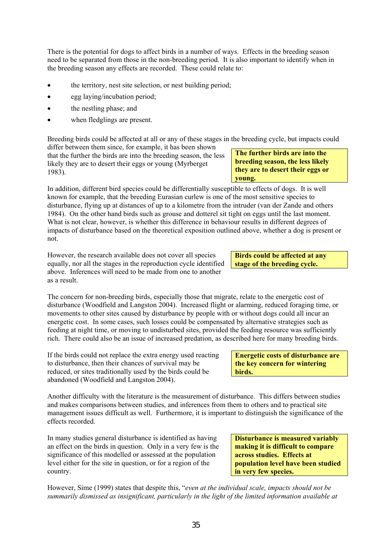There is the potential for dogs to affect birds in a number of ways. Effects in the breeding season need to be separated from those in the non-breeding period. It is also important to identify when in the breeding season any effects are recorded. These could relate to:

- the territory, nest site selection, or nest building period;
- egg laying/incubation period;
- the nestling phase; and
- when fledglings are present.

Breeding birds could be affected at all or any of these stages in the breeding cycle, but impacts could

differ between them since, for example, it has been shown that the further the birds are into the breeding season, the less likely they are to desert their eggs or young (Myrberget 1983).

In addition, different bird species could be differentially susceptible to effects of dogs. It is well known for example, that the breeding Eurasian curlew is one of the most sensitive species to disturbance, flying up at distances of up to a kilometre from the intruder (van der Zande and others 1984). On the other hand birds such as grouse and dotterel sit tight on eggs until the last moment. What is not clear, however, is whether this difference in behaviour results in different degrees of impacts of disturbance based on the theoretical exposition outlined above, whether a dog is present or not.

However, the research available does not cover all species equally, nor all the stages in the reproduction cycle identified above. Inferences will need to be made from one to another as a result.

The concern for non-breeding birds, especially those that migrate, relate to the energetic cost of disturbance (Woodfield and Langston 2004). Increased flight or alarming, reduced foraging time, or movements to other sites caused by disturbance by people with or without dogs could all incur an energetic cost. In some cases, such losses could be compensated by alternative strategies such as feeding at night time, or moving to undisturbed sites, provided the feeding resource was sufficiently rich. There could also be an issue of increased predation, as described here for many breeding birds.

If the birds could not replace the extra energy used reacting to disturbance, then their chances of survival may be reduced, or sites traditionally used by the birds could be abandoned (Woodfield and Langston 2004).

Another difficulty with the literature is the measurement of disturbance. This differs between studies and makes comparisons between studies, and inferences from them to others and to practical site management issues difficult as well. Furthermore, it is important to distinguish the significance of the effects recorded.

In many studies general disturbance is identified as having an effect on the birds in question. Only in a very few is the significance of this modelled or assessed at the population level either for the site in question, or for a region of the country.

**Disturbance is measured variably making it is difficult to compare across studies. Effects at population level have been studied in very few species.** 

**Energetic costs of disturbance are the key concern for wintering** 

**birds.** 

However, Sime (1999) states that despite this, "*even at the individual scale, impacts should not be summarily dismissed as insignificant, particularly in the light of the limited information available at* 

**Birds could be affected at any stage of the breeding cycle.** 

**The further birds are into the breeding season, the less likely they are to desert their eggs or young.**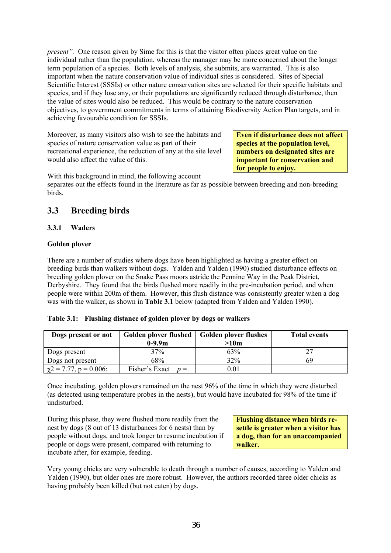*present".* One reason given by Sime for this is that the visitor often places great value on the individual rather than the population, whereas the manager may be more concerned about the longer term population of a species. Both levels of analysis, she submits, are warranted. This is also important when the nature conservation value of individual sites is considered. Sites of Special Scientific Interest (SSSIs) or other nature conservation sites are selected for their specific habitats and species, and if they lose any, or their populations are significantly reduced through disturbance, then the value of sites would also be reduced. This would be contrary to the nature conservation objectives, to government commitments in terms of attaining Biodiversity Action Plan targets, and in achieving favourable condition for SSSIs.

Moreover, as many visitors also wish to see the habitats and species of nature conservation value as part of their recreational experience, the reduction of any at the site level would also affect the value of this.

**Even if disturbance does not affect species at the population level, numbers on designated sites are important for conservation and for people to enjoy.** 

With this background in mind, the following account

separates out the effects found in the literature as far as possible between breeding and non-breeding birds.

## **3.3 Breeding birds**

#### **3.3.1 Waders**

#### **Golden plover**

There are a number of studies where dogs have been highlighted as having a greater effect on breeding birds than walkers without dogs. Yalden and Yalden (1990) studied disturbance effects on breeding golden plover on the Snake Pass moors astride the Pennine Way in the Peak District, Derbyshire. They found that the birds flushed more readily in the pre-incubation period, and when people were within 200m of them. However, this flush distance was consistently greater when a dog was with the walker, as shown in **Table 3.1** below (adapted from Yalden and Yalden 1990).

| Table 3.1: Flushing distance of golden plover by dogs or walkers |  |  |
|------------------------------------------------------------------|--|--|

| Dogs present or not         | Golden plover flushed   Golden plover flushes |                  | <b>Total events</b> |  |
|-----------------------------|-----------------------------------------------|------------------|---------------------|--|
|                             | $0-9.9m$                                      | >10 <sub>m</sub> |                     |  |
| Dogs present                | 37%                                           | 63%              |                     |  |
| Dogs not present            | 68%                                           | 32%              | 69                  |  |
| $\chi$ 2 = 7.77, p = 0.006: | Fisher's Exact<br>$n =$                       | $\rm 0.01$       |                     |  |

Once incubating, golden plovers remained on the nest 96% of the time in which they were disturbed (as detected using temperature probes in the nests), but would have incubated for 98% of the time if undisturbed.

During this phase, they were flushed more readily from the nest by dogs (8 out of 13 disturbances for 6 nests) than by people without dogs, and took longer to resume incubation if people or dogs were present, compared with returning to incubate after, for example, feeding.

**Flushing distance when birds resettle is greater when a visitor has a dog, than for an unaccompanied walker.** 

Very young chicks are very vulnerable to death through a number of causes, according to Yalden and Yalden (1990), but older ones are more robust. However, the authors recorded three older chicks as having probably been killed (but not eaten) by dogs.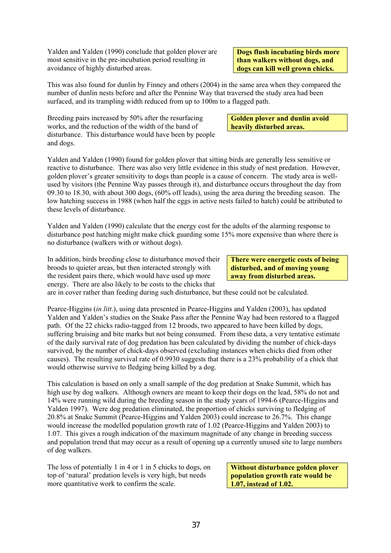Yalden and Yalden (1990) conclude that golden plover are most sensitive in the pre-incubation period resulting in avoidance of highly disturbed areas.

**Dogs flush incubating birds more than walkers without dogs, and dogs can kill well grown chicks.** 

**Golden plover and dunlin avoid** 

**heavily disturbed areas.** 

This was also found for dunlin by Finney and others (2004) in the same area when they compared the number of dunlin nests before and after the Pennine Way that traversed the study area had been surfaced, and its trampling width reduced from up to 100m to a flagged path.

Breeding pairs increased by 50% after the resurfacing works, and the reduction of the width of the band of disturbance. This disturbance would have been by people and dogs.

Yalden and Yalden (1990) found for golden plover that sitting birds are generally less sensitive or reactive to disturbance. There was also very little evidence in this study of nest predation. However, golden plover's greater sensitivity to dogs than people is a cause of concern. The study area is wellused by visitors (the Pennine Way passes through it), and disturbance occurs throughout the day from 09.30 to 18.30, with about 300 dogs, (60% off leads), using the area during the breeding season. The low hatching success in 1988 (when half the eggs in active nests failed to hatch) could be attributed to these levels of disturbance.

Yalden and Yalden (1990) calculate that the energy cost for the adults of the alarming response to disturbance post hatching might make chick guarding some 15% more expensive than where there is no disturbance (walkers with or without dogs).

In addition, birds breeding close to disturbance moved their broods to quieter areas, but then interacted strongly with the resident pairs there, which would have used up more energy. There are also likely to be costs to the chicks that

**There were energetic costs of being disturbed, and of moving young away from disturbed areas.** 

are in cover rather than feeding during such disturbance, but these could not be calculated.

Pearce-Higgins (*in litt*.), using data presented in Pearce-Higgins and Yalden (2003), has updated Yalden and Yalden's studies on the Snake Pass after the Pennine Way had been restored to a flagged path. Of the 22 chicks radio-tagged from 12 broods, two appeared to have been killed by dogs, suffering bruising and bite marks but not being consumed. From these data, a very tentative estimate of the daily survival rate of dog predation has been calculated by dividing the number of chick-days survived, by the number of chick-days observed (excluding instances when chicks died from other causes). The resulting survival rate of 0.9930 suggests that there is a 23% probability of a chick that would otherwise survive to fledging being killed by a dog.

This calculation is based on only a small sample of the dog predation at Snake Summit, which has high use by dog walkers. Although owners are meant to keep their dogs on the lead, 58% do not and 14% were running wild during the breeding season in the study years of 1994-6 (Pearce-Higgins and Yalden 1997). Were dog predation eliminated, the proportion of chicks surviving to fledging of 20.8% at Snake Summit (Pearce-Higgins and Yalden 2003) could increase to 26.7%. This change would increase the modelled population growth rate of 1.02 (Pearce-Higgins and Yalden 2003) to 1.07. This gives a rough indication of the maximum magnitude of any change in breeding success and population trend that may occur as a result of opening up a currently unused site to large numbers of dog walkers.

The loss of potentially 1 in 4 or 1 in 5 chicks to dogs, on top of 'natural' predation levels is very high, but needs more quantitative work to confirm the scale.

**Without disturbance golden plover population growth rate would be 1.07, instead of 1.02.**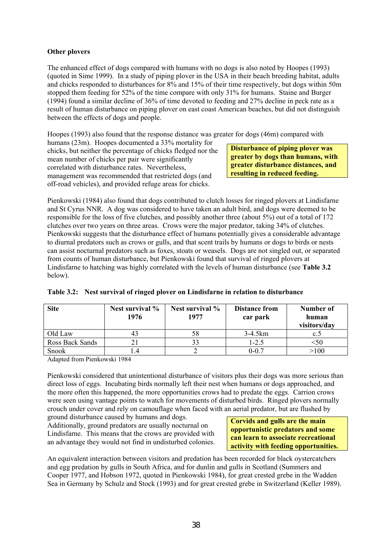#### **Other plovers**

The enhanced effect of dogs compared with humans with no dogs is also noted by Hoopes (1993) (quoted in Sime 1999). In a study of piping plover in the USA in their beach breeding habitat, adults and chicks responded to disturbances for 8% and 15% of their time respectively, but dogs within 50m stopped them feeding for 52% of the time compare with only 31% for humans. Staine and Burger (1994) found a similar decline of 36% of time devoted to feeding and 27% decline in peck rate as a result of human disturbance on piping plover on east coast American beaches, but did not distinguish between the effects of dogs and people.

Hoopes (1993) also found that the response distance was greater for dogs (46m) compared with

humans (23m). Hoopes documented a 33% mortality for chicks, but neither the percentage of chicks fledged nor the mean number of chicks per pair were significantly correlated with disturbance rates. Nevertheless, management was recommended that restricted dogs (and off-road vehicles), and provided refuge areas for chicks.

**Disturbance of piping plover was greater by dogs than humans, with greater disturbance distances, and resulting in reduced feeding.** 

Pienkowski (1984) also found that dogs contributed to clutch losses for ringed plovers at Lindisfarne and St Cyrus NNR. A dog was considered to have taken an adult bird, and dogs were deemed to be responsible for the loss of five clutches, and possibly another three (about 5%) out of a total of 172 clutches over two years on three areas. Crows were the major predator, taking 34% of clutches. Pienkowski suggests that the disturbance effect of humans potentially gives a considerable advantage to diurnal predators such as crows or gulls, and that scent trails by humans or dogs to birds or nests can assist nocturnal predators such as foxes, stoats or weasels. Dogs are not singled out, or separated from counts of human disturbance, but Pienkowski found that survival of ringed plovers at Lindisfarne to hatching was highly correlated with the levels of human disturbance (see **Table 3.2** below).

| <b>Site</b>     | Nest survival %<br>1976 | Nest survival $\%$<br>1977 | <b>Distance from</b><br>car park | Number of<br>human<br>visitors/day |
|-----------------|-------------------------|----------------------------|----------------------------------|------------------------------------|
| Old Law         | 43                      | 58                         | $3-4.5km$                        | C.D                                |
| Ross Back Sands |                         |                            | 1-2.5                            |                                    |
| Snook           |                         |                            | $0 - 0.7$                        | >100                               |

#### **Table 3.2: Nest survival of ringed plover on Lindisfarne in relation to disturbance**

Adapted from Pienkowski 1984

Pienkowski considered that unintentional disturbance of visitors plus their dogs was more serious than direct loss of eggs. Incubating birds normally left their nest when humans or dogs approached, and the more often this happened, the more opportunities crows had to predate the eggs. Carrion crows were seen using vantage points to watch for movements of disturbed birds. Ringed plovers normally crouch under cover and rely on camouflage when faced with an aerial predator, but are flushed by

ground disturbance caused by humans and dogs. Additionally, ground predators are usually nocturnal on Lindisfarne. This means that the crows are provided with an advantage they would not find in undisturbed colonies.

**Corvids and gulls are the main opportunistic predators and some can learn to associate recreational activity with feeding opportunities.** 

An equivalent interaction between visitors and predation has been recorded for black oystercatchers and egg predation by gulls in South Africa, and for dunlin and gulls in Scotland (Summers and Cooper 1977, and Hobson 1972, quoted in Pienkowski 1984), for great crested grebe in the Wadden Sea in Germany by Schulz and Stock (1993) and for great crested grebe in Switzerland (Keller 1989).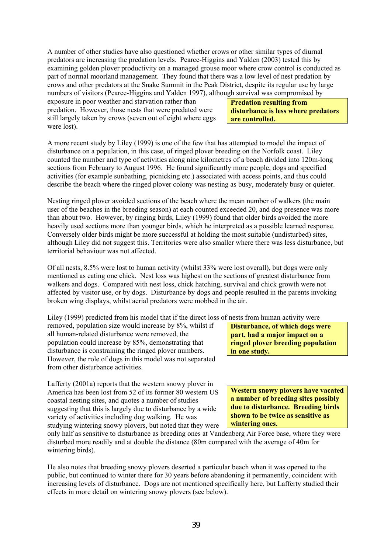A number of other studies have also questioned whether crows or other similar types of diurnal predators are increasing the predation levels. Pearce-Higgins and Yalden (2003) tested this by examining golden plover productivity on a managed grouse moor where crow control is conducted as part of normal moorland management. They found that there was a low level of nest predation by crows and other predators at the Snake Summit in the Peak District, despite its regular use by large numbers of visitors (Pearce-Higgins and Yalden 1997), although survival was compromised by

exposure in poor weather and starvation rather than predation. However, those nests that were predated were still largely taken by crows (seven out of eight where eggs were lost).

**Predation resulting from disturbance is less where predators are controlled.** 

A more recent study by Liley (1999) is one of the few that has attempted to model the impact of disturbance on a population, in this case, of ringed plover breeding on the Norfolk coast. Liley counted the number and type of activities along nine kilometres of a beach divided into 120m-long sections from February to August 1996. He found significantly more people, dogs and specified activities (for example sunbathing, picnicking etc.) associated with access points, and thus could describe the beach where the ringed plover colony was nesting as busy, moderately busy or quieter.

Nesting ringed plover avoided sections of the beach where the mean number of walkers (the main user of the beaches in the breeding season) at each counted exceeded 20, and dog presence was more than about two. However, by ringing birds, Liley (1999) found that older birds avoided the more heavily used sections more than younger birds, which he interpreted as a possible learned response. Conversely older birds might be more successful at holding the most suitable (undisturbed) sites, although Liley did not suggest this. Territories were also smaller where there was less disturbance, but territorial behaviour was not affected.

Of all nests, 8.5% were lost to human activity (whilst 33% were lost overall), but dogs were only mentioned as eating one chick. Nest loss was highest on the sections of greatest disturbance from walkers and dogs. Compared with nest loss, chick hatching, survival and chick growth were not affected by visitor use, or by dogs. Disturbance by dogs and people resulted in the parents invoking broken wing displays, whilst aerial predators were mobbed in the air.

Liley (1999) predicted from his model that if the direct loss of nests from human activity were

removed, population size would increase by 8%, whilst if all human-related disturbance were removed, the population could increase by 85%, demonstrating that disturbance is constraining the ringed plover numbers. However, the role of dogs in this model was not separated from other disturbance activities.

Lafferty (2001a) reports that the western snowy plover in America has been lost from 52 of its former 80 western US coastal nesting sites, and quotes a number of studies suggesting that this is largely due to disturbance by a wide variety of activities including dog walking. He was studying wintering snowy plovers, but noted that they were **Disturbance, of which dogs were part, had a major impact on a ringed plover breeding population in one study.** 

**Western snowy plovers have vacated a number of breeding sites possibly due to disturbance. Breeding birds shown to be twice as sensitive as wintering ones.** 

only half as sensitive to disturbance as breeding ones at Vandenberg Air Force base, where they were disturbed more readily and at double the distance (80m compared with the average of 40m for wintering birds).

He also notes that breeding snowy plovers deserted a particular beach when it was opened to the public, but continued to winter there for 30 years before abandoning it permanently, coincident with increasing levels of disturbance. Dogs are not mentioned specifically here, but Lafferty studied their effects in more detail on wintering snowy plovers (see below).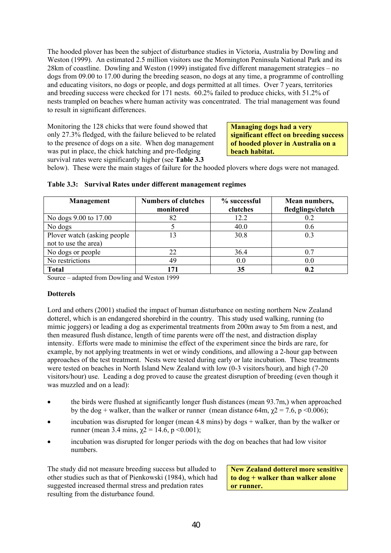The hooded plover has been the subject of disturbance studies in Victoria, Australia by Dowling and Weston (1999). An estimated 2.5 million visitors use the Mornington Peninsula National Park and its 28km of coastline. Dowling and Weston (1999) instigated five different management strategies – no dogs from 09.00 to 17.00 during the breeding season, no dogs at any time, a programme of controlling and educating visitors, no dogs or people, and dogs permitted at all times. Over 7 years, territories and breeding success were checked for 171 nests. 60.2% failed to produce chicks, with 51.2% of nests trampled on beaches where human activity was concentrated. The trial management was found to result in significant differences.

Monitoring the 128 chicks that were found showed that only 27.3% fledged, with the failure believed to be related to the presence of dogs on a site. When dog management was put in place, the chick hatching and pre-fledging survival rates were significantly higher (see **Table 3.3** 

**Managing dogs had a very significant effect on breeding success of hooded plover in Australia on a beach habitat.** 

below). These were the main stages of failure for the hooded plovers where dogs were not managed.

| Management                   | <b>Numbers of clutches</b> | % successful | Mean numbers,     |
|------------------------------|----------------------------|--------------|-------------------|
|                              | monitored                  | clutches     | fledglings/clutch |
| No dogs 9.00 to 17.00        | 82                         | 12.2         | 0.2               |
| No dogs                      |                            | 40.0         | 0.6               |
| Plover watch (asking people) | 13                         | 30.8         | 0.3               |
| not to use the area)         |                            |              |                   |
| No dogs or people            | 22                         | 36.4         | 0.7               |
| No restrictions              | 49                         | 0.0          | 0.0               |
| <b>Total</b>                 | 171                        | 35           | 0.2               |

#### **Table 3.3: Survival Rates under different management regimes**

Source – adapted from Dowling and Weston 1999

#### **Dotterels**

Lord and others (2001) studied the impact of human disturbance on nesting northern New Zealand dotterel, which is an endangered shorebird in the country. This study used walking, running (to mimic joggers) or leading a dog as experimental treatments from 200m away to 5m from a nest, and then measured flush distance, length of time parents were off the nest, and distraction display intensity. Efforts were made to minimise the effect of the experiment since the birds are rare, for example, by not applying treatments in wet or windy conditions, and allowing a 2-hour gap between approaches of the test treatment. Nests were tested during early or late incubation. These treatments were tested on beaches in North Island New Zealand with low (0-3 visitors/hour), and high (7-20 visitors/hour) use. Leading a dog proved to cause the greatest disruption of breeding (even though it was muzzled and on a lead):

- the birds were flushed at significantly longer flush distances (mean 93.7m,) when approached by the dog + walker, than the walker or runner (mean distance 64m,  $\chi$ 2 = 7.6, p <0.006);
- incubation was disrupted for longer (mean 4.8 mins) by  $\cos x + \text{walker}$ , than by the walker or runner (mean 3.4 mins,  $\gamma$ 2 = 14.6, p < 0.001);
- incubation was disrupted for longer periods with the dog on beaches that had low visitor numbers.

The study did not measure breeding success but alluded to other studies such as that of Pienkowski (1984), which had suggested increased thermal stress and predation rates resulting from the disturbance found.

**New Zealand dotterel more sensitive to dog + walker than walker alone or runner.**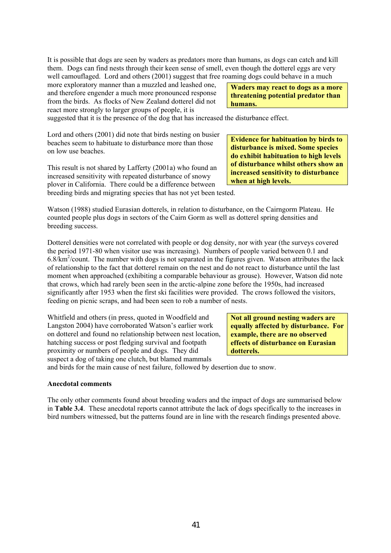It is possible that dogs are seen by waders as predators more than humans, as dogs can catch and kill them. Dogs can find nests through their keen sense of smell, even though the dotterel eggs are very well camouflaged. Lord and others (2001) suggest that free roaming dogs could behave in a much

more exploratory manner than a muzzled and leashed one, and therefore engender a much more pronounced response from the birds. As flocks of New Zealand dotterel did not react more strongly to larger groups of people, it is

**Waders may react to dogs as a more threatening potential predator than humans.** 

**Evidence for habituation by birds to disturbance is mixed. Some species do exhibit habituation to high levels of disturbance whilst others show an increased sensitivity to disturbance** 

**when at high levels.** 

suggested that it is the presence of the dog that has increased the disturbance effect.

Lord and others (2001) did note that birds nesting on busier beaches seem to habituate to disturbance more than those on low use beaches.

This result is not shared by Lafferty (2001a) who found an increased sensitivity with repeated disturbance of snowy plover in California. There could be a difference between breeding birds and migrating species that has not yet been tested.

Watson (1988) studied Eurasian dotterels, in relation to disturbance, on the Cairngorm Plateau. He counted people plus dogs in sectors of the Cairn Gorm as well as dotterel spring densities and breeding success.

Dotterel densities were not correlated with people or dog density, nor with year (the surveys covered the period 1971-80 when visitor use was increasing). Numbers of people varied between 0.1 and  $6.8/\text{km}^2/\text{count}$ . The number with dogs is not separated in the figures given. Watson attributes the lack of relationship to the fact that dotterel remain on the nest and do not react to disturbance until the last moment when approached (exhibiting a comparable behaviour as grouse). However, Watson did note that crows, which had rarely been seen in the arctic-alpine zone before the 1950s, had increased significantly after 1953 when the first ski facilities were provided. The crows followed the visitors, feeding on picnic scraps, and had been seen to rob a number of nests.

Whitfield and others (in press, quoted in Woodfield and Langston 2004) have corroborated Watson's earlier work on dotterel and found no relationship between nest location, hatching success or post fledging survival and footpath proximity or numbers of people and dogs. They did suspect a dog of taking one clutch, but blamed mammals

**Not all ground nesting waders are equally affected by disturbance. For example, there are no observed effects of disturbance on Eurasian dotterels.** 

and birds for the main cause of nest failure, followed by desertion due to snow.

#### **Anecdotal comments**

The only other comments found about breeding waders and the impact of dogs are summarised below in **Table 3.4**. These anecdotal reports cannot attribute the lack of dogs specifically to the increases in bird numbers witnessed, but the patterns found are in line with the research findings presented above.

41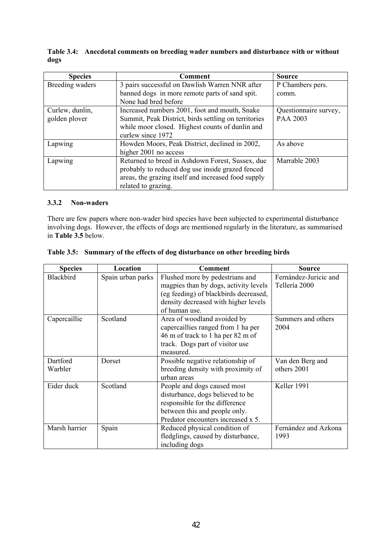| dogs            |                                                |                  |
|-----------------|------------------------------------------------|------------------|
| <b>Species</b>  | Comment                                        | <b>Source</b>    |
| Breeding waders | 3 pairs successful on Dawlish Warren NNR after | P Chambers pers. |

|      | Table 3.4: Anecdotal comments on breeding wader numbers and disturbance with or without |
|------|-----------------------------------------------------------------------------------------|
| dogs |                                                                                         |

| www.co          |                                                      | www.cc                |
|-----------------|------------------------------------------------------|-----------------------|
| Breeding waders | 3 pairs successful on Dawlish Warren NNR after       | P Chambers pers.      |
|                 | banned dogs in more remote parts of sand spit.       | comm.                 |
|                 | None had bred before                                 |                       |
| Curlew, dunlin, | Increased numbers 2001, foot and mouth, Snake        | Questionnaire survey, |
| golden plover   | Summit, Peak District, birds settling on territories | PAA 2003              |
|                 | while moor closed. Highest counts of dunlin and      |                       |
|                 | curlew since 1972                                    |                       |
| Lapwing         | Howden Moors, Peak District, declined in 2002,       | As above              |
|                 | higher 2001 no access                                |                       |
| Lapwing         | Returned to breed in Ashdown Forest, Sussex, due     | Marrable 2003         |
|                 | probably to reduced dog use inside grazed fenced     |                       |
|                 | areas, the grazing itself and increased food supply  |                       |
|                 | related to grazing.                                  |                       |

#### **3.3.2 Non-waders**

There are few papers where non-wader bird species have been subjected to experimental disturbance involving dogs. However, the effects of dogs are mentioned regularly in the literature, as summarised in **Table 3.5** below.

| <b>Species</b>      | Location          | <b>Comment</b>                                                                                                                                                             | <b>Source</b>                          |
|---------------------|-------------------|----------------------------------------------------------------------------------------------------------------------------------------------------------------------------|----------------------------------------|
| Blackbird           | Spain urban parks | Flushed more by pedestrians and<br>magpies than by dogs, activity levels<br>(eg feeding) of blackbirds decreased,<br>density decreased with higher levels<br>of human use. | Fernández-Juricic and<br>Tellería 2000 |
| Capercaillie        | Scotland          | Area of woodland avoided by<br>capercaillies ranged from 1 ha per<br>46 m of track to 1 ha per 82 m of<br>track. Dogs part of visitor use<br>measured.                     | Summers and others<br>2004             |
| Dartford<br>Warbler | Dorset            | Possible negative relationship of<br>breeding density with proximity of<br>urban areas                                                                                     | Van den Berg and<br>others 2001        |
| Eider duck          | Scotland          | People and dogs caused most<br>disturbance, dogs believed to be<br>responsible for the difference<br>between this and people only.<br>Predator encounters increased x 5.   | Keller 1991                            |
| Marsh harrier       | Spain             | Reduced physical condition of<br>fledglings, caused by disturbance,<br>including dogs                                                                                      | Fernández and Azkona<br>1993           |

|  |  | Table 3.5: Summary of the effects of dog disturbance on other breeding birds |  |
|--|--|------------------------------------------------------------------------------|--|
|  |  |                                                                              |  |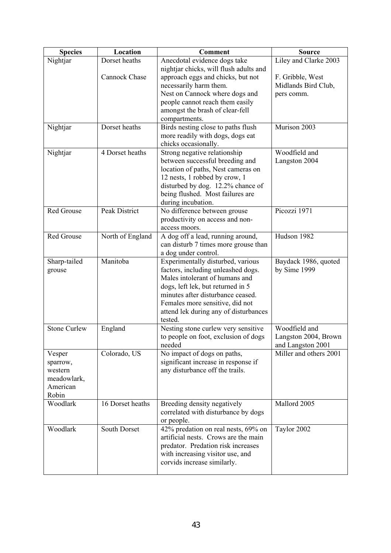| <b>Species</b>      | Location            | <b>Comment</b>                                                         | <b>Source</b>          |
|---------------------|---------------------|------------------------------------------------------------------------|------------------------|
| Nightjar            | Dorset heaths       | Anecdotal evidence dogs take                                           | Liley and Clarke 2003  |
|                     |                     | nightjar chicks, will flush adults and                                 |                        |
|                     | Cannock Chase       | approach eggs and chicks, but not                                      | F. Gribble, West       |
|                     |                     | necessarily harm them.                                                 | Midlands Bird Club,    |
|                     |                     | Nest on Cannock where dogs and                                         | pers comm.             |
|                     |                     | people cannot reach them easily                                        |                        |
|                     |                     | amongst the brash of clear-fell                                        |                        |
|                     |                     | compartments.                                                          |                        |
| Nightjar            | Dorset heaths       | Birds nesting close to paths flush                                     | Murison 2003           |
|                     |                     | more readily with dogs, dogs eat                                       |                        |
|                     |                     | chicks occasionally.                                                   |                        |
| Nightjar            | 4 Dorset heaths     | Strong negative relationship                                           | Woodfield and          |
|                     |                     | between successful breeding and                                        | Langston 2004          |
|                     |                     | location of paths, Nest cameras on                                     |                        |
|                     |                     | 12 nests, 1 robbed by crow, 1                                          |                        |
|                     |                     | disturbed by dog. 12.2% chance of                                      |                        |
|                     |                     | being flushed. Most failures are                                       |                        |
|                     |                     | during incubation.                                                     |                        |
| Red Grouse          | Peak District       | No difference between grouse                                           | Picozzi 1971           |
|                     |                     | productivity on access and non-                                        |                        |
|                     |                     | access moors.                                                          |                        |
| Red Grouse          | North of England    | A dog off a lead, running around,                                      | Hudson 1982            |
|                     |                     | can disturb 7 times more grouse than                                   |                        |
|                     |                     | a dog under control.                                                   |                        |
| Sharp-tailed        | Manitoba            | Experimentally disturbed, various                                      | Baydack 1986, quoted   |
| grouse              |                     | factors, including unleashed dogs.                                     | by Sime 1999           |
|                     |                     | Males intolerant of humans and                                         |                        |
|                     |                     | dogs, left lek, but returned in 5<br>minutes after disturbance ceased. |                        |
|                     |                     | Females more sensitive, did not                                        |                        |
|                     |                     | attend lek during any of disturbances                                  |                        |
|                     |                     | tested.                                                                |                        |
| <b>Stone Curlew</b> | England             | Nesting stone curlew very sensitive                                    | Woodfield and          |
|                     |                     | to people on foot, exclusion of dogs                                   | Langston 2004, Brown   |
|                     |                     | needed                                                                 | and Langston 2001      |
| Vesper              | Colorado, US        | No impact of dogs on paths,                                            | Miller and others 2001 |
| sparrow,            |                     | significant increase in response if                                    |                        |
| western             |                     | any disturbance off the trails.                                        |                        |
| meadowlark,         |                     |                                                                        |                        |
| American            |                     |                                                                        |                        |
| Robin               |                     |                                                                        |                        |
| Woodlark            | 16 Dorset heaths    | Breeding density negatively                                            | Mallord 2005           |
|                     |                     | correlated with disturbance by dogs                                    |                        |
|                     |                     | or people.                                                             |                        |
| Woodlark            | <b>South Dorset</b> | 42% predation on real nests, 69% on                                    | Taylor 2002            |
|                     |                     | artificial nests. Crows are the main                                   |                        |
|                     |                     | predator. Predation risk increases                                     |                        |
|                     |                     | with increasing visitor use, and                                       |                        |
|                     |                     | corvids increase similarly.                                            |                        |
|                     |                     |                                                                        |                        |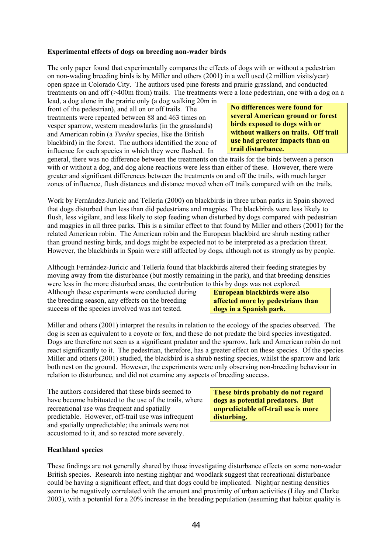#### **Experimental effects of dogs on breeding non-wader birds**

The only paper found that experimentally compares the effects of dogs with or without a pedestrian on non-wading breeding birds is by Miller and others (2001) in a well used (2 million visits/year) open space in Colorado City. The authors used pine forests and prairie grassland, and conducted treatments on and off (>400m from) trails. The treatments were a lone pedestrian, one with a dog on a

lead, a dog alone in the prairie only (a dog walking 20m in front of the pedestrian), and all on or off trails. The treatments were repeated between 88 and 463 times on vesper sparrow, western meadowlarks (in the grasslands) and American robin (a *Turdus* species, like the British blackbird) in the forest. The authors identified the zone of influence for each species in which they were flushed. In

**No differences were found for several American ground or forest birds exposed to dogs with or without walkers on trails. Off trail use had greater impacts than on trail disturbance.** 

general, there was no difference between the treatments on the trails for the birds between a person with or without a dog, and dog alone reactions were less than either of these. However, there were greater and significant differences between the treatments on and off the trails, with much larger zones of influence, flush distances and distance moved when off trails compared with on the trails.

Work by Fernández-Juricic and Tellería (2000) on blackbirds in three urban parks in Spain showed that dogs disturbed then less than did pedestrians and magpies. The blackbirds were less likely to flush, less vigilant, and less likely to stop feeding when disturbed by dogs compared with pedestrian and magpies in all three parks. This is a similar effect to that found by Miller and others (2001) for the related American robin. The American robin and the European blackbird are shrub nesting rather than ground nesting birds, and dogs might be expected not to be interpreted as a predation threat. However, the blackbirds in Spain were still affected by dogs, although not as strongly as by people.

Although Fernández-Juricic and Tellería found that blackbirds altered their feeding strategies by moving away from the disturbance (but mostly remaining in the park), and that breeding densities were less in the more disturbed areas, the contribution to this by dogs was not explored.

Although these experiments were conducted during the breeding season, any effects on the breeding success of the species involved was not tested.

**European blackbirds were also affected more by pedestrians than dogs in a Spanish park.** 

Miller and others (2001) interpret the results in relation to the ecology of the species observed. The dog is seen as equivalent to a coyote or fox, and these do not predate the bird species investigated. Dogs are therefore not seen as a significant predator and the sparrow, lark and American robin do not react significantly to it. The pedestrian, therefore, has a greater effect on these species. Of the species Miller and others (2001) studied, the blackbird is a shrub nesting species, whilst the sparrow and lark both nest on the ground. However, the experiments were only observing non-breeding behaviour in relation to disturbance, and did not examine any aspects of breeding success.

The authors considered that these birds seemed to have become habituated to the use of the trails, where recreational use was frequent and spatially predictable. However, off-trail use was infrequent and spatially unpredictable; the animals were not accustomed to it, and so reacted more severely.

**These birds probably do not regard dogs as potential predators. But unpredictable off-trail use is more disturbing.** 

#### **Heathland species**

These findings are not generally shared by those investigating disturbance effects on some non-wader British species. Research into nesting nightjar and woodlark suggest that recreational disturbance could be having a significant effect, and that dogs could be implicated. Nightjar nesting densities seem to be negatively correlated with the amount and proximity of urban activities (Liley and Clarke 2003), with a potential for a 20% increase in the breeding population (assuming that habitat quality is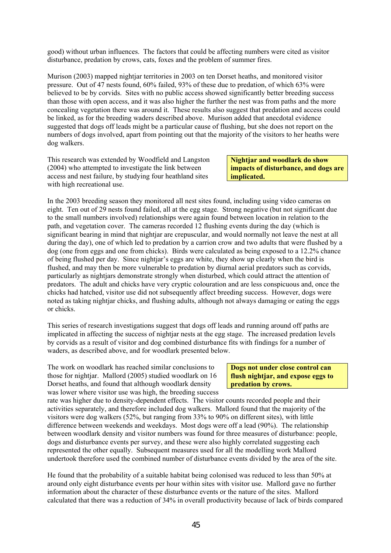good) without urban influences. The factors that could be affecting numbers were cited as visitor disturbance, predation by crows, cats, foxes and the problem of summer fires.

Murison (2003) mapped nightjar territories in 2003 on ten Dorset heaths, and monitored visitor pressure. Out of 47 nests found, 60% failed, 93% of these due to predation, of which 63% were believed to be by corvids. Sites with no public access showed significantly better breeding success than those with open access, and it was also higher the further the nest was from paths and the more concealing vegetation there was around it. These results also suggest that predation and access could be linked, as for the breeding waders described above. Murison added that anecdotal evidence suggested that dogs off leads might be a particular cause of flushing, but she does not report on the numbers of dogs involved, apart from pointing out that the majority of the visitors to her heaths were dog walkers.

This research was extended by Woodfield and Langston (2004) who attempted to investigate the link between access and nest failure, by studying four heathland sites with high recreational use.

**Nightjar and woodlark do show impacts of disturbance, and dogs are implicated.** 

In the 2003 breeding season they monitored all nest sites found, including using video cameras on eight. Ten out of 29 nests found failed, all at the egg stage. Strong negative (but not significant due to the small numbers involved) relationships were again found between location in relation to the path, and vegetation cover. The cameras recorded 12 flushing events during the day (which is significant bearing in mind that nightiar are crepuscular, and would normally not leave the nest at all during the day), one of which led to predation by a carrion crow and two adults that were flushed by a dog (one from eggs and one from chicks). Birds were calculated as being exposed to a 12.2% chance of being flushed per day. Since nightjar's eggs are white, they show up clearly when the bird is flushed, and may then be more vulnerable to predation by diurnal aerial predators such as corvids, particularly as nightjars demonstrate strongly when disturbed, which could attract the attention of predators. The adult and chicks have very cryptic colouration and are less conspicuous and, once the chicks had hatched, visitor use did not subsequently affect breeding success. However, dogs were noted as taking nightjar chicks, and flushing adults, although not always damaging or eating the eggs or chicks.

This series of research investigations suggest that dogs off leads and running around off paths are implicated in affecting the success of nightjar nests at the egg stage. The increased predation levels by corvids as a result of visitor and dog combined disturbance fits with findings for a number of waders, as described above, and for woodlark presented below.

The work on woodlark has reached similar conclusions to those for nightjar. Mallord (2005) studied woodlark on 16 Dorset heaths, and found that although woodlark density was lower where visitor use was high, the breeding success

**Dogs not under close control can flush nightjar, and expose eggs to predation by crows.** 

rate was higher due to density-dependent effects. The visitor counts recorded people and their activities separately, and therefore included dog walkers. Mallord found that the majority of the visitors were dog walkers (52%, but ranging from 33% to 90% on different sites), with little difference between weekends and weekdays. Most dogs were off a lead (90%). The relationship between woodlark density and visitor numbers was found for three measures of disturbance: people, dogs and disturbance events per survey, and these were also highly correlated suggesting each represented the other equally. Subsequent measures used for all the modelling work Mallord undertook therefore used the combined number of disturbance events divided by the area of the site.

He found that the probability of a suitable habitat being colonised was reduced to less than 50% at around only eight disturbance events per hour within sites with visitor use. Mallord gave no further information about the character of these disturbance events or the nature of the sites. Mallord calculated that there was a reduction of 34% in overall productivity because of lack of birds compared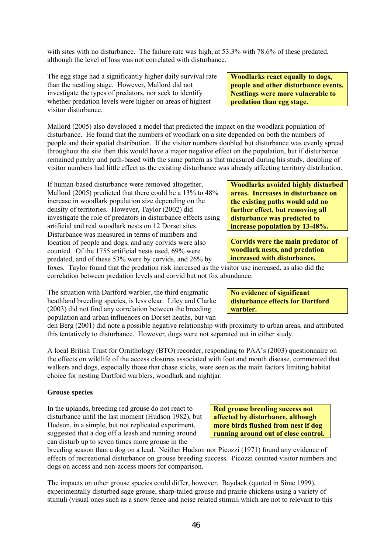with sites with no disturbance. The failure rate was high, at 53.3% with 78.6% of these predated, although the level of loss was not correlated with disturbance.

The egg stage had a significantly higher daily survival rate than the nestling stage. However, Mallord did not investigate the types of predators, nor seek to identify whether predation levels were higher on areas of highest visitor disturbance.

**Woodlarks react equally to dogs, people and other disturbance events. Nestlings were more vulnerable to predation than egg stage.** 

Mallord (2005) also developed a model that predicted the impact on the woodlark population of disturbance. He found that the numbers of woodlark on a site depended on both the numbers of people and their spatial distribution. If the visitor numbers doubled but disturbance was evenly spread throughout the site then this would have a major negative effect on the population, but if disturbance remained patchy and path-based with the same pattern as that measured during his study, doubling of visitor numbers had little effect as the existing disturbance was already affecting territory distribution.

If human-based disturbance were removed altogether, Mallord (2005) predicted that there could be a 13% to 48% increase in woodlark population size depending on the density of territories. However, Taylor (2002) did investigate the role of predators in disturbance effects using artificial and real woodlark nests on 12 Dorset sites. Disturbance was measured in terms of numbers and location of people and dogs, and any corvids were also counted. Of the 1755 artificial nests used, 69% were predated, and of these 53% were by corvids, and 26% by

**Woodlarks avoided highly disturbed areas. Increases in disturbance on the existing paths would add no further effect, but removing all disturbance was predicted to increase population by 13-48%.** 

**Corvids were the main predator of woodlark nests, and predation increased with disturbance.** 

foxes. Taylor found that the predation risk increased as the visitor use increased, as also did the correlation between predation levels and corvid but not fox abundance.

The situation with Dartford warbler, the third enigmatic heathland breeding species, is less clear. Liley and Clarke (2003) did not find any correlation between the breeding population and urban influences on Dorset heaths, but van

**No evidence of significant disturbance effects for Dartford warbler.** 

den Berg (2001) did note a possible negative relationship with proximity to urban areas, and attributed this tentatively to disturbance. However, dogs were not separated out in either study.

A local British Trust for Ornithology (BTO) recorder, responding to PAA's (2003) questionnaire on the effects on wildlife of the access closures associated with foot and mouth disease, commented that walkers and dogs, especially those that chase sticks, were seen as the main factors limiting habitat choice for nesting Dartford warblers, woodlark and nightjar.

#### **Grouse species**

In the uplands, breeding red grouse do not react to disturbance until the last moment (Hudson 1982), but Hudson, in a simple, but not replicated experiment, suggested that a dog off a leash and running around can disturb up to seven times more grouse in the

**Red grouse breeding success not affected by disturbance, although more birds flushed from nest if dog running around out of close control.** 

breeding season than a dog on a lead. Neither Hudson nor Picozzi (1971) found any evidence of effects of recreational disturbance on grouse breeding success. Picozzi counted visitor numbers and dogs on access and non-access moors for comparison.

The impacts on other grouse species could differ, however. Baydack (quoted in Sime 1999), experimentally disturbed sage grouse, sharp-tailed grouse and prairie chickens using a variety of stimuli (visual ones such as a snow fence and noise related stimuli which are not to relevant to this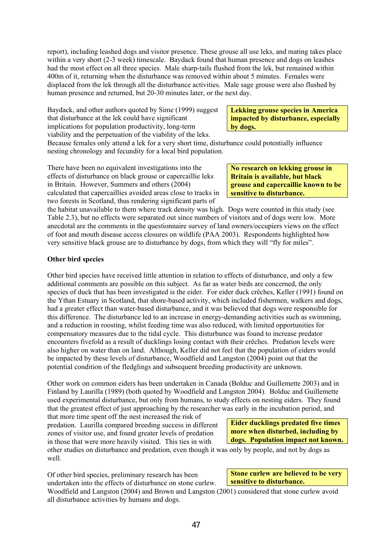report), including leashed dogs and visitor presence. These grouse all use leks, and mating takes place within a very short (2-3 week) timescale. Baydack found that human presence and dogs on leashes had the most effect on all three species. Male sharp-tails flushed from the lek, but remained within 400m of it, returning when the disturbance was removed within about 5 minutes. Females were displaced from the lek through all the disturbance activities. Male sage grouse were also flushed by human presence and returned, but 20-30 minutes later, or the next day.

Baydack, and other authors quoted by Sime (1999) suggest that disturbance at the lek could have significant implications for population productivity, long-term viability and the perpetuation of the viability of the leks.

**Lekking grouse species in America impacted by disturbance, especially by dogs.** 

Because females only attend a lek for a very short time, disturbance could potentially influence nesting chronology and fecundity for a local bird population.

There have been no equivalent investigations into the effects of disturbance on black grouse or capercaillie leks in Britain. However, Summers and others (2004) calculated that capercaillies avoided areas close to tracks in two forests in Scotland, thus rendering significant parts of

**No research on lekking grouse in Britain is available, but black grouse and capercaillie known to be sensitive to disturbance.** 

the habitat unavailable to them where track density was high. Dogs were counted in this study (see Table 2.3), but no effects were separated out since numbers of visitors and of dogs were low. More anecdotal are the comments in the questionnaire survey of land owners/occupiers views on the effect of foot and mouth disease access closures on wildlife (PAA 2003). Respondents highlighted how very sensitive black grouse are to disturbance by dogs, from which they will "fly for miles".

#### **Other bird species**

Other bird species have received little attention in relation to effects of disturbance, and only a few additional comments are possible on this subject. As far as water birds are concerned, the only species of duck that has been investigated is the eider. For eider duck crêches, Keller (1991) found on the Ythan Estuary in Scotland, that shore-based activity, which included fishermen, walkers and dogs, had a greater effect than water-based disturbance, and it was believed that dogs were responsible for this difference. The disturbance led to an increase in energy-demanding activities such as swimming, and a reduction in roosting, whilst feeding time was also reduced, with limited opportunities for compensatory measures due to the tidal cycle. This disturbance was found to increase predator encounters fivefold as a result of ducklings losing contact with their crêches. Predation levels were also higher on water than on land. Although, Keller did not feel that the population of eiders would be impacted by these levels of disturbance, Woodfield and Langston (2004) point out that the potential condition of the fledglings and subsequent breeding productivity are unknown.

Other work on common eiders has been undertaken in Canada (Bolduc and Guillemette 2003) and in Finland by Laurilla (1989) (both quoted by Woodfield and Langston 2004). Bolduc and Guillemette used experimental disturbance, but only from humans, to study effects on nesting eiders. They found that the greatest effect of just approaching by the researcher was early in the incubation period, and

that more time spent off the nest increased the risk of predation. Laurilla compared breeding success in different zones of visitor use, and found greater levels of predation in those that were more heavily visited. This ties in with

**Eider ducklings predated five times more when disturbed, including by dogs. Population impact not known.** 

other studies on disturbance and predation, even though it was only by people, and not by dogs as well.

Of other bird species, preliminary research has been undertaken into the effects of disturbance on stone curlew.

**Stone curlew are believed to be very sensitive to disturbance.** 

Woodfield and Langston (2004) and Brown and Langston (2001) considered that stone curlew avoid all disturbance activities by humans and dogs.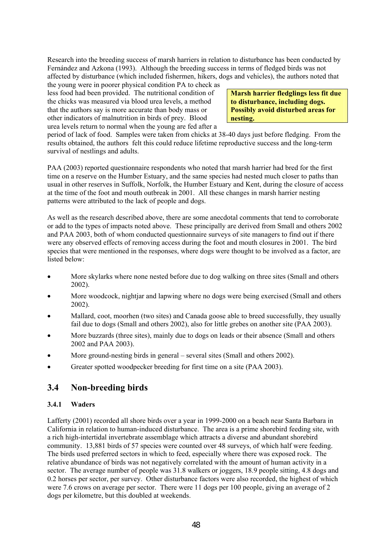Research into the breeding success of marsh harriers in relation to disturbance has been conducted by Fernández and Azkona (1993). Although the breeding success in terms of fledged birds was not affected by disturbance (which included fishermen, hikers, dogs and vehicles), the authors noted that

the young were in poorer physical condition PA to check as less food had been provided. The nutritional condition of the chicks was measured via blood urea levels, a method that the authors say is more accurate than body mass or other indicators of malnutrition in birds of prey. Blood urea levels return to normal when the young are fed after a

**Marsh harrier fledglings less fit due to disturbance, including dogs. Possibly avoid disturbed areas for nesting.** 

period of lack of food. Samples were taken from chicks at 38-40 days just before fledging. From the results obtained, the authors felt this could reduce lifetime reproductive success and the long-term survival of nestlings and adults.

PAA (2003) reported questionnaire respondents who noted that marsh harrier had bred for the first time on a reserve on the Humber Estuary, and the same species had nested much closer to paths than usual in other reserves in Suffolk, Norfolk, the Humber Estuary and Kent, during the closure of access at the time of the foot and mouth outbreak in 2001. All these changes in marsh harrier nesting patterns were attributed to the lack of people and dogs.

As well as the research described above, there are some anecdotal comments that tend to corroborate or add to the types of impacts noted above. These principally are derived from Small and others 2002 and PAA 2003, both of whom conducted questionnaire surveys of site managers to find out if there were any observed effects of removing access during the foot and mouth closures in 2001. The bird species that were mentioned in the responses, where dogs were thought to be involved as a factor, are listed below:

- More skylarks where none nested before due to dog walking on three sites (Small and others 2002).
- More woodcock, nightjar and lapwing where no dogs were being exercised (Small and others 2002).
- Mallard, coot, moorhen (two sites) and Canada goose able to breed successfully, they usually fail due to dogs (Small and others 2002), also for little grebes on another site (PAA 2003).
- More buzzards (three sites), mainly due to dogs on leads or their absence (Small and others 2002 and PAA 2003).
- More ground-nesting birds in general several sites (Small and others 2002).
- Greater spotted woodpecker breeding for first time on a site (PAA 2003).

### **3.4 Non-breeding birds**

#### **3.4.1 Waders**

Lafferty (2001) recorded all shore birds over a year in 1999-2000 on a beach near Santa Barbara in California in relation to human-induced disturbance. The area is a prime shorebird feeding site, with a rich high-intertidal invertebrate assemblage which attracts a diverse and abundant shorebird community. 13,881 birds of 57 species were counted over 48 surveys, of which half were feeding. The birds used preferred sectors in which to feed, especially where there was exposed rock. The relative abundance of birds was not negatively correlated with the amount of human activity in a sector. The average number of people was 31.8 walkers or joggers, 18.9 people sitting, 4.8 dogs and 0.2 horses per sector, per survey. Other disturbance factors were also recorded, the highest of which were 7.6 crows on average per sector. There were 11 dogs per 100 people, giving an average of 2 dogs per kilometre, but this doubled at weekends.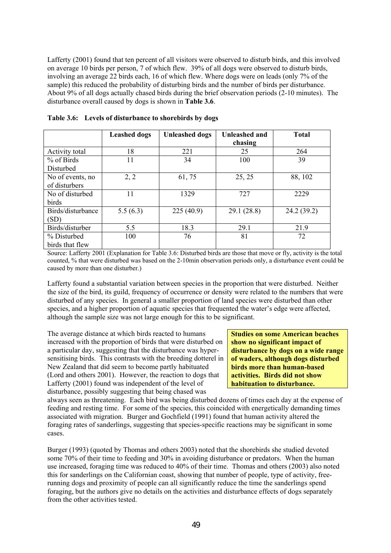Lafferty (2001) found that ten percent of all visitors were observed to disturb birds, and this involved on average 10 birds per person, 7 of which flew. 39% of all dogs were observed to disturb birds, involving an average 22 birds each, 16 of which flew. Where dogs were on leads (only 7% of the sample) this reduced the probability of disturbing birds and the number of birds per disturbance. About 9% of all dogs actually chased birds during the brief observation periods (2-10 minutes). The disturbance overall caused by dogs is shown in **Table 3.6**.

|                   | <b>Leashed dogs</b> | <b>Unleashed dogs</b> | Unleashed and<br>chasing | <b>Total</b> |
|-------------------|---------------------|-----------------------|--------------------------|--------------|
| Activity total    | 18                  | 221                   | 25                       | 264          |
| $%$ of Birds      | 11                  | 34                    | 100                      | 39           |
| Disturbed         |                     |                       |                          |              |
| No of events, no  | 2, 2                | 61,75                 | 25, 25                   | 88, 102      |
| of disturbers     |                     |                       |                          |              |
| No of disturbed   | 11                  | 1329                  | 727                      | 2229         |
| birds             |                     |                       |                          |              |
| Birds/disturbance | 5.5(6.3)            | 225(40.9)             | 29.1(28.8)               | 24.2(39.2)   |
| (SD)              |                     |                       |                          |              |
| Birds/disturber   | 5.5                 | 18.3                  | 29.1                     | 21.9         |
| % Disturbed       | 100                 | 76                    | 81                       | 72           |
| birds that flew   |                     |                       |                          |              |

**Table 3.6: Levels of disturbance to shorebirds by dogs** 

Source: Lafferty 2001 (Explanation for Table 3.6: Disturbed birds are those that move or fly, activity is the total counted, % that were disturbed was based on the 2-10min observation periods only, a disturbance event could be caused by more than one disturber.)

Lafferty found a substantial variation between species in the proportion that were disturbed. Neither the size of the bird, its guild, frequency of occurrence or density were related to the numbers that were disturbed of any species. In general a smaller proportion of land species were disturbed than other species, and a higher proportion of aquatic species that frequented the water's edge were affected, although the sample size was not large enough for this to be significant.

The average distance at which birds reacted to humans increased with the proportion of birds that were disturbed on a particular day, suggesting that the disturbance was hypersensitising birds. This contrasts with the breeding dotterel in New Zealand that did seem to become partly habituated (Lord and others 2001). However, the reaction to dogs that Lafferty (2001) found was independent of the level of disturbance, possibly suggesting that being chased was

**Studies on some American beaches show no significant impact of disturbance by dogs on a wide range of waders, although dogs disturbed birds more than human-based activities. Birds did not show habituation to disturbance.** 

always seen as threatening. Each bird was being disturbed dozens of times each day at the expense of feeding and resting time. For some of the species, this coincided with energetically demanding times associated with migration. Burger and Gochfield (1991) found that human activity altered the foraging rates of sanderlings, suggesting that species-specific reactions may be significant in some cases.

Burger (1993) (quoted by Thomas and others 2003) noted that the shorebirds she studied devoted some 70% of their time to feeding and 30% in avoiding disturbance or predators. When the human use increased, foraging time was reduced to 40% of their time. Thomas and others (2003) also noted this for sanderlings on the Californian coast, showing that number of people, type of activity, freerunning dogs and proximity of people can all significantly reduce the time the sanderlings spend foraging, but the authors give no details on the activities and disturbance effects of dogs separately from the other activities tested.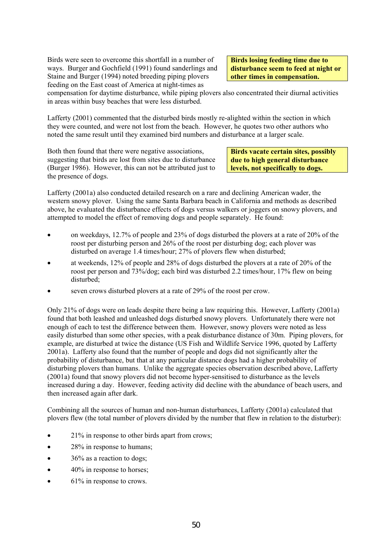Birds were seen to overcome this shortfall in a number of ways. Burger and Gochfield (1991) found sanderlings and Staine and Burger (1994) noted breeding piping plovers feeding on the East coast of America at night-times as

**Birds losing feeding time due to disturbance seem to feed at night or other times in compensation.** 

compensation for daytime disturbance, while piping plovers also concentrated their diurnal activities in areas within busy beaches that were less disturbed.

Lafferty (2001) commented that the disturbed birds mostly re-alighted within the section in which they were counted, and were not lost from the beach. However, he quotes two other authors who noted the same result until they examined bird numbers and disturbance at a larger scale.

Both then found that there were negative associations, suggesting that birds are lost from sites due to disturbance (Burger 1986). However, this can not be attributed just to the presence of dogs.

**Birds vacate certain sites, possibly due to high general disturbance levels, not specifically to dogs.** 

Lafferty (2001a) also conducted detailed research on a rare and declining American wader, the western snowy plover. Using the same Santa Barbara beach in California and methods as described above, he evaluated the disturbance effects of dogs versus walkers or joggers on snowy plovers, and attempted to model the effect of removing dogs and people separately. He found:

- on weekdays, 12.7% of people and 23% of dogs disturbed the plovers at a rate of 20% of the roost per disturbing person and 26% of the roost per disturbing dog; each plover was disturbed on average 1.4 times/hour; 27% of plovers flew when disturbed;
- at weekends, 12% of people and 28% of dogs disturbed the plovers at a rate of 20% of the roost per person and 73%/dog; each bird was disturbed 2.2 times/hour, 17% flew on being disturbed;
- seven crows disturbed plovers at a rate of 29% of the roost per crow.

Only 21% of dogs were on leads despite there being a law requiring this. However, Lafferty (2001a) found that both leashed and unleashed dogs disturbed snowy plovers. Unfortunately there were not enough of each to test the difference between them. However, snowy plovers were noted as less easily disturbed than some other species, with a peak disturbance distance of 30m. Piping plovers, for example, are disturbed at twice the distance (US Fish and Wildlife Service 1996, quoted by Lafferty 2001a). Lafferty also found that the number of people and dogs did not significantly alter the probability of disturbance, but that at any particular distance dogs had a higher probability of disturbing plovers than humans. Unlike the aggregate species observation described above, Lafferty (2001a) found that snowy plovers did not become hyper-sensitised to disturbance as the levels increased during a day. However, feeding activity did decline with the abundance of beach users, and then increased again after dark.

Combining all the sources of human and non-human disturbances, Lafferty (2001a) calculated that plovers flew (the total number of plovers divided by the number that flew in relation to the disturber):

- 21% in response to other birds apart from crows;
- 28% in response to humans;
- 36% as a reaction to dogs;
- 40% in response to horses;
- 61% in response to crows.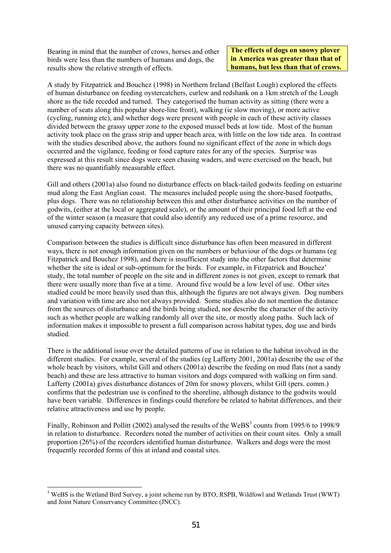Bearing in mind that the number of crows, horses and other birds were less than the numbers of humans and dogs, the results show the relative strength of effects.

**The effects of dogs on snowy plover in America was greater than that of humans, but less than that of crows.** 

A study by Fitzpatrick and Bouchez (1998) in Northern Ireland (Belfast Lough) explored the effects of human disturbance on feeding oystercatchers, curlew and redshank on a 1km stretch of the Lough shore as the tide receded and turned. They categorised the human activity as sitting (there were a number of seats along this popular shore-line front), walking (ie slow moving), or more active (cycling, running etc), and whether dogs were present with people in each of these activity classes divided between the grassy upper zone to the exposed mussel beds at low tide. Most of the human activity took place on the grass strip and upper beach area, with little on the low tide area. In contrast with the studies described above, the authors found no significant effect of the zone in which dogs occurred and the vigilance, feeding or food capture rates for any of the species. Surprise was expressed at this result since dogs were seen chasing waders, and were exercised on the beach, but there was no quantifiably measurable effect.

Gill and others (2001a) also found no disturbance effects on black-tailed godwits feeding on estuarine mud along the East Anglian coast. The measures included people using the shore-based footpaths, plus dogs. There was no relationship between this and other disturbance activities on the number of godwits, (either at the local or aggregated scale), or the amount of their principal food left at the end of the winter season (a measure that could also identify any reduced use of a prime resource, and unused carrying capacity between sites).

Comparison between the studies is difficult since disturbance has often been measured in different ways, there is not enough information given on the numbers or behaviour of the dogs or humans (eg Fitzpatrick and Bouchez 1998), and there is insufficient study into the other factors that determine whether the site is ideal or sub-optimum for the birds. For example, in Fitzpatrick and Bouchez' study, the total number of people on the site and in different zones is not given, except to remark that there were usually more than five at a time. Around five would be a low level of use. Other sites studied could be more heavily used than this, although the figures are not always given. Dog numbers and variation with time are also not always provided. Some studies also do not mention the distance from the sources of disturbance and the birds being studied, nor describe the character of the activity such as whether people are walking randomly all over the site, or mostly along paths. Such lack of information makes it impossible to present a full comparison across habitat types, dog use and birds studied.

There is the additional issue over the detailed patterns of use in relation to the habitat involved in the different studies. For example, several of the studies (eg Lafferty 2001, 2001a) describe the use of the whole beach by visitors, whilst Gill and others (2001a) describe the feeding on mud flats (not a sandy beach) and these are less attractive to human visitors and dogs compared with walking on firm sand. Lafferty (2001a) gives disturbance distances of 20m for snowy plovers, whilst Gill (pers. comm.) confirms that the pedestrian use is confined to the shoreline, although distance to the godwits would have been variable. Differences in findings could therefore be related to habitat differences, and their relative attractiveness and use by people.

Finally, Robinson and Pollitt (2002) analysed the results of the WeBS<sup>3</sup> counts from 1995/6 to 1998/9 in relation to disturbance. Recorders noted the number of activities on their count sites. Only a small proportion (26%) of the recorders identified human disturbance. Walkers and dogs were the most frequently recorded forms of this at inland and coastal sites.

l

<sup>&</sup>lt;sup>3</sup> WeBS is the Wetland Bird Survey, a joint scheme run by BTO, RSPB, Wildfowl and Wetlands Trust (WWT) and Joint Nature Conservancy Committee (JNCC).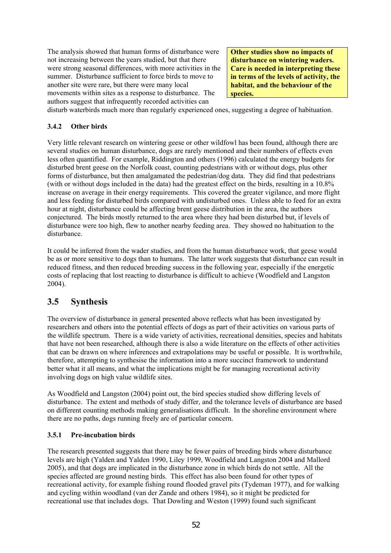The analysis showed that human forms of disturbance were not increasing between the years studied, but that there were strong seasonal differences, with more activities in the summer. Disturbance sufficient to force birds to move to another site were rare, but there were many local movements within sites as a response to disturbance. The authors suggest that infrequently recorded activities can

**Other studies show no impacts of disturbance on wintering waders. Care is needed in interpreting these in terms of the levels of activity, the habitat, and the behaviour of the species.** 

disturb waterbirds much more than regularly experienced ones, suggesting a degree of habituation.

#### **3.4.2 Other birds**

Very little relevant research on wintering geese or other wildfowl has been found, although there are several studies on human disturbance, dogs are rarely mentioned and their numbers of effects even less often quantified. For example, Riddington and others (1996) calculated the energy budgets for disturbed brent geese on the Norfolk coast, counting pedestrians with or without dogs, plus other forms of disturbance, but then amalgamated the pedestrian/dog data. They did find that pedestrians (with or without dogs included in the data) had the greatest effect on the birds, resulting in a 10.8% increase on average in their energy requirements. This covered the greater vigilance, and more flight and less feeding for disturbed birds compared with undisturbed ones. Unless able to feed for an extra hour at night, disturbance could be affecting brent geese distribution in the area, the authors conjectured. The birds mostly returned to the area where they had been disturbed but, if levels of disturbance were too high, flew to another nearby feeding area. They showed no habituation to the disturbance.

It could be inferred from the wader studies, and from the human disturbance work, that geese would be as or more sensitive to dogs than to humans. The latter work suggests that disturbance can result in reduced fitness, and then reduced breeding success in the following year, especially if the energetic costs of replacing that lost reacting to disturbance is difficult to achieve (Woodfield and Langston 2004).

## **3.5 Synthesis**

The overview of disturbance in general presented above reflects what has been investigated by researchers and others into the potential effects of dogs as part of their activities on various parts of the wildlife spectrum. There is a wide variety of activities, recreational densities, species and habitats that have not been researched, although there is also a wide literature on the effects of other activities that can be drawn on where inferences and extrapolations may be useful or possible. It is worthwhile, therefore, attempting to synthesise the information into a more succinct framework to understand better what it all means, and what the implications might be for managing recreational activity involving dogs on high value wildlife sites.

As Woodfield and Langston (2004) point out, the bird species studied show differing levels of disturbance. The extent and methods of study differ, and the tolerance levels of disturbance are based on different counting methods making generalisations difficult. In the shoreline environment where there are no paths, dogs running freely are of particular concern.

#### **3.5.1 Pre-incubation birds**

The research presented suggests that there may be fewer pairs of breeding birds where disturbance levels are high (Yalden and Yalden 1990, Liley 1999, Woodfield and Langston 2004 and Mallord 2005), and that dogs are implicated in the disturbance zone in which birds do not settle. All the species affected are ground nesting birds. This effect has also been found for other types of recreational activity, for example fishing round flooded gravel pits (Tydeman 1977), and for walking and cycling within woodland (van der Zande and others 1984), so it might be predicted for recreational use that includes dogs. That Dowling and Weston (1999) found such significant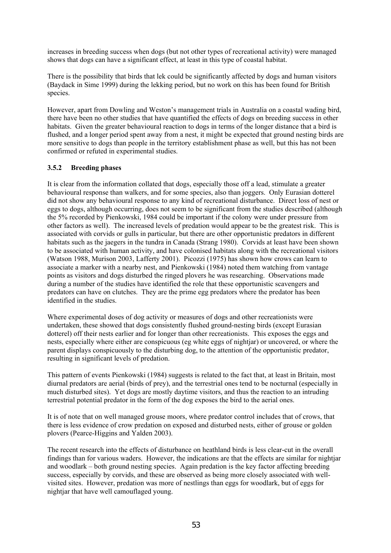increases in breeding success when dogs (but not other types of recreational activity) were managed shows that dogs can have a significant effect, at least in this type of coastal habitat.

There is the possibility that birds that lek could be significantly affected by dogs and human visitors (Baydack in Sime 1999) during the lekking period, but no work on this has been found for British species.

However, apart from Dowling and Weston's management trials in Australia on a coastal wading bird, there have been no other studies that have quantified the effects of dogs on breeding success in other habitats. Given the greater behavioural reaction to dogs in terms of the longer distance that a bird is flushed, and a longer period spent away from a nest, it might be expected that ground nesting birds are more sensitive to dogs than people in the territory establishment phase as well, but this has not been confirmed or refuted in experimental studies.

#### **3.5.2 Breeding phases**

It is clear from the information collated that dogs, especially those off a lead, stimulate a greater behavioural response than walkers, and for some species, also than joggers. Only Eurasian dotterel did not show any behavioural response to any kind of recreational disturbance. Direct loss of nest or eggs to dogs, although occurring, does not seem to be significant from the studies described (although the 5% recorded by Pienkowski, 1984 could be important if the colony were under pressure from other factors as well). The increased levels of predation would appear to be the greatest risk. This is associated with corvids or gulls in particular, but there are other opportunistic predators in different habitats such as the jaegers in the tundra in Canada (Strang 1980). Corvids at least have been shown to be associated with human activity, and have colonised habitats along with the recreational visitors (Watson 1988, Murison 2003, Lafferty 2001). Picozzi (1975) has shown how crows can learn to associate a marker with a nearby nest, and Pienkowski (1984) noted them watching from vantage points as visitors and dogs disturbed the ringed plovers he was researching. Observations made during a number of the studies have identified the role that these opportunistic scavengers and predators can have on clutches. They are the prime egg predators where the predator has been identified in the studies.

Where experimental doses of dog activity or measures of dogs and other recreationists were undertaken, these showed that dogs consistently flushed ground-nesting birds (except Eurasian dotterel) off their nests earlier and for longer than other recreationists. This exposes the eggs and nests, especially where either are conspicuous (eg white eggs of nightjar) or uncovered, or where the parent displays conspicuously to the disturbing dog, to the attention of the opportunistic predator, resulting in significant levels of predation.

This pattern of events Pienkowski (1984) suggests is related to the fact that, at least in Britain, most diurnal predators are aerial (birds of prey), and the terrestrial ones tend to be nocturnal (especially in much disturbed sites). Yet dogs are mostly daytime visitors, and thus the reaction to an intruding terrestrial potential predator in the form of the dog exposes the bird to the aerial ones.

It is of note that on well managed grouse moors, where predator control includes that of crows, that there is less evidence of crow predation on exposed and disturbed nests, either of grouse or golden plovers (Pearce-Higgins and Yalden 2003).

The recent research into the effects of disturbance on heathland birds is less clear-cut in the overall findings than for various waders. However, the indications are that the effects are similar for nightjar and woodlark – both ground nesting species. Again predation is the key factor affecting breeding success, especially by corvids, and these are observed as being more closely associated with wellvisited sites. However, predation was more of nestlings than eggs for woodlark, but of eggs for nightjar that have well camouflaged young.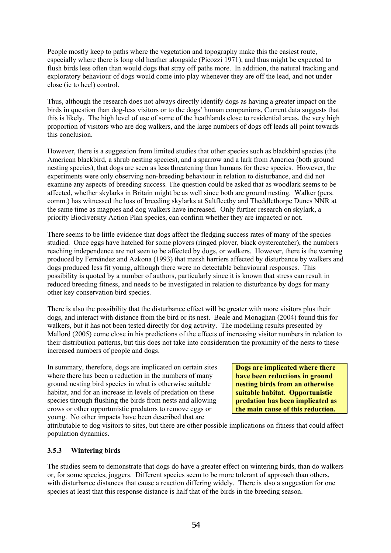People mostly keep to paths where the vegetation and topography make this the easiest route, especially where there is long old heather alongside (Picozzi 1971), and thus might be expected to flush birds less often than would dogs that stray off paths more. In addition, the natural tracking and exploratory behaviour of dogs would come into play whenever they are off the lead, and not under close (ie to heel) control.

Thus, although the research does not always directly identify dogs as having a greater impact on the birds in question than dog-less visitors or to the dogs' human companions, Current data suggests that this is likely. The high level of use of some of the heathlands close to residential areas, the very high proportion of visitors who are dog walkers, and the large numbers of dogs off leads all point towards this conclusion.

However, there is a suggestion from limited studies that other species such as blackbird species (the American blackbird, a shrub nesting species), and a sparrow and a lark from America (both ground nesting species), that dogs are seen as less threatening than humans for these species. However, the experiments were only observing non-breeding behaviour in relation to disturbance, and did not examine any aspects of breeding success. The question could be asked that as woodlark seems to be affected, whether skylarks in Britain might be as well since both are ground nesting. Walker (pers. comm.) has witnessed the loss of breeding skylarks at Saltfleetby and Theddlethorpe Dunes NNR at the same time as magpies and dog walkers have increased. Only further research on skylark, a priority Biodiversity Action Plan species, can confirm whether they are impacted or not.

There seems to be little evidence that dogs affect the fledging success rates of many of the species studied. Once eggs have hatched for some plovers (ringed plover, black oystercatcher), the numbers reaching independence are not seen to be affected by dogs, or walkers. However, there is the warning produced by Fernández and Azkona (1993) that marsh harriers affected by disturbance by walkers and dogs produced less fit young, although there were no detectable behavioural responses. This possibility is quoted by a number of authors, particularly since it is known that stress can result in reduced breeding fitness, and needs to be investigated in relation to disturbance by dogs for many other key conservation bird species.

There is also the possibility that the disturbance effect will be greater with more visitors plus their dogs, and interact with distance from the bird or its nest. Beale and Monaghan (2004) found this for walkers, but it has not been tested directly for dog activity. The modelling results presented by Mallord (2005) come close in his predictions of the effects of increasing visitor numbers in relation to their distribution patterns, but this does not take into consideration the proximity of the nests to these increased numbers of people and dogs.

In summary, therefore, dogs are implicated on certain sites where there has been a reduction in the numbers of many ground nesting bird species in what is otherwise suitable habitat, and for an increase in levels of predation on these species through flushing the birds from nests and allowing crows or other opportunistic predators to remove eggs or young. No other impacts have been described that are

**Dogs are implicated where there have been reductions in ground nesting birds from an otherwise suitable habitat. Opportunistic predation has been implicated as the main cause of this reduction.** 

attributable to dog visitors to sites, but there are other possible implications on fitness that could affect population dynamics.

#### **3.5.3 Wintering birds**

The studies seem to demonstrate that dogs do have a greater effect on wintering birds, than do walkers or, for some species, joggers. Different species seem to be more tolerant of approach than others, with disturbance distances that cause a reaction differing widely. There is also a suggestion for one species at least that this response distance is half that of the birds in the breeding season.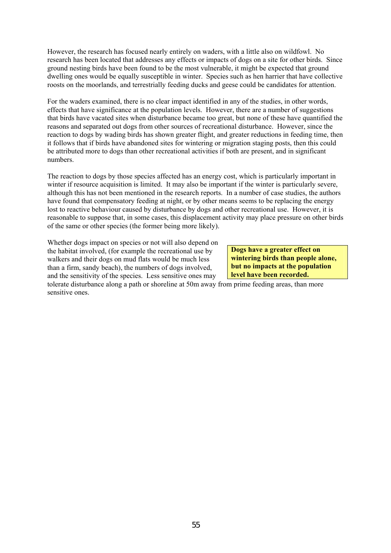However, the research has focused nearly entirely on waders, with a little also on wildfowl. No research has been located that addresses any effects or impacts of dogs on a site for other birds. Since ground nesting birds have been found to be the most vulnerable, it might be expected that ground dwelling ones would be equally susceptible in winter. Species such as hen harrier that have collective roosts on the moorlands, and terrestrially feeding ducks and geese could be candidates for attention.

For the waders examined, there is no clear impact identified in any of the studies, in other words, effects that have significance at the population levels. However, there are a number of suggestions that birds have vacated sites when disturbance became too great, but none of these have quantified the reasons and separated out dogs from other sources of recreational disturbance. However, since the reaction to dogs by wading birds has shown greater flight, and greater reductions in feeding time, then it follows that if birds have abandoned sites for wintering or migration staging posts, then this could be attributed more to dogs than other recreational activities if both are present, and in significant numbers.

The reaction to dogs by those species affected has an energy cost, which is particularly important in winter if resource acquisition is limited. It may also be important if the winter is particularly severe, although this has not been mentioned in the research reports. In a number of case studies, the authors have found that compensatory feeding at night, or by other means seems to be replacing the energy lost to reactive behaviour caused by disturbance by dogs and other recreational use. However, it is reasonable to suppose that, in some cases, this displacement activity may place pressure on other birds of the same or other species (the former being more likely).

Whether dogs impact on species or not will also depend on the habitat involved, (for example the recreational use by walkers and their dogs on mud flats would be much less than a firm, sandy beach), the numbers of dogs involved, and the sensitivity of the species. Less sensitive ones may

**Dogs have a greater effect on wintering birds than people alone, but no impacts at the population level have been recorded.** 

tolerate disturbance along a path or shoreline at 50m away from prime feeding areas, than more sensitive ones.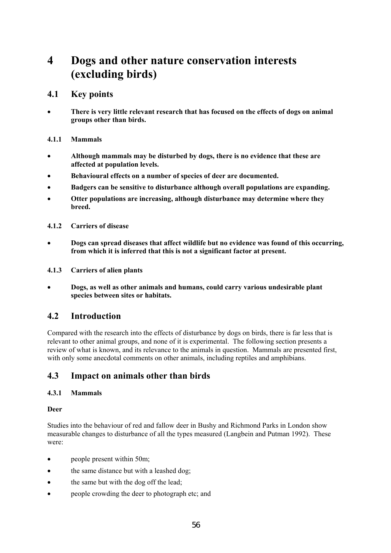# **4 Dogs and other nature conservation interests (excluding birds)**

### **4.1 Key points**

• **There is very little relevant research that has focused on the effects of dogs on animal groups other than birds.** 

### **4.1.1 Mammals**

- **Although mammals may be disturbed by dogs, there is no evidence that these are affected at population levels.**
- **Behavioural effects on a number of species of deer are documented.**
- **Badgers can be sensitive to disturbance although overall populations are expanding.**
- **Otter populations are increasing, although disturbance may determine where they breed.**
- **4.1.2 Carriers of disease**
- **Dogs can spread diseases that affect wildlife but no evidence was found of this occurring, from which it is inferred that this is not a significant factor at present.**
- **4.1.3 Carriers of alien plants**
- **Dogs, as well as other animals and humans, could carry various undesirable plant species between sites or habitats.**

## **4.2 Introduction**

Compared with the research into the effects of disturbance by dogs on birds, there is far less that is relevant to other animal groups, and none of it is experimental. The following section presents a review of what is known, and its relevance to the animals in question. Mammals are presented first, with only some anecdotal comments on other animals, including reptiles and amphibians.

## **4.3 Impact on animals other than birds**

#### **4.3.1 Mammals**

#### **Deer**

Studies into the behaviour of red and fallow deer in Bushy and Richmond Parks in London show measurable changes to disturbance of all the types measured (Langbein and Putman 1992). These were:

- people present within 50m;
- the same distance but with a leashed dog;
- the same but with the dog off the lead;
- people crowding the deer to photograph etc; and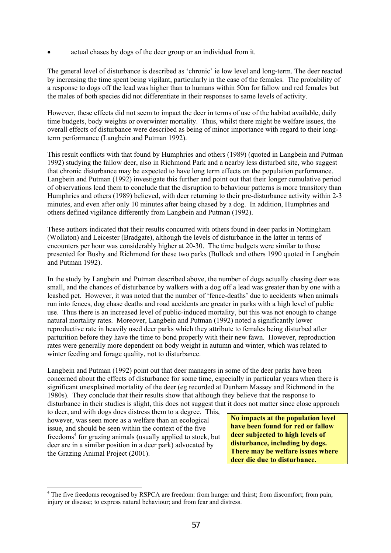• actual chases by dogs of the deer group or an individual from it.

The general level of disturbance is described as 'chronic' ie low level and long-term. The deer reacted by increasing the time spent being vigilant, particularly in the case of the females. The probability of a response to dogs off the lead was higher than to humans within 50m for fallow and red females but the males of both species did not differentiate in their responses to same levels of activity.

However, these effects did not seem to impact the deer in terms of use of the habitat available, daily time budgets, body weights or overwinter mortality. Thus, whilst there might be welfare issues, the overall effects of disturbance were described as being of minor importance with regard to their longterm performance (Langbein and Putman 1992).

This result conflicts with that found by Humphries and others (1989) (quoted in Langbein and Putman 1992) studying the fallow deer, also in Richmond Park and a nearby less disturbed site, who suggest that chronic disturbance may be expected to have long term effects on the population performance. Langbein and Putman (1992) investigate this further and point out that their longer cumulative period of observations lead them to conclude that the disruption to behaviour patterns is more transitory than Humphries and others (1989) believed, with deer returning to their pre-disturbance activity within 2-3 minutes, and even after only 10 minutes after being chased by a dog. In addition, Humphries and others defined vigilance differently from Langbein and Putman (1992).

These authors indicated that their results concurred with others found in deer parks in Nottingham (Wollaton) and Leicester (Bradgate), although the levels of disturbance in the latter in terms of encounters per hour was considerably higher at 20-30. The time budgets were similar to those presented for Bushy and Richmond for these two parks (Bullock and others 1990 quoted in Langbein and Putman 1992).

In the study by Langbein and Putman described above, the number of dogs actually chasing deer was small, and the chances of disturbance by walkers with a dog off a lead was greater than by one with a leashed pet. However, it was noted that the number of 'fence-deaths' due to accidents when animals run into fences, dog chase deaths and road accidents are greater in parks with a high level of public use. Thus there is an increased level of public-induced mortality, but this was not enough to change natural mortality rates. Moreover, Langbein and Putman (1992) noted a significantly lower reproductive rate in heavily used deer parks which they attribute to females being disturbed after parturition before they have the time to bond properly with their new fawn. However, reproduction rates were generally more dependent on body weight in autumn and winter, which was related to winter feeding and forage quality, not to disturbance.

Langbein and Putman (1992) point out that deer managers in some of the deer parks have been concerned about the effects of disturbance for some time, especially in particular years when there is significant unexplained mortality of the deer (eg recorded at Dunham Massey and Richmond in the 1980s). They conclude that their results show that although they believe that the response to disturbance in their studies is slight, this does not suggest that it does not matter since close approach

to deer, and with dogs does distress them to a degree. This, however, was seen more as a welfare than an ecological issue, and should be seen within the context of the five freedoms<sup>4</sup> for grazing animals (usually applied to stock, but deer are in a similar position in a deer park) advocated by the Grazing Animal Project (2001).

l

**No impacts at the population level have been found for red or fallow deer subjected to high levels of disturbance, including by dogs. There may be welfare issues where deer die due to disturbance.** 

<sup>&</sup>lt;sup>4</sup> The five freedoms recognised by RSPCA are freedom: from hunger and thirst; from discomfort; from pain, injury or disease; to express natural behaviour; and from fear and distress.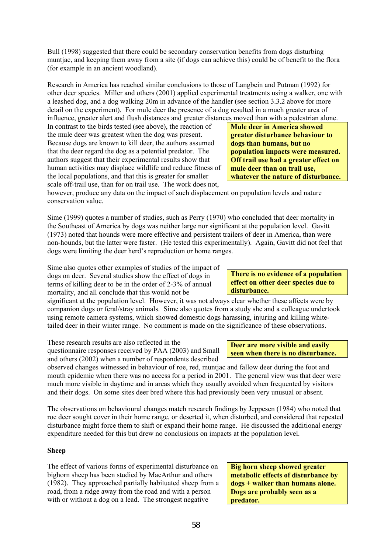Bull (1998) suggested that there could be secondary conservation benefits from dogs disturbing muntjac, and keeping them away from a site (if dogs can achieve this) could be of benefit to the flora (for example in an ancient woodland).

Research in America has reached similar conclusions to those of Langbein and Putman (1992) for other deer species. Miller and others (2001) applied experimental treatments using a walker, one with a leashed dog, and a dog walking 20m in advance of the handler (see section 3.3.2 above for more detail on the experiment). For mule deer the presence of a dog resulted in a much greater area of influence, greater alert and flush distances and greater distances moved than with a pedestrian alone.

In contrast to the birds tested (see above), the reaction of the mule deer was greatest when the dog was present. Because dogs are known to kill deer, the authors assumed that the deer regard the dog as a potential predator. The authors suggest that their experimental results show that human activities may displace wildlife and reduce fitness of the local populations, and that this is greater for smaller scale off-trail use, than for on trail use. The work does not,

however, produce any data on the impact of such displacement on population levels and nature conservation value.

Sime (1999) quotes a number of studies, such as Perry (1970) who concluded that deer mortality in the Southeast of America by dogs was neither large nor significant at the population level. Gavitt (1973) noted that hounds were more effective and persistent trailers of deer in America, than were non-hounds, but the latter were faster. (He tested this experimentally). Again, Gavitt did not feel that dogs were limiting the deer herd's reproduction or home ranges.

Sime also quotes other examples of studies of the impact of dogs on deer. Several studies show the effect of dogs in terms of killing deer to be in the order of 2-3% of annual mortality, and all conclude that this would not be

significant at the population level. However, it was not always clear whether these affects were by companion dogs or feral/stray animals. Sime also quotes from a study she and a colleague undertook using remote camera systems, which showed domestic dogs harassing, injuring and killing whitetailed deer in their winter range. No comment is made on the significance of these observations.

These research results are also reflected in the questionnaire responses received by PAA (2003) and Small and others (2002) when a number of respondents described

observed changes witnessed in behaviour of roe, red, muntjac and fallow deer during the foot and mouth epidemic when there was no access for a period in 2001. The general view was that deer were much more visible in daytime and in areas which they usually avoided when frequented by visitors and their dogs. On some sites deer bred where this had previously been very unusual or absent.

The observations on behavioural changes match research findings by Jeppesen (1984) who noted that roe deer sought cover in their home range, or deserted it, when disturbed, and considered that repeated disturbance might force them to shift or expand their home range. He discussed the additional energy expenditure needed for this but drew no conclusions on impacts at the population level.

#### **Sheep**

The effect of various forms of experimental disturbance on bighorn sheep has been studied by MacArthur and others (1982). They approached partially habituated sheep from a road, from a ridge away from the road and with a person with or without a dog on a lead. The strongest negative

**Big horn sheep showed greater metabolic effects of disturbance by dogs + walker than humans alone. Dogs are probably seen as a predator.** 

**There is no evidence of a population effect on other deer species due to disturbance.** 

#### **Deer are more visible and easily seen when there is no disturbance.**

**Mule deer in America showed greater disturbance behaviour to dogs than humans, but no population impacts were measured. Off trail use had a greater effect on mule deer than on trail use, whatever the nature of disturbance.**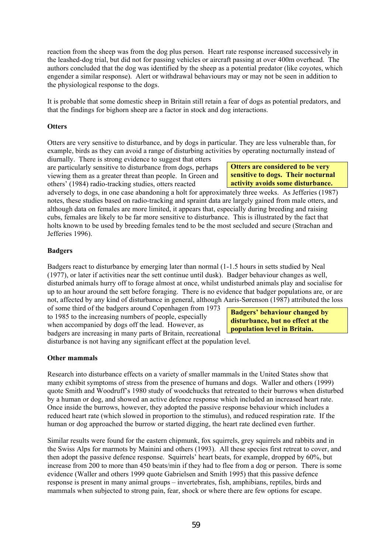reaction from the sheep was from the dog plus person. Heart rate response increased successively in the leashed-dog trial, but did not for passing vehicles or aircraft passing at over 400m overhead. The authors concluded that the dog was identified by the sheep as a potential predator (like coyotes, which engender a similar response). Alert or withdrawal behaviours may or may not be seen in addition to the physiological response to the dogs.

It is probable that some domestic sheep in Britain still retain a fear of dogs as potential predators, and that the findings for bighorn sheep are a factor in stock and dog interactions.

#### **Otters**

Otters are very sensitive to disturbance, and by dogs in particular. They are less vulnerable than, for example, birds as they can avoid a range of disturbing activities by operating nocturnally instead of diurnally. There is strong evidence to suggest that otters

are particularly sensitive to disturbance from dogs, perhaps viewing them as a greater threat than people. In Green and others' (1984) radio-tracking studies, otters reacted

**Otters are considered to be very sensitive to dogs. Their nocturnal activity avoids some disturbance.** 

adversely to dogs, in one case abandoning a holt for approximately three weeks. As Jefferies (1987) notes, these studies based on radio-tracking and spraint data are largely gained from male otters, and although data on females are more limited, it appears that, especially during breeding and raising cubs, females are likely to be far more sensitive to disturbance. This is illustrated by the fact that holts known to be used by breeding females tend to be the most secluded and secure (Strachan and Jefferies 1996).

#### **Badgers**

Badgers react to disturbance by emerging later than normal (1-1.5 hours in setts studied by Neal (1977), or later if activities near the sett continue until dusk). Badger behaviour changes as well, disturbed animals hurry off to forage almost at once, whilst undisturbed animals play and socialise for up to an hour around the sett before foraging. There is no evidence that badger populations are, or are not, affected by any kind of disturbance in general, although Aaris-Sørenson (1987) attributed the loss

of some third of the badgers around Copenhagen from 1973 to 1985 to the increasing numbers of people, especially when accompanied by dogs off the lead. However, as badgers are increasing in many parts of Britain, recreational

**Badgers' behaviour changed by disturbance, but no effect at the population level in Britain.** 

disturbance is not having any significant effect at the population level.

#### **Other mammals**

Research into disturbance effects on a variety of smaller mammals in the United States show that many exhibit symptoms of stress from the presence of humans and dogs. Waller and others (1999) quote Smith and Woodruff's 1980 study of woodchucks that retreated to their burrows when disturbed by a human or dog, and showed an active defence response which included an increased heart rate. Once inside the burrows, however, they adopted the passive response behaviour which includes a reduced heart rate (which slowed in proportion to the stimulus), and reduced respiration rate. If the human or dog approached the burrow or started digging, the heart rate declined even further.

Similar results were found for the eastern chipmunk, fox squirrels, grey squirrels and rabbits and in the Swiss Alps for marmots by Mainini and others (1993). All these species first retreat to cover, and then adopt the passive defence response. Squirrels' heart beats, for example, dropped by 60%, but increase from 200 to more than 450 beats/min if they had to flee from a dog or person. There is some evidence (Waller and others 1999 quote Gabrielsen and Smith 1995) that this passive defence response is present in many animal groups – invertebrates, fish, amphibians, reptiles, birds and mammals when subjected to strong pain, fear, shock or where there are few options for escape.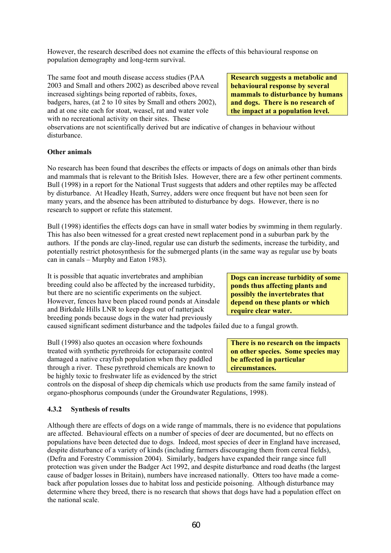However, the research described does not examine the effects of this behavioural response on population demography and long-term survival.

The same foot and mouth disease access studies (PAA 2003 and Small and others 2002) as described above reveal increased sightings being reported of rabbits, foxes, badgers, hares, (at 2 to 10 sites by Small and others 2002), and at one site each for stoat, weasel, rat and water vole with no recreational activity on their sites. These

**Research suggests a metabolic and behavioural response by several mammals to disturbance by humans and dogs. There is no research of the impact at a population level.** 

observations are not scientifically derived but are indicative of changes in behaviour without disturbance.

#### **Other animals**

No research has been found that describes the effects or impacts of dogs on animals other than birds and mammals that is relevant to the British Isles. However, there are a few other pertinent comments. Bull (1998) in a report for the National Trust suggests that adders and other reptiles may be affected by disturbance. At Headley Heath, Surrey, adders were once frequent but have not been seen for many years, and the absence has been attributed to disturbance by dogs. However, there is no research to support or refute this statement.

Bull (1998) identifies the effects dogs can have in small water bodies by swimming in them regularly. This has also been witnessed for a great crested newt replacement pond in a suburban park by the authors. If the ponds are clay-lined, regular use can disturb the sediments, increase the turbidity, and potentially restrict photosynthesis for the submerged plants (in the same way as regular use by boats can in canals – Murphy and Eaton 1983).

It is possible that aquatic invertebrates and amphibian breeding could also be affected by the increased turbidity, but there are no scientific experiments on the subject. However, fences have been placed round ponds at Ainsdale and Birkdale Hills LNR to keep dogs out of natterjack breeding ponds because dogs in the water had previously

**Dogs can increase turbidity of some ponds thus affecting plants and possibly the invertebrates that depend on these plants or which require clear water.** 

caused significant sediment disturbance and the tadpoles failed due to a fungal growth.

Bull (1998) also quotes an occasion where foxhounds treated with synthetic pyrethroids for ectoparasite control damaged a native crayfish population when they paddled through a river. These pyrethroid chemicals are known to be highly toxic to freshwater life as evidenced by the strict

**There is no research on the impacts on other species. Some species may be affected in particular circumstances.** 

controls on the disposal of sheep dip chemicals which use products from the same family instead of organo-phosphorus compounds (under the Groundwater Regulations, 1998).

#### **4.3.2 Synthesis of results**

Although there are effects of dogs on a wide range of mammals, there is no evidence that populations are affected. Behavioural effects on a number of species of deer are documented, but no effects on populations have been detected due to dogs. Indeed, most species of deer in England have increased, despite disturbance of a variety of kinds (including farmers discouraging them from cereal fields), (Defra and Forestry Commission 2004). Similarly, badgers have expanded their range since full protection was given under the Badger Act 1992, and despite disturbance and road deaths (the largest cause of badger losses in Britain), numbers have increased nationally. Otters too have made a comeback after population losses due to habitat loss and pesticide poisoning. Although disturbance may determine where they breed, there is no research that shows that dogs have had a population effect on the national scale.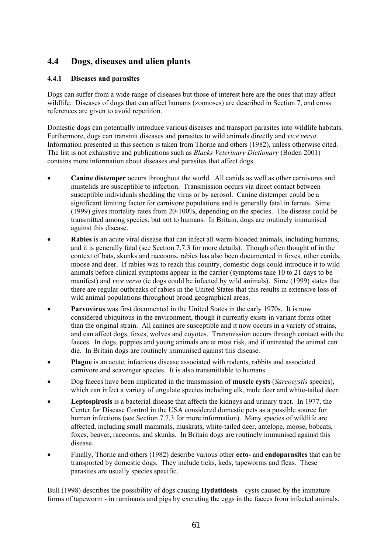# **4.4 Dogs, diseases and alien plants**

#### **4.4.1 Diseases and parasites**

Dogs can suffer from a wide range of diseases but those of interest here are the ones that may affect wildlife. Diseases of dogs that can affect humans (zoonoses) are described in Section 7, and cross references are given to avoid repetition.

Domestic dogs can potentially introduce various diseases and transport parasites into wildlife habitats. Furthermore, dogs can transmit diseases and parasites to wild animals directly and *vice versa*. Information presented in this section is taken from Thorne and others (1982), unless otherwise cited. The list is not exhaustive and publications such as *Blacks Veterinary Dictionary* (Boden 2001) contains more information about diseases and parasites that affect dogs.

- **Canine distemper** occurs throughout the world. All canids as well as other carnivores and mustelids are susceptible to infection. Transmission occurs via direct contact between susceptible individuals shedding the virus or by aerosol. Canine distemper could be a significant limiting factor for carnivore populations and is generally fatal in ferrets. Sime (1999) gives mortality rates from 20-100%, depending on the species. The disease could be transmitted among species, but not to humans. In Britain, dogs are routinely immunised against this disease.
- **Rabies** is an acute viral disease that can infect all warm-blooded animals, including humans, and it is generally fatal (see Section 7.7.3 for more details). Though often thought of in the context of bats, skunks and raccoons, rabies has also been documented in foxes, other canids, moose and deer. If rabies was to reach this country, domestic dogs could introduce it to wild animals before clinical symptoms appear in the carrier (symptoms take 10 to 21 days to be manifest) and *vice versa* (ie dogs could be infected by wild animals). Sime (1999) states that there are regular outbreaks of rabies in the United States that this results in extensive loss of wild animal populations throughout broad geographical areas.
- **Parvovirus** was first documented in the United States in the early 1970s. It is now considered ubiquitous in the environment, though it currently exists in variant forms other than the original strain. All canines are susceptible and it now occurs in a variety of strains, and can affect dogs, foxes, wolves and coyotes. Transmission occurs through contact with the faeces. In dogs, puppies and young animals are at most risk, and if untreated the animal can die. In Britain dogs are routinely immunised against this disease.
- **Plague** is an acute, infectious disease associated with rodents, rabbits and associated carnivore and scavenger species. It is also transmittable to humans.
- Dog faeces have been implicated in the transmission of **muscle cysts** (*Sarcocystis* species), which can infect a variety of ungulate species including elk, mule deer and white-tailed deer.
- **Leptospirosis** is a bacterial disease that affects the kidneys and urinary tract. In 1977, the Center for Disease Control in the USA considered domestic pets as a possible source for human infections (see Section 7.7.3 for more information). Many species of wildlife are affected, including small mammals, muskrats, white-tailed deer, antelope, moose, bobcats, foxes, beaver, raccoons, and skunks. In Britain dogs are routinely immunised against this disease.
- Finally, Thorne and others (1982) describe various other **ecto-** and **endoparasites** that can be transported by domestic dogs. They include ticks, keds, tapeworms and fleas. These parasites are usually species specific.

Bull (1998) describes the possibility of dogs causing **Hydatidosis** – cysts caused by the immature forms of tapeworm - in ruminants and pigs by excreting the eggs in the faeces from infected animals.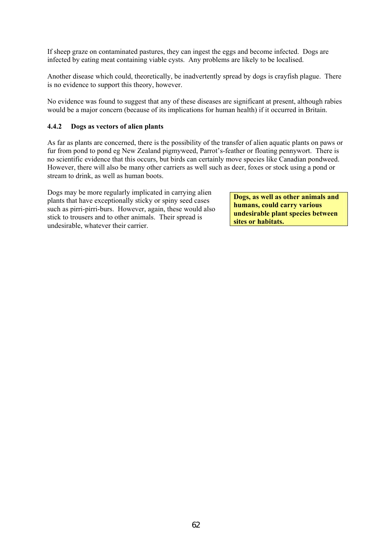If sheep graze on contaminated pastures, they can ingest the eggs and become infected. Dogs are infected by eating meat containing viable cysts. Any problems are likely to be localised.

Another disease which could, theoretically, be inadvertently spread by dogs is crayfish plague. There is no evidence to support this theory, however.

No evidence was found to suggest that any of these diseases are significant at present, although rabies would be a major concern (because of its implications for human health) if it occurred in Britain.

#### **4.4.2 Dogs as vectors of alien plants**

As far as plants are concerned, there is the possibility of the transfer of alien aquatic plants on paws or fur from pond to pond eg New Zealand pigmyweed, Parrot's-feather or floating pennywort. There is no scientific evidence that this occurs, but birds can certainly move species like Canadian pondweed. However, there will also be many other carriers as well such as deer, foxes or stock using a pond or stream to drink, as well as human boots.

Dogs may be more regularly implicated in carrying alien plants that have exceptionally sticky or spiny seed cases such as pirri-pirri-burs. However, again, these would also stick to trousers and to other animals. Their spread is undesirable, whatever their carrier.

**Dogs, as well as other animals and humans, could carry various undesirable plant species between sites or habitats.**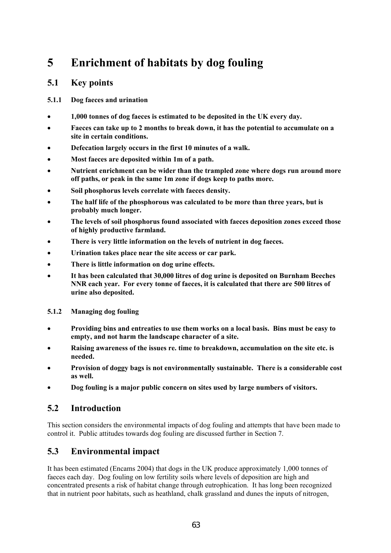# **5 Enrichment of habitats by dog fouling**

# **5.1 Key points**

### **5.1.1 Dog faeces and urination**

- **1,000 tonnes of dog faeces is estimated to be deposited in the UK every day.**
- **Faeces can take up to 2 months to break down, it has the potential to accumulate on a site in certain conditions.**
- **Defecation largely occurs in the first 10 minutes of a walk.**
- **Most faeces are deposited within 1m of a path.**
- **Nutrient enrichment can be wider than the trampled zone where dogs run around more off paths, or peak in the same 1m zone if dogs keep to paths more.**
- **Soil phosphorus levels correlate with faeces density.**
- **The half life of the phosphorous was calculated to be more than three years, but is probably much longer.**
- **The levels of soil phosphorus found associated with faeces deposition zones exceed those of highly productive farmland.**
- **There is very little information on the levels of nutrient in dog faeces.**
- **Urination takes place near the site access or car park.**
- **There is little information on dog urine effects.**
- **It has been calculated that 30,000 litres of dog urine is deposited on Burnham Beeches NNR each year. For every tonne of faeces, it is calculated that there are 500 litres of urine also deposited.**
- **5.1.2 Managing dog fouling**
- **Providing bins and entreaties to use them works on a local basis. Bins must be easy to empty, and not harm the landscape character of a site.**
- **Raising awareness of the issues re. time to breakdown, accumulation on the site etc. is needed.**
- **Provision of doggy bags is not environmentally sustainable. There is a considerable cost as well.**
- **Dog fouling is a major public concern on sites used by large numbers of visitors.**

# **5.2 Introduction**

This section considers the environmental impacts of dog fouling and attempts that have been made to control it. Public attitudes towards dog fouling are discussed further in Section 7.

# **5.3 Environmental impact**

It has been estimated (Encams 2004) that dogs in the UK produce approximately 1,000 tonnes of faeces each day. Dog fouling on low fertility soils where levels of deposition are high and concentrated presents a risk of habitat change through eutrophication. It has long been recognized that in nutrient poor habitats, such as heathland, chalk grassland and dunes the inputs of nitrogen,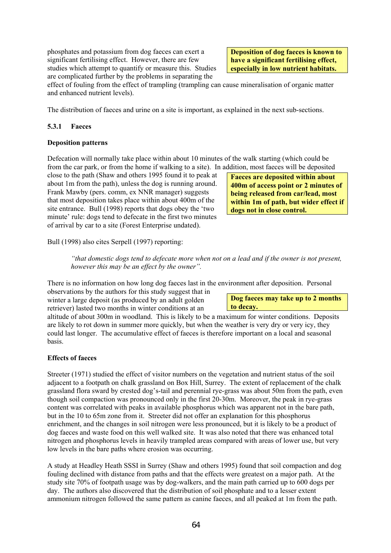phosphates and potassium from dog faeces can exert a significant fertilising effect. However, there are few studies which attempt to quantify or measure this. Studies are complicated further by the problems in separating the

**Deposition of dog faeces is known to have a significant fertilising effect, especially in low nutrient habitats.** 

effect of fouling from the effect of trampling (trampling can cause mineralisation of organic matter and enhanced nutrient levels).

The distribution of faeces and urine on a site is important, as explained in the next sub-sections.

#### **5.3.1 Faeces**

#### **Deposition patterns**

Defecation will normally take place within about 10 minutes of the walk starting (which could be from the car park, or from the home if walking to a site). In addition, most faeces will be deposited

close to the path (Shaw and others 1995 found it to peak at about 1m from the path), unless the dog is running around. Frank Mawby (pers. comm, ex NNR manager) suggests that most deposition takes place within about 400m of the site entrance. Bull (1998) reports that dogs obey the 'two minute' rule: dogs tend to defecate in the first two minutes of arrival by car to a site (Forest Enterprise undated).

**Faeces are deposited within about 400m of access point or 2 minutes of being released from car/lead, most within 1m of path, but wider effect if dogs not in close control.** 

Bull (1998) also cites Serpell (1997) reporting:

*"that domestic dogs tend to defecate more when not on a lead and if the owner is not present, however this may be an effect by the owner".* 

There is no information on how long dog faeces last in the environment after deposition. Personal

observations by the authors for this study suggest that in winter a large deposit (as produced by an adult golden retriever) lasted two months in winter conditions at an

**Dog faeces may take up to 2 months to decay.** 

altitude of about 300m in woodland. This is likely to be a maximum for winter conditions. Deposits are likely to rot down in summer more quickly, but when the weather is very dry or very icy, they could last longer. The accumulative effect of faeces is therefore important on a local and seasonal basis.

#### **Effects of faeces**

Streeter (1971) studied the effect of visitor numbers on the vegetation and nutrient status of the soil adjacent to a footpath on chalk grassland on Box Hill, Surrey. The extent of replacement of the chalk grassland flora sward by crested dog's-tail and perennial rye-grass was about 50m from the path, even though soil compaction was pronounced only in the first 20-30m. Moreover, the peak in rye-grass content was correlated with peaks in available phosphorus which was apparent not in the bare path, but in the 10 to 65m zone from it. Streeter did not offer an explanation for this phosphorus enrichment, and the changes in soil nitrogen were less pronounced, but it is likely to be a product of dog faeces and waste food on this well walked site. It was also noted that there was enhanced total nitrogen and phosphorus levels in heavily trampled areas compared with areas of lower use, but very low levels in the bare paths where erosion was occurring.

A study at Headley Heath SSSI in Surrey (Shaw and others 1995) found that soil compaction and dog fouling declined with distance from paths and that the effects were greatest on a major path. At the study site 70% of footpath usage was by dog-walkers, and the main path carried up to 600 dogs per day. The authors also discovered that the distribution of soil phosphate and to a lesser extent ammonium nitrogen followed the same pattern as canine faeces, and all peaked at 1m from the path.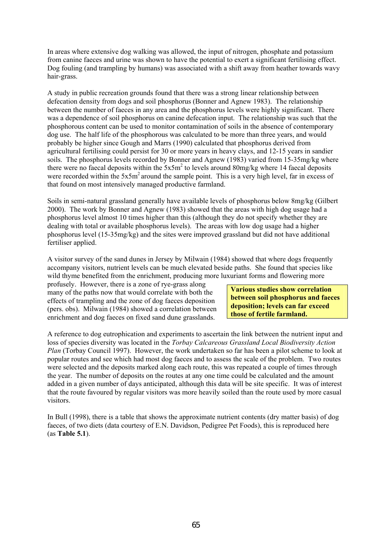In areas where extensive dog walking was allowed, the input of nitrogen, phosphate and potassium from canine faeces and urine was shown to have the potential to exert a significant fertilising effect. Dog fouling (and trampling by humans) was associated with a shift away from heather towards wavy hair-grass.

A study in public recreation grounds found that there was a strong linear relationship between defecation density from dogs and soil phosphorus (Bonner and Agnew 1983). The relationship between the number of faeces in any area and the phosphorus levels were highly significant. There was a dependence of soil phosphorus on canine defecation input. The relationship was such that the phosphorous content can be used to monitor contamination of soils in the absence of contemporary dog use. The half life of the phosphorous was calculated to be more than three years, and would probably be higher since Gough and Marrs (1990) calculated that phosphorus derived from agricultural fertilising could persist for 30 or more years in heavy clays, and 12-15 years in sandier soils. The phosphorus levels recorded by Bonner and Agnew (1983) varied from 15-35mg/kg where there were no faecal deposits within the  $5x5m^2$  to levels around 80mg/kg where 14 faecal deposits were recorded within the 5x5m<sup>2</sup> around the sample point. This is a very high level, far in excess of that found on most intensively managed productive farmland.

Soils in semi-natural grassland generally have available levels of phosphorus below 8mg/kg (Gilbert 2000). The work by Bonner and Agnew (1983) showed that the areas with high dog usage had a phosphorus level almost 10 times higher than this (although they do not specify whether they are dealing with total or available phosphorus levels). The areas with low dog usage had a higher phosphorus level (15-35mg/kg) and the sites were improved grassland but did not have additional fertiliser applied.

A visitor survey of the sand dunes in Jersey by Milwain (1984) showed that where dogs frequently accompany visitors, nutrient levels can be much elevated beside paths. She found that species like wild thyme benefited from the enrichment, producing more luxuriant forms and flowering more

profusely. However, there is a zone of rye-grass along many of the paths now that would correlate with both the effects of trampling and the zone of dog faeces deposition (pers. obs). Milwain (1984) showed a correlation between enrichment and dog faeces on fixed sand dune grasslands.

**Various studies show correlation between soil phosphorus and faeces deposition; levels can far exceed those of fertile farmland.** 

A reference to dog eutrophication and experiments to ascertain the link between the nutrient input and loss of species diversity was located in the *Torbay Calcareous Grassland Local Biodiversity Action Plan* (Torbay Council 1997). However, the work undertaken so far has been a pilot scheme to look at popular routes and see which had most dog faeces and to assess the scale of the problem. Two routes were selected and the deposits marked along each route, this was repeated a couple of times through the year. The number of deposits on the routes at any one time could be calculated and the amount added in a given number of days anticipated, although this data will be site specific. It was of interest that the route favoured by regular visitors was more heavily soiled than the route used by more casual visitors.

In Bull (1998), there is a table that shows the approximate nutrient contents (dry matter basis) of dog faeces, of two diets (data courtesy of E.N. Davidson, Pedigree Pet Foods), this is reproduced here (as **Table 5.1**).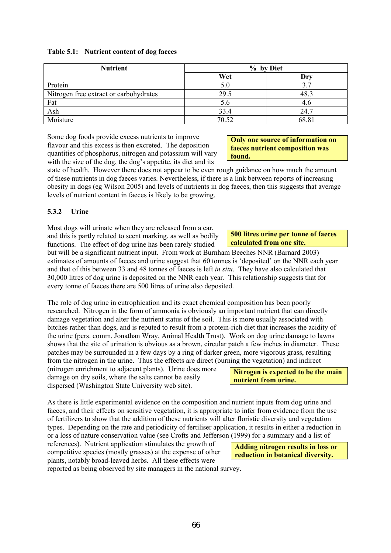| <b>Nutrient</b>                        | % by Diet |       |  |
|----------------------------------------|-----------|-------|--|
|                                        | Wet       | Dry   |  |
| Protein                                | 5.0       | 3.7   |  |
| Nitrogen free extract or carbohydrates | 29.5      | 48.3  |  |
| Fat                                    | 5.6       | 4.6   |  |
| Ash                                    | 33.4      | 24.7  |  |
| Moisture                               | 70.52     | 68.81 |  |

Some dog foods provide excess nutrients to improve flavour and this excess is then excreted. The deposition quantities of phosphorus, nitrogen and potassium will vary with the size of the dog, the dog's appetite, its diet and its

**faeces nutrient composition was found.** 

**Only one source of information on** 

**500 litres urine per tonne of faeces** 

**calculated from one site.** 

state of health. However there does not appear to be even rough guidance on how much the amount of these nutrients in dog faeces varies. Nevertheless, if there is a link between reports of increasing obesity in dogs (eg Wilson 2005) and levels of nutrients in dog faeces, then this suggests that average levels of nutrient content in faeces is likely to be growing.

#### **5.3.2 Urine**

Most dogs will urinate when they are released from a car, and this is partly related to scent marking, as well as bodily functions. The effect of dog urine has been rarely studied

but will be a significant nutrient input. From work at Burnham Beeches NNR (Barnard 2003) estimates of amounts of faeces and urine suggest that 60 tonnes is 'deposited' on the NNR each year and that of this between 33 and 48 tonnes of faeces is left *in situ*. They have also calculated that 30,000 litres of dog urine is deposited on the NNR each year. This relationship suggests that for every tonne of faeces there are 500 litres of urine also deposited.

The role of dog urine in eutrophication and its exact chemical composition has been poorly researched. Nitrogen in the form of ammonia is obviously an important nutrient that can directly damage vegetation and alter the nutrient status of the soil. This is more usually associated with bitches rather than dogs, and is reputed to result from a protein-rich diet that increases the acidity of the urine (pers. comm. Jonathan Wray, Animal Health Trust). Work on dog urine damage to lawns shows that the site of urination is obvious as a brown, circular patch a few inches in diameter. These patches may be surrounded in a few days by a ring of darker green, more vigorous grass, resulting from the nitrogen in the urine. Thus the effects are direct (burning the vegetation) and indirect

(nitrogen enrichment to adjacent plants). Urine does more damage on dry soils, where the salts cannot be easily dispersed (Washington State University web site).

As there is little experimental evidence on the composition and nutrient inputs from dog urine and faeces, and their effects on sensitive vegetation, it is appropriate to infer from evidence from the use of fertilizers to show that the addition of these nutrients will alter floristic diversity and vegetation types. Depending on the rate and periodicity of fertiliser application, it results in either a reduction in or a loss of nature conservation value (see Crofts and Jefferson (1999) for a summary and a list of

references). Nutrient application stimulates the growth of competitive species (mostly grasses) at the expense of other plants, notably broad-leaved herbs. All these effects were reported as being observed by site managers in the national survey.

**reduction in botanical diversity.** 

**Nitrogen is expected to be the main nutrient from urine.** 

**Adding nitrogen results in loss or**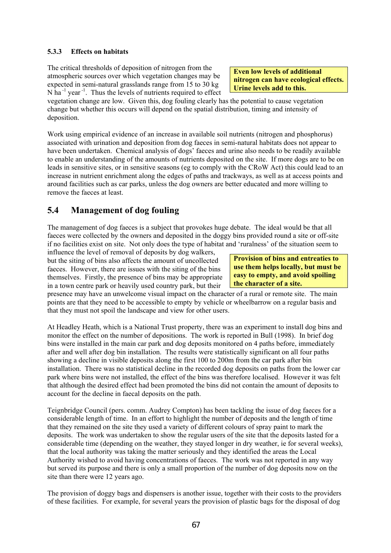### **5.3.3 Effects on habitats**

The critical thresholds of deposition of nitrogen from the atmospheric sources over which vegetation changes may be expected in semi-natural grasslands range from 15 to 30 kg  $N$  ha<sup>-1</sup> year<sup>-1</sup>. Thus the levels of nutrients required to effect

vegetation change are low. Given this, dog fouling clearly has the potential to cause vegetation change but whether this occurs will depend on the spatial distribution, timing and intensity of deposition.

Work using empirical evidence of an increase in available soil nutrients (nitrogen and phosphorus) associated with urination and deposition from dog faeces in semi-natural habitats does not appear to have been undertaken. Chemical analysis of dogs' faeces and urine also needs to be readily available to enable an understanding of the amounts of nutrients deposited on the site. If more dogs are to be on leads in sensitive sites, or in sensitive seasons (eg to comply with the CRoW Act) this could lead to an increase in nutrient enrichment along the edges of paths and trackways, as well as at access points and around facilities such as car parks, unless the dog owners are better educated and more willing to remove the faeces at least.

## **5.4 Management of dog fouling**

The management of dog faeces is a subject that provokes huge debate. The ideal would be that all faeces were collected by the owners and deposited in the doggy bins provided round a site or off-site if no facilities exist on site. Not only does the type of habitat and 'ruralness' of the situation seem to

influence the level of removal of deposits by dog walkers, but the siting of bins also affects the amount of uncollected faeces. However, there are issues with the siting of the bins themselves. Firstly, the presence of bins may be appropriate in a town centre park or heavily used country park, but their

presence may have an unwelcome visual impact on the character of a rural or remote site. The main points are that they need to be accessible to empty by vehicle or wheelbarrow on a regular basis and that they must not spoil the landscape and view for other users.

At Headley Heath, which is a National Trust property, there was an experiment to install dog bins and monitor the effect on the number of depositions. The work is reported in Bull (1998). In brief dog bins were installed in the main car park and dog deposits monitored on 4 paths before, immediately after and well after dog bin installation. The results were statistically significant on all four paths showing a decline in visible deposits along the first 100 to 200m from the car park after bin installation. There was no statistical decline in the recorded dog deposits on paths from the lower car park where bins were not installed, the effect of the bins was therefore localised. However it was felt that although the desired effect had been promoted the bins did not contain the amount of deposits to account for the decline in faecal deposits on the path.

Teignbridge Council (pers. comm. Audrey Compton) has been tackling the issue of dog faeces for a considerable length of time. In an effort to highlight the number of deposits and the length of time that they remained on the site they used a variety of different colours of spray paint to mark the deposits. The work was undertaken to show the regular users of the site that the deposits lasted for a considerable time (depending on the weather, they stayed longer in dry weather, ie for several weeks), that the local authority was taking the matter seriously and they identified the areas the Local Authority wished to avoid having concentrations of faeces. The work was not reported in any way but served its purpose and there is only a small proportion of the number of dog deposits now on the site than there were 12 years ago.

The provision of doggy bags and dispensers is another issue, together with their costs to the providers of these facilities. For example, for several years the provision of plastic bags for the disposal of dog

**Even low levels of additional nitrogen can have ecological effects. Urine levels add to this.** 

**Provision of bins and entreaties to use them helps locally, but must be easy to empty, and avoid spoiling the character of a site.**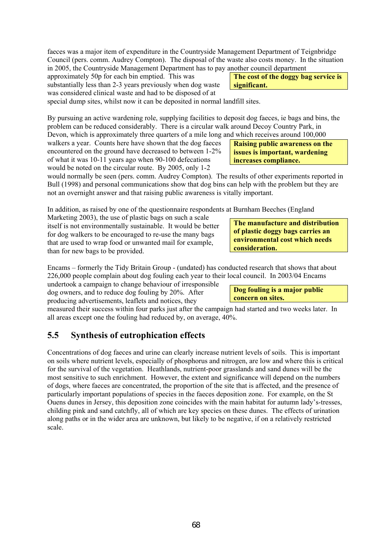faeces was a major item of expenditure in the Countryside Management Department of Teignbridge Council (pers. comm. Audrey Compton). The disposal of the waste also costs money. In the situation in 2005, the Countryside Management Department has to pay another council department

approximately 50p for each bin emptied. This was substantially less than 2-3 years previously when dog waste was considered clinical waste and had to be disposed of at

special dump sites, whilst now it can be deposited in normal landfill sites.

By pursuing an active wardening role, supplying facilities to deposit dog faeces, ie bags and bins, the problem can be reduced considerably. There is a circular walk around Decoy Country Park, in Devon, which is approximately three quarters of a mile long and which receives around 100,000

walkers a year. Counts here have shown that the dog faeces encountered on the ground have decreased to between 1-2% of what it was 10-11 years ago when 90-100 defecations would be noted on the circular route. By 2005, only 1-2

would normally be seen (pers. comm. Audrey Compton). The results of other experiments reported in Bull (1998) and personal communications show that dog bins can help with the problem but they are not an overnight answer and that raising public awareness is vitally important.

In addition, as raised by one of the questionnaire respondents at Burnham Beeches (England

Marketing 2003), the use of plastic bags on such a scale itself is not environmentally sustainable. It would be better for dog walkers to be encouraged to re-use the many bags that are used to wrap food or unwanted mail for example, than for new bags to be provided.

Encams – formerly the Tidy Britain Group - (undated) has conducted research that shows that about 226,000 people complain about dog fouling each year to their local council. In 2003/04 Encams

undertook a campaign to change behaviour of irresponsible dog owners, and to reduce dog fouling by 20%. After producing advertisements, leaflets and notices, they

measured their success within four parks just after the campaign had started and two weeks later. In all areas except one the fouling had reduced by, on average, 40%.

# **5.5 Synthesis of eutrophication effects**

Concentrations of dog faeces and urine can clearly increase nutrient levels of soils. This is important on soils where nutrient levels, especially of phosphorus and nitrogen, are low and where this is critical for the survival of the vegetation. Heathlands, nutrient-poor grasslands and sand dunes will be the most sensitive to such enrichment. However, the extent and significance will depend on the numbers of dogs, where faeces are concentrated, the proportion of the site that is affected, and the presence of particularly important populations of species in the faeces deposition zone. For example, on the St Ouens dunes in Jersey, this deposition zone coincides with the main habitat for autumn lady's-tresses, childing pink and sand catchfly, all of which are key species on these dunes. The effects of urination along paths or in the wider area are unknown, but likely to be negative, if on a relatively restricted scale.

**consideration.** 

**concern on sites.** 

**The manufacture and distribution of plastic doggy bags carries an environmental cost which needs** 

**Dog fouling is a major public** 

**Raising public awareness on the issues is important, wardening increases compliance.** 

**The cost of the doggy bag service is significant.**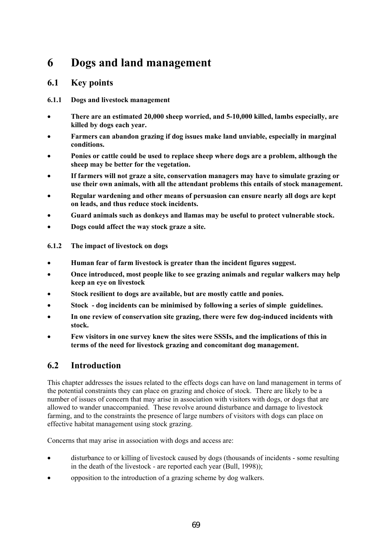# **6 Dogs and land management**

### **6.1 Key points**

- **6.1.1 Dogs and livestock management**
- **There are an estimated 20,000 sheep worried, and 5-10,000 killed, lambs especially, are killed by dogs each year.**
- **Farmers can abandon grazing if dog issues make land unviable, especially in marginal conditions.**
- **Ponies or cattle could be used to replace sheep where dogs are a problem, although the sheep may be better for the vegetation.**
- **If farmers will not graze a site, conservation managers may have to simulate grazing or use their own animals, with all the attendant problems this entails of stock management.**
- **Regular wardening and other means of persuasion can ensure nearly all dogs are kept on leads, and thus reduce stock incidents.**
- **Guard animals such as donkeys and llamas may be useful to protect vulnerable stock.**
- **Dogs could affect the way stock graze a site.**
- **6.1.2 The impact of livestock on dogs**
- **Human fear of farm livestock is greater than the incident figures suggest.**
- **Once introduced, most people like to see grazing animals and regular walkers may help keep an eye on livestock**
- **Stock resilient to dogs are available, but are mostly cattle and ponies.**
- **Stock dog incidents can be minimised by following a series of simple guidelines.**
- **In one review of conservation site grazing, there were few dog-induced incidents with stock.**
- **Few visitors in one survey knew the sites were SSSIs, and the implications of this in terms of the need for livestock grazing and concomitant dog management.**

# **6.2 Introduction**

This chapter addresses the issues related to the effects dogs can have on land management in terms of the potential constraints they can place on grazing and choice of stock. There are likely to be a number of issues of concern that may arise in association with visitors with dogs, or dogs that are allowed to wander unaccompanied. These revolve around disturbance and damage to livestock farming, and to the constraints the presence of large numbers of visitors with dogs can place on effective habitat management using stock grazing.

Concerns that may arise in association with dogs and access are:

- disturbance to or killing of livestock caused by dogs (thousands of incidents some resulting in the death of the livestock - are reported each year (Bull, 1998));
- opposition to the introduction of a grazing scheme by dog walkers.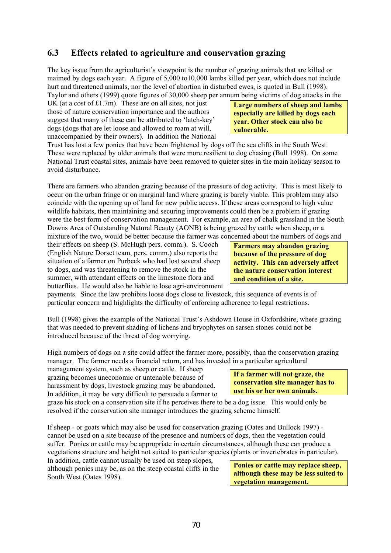# **6.3 Effects related to agriculture and conservation grazing**

The key issue from the agriculturist's viewpoint is the number of grazing animals that are killed or maimed by dogs each year. A figure of 5,000 to10,000 lambs killed per year, which does not include hurt and threatened animals, nor the level of abortion in disturbed ewes, is quoted in Bull (1998). Taylor and others (1999) quote figures of 30,000 sheep per annum being victims of dog attacks in the

UK (at a cost of  $£1.7m$ ). These are on all sites, not just those of nature conservation importance and the authors suggest that many of these can be attributed to 'latch-key' dogs (dogs that are let loose and allowed to roam at will, unaccompanied by their owners). In addition the National

Trust has lost a few ponies that have been frightened by dogs off the sea cliffs in the South West. These were replaced by older animals that were more resilient to dog chasing (Bull 1998). On some National Trust coastal sites, animals have been removed to quieter sites in the main holiday season to avoid disturbance.

There are farmers who abandon grazing because of the pressure of dog activity. This is most likely to occur on the urban fringe or on marginal land where grazing is barely viable. This problem may also coincide with the opening up of land for new public access. If these areas correspond to high value wildlife habitats, then maintaining and securing improvements could then be a problem if grazing were the best form of conservation management. For example, an area of chalk grassland in the South Downs Area of Outstanding Natural Beauty (AONB) is being grazed by cattle when sheep, or a mixture of the two, would be better because the farmer was concerned about the numbers of dogs and

their effects on sheep (S. McHugh pers. comm.). S. Cooch (English Nature Dorset team, pers. comm.) also reports the situation of a farmer on Purbeck who had lost several sheep to dogs, and was threatening to remove the stock in the summer, with attendant effects on the limestone flora and butterflies. He would also be liable to lose agri-environment

**Farmers may abandon grazing because of the pressure of dog activity. This can adversely affect the nature conservation interest and condition of a site.** 

payments. Since the law prohibits loose dogs close to livestock, this sequence of events is of particular concern and highlights the difficulty of enforcing adherence to legal restrictions.

Bull (1998) gives the example of the National Trust's Ashdown House in Oxfordshire, where grazing that was needed to prevent shading of lichens and bryophytes on sarsen stones could not be introduced because of the threat of dog worrying.

High numbers of dogs on a site could affect the farmer more, possibly, than the conservation grazing manager. The farmer needs a financial return, and has invested in a particular agricultural

management system, such as sheep or cattle. If sheep grazing becomes uneconomic or untenable because of harassment by dogs, livestock grazing may be abandoned. In addition, it may be very difficult to persuade a farmer to

graze his stock on a conservation site if he perceives there to be a dog issue. This would only be resolved if the conservation site manager introduces the grazing scheme himself.

If sheep - or goats which may also be used for conservation grazing (Oates and Bullock 1997) cannot be used on a site because of the presence and numbers of dogs, then the vegetation could suffer. Ponies or cattle may be appropriate in certain circumstances, although these can produce a vegetations structure and height not suited to particular species (plants or invertebrates in particular).

In addition, cattle cannot usually be used on steep slopes, although ponies may be, as on the steep coastal cliffs in the South West (Oates 1998).

**conservation site manager has to use his or her own animals.** 

**If a farmer will not graze, the** 

**Large numbers of sheep and lambs especially are killed by dogs each year. Other stock can also be** 

**vulnerable.** 

**Ponies or cattle may replace sheep, although these may be less suited to vegetation management.**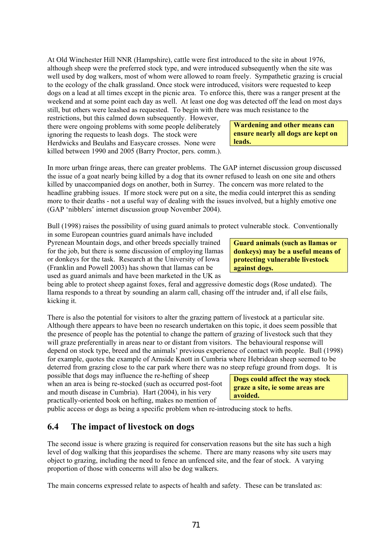At Old Winchester Hill NNR (Hampshire), cattle were first introduced to the site in about 1976, although sheep were the preferred stock type, and were introduced subsequently when the site was well used by dog walkers, most of whom were allowed to roam freely. Sympathetic grazing is crucial to the ecology of the chalk grassland. Once stock were introduced, visitors were requested to keep dogs on a lead at all times except in the picnic area. To enforce this, there was a ranger present at the weekend and at some point each day as well. At least one dog was detected off the lead on most days still, but others were leashed as requested. To begin with there was much resistance to the

restrictions, but this calmed down subsequently. However, there were ongoing problems with some people deliberately ignoring the requests to leash dogs. The stock were Herdwicks and Beulahs and Easycare crosses. None were killed between 1990 and 2005 (Barry Proctor, pers. comm.).

In more urban fringe areas, there can greater problems. The GAP internet discussion group discussed the issue of a goat nearly being killed by a dog that its owner refused to leash on one site and others killed by unaccompanied dogs on another, both in Surrey. The concern was more related to the headline grabbing issues. If more stock were put on a site, the media could interpret this as sending more to their deaths - not a useful way of dealing with the issues involved, but a highly emotive one (GAP 'nibblers' internet discussion group November 2004).

Bull (1998) raises the possibility of using guard animals to protect vulnerable stock. Conventionally

in some European countries guard animals have included Pyrenean Mountain dogs, and other breeds specially trained for the job, but there is some discussion of employing llamas or donkeys for the task. Research at the University of Iowa (Franklin and Powell 2003) has shown that llamas can be used as guard animals and have been marketed in the UK as

being able to protect sheep against foxes, feral and aggressive domestic dogs (Rose undated). The llama responds to a threat by sounding an alarm call, chasing off the intruder and, if all else fails, kicking it.

There is also the potential for visitors to alter the grazing pattern of livestock at a particular site. Although there appears to have been no research undertaken on this topic, it does seem possible that the presence of people has the potential to change the pattern of grazing of livestock such that they will graze preferentially in areas near to or distant from visitors. The behavioural response will depend on stock type, breed and the animals' previous experience of contact with people. Bull (1998) for example, quotes the example of Arnside Knott in Cumbria where Hebridean sheep seemed to be deterred from grazing close to the car park where there was no steep refuge ground from dogs. It is

possible that dogs may influence the re-hefting of sheep when an area is being re-stocked (such as occurred post-foot and mouth disease in Cumbria). Hart (2004), in his very practically-oriented book on hefting, makes no mention of

public access or dogs as being a specific problem when re-introducing stock to hefts.

## **6.4 The impact of livestock on dogs**

The second issue is where grazing is required for conservation reasons but the site has such a high level of dog walking that this jeopardises the scheme. There are many reasons why site users may object to grazing, including the need to fence an unfenced site, and the fear of stock. A varying proportion of those with concerns will also be dog walkers.

The main concerns expressed relate to aspects of health and safety. These can be translated as:

**Guard animals (such as llamas or donkeys) may be a useful means of protecting vulnerable livestock against dogs.** 

**Wardening and other means can ensure nearly all dogs are kept on leads.** 

**Dogs could affect the way stock graze a site, ie some areas are avoided.**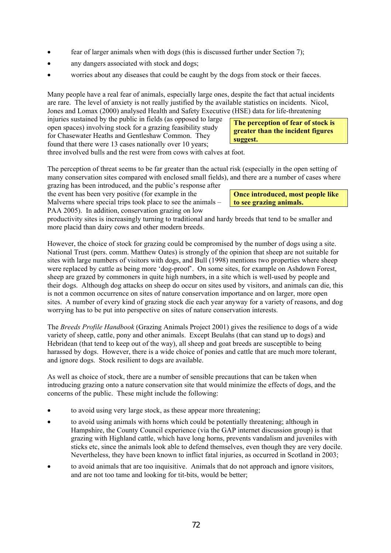- fear of larger animals when with dogs (this is discussed further under Section 7);
- any dangers associated with stock and dogs;
- worries about any diseases that could be caught by the dogs from stock or their faeces.

Many people have a real fear of animals, especially large ones, despite the fact that actual incidents are rare. The level of anxiety is not really justified by the available statistics on incidents. Nicol, Jones and Lomax (2000) analysed Health and Safety Executive (HSE) data for life-threatening

injuries sustained by the public in fields (as opposed to large open spaces) involving stock for a grazing feasibility study for Chasewater Heaths and Gentleshaw Common. They found that there were 13 cases nationally over 10 years;

**The perception of fear of stock is greater than the incident figures suggest.** 

three involved bulls and the rest were from cows with calves at foot.

The perception of threat seems to be far greater than the actual risk (especially in the open setting of many conservation sites compared with enclosed small fields), and there are a number of cases where

grazing has been introduced, and the public's response after the event has been very positive (for example in the Malverns where special trips took place to see the animals – PAA 2005). In addition, conservation grazing on low

**Once introduced, most people like to see grazing animals.** 

productivity sites is increasingly turning to traditional and hardy breeds that tend to be smaller and more placid than dairy cows and other modern breeds.

However, the choice of stock for grazing could be compromised by the number of dogs using a site. National Trust (pers. comm. Matthew Oates) is strongly of the opinion that sheep are not suitable for sites with large numbers of visitors with dogs, and Bull (1998) mentions two properties where sheep were replaced by cattle as being more 'dog-proof'. On some sites, for example on Ashdown Forest, sheep are grazed by commoners in quite high numbers, in a site which is well-used by people and their dogs. Although dog attacks on sheep do occur on sites used by visitors, and animals can die, this is not a common occurrence on sites of nature conservation importance and on larger, more open sites. A number of every kind of grazing stock die each year anyway for a variety of reasons, and dog worrying has to be put into perspective on sites of nature conservation interests.

The *Breeds Profile Handbook* (Grazing Animals Project 2001) gives the resilience to dogs of a wide variety of sheep, cattle, pony and other animals. Except Beulahs (that can stand up to dogs) and Hebridean (that tend to keep out of the way), all sheep and goat breeds are susceptible to being harassed by dogs. However, there is a wide choice of ponies and cattle that are much more tolerant, and ignore dogs. Stock resilient to dogs are available.

As well as choice of stock, there are a number of sensible precautions that can be taken when introducing grazing onto a nature conservation site that would minimize the effects of dogs, and the concerns of the public. These might include the following:

- to avoid using very large stock, as these appear more threatening;
- to avoid using animals with horns which could be potentially threatening; although in Hampshire, the County Council experience (via the GAP internet discussion group) is that grazing with Highland cattle, which have long horns, prevents vandalism and juveniles with sticks etc, since the animals look able to defend themselves, even though they are very docile. Nevertheless, they have been known to inflict fatal injuries, as occurred in Scotland in 2003;
- to avoid animals that are too inquisitive. Animals that do not approach and ignore visitors, and are not too tame and looking for tit-bits, would be better;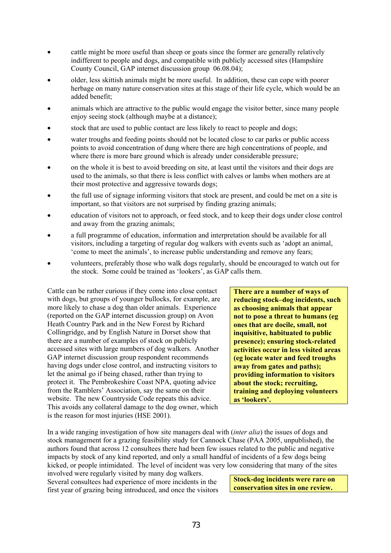- cattle might be more useful than sheep or goats since the former are generally relatively indifferent to people and dogs, and compatible with publicly accessed sites (Hampshire County Council, GAP internet discussion group 06.08.04);
- older, less skittish animals might be more useful. In addition, these can cope with poorer herbage on many nature conservation sites at this stage of their life cycle, which would be an added benefit;
- animals which are attractive to the public would engage the visitor better, since many people enjoy seeing stock (although maybe at a distance);
- stock that are used to public contact are less likely to react to people and dogs;
- water troughs and feeding points should not be located close to car parks or public access points to avoid concentration of dung where there are high concentrations of people, and where there is more bare ground which is already under considerable pressure;
- on the whole it is best to avoid breeding on site, at least until the visitors and their dogs are used to the animals, so that there is less conflict with calves or lambs when mothers are at their most protective and aggressive towards dogs;
- the full use of signage informing visitors that stock are present, and could be met on a site is important, so that visitors are not surprised by finding grazing animals;
- education of visitors not to approach, or feed stock, and to keep their dogs under close control and away from the grazing animals;
- a full programme of education, information and interpretation should be available for all visitors, including a targeting of regular dog walkers with events such as 'adopt an animal, 'come to meet the animals', to increase public understanding and remove any fears;
- volunteers, preferably those who walk dogs regularly, should be encouraged to watch out for the stock. Some could be trained as 'lookers', as GAP calls them.

Cattle can be rather curious if they come into close contact with dogs, but groups of younger bullocks, for example, are more likely to chase a dog than older animals. Experience (reported on the GAP internet discussion group) on Avon Heath Country Park and in the New Forest by Richard Collingridge, and by English Nature in Dorset show that there are a number of examples of stock on publicly accessed sites with large numbers of dog walkers. Another GAP internet discussion group respondent recommends having dogs under close control, and instructing visitors to let the animal go if being chased, rather than trying to protect it. The Pembrokeshire Coast NPA, quoting advice from the Ramblers' Association, say the same on their website. The new Countryside Code repeats this advice. This avoids any collateral damage to the dog owner, which is the reason for most injuries (HSE 2001).

**There are a number of ways of reducing stock–dog incidents, such as choosing animals that appear not to pose a threat to humans (eg ones that are docile, small, not inquisitive, habituated to public presence); ensuring stock-related activities occur in less visited areas (eg locate water and feed troughs away from gates and paths); providing information to visitors about the stock; recruiting, training and deploying volunteers as 'lookers'.** 

In a wide ranging investigation of how site managers deal with (*inter alia*) the issues of dogs and stock management for a grazing feasibility study for Cannock Chase (PAA 2005, unpublished), the authors found that across 12 consultees there had been few issues related to the public and negative impacts by stock of any kind reported, and only a small handful of incidents of a few dogs being kicked, or people intimidated. The level of incident was very low considering that many of the sites involved were regularly visited by many dog walkers.

Several consultees had experience of more incidents in the first year of grazing being introduced, and once the visitors **Stock-dog incidents were rare on conservation sites in one review.**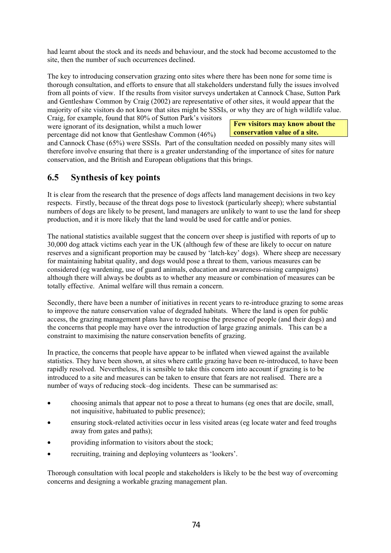had learnt about the stock and its needs and behaviour, and the stock had become accustomed to the site, then the number of such occurrences declined.

The key to introducing conservation grazing onto sites where there has been none for some time is thorough consultation, and efforts to ensure that all stakeholders understand fully the issues involved from all points of view. If the results from visitor surveys undertaken at Cannock Chase, Sutton Park and Gentleshaw Common by Craig (2002) are representative of other sites, it would appear that the majority of site visitors do not know that sites might be SSSIs, or why they are of high wildlife value.

Craig, for example, found that 80% of Sutton Park's visitors were ignorant of its designation, whilst a much lower percentage did not know that Gentleshaw Common (46%)

**Few visitors may know about the conservation value of a site.** 

and Cannock Chase (65%) were SSSIs. Part of the consultation needed on possibly many sites will therefore involve ensuring that there is a greater understanding of the importance of sites for nature conservation, and the British and European obligations that this brings.

# **6.5 Synthesis of key points**

It is clear from the research that the presence of dogs affects land management decisions in two key respects. Firstly, because of the threat dogs pose to livestock (particularly sheep); where substantial numbers of dogs are likely to be present, land managers are unlikely to want to use the land for sheep production, and it is more likely that the land would be used for cattle and/or ponies.

The national statistics available suggest that the concern over sheep is justified with reports of up to 30,000 dog attack victims each year in the UK (although few of these are likely to occur on nature reserves and a significant proportion may be caused by 'latch-key' dogs). Where sheep are necessary for maintaining habitat quality, and dogs would pose a threat to them, various measures can be considered (eg wardening, use of guard animals, education and awareness-raising campaigns) although there will always be doubts as to whether any measure or combination of measures can be totally effective. Animal welfare will thus remain a concern.

Secondly, there have been a number of initiatives in recent years to re-introduce grazing to some areas to improve the nature conservation value of degraded habitats. Where the land is open for public access, the grazing management plans have to recognise the presence of people (and their dogs) and the concerns that people may have over the introduction of large grazing animals. This can be a constraint to maximising the nature conservation benefits of grazing.

In practice, the concerns that people have appear to be inflated when viewed against the available statistics. They have been shown, at sites where cattle grazing have been re-introduced, to have been rapidly resolved. Nevertheless, it is sensible to take this concern into account if grazing is to be introduced to a site and measures can be taken to ensure that fears are not realised. There are a number of ways of reducing stock–dog incidents. These can be summarised as:

- choosing animals that appear not to pose a threat to humans (eg ones that are docile, small, not inquisitive, habituated to public presence);
- ensuring stock-related activities occur in less visited areas (eg locate water and feed troughs away from gates and paths);
- providing information to visitors about the stock;
- recruiting, training and deploying volunteers as 'lookers'.

Thorough consultation with local people and stakeholders is likely to be the best way of overcoming concerns and designing a workable grazing management plan.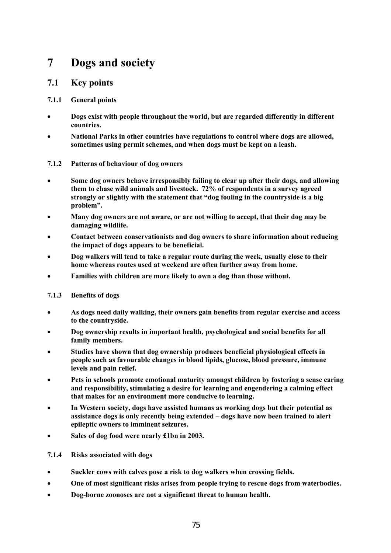# **7 Dogs and society**

# **7.1 Key points**

# **7.1.1 General points**

- **Dogs exist with people throughout the world, but are regarded differently in different countries.**
- **National Parks in other countries have regulations to control where dogs are allowed, sometimes using permit schemes, and when dogs must be kept on a leash.**

# **7.1.2 Patterns of behaviour of dog owners**

- **Some dog owners behave irresponsibly failing to clear up after their dogs, and allowing them to chase wild animals and livestock. 72% of respondents in a survey agreed strongly or slightly with the statement that "dog fouling in the countryside is a big problem".**
- **Many dog owners are not aware, or are not willing to accept, that their dog may be damaging wildlife.**
- **Contact between conservationists and dog owners to share information about reducing the impact of dogs appears to be beneficial.**
- **Dog walkers will tend to take a regular route during the week, usually close to their home whereas routes used at weekend are often further away from home.**
- **Families with children are more likely to own a dog than those without.**

# **7.1.3 Benefits of dogs**

- **As dogs need daily walking, their owners gain benefits from regular exercise and access to the countryside.**
- **Dog ownership results in important health, psychological and social benefits for all family members.**
- **Studies have shown that dog ownership produces beneficial physiological effects in people such as favourable changes in blood lipids, glucose, blood pressure, immune levels and pain relief.**
- **Pets in schools promote emotional maturity amongst children by fostering a sense caring and responsibility, stimulating a desire for learning and engendering a calming effect that makes for an environment more conducive to learning.**
- **In Western society, dogs have assisted humans as working dogs but their potential as assistance dogs is only recently being extended – dogs have now been trained to alert epileptic owners to imminent seizures.**
- **Sales of dog food were nearly £1bn in 2003.**

# **7.1.4 Risks associated with dogs**

- **Suckler cows with calves pose a risk to dog walkers when crossing fields.**
- **One of most significant risks arises from people trying to rescue dogs from waterbodies.**
- **Dog-borne zoonoses are not a significant threat to human health.**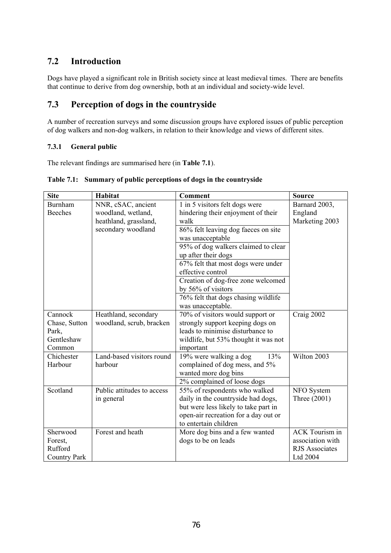# **7.2 Introduction**

Dogs have played a significant role in British society since at least medieval times. There are benefits that continue to derive from dog ownership, both at an individual and society-wide level.

# **7.3 Perception of dogs in the countryside**

A number of recreation surveys and some discussion groups have explored issues of public perception of dog walkers and non-dog walkers, in relation to their knowledge and views of different sites.

# **7.3.1 General public**

The relevant findings are summarised here (in **Table 7.1**).

| <b>Site</b>         | <b>Habitat</b>             | <b>Comment</b>                       | <b>Source</b>         |
|---------------------|----------------------------|--------------------------------------|-----------------------|
| Burnham             | NNR, cSAC, ancient         | 1 in 5 visitors felt dogs were       | Barnard 2003,         |
| <b>Beeches</b>      | woodland, wetland,         | hindering their enjoyment of their   | England               |
|                     | heathland, grassland,      | walk                                 | Marketing 2003        |
|                     | secondary woodland         | 86% felt leaving dog faeces on site  |                       |
|                     |                            | was unacceptable                     |                       |
|                     |                            | 95% of dog walkers claimed to clear  |                       |
|                     |                            | up after their dogs                  |                       |
|                     |                            | 67% felt that most dogs were under   |                       |
|                     |                            | effective control                    |                       |
|                     |                            | Creation of dog-free zone welcomed   |                       |
|                     |                            | by 56% of visitors                   |                       |
|                     |                            | 76% felt that dogs chasing wildlife  |                       |
|                     |                            | was unacceptable.                    |                       |
| Cannock             | Heathland, secondary       | 70% of visitors would support or     | Craig 2002            |
| Chase, Sutton       | woodland, scrub, bracken   | strongly support keeping dogs on     |                       |
| Park,               |                            | leads to minimise disturbance to     |                       |
| Gentleshaw          |                            | wildlife, but 53% thought it was not |                       |
| Common              |                            | important                            |                       |
| Chichester          | Land-based visitors round  | 19% were walking a dog<br>13%        | Wilton 2003           |
| Harbour             | harbour                    | complained of dog mess, and 5%       |                       |
|                     |                            | wanted more dog bins                 |                       |
|                     |                            | 2% complained of loose dogs          |                       |
| Scotland            | Public attitudes to access | 55% of respondents who walked        | NFO System            |
|                     | in general                 | daily in the countryside had dogs,   | Three (2001)          |
|                     |                            | but were less likely to take part in |                       |
|                     |                            | open-air recreation for a day out or |                       |
|                     |                            | to entertain children                |                       |
| Sherwood            | Forest and heath           | More dog bins and a few wanted       | <b>ACK Tourism in</b> |
| Forest,             |                            | dogs to be on leads                  | association with      |
| Rufford             |                            |                                      | <b>RJS</b> Associates |
| <b>Country Park</b> |                            |                                      | Ltd 2004              |

# **Table 7.1: Summary of public perceptions of dogs in the countryside**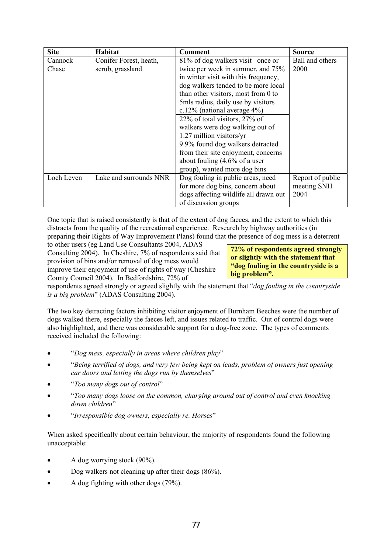| <b>Site</b> | <b>Habitat</b>         | <b>Comment</b>                            | <b>Source</b>    |
|-------------|------------------------|-------------------------------------------|------------------|
| Cannock     | Conifer Forest, heath, | 81% of dog walkers visit once or          | Ball and others  |
| Chase       | scrub, grassland       | twice per week in summer, and 75%         | 2000             |
|             |                        | in winter visit with this frequency,      |                  |
|             |                        | dog walkers tended to be more local       |                  |
|             |                        | than other visitors, most from 0 to       |                  |
|             |                        | 5 mls radius, daily use by visitors       |                  |
|             |                        | c.12% (national average $4\%$ )           |                  |
|             |                        | 22% of total visitors, 27% of             |                  |
|             |                        | walkers were dog walking out of           |                  |
|             |                        | 1.27 million visitors/yr                  |                  |
|             |                        | 9.9% found dog walkers detracted          |                  |
|             |                        | from their site enjoyment, concerns       |                  |
|             |                        | about fouling $(4.6\% \text{ of a user})$ |                  |
|             |                        | group), wanted more dog bins              |                  |
| Loch Leven  | Lake and surrounds NNR | Dog fouling in public areas, need         | Report of public |
|             |                        | for more dog bins, concern about          | meeting SNH      |
|             |                        | dogs affecting wildlife all drawn out     | 2004             |
|             |                        | of discussion groups                      |                  |

One topic that is raised consistently is that of the extent of dog faeces, and the extent to which this distracts from the quality of the recreational experience. Research by highway authorities (in preparing their Rights of Way Improvement Plans) found that the presence of dog mess is a deterrent

to other users (eg Land Use Consultants 2004, ADAS Consulting 2004). In Cheshire, 7% of respondents said that provision of bins and/or removal of dog mess would improve their enjoyment of use of rights of way (Cheshire County Council 2004). In Bedfordshire, 72% of

**72% of respondents agreed strongly or slightly with the statement that "dog fouling in the countryside is a big problem".** 

respondents agreed strongly or agreed slightly with the statement that "*dog fouling in the countryside is a big problem*" (ADAS Consulting 2004).

The two key detracting factors inhibiting visitor enjoyment of Burnham Beeches were the number of dogs walked there, especially the faeces left, and issues related to traffic. Out of control dogs were also highlighted, and there was considerable support for a dog-free zone. The types of comments received included the following:

- "*Dog mess, especially in areas where children play*"
- "*Being terrified of dogs, and very few being kept on leads, problem of owners just opening car doors and letting the dogs run by themselves*"
- "*Too many dogs out of control*"
- "*Too many dogs loose on the common, charging around out of control and even knocking down children*"
- "*Irresponsible dog owners, especially re. Horses*"

When asked specifically about certain behaviour, the majority of respondents found the following unacceptable:

- A dog worrying stock (90%).
- Dog walkers not cleaning up after their dogs (86%).
- A dog fighting with other dogs (79%).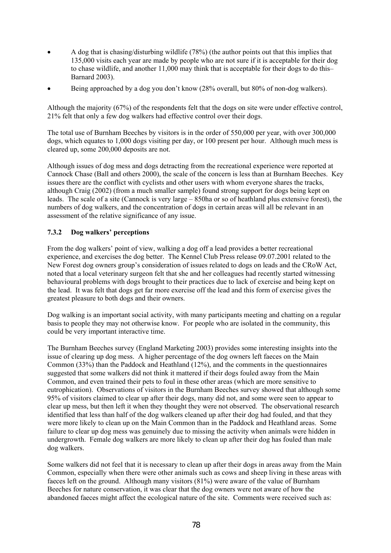- A dog that is chasing/disturbing wildlife (78%) (the author points out that this implies that 135,000 visits each year are made by people who are not sure if it is acceptable for their dog to chase wildlife, and another 11,000 may think that is acceptable for their dogs to do this– Barnard 2003).
- Being approached by a dog you don't know (28% overall, but 80% of non-dog walkers).

Although the majority (67%) of the respondents felt that the dogs on site were under effective control, 21% felt that only a few dog walkers had effective control over their dogs.

The total use of Burnham Beeches by visitors is in the order of 550,000 per year, with over 300,000 dogs, which equates to 1,000 dogs visiting per day, or 100 present per hour. Although much mess is cleared up, some 200,000 deposits are not.

Although issues of dog mess and dogs detracting from the recreational experience were reported at Cannock Chase (Ball and others 2000), the scale of the concern is less than at Burnham Beeches. Key issues there are the conflict with cyclists and other users with whom everyone shares the tracks, although Craig (2002) (from a much smaller sample) found strong support for dogs being kept on leads. The scale of a site (Cannock is very large – 850ha or so of heathland plus extensive forest), the numbers of dog walkers, and the concentration of dogs in certain areas will all be relevant in an assessment of the relative significance of any issue.

# **7.3.2 Dog walkers' perceptions**

From the dog walkers' point of view, walking a dog off a lead provides a better recreational experience, and exercises the dog better. The Kennel Club Press release 09.07.2001 related to the New Forest dog owners group's consideration of issues related to dogs on leads and the CRoW Act, noted that a local veterinary surgeon felt that she and her colleagues had recently started witnessing behavioural problems with dogs brought to their practices due to lack of exercise and being kept on the lead. It was felt that dogs get far more exercise off the lead and this form of exercise gives the greatest pleasure to both dogs and their owners.

Dog walking is an important social activity, with many participants meeting and chatting on a regular basis to people they may not otherwise know. For people who are isolated in the community, this could be very important interactive time.

The Burnham Beeches survey (England Marketing 2003) provides some interesting insights into the issue of clearing up dog mess. A higher percentage of the dog owners left faeces on the Main Common (33%) than the Paddock and Heathland (12%), and the comments in the questionnaires suggested that some walkers did not think it mattered if their dogs fouled away from the Main Common, and even trained their pets to foul in these other areas (which are more sensitive to eutrophication). Observations of visitors in the Burnham Beeches survey showed that although some 95% of visitors claimed to clear up after their dogs, many did not, and some were seen to appear to clear up mess, but then left it when they thought they were not observed. The observational research identified that less than half of the dog walkers cleaned up after their dog had fouled, and that they were more likely to clean up on the Main Common than in the Paddock and Heathland areas. Some failure to clear up dog mess was genuinely due to missing the activity when animals were hidden in undergrowth. Female dog walkers are more likely to clean up after their dog has fouled than male dog walkers.

Some walkers did not feel that it is necessary to clean up after their dogs in areas away from the Main Common, especially when there were other animals such as cows and sheep living in these areas with faeces left on the ground. Although many visitors (81%) were aware of the value of Burnham Beeches for nature conservation, it was clear that the dog owners were not aware of how the abandoned faeces might affect the ecological nature of the site. Comments were received such as: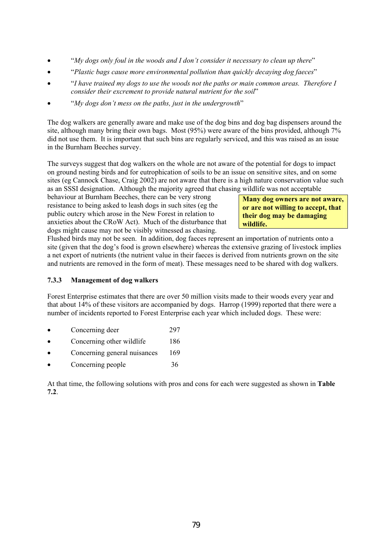- "*My dogs only foul in the woods and I don't consider it necessary to clean up there*"
- "*Plastic bags cause more environmental pollution than quickly decaying dog faeces*"
- "*I have trained my dogs to use the woods not the paths or main common areas. Therefore I consider their excrement to provide natural nutrient for the soil*"
- "*My dogs don't mess on the paths, just in the undergrowth*"

The dog walkers are generally aware and make use of the dog bins and dog bag dispensers around the site, although many bring their own bags. Most (95%) were aware of the bins provided, although 7% did not use them. It is important that such bins are regularly serviced, and this was raised as an issue in the Burnham Beeches survey.

The surveys suggest that dog walkers on the whole are not aware of the potential for dogs to impact on ground nesting birds and for eutrophication of soils to be an issue on sensitive sites, and on some sites (eg Cannock Chase, Craig 2002) are not aware that there is a high nature conservation value such as an SSSI designation. Although the majority agreed that chasing wildlife was not acceptable

behaviour at Burnham Beeches, there can be very strong resistance to being asked to leash dogs in such sites (eg the public outcry which arose in the New Forest in relation to anxieties about the CRoW Act). Much of the disturbance that dogs might cause may not be visibly witnessed as chasing.

**Many dog owners are not aware, or are not willing to accept, that their dog may be damaging wildlife.** 

Flushed birds may not be seen. In addition, dog faeces represent an importation of nutrients onto a site (given that the dog's food is grown elsewhere) whereas the extensive grazing of livestock implies a net export of nutrients (the nutrient value in their faeces is derived from nutrients grown on the site and nutrients are removed in the form of meat). These messages need to be shared with dog walkers.

# **7.3.3 Management of dog walkers**

Forest Enterprise estimates that there are over 50 million visits made to their woods every year and that about 14% of these visitors are accompanied by dogs. Harrop (1999) reported that there were a number of incidents reported to Forest Enterprise each year which included dogs. These were:

- Concerning deer 297
- Concerning other wildlife 186
- Concerning general nuisances 169
- Concerning people 36

At that time, the following solutions with pros and cons for each were suggested as shown in **Table 7.2**.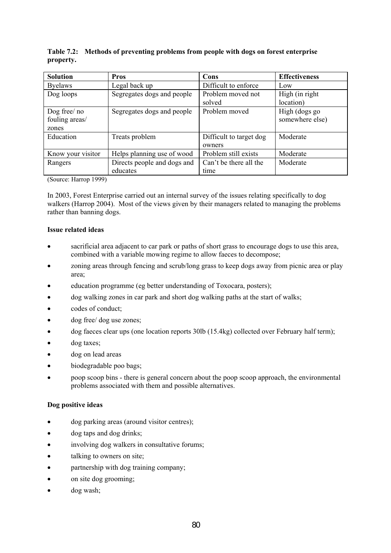| <b>Solution</b>                         | <b>Pros</b>                             | Cons                              | <b>Effectiveness</b>             |
|-----------------------------------------|-----------------------------------------|-----------------------------------|----------------------------------|
| <b>Byelaws</b>                          | Legal back up                           | Difficult to enforce              | Low                              |
| Dog loops                               | Segregates dogs and people              | Problem moved not<br>solved       | High (in right)<br>location)     |
| Dog free/ no<br>fouling areas/<br>zones | Segregates dogs and people              | Problem moved                     | High (dogs go<br>somewhere else) |
| Education                               | Treats problem                          | Difficult to target dog<br>owners | Moderate                         |
| Know your visitor                       | Helps planning use of wood              | Problem still exists              | Moderate                         |
| Rangers                                 | Directs people and dogs and<br>educates | Can't be there all the<br>time    | Moderate                         |

### **Table 7.2: Methods of preventing problems from people with dogs on forest enterprise property.**

(Source: Harrop 1999)

In 2003, Forest Enterprise carried out an internal survey of the issues relating specifically to dog walkers (Harrop 2004). Most of the views given by their managers related to managing the problems rather than banning dogs.

#### **Issue related ideas**

- sacrificial area adjacent to car park or paths of short grass to encourage dogs to use this area, combined with a variable mowing regime to allow faeces to decompose;
- zoning areas through fencing and scrub/long grass to keep dogs away from picnic area or play area;
- education programme (eg better understanding of Toxocara, posters);
- dog walking zones in car park and short dog walking paths at the start of walks;
- codes of conduct;
- dog free/ dog use zones;
- dog faeces clear ups (one location reports 30lb (15.4kg) collected over February half term);
- dog taxes:
- dog on lead areas
- biodegradable poo bags;
- poop scoop bins there is general concern about the poop scoop approach, the environmental problems associated with them and possible alternatives.

#### **Dog positive ideas**

- dog parking areas (around visitor centres);
- dog taps and dog drinks;
- involving dog walkers in consultative forums;
- talking to owners on site;
- partnership with dog training company;
- on site dog grooming;
- dog wash;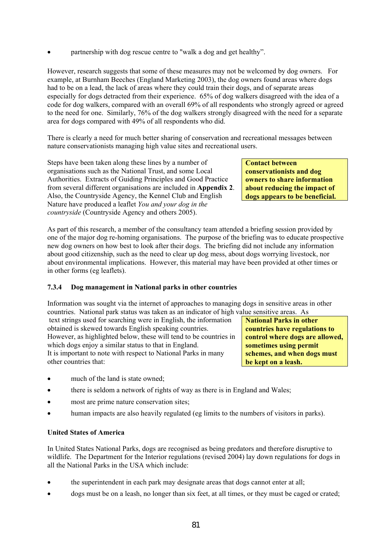• partnership with dog rescue centre to "walk a dog and get healthy".

However, research suggests that some of these measures may not be welcomed by dog owners. For example, at Burnham Beeches (England Marketing 2003), the dog owners found areas where dogs had to be on a lead, the lack of areas where they could train their dogs, and of separate areas especially for dogs detracted from their experience. 65% of dog walkers disagreed with the idea of a code for dog walkers, compared with an overall 69% of all respondents who strongly agreed or agreed to the need for one. Similarly, 76% of the dog walkers strongly disagreed with the need for a separate area for dogs compared with 49% of all respondents who did.

There is clearly a need for much better sharing of conservation and recreational messages between nature conservationists managing high value sites and recreational users.

Steps have been taken along these lines by a number of organisations such as the National Trust, and some Local Authorities. Extracts of Guiding Principles and Good Practice from several different organisations are included in **Appendix 2**. Also, the Countryside Agency, the Kennel Club and English Nature have produced a leaflet *You and your dog in the countryside* (Countryside Agency and others 2005).

**Contact between conservationists and dog owners to share information about reducing the impact of dogs appears to be beneficial.** 

As part of this research, a member of the consultancy team attended a briefing session provided by one of the major dog re-homing organisations. The purpose of the briefing was to educate prospective new dog owners on how best to look after their dogs. The briefing did not include any information about good citizenship, such as the need to clear up dog mess, about dogs worrying livestock, nor about environmental implications. However, this material may have been provided at other times or in other forms (eg leaflets).

# **7.3.4 Dog management in National parks in other countries**

Information was sought via the internet of approaches to managing dogs in sensitive areas in other countries. National park status was taken as an indicator of high value sensitive areas. As

 text strings used for searching were in English, the information obtained is skewed towards English speaking countries. However, as highlighted below, these will tend to be countries in which dogs enjoy a similar status to that in England. It is important to note with respect to National Parks in many

other countries that:

**National Parks in other countries have regulations to control where dogs are allowed, sometimes using permit schemes, and when dogs must be kept on a leash.** 

- much of the land is state owned;
- there is seldom a network of rights of way as there is in England and Wales;
- most are prime nature conservation sites;
- human impacts are also heavily regulated (eg limits to the numbers of visitors in parks).

# **United States of America**

In United States National Parks, dogs are recognised as being predators and therefore disruptive to wildlife. The Department for the Interior regulations (revised 2004) lay down regulations for dogs in all the National Parks in the USA which include:

- the superintendent in each park may designate areas that dogs cannot enter at all;
- dogs must be on a leash, no longer than six feet, at all times, or they must be caged or crated;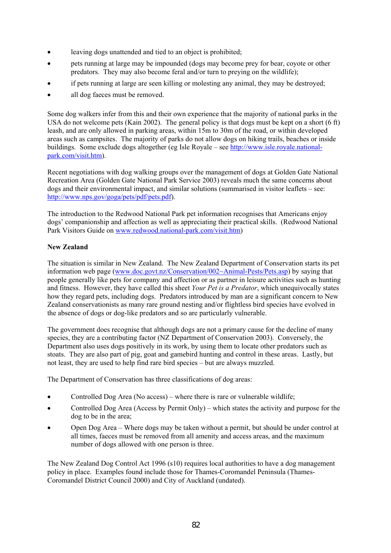- leaving dogs unattended and tied to an object is prohibited;
- pets running at large may be impounded (dogs may become prey for bear, coyote or other predators. They may also become feral and/or turn to preying on the wildlife);
- if pets running at large are seen killing or molesting any animal, they may be destroyed;
- all dog faeces must be removed.

Some dog walkers infer from this and their own experience that the majority of national parks in the USA do not welcome pets (Kain 2002). The general policy is that dogs must be kept on a short (6 ft) leash, and are only allowed in parking areas, within 15m to 30m of the road, or within developed areas such as campsites. The majority of parks do not allow dogs on hiking trails, beaches or inside buildings. Some exclude dogs altogether (eg Isle Royale – see http://www.isle.royale.nationalpark.com/visit.htm).

Recent negotiations with dog walking groups over the management of dogs at Golden Gate National Recreation Area (Golden Gate National Park Service 2003) reveals much the same concerns about dogs and their environmental impact, and similar solutions (summarised in visitor leaflets – see: http://www.nps.gov/goga/pets/pdf/pets.pdf).

The introduction to the Redwood National Park pet information recognises that Americans enjoy dogs' companionship and affection as well as appreciating their practical skills. (Redwood National Park Visitors Guide on www.redwood.national-park.com/visit.htm)

# **New Zealand**

The situation is similar in New Zealand. The New Zealand Department of Conservation starts its pet information web page (www.doc.govt.nz/Conservation/002~Animal-Pests/Pets.asp) by saying that people generally like pets for company and affection or as partner in leisure activities such as hunting and fitness. However, they have called this sheet *Your Pet is a Predator*, which unequivocally states how they regard pets, including dogs. Predators introduced by man are a significant concern to New Zealand conservationists as many rare ground nesting and/or flightless bird species have evolved in the absence of dogs or dog-like predators and so are particularly vulnerable.

The government does recognise that although dogs are not a primary cause for the decline of many species, they are a contributing factor (NZ Department of Conservation 2003). Conversely, the Department also uses dogs positively in its work, by using them to locate other predators such as stoats. They are also part of pig, goat and gamebird hunting and control in these areas. Lastly, but not least, they are used to help find rare bird species – but are always muzzled.

The Department of Conservation has three classifications of dog areas:

- Controlled Dog Area (No access) where there is rare or vulnerable wildlife;
- Controlled Dog Area (Access by Permit Only) which states the activity and purpose for the dog to be in the area;
- Open Dog Area Where dogs may be taken without a permit, but should be under control at all times, faeces must be removed from all amenity and access areas, and the maximum number of dogs allowed with one person is three.

The New Zealand Dog Control Act 1996 (s10) requires local authorities to have a dog management policy in place. Examples found include those for Thames-Coromandel Peninsula (Thames-Coromandel District Council 2000) and City of Auckland (undated).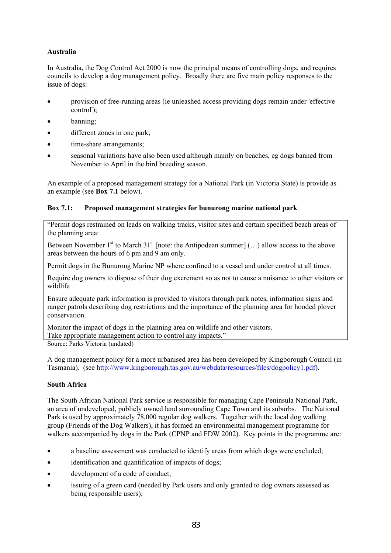# **Australia**

In Australia, the Dog Control Act 2000 is now the principal means of controlling dogs, and requires councils to develop a dog management policy. Broadly there are five main policy responses to the issue of dogs:

- provision of free-running areas (ie unleashed access providing dogs remain under 'effective control');
- banning;
- different zones in one park;
- time-share arrangements;
- seasonal variations have also been used although mainly on beaches, eg dogs banned from November to April in the bird breeding season.

An example of a proposed management strategy for a National Park (in Victoria State) is provide as an example (see **Box 7.1** below).

# **Box 7.1: Proposed management strategies for bunurong marine national park**

"Permit dogs restrained on leads on walking tracks, visitor sites and certain specified beach areas of the planning area:

Between November  $1<sup>st</sup>$  to March  $31<sup>st</sup>$  [note: the Antipodean summer] (...) allow access to the above areas between the hours of 6 pm and 9 am only.

Permit dogs in the Bunurong Marine NP where confined to a vessel and under control at all times.

Require dog owners to dispose of their dog excrement so as not to cause a nuisance to other visitors or wildlife

Ensure adequate park information is provided to visitors through park notes, information signs and ranger patrols describing dog restrictions and the importance of the planning area for hooded plover conservation.

Monitor the impact of dogs in the planning area on wildlife and other visitors.

Take appropriate management action to control any impacts."

Source: Parks Victoria (undated)

A dog management policy for a more urbanised area has been developed by Kingborough Council (in Tasmania). (see http://www.kingborough.tas.gov.au/webdata/resources/files/dogpolicy1.pdf).

# **South Africa**

The South African National Park service is responsible for managing Cape Peninsula National Park, an area of undeveloped, publicly owned land surrounding Cape Town and its suburbs. The National Park is used by approximately 78,000 regular dog walkers. Together with the local dog walking group (Friends of the Dog Walkers), it has formed an environmental management programme for walkers accompanied by dogs in the Park (CPNP and FDW 2002). Key points in the programme are:

- a baseline assessment was conducted to identify areas from which dogs were excluded;
- identification and quantification of impacts of dogs;
- development of a code of conduct;
- issuing of a green card (needed by Park users and only granted to dog owners assessed as being responsible users);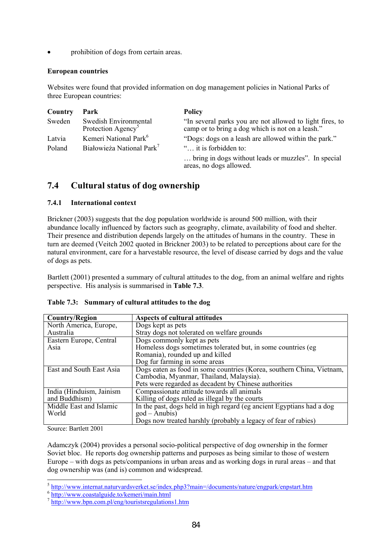• prohibition of dogs from certain areas.

### **European countries**

Websites were found that provided information on dog management policies in National Parks of three European countries:

| Country | Park                                                    | <b>Policy</b>                                                                                                |
|---------|---------------------------------------------------------|--------------------------------------------------------------------------------------------------------------|
| Sweden  | Swedish Environmental<br>Protection Agency <sup>5</sup> | "In several parks you are not allowed to light fires, to<br>camp or to bring a dog which is not on a leash." |
| Latvia  | Kemeri National Park <sup>6</sup>                       | "Dogs: dogs on a leash are allowed within the park."                                                         |
| Poland  | Białowieża National Park <sup>7</sup>                   | " it is forbidden to:                                                                                        |
|         |                                                         | bring in dogs without leads or muzzles". In special<br>areas, no dogs allowed.                               |

# **7.4 Cultural status of dog ownership**

# **7.4.1 International context**

Brickner (2003) suggests that the dog population worldwide is around 500 million, with their abundance locally influenced by factors such as geography, climate, availability of food and shelter. Their presence and distribution depends largely on the attitudes of humans in the country. These in turn are deemed (Veitch 2002 quoted in Brickner 2003) to be related to perceptions about care for the natural environment, care for a harvestable resource, the level of disease carried by dogs and the value of dogs as pets.

Bartlett (2001) presented a summary of cultural attitudes to the dog, from an animal welfare and rights perspective. His analysis is summarised in **Table 7.3**.

| <b>Country/Region</b>    | <b>Aspects of cultural attitudes</b>                                  |
|--------------------------|-----------------------------------------------------------------------|
| North America, Europe,   | Dogs kept as pets                                                     |
| Australia                | Stray dogs not tolerated on welfare grounds                           |
| Eastern Europe, Central  | Dogs commonly kept as pets                                            |
| Asia                     | Homeless dogs sometimes tolerated but, in some countries (eg          |
|                          | Romania), rounded up and killed                                       |
|                          | Dog fur farming in some areas                                         |
| East and South East Asia | Dogs eaten as food in some countries (Korea, southern China, Vietnam, |
|                          | Cambodia, Myanmar, Thailand, Malaysia).                               |
|                          | Pets were regarded as decadent by Chinese authorities                 |
| India (Hinduism, Jainism | Compassionate attitude towards all animals                            |
| and Buddhism)            | Killing of dogs ruled as illegal by the courts                        |
| Middle East and Islamic  | In the past, dogs held in high regard (eg ancient Egyptians had a dog |
| World                    | $\text{god} - \text{Anubis}$                                          |
|                          | Dogs now treated harshly (probably a legacy of fear of rabies)        |

# **Table 7.3: Summary of cultural attitudes to the dog**

Source: Bartlett 2001

 $\overline{a}$ 

Adamczyk (2004) provides a personal socio-political perspective of dog ownership in the former Soviet bloc. He reports dog ownership patterns and purposes as being similar to those of western Europe – with dogs as pets/companions in urban areas and as working dogs in rural areas – and that dog ownership was (and is) common and widespread.

 $^5$  http://www.internat.naturvardsverket.se/index.php3?main=/documents/nature/engpark/enpstart.htm<br><sup>6</sup> http://www.coastalguide.to/kemeri/main.html

<sup>7</sup> http://www.bpn.com.pl/eng/touristsregulations1.htm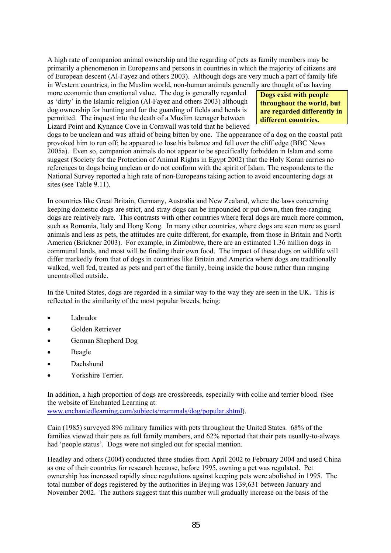A high rate of companion animal ownership and the regarding of pets as family members may be primarily a phenomenon in Europeans and persons in countries in which the majority of citizens are of European descent (Al-Fayez and others 2003). Although dogs are very much a part of family life in Western countries, in the Muslim world, non-human animals generally are thought of as having

more economic than emotional value. The dog is generally regarded as 'dirty' in the Islamic religion (Al-Fayez and others 2003) although dog ownership for hunting and for the guarding of fields and herds is permitted. The inquest into the death of a Muslim teenager between Lizard Point and Kynance Cove in Cornwall was told that he believed

**Dogs exist with people throughout the world, but are regarded differently in different countries.** 

dogs to be unclean and was afraid of being bitten by one. The appearance of a dog on the coastal path provoked him to run off; he appeared to lose his balance and fell over the cliff edge (BBC News 2005a). Even so, companion animals do not appear to be specifically forbidden in Islam and some suggest (Society for the Protection of Animal Rights in Egypt 2002) that the Holy Koran carries no references to dogs being unclean or do not conform with the spirit of Islam. The respondents to the National Survey reported a high rate of non-Europeans taking action to avoid encountering dogs at sites (see Table 9.11).

In countries like Great Britain, Germany, Australia and New Zealand, where the laws concerning keeping domestic dogs are strict, and stray dogs can be impounded or put down, then free-ranging dogs are relatively rare. This contrasts with other countries where feral dogs are much more common, such as Romania, Italy and Hong Kong. In many other countries, where dogs are seen more as guard animals and less as pets, the attitudes are quite different, for example, from those in Britain and North America (Brickner 2003). For example, in Zimbabwe, there are an estimated 1.36 million dogs in communal lands, and most will be finding their own food. The impact of these dogs on wildlife will differ markedly from that of dogs in countries like Britain and America where dogs are traditionally walked, well fed, treated as pets and part of the family, being inside the house rather than ranging uncontrolled outside.

In the United States, dogs are regarded in a similar way to the way they are seen in the UK. This is reflected in the similarity of the most popular breeds, being:

- Labrador
- Golden Retriever
- German Shepherd Dog
- **Beagle**
- Dachshund
- Yorkshire Terrier.

In addition, a high proportion of dogs are crossbreeds, especially with collie and terrier blood. (See the website of Enchanted Learning at:

www.enchantedlearning.com/subjects/mammals/dog/popular.shtml).

Cain (1985) surveyed 896 military families with pets throughout the United States. 68% of the families viewed their pets as full family members, and 62% reported that their pets usually-to-always had 'people status'. Dogs were not singled out for special mention.

Headley and others (2004) conducted three studies from April 2002 to February 2004 and used China as one of their countries for research because, before 1995, owning a pet was regulated. Pet ownership has increased rapidly since regulations against keeping pets were abolished in 1995. The total number of dogs registered by the authorities in Beijing was 139,631 between January and November 2002. The authors suggest that this number will gradually increase on the basis of the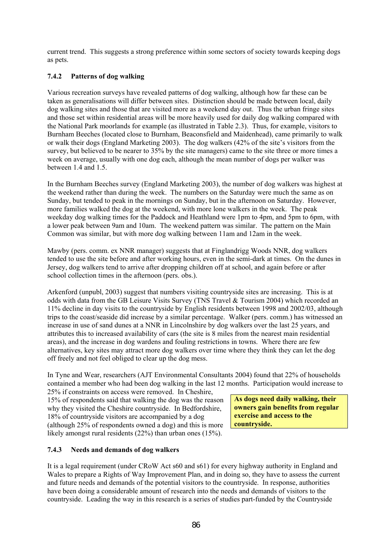current trend. This suggests a strong preference within some sectors of society towards keeping dogs as pets.

# **7.4.2 Patterns of dog walking**

Various recreation surveys have revealed patterns of dog walking, although how far these can be taken as generalisations will differ between sites. Distinction should be made between local, daily dog walking sites and those that are visited more as a weekend day out. Thus the urban fringe sites and those set within residential areas will be more heavily used for daily dog walking compared with the National Park moorlands for example (as illustrated in Table 2.3). Thus, for example, visitors to Burnham Beeches (located close to Burnham, Beaconsfield and Maidenhead), came primarily to walk or walk their dogs (England Marketing 2003). The dog walkers (42% of the site's visitors from the survey, but believed to be nearer to 35% by the site managers) came to the site three or more times a week on average, usually with one dog each, although the mean number of dogs per walker was between 1.4 and 1.5.

In the Burnham Beeches survey (England Marketing 2003), the number of dog walkers was highest at the weekend rather than during the week. The numbers on the Saturday were much the same as on Sunday, but tended to peak in the mornings on Sunday, but in the afternoon on Saturday. However, more families walked the dog at the weekend, with more lone walkers in the week. The peak weekday dog walking times for the Paddock and Heathland were 1pm to 4pm, and 5pm to 6pm, with a lower peak between 9am and 10am. The weekend pattern was similar. The pattern on the Main Common was similar, but with more dog walking between 11am and 12am in the week.

Mawby (pers. comm. ex NNR manager) suggests that at Finglandrigg Woods NNR, dog walkers tended to use the site before and after working hours, even in the semi-dark at times. On the dunes in Jersey, dog walkers tend to arrive after dropping children off at school, and again before or after school collection times in the afternoon (pers. obs.).

Arkenford (unpubl, 2003) suggest that numbers visiting countryside sites are increasing. This is at odds with data from the GB Leisure Visits Survey (TNS Travel & Tourism 2004) which recorded an 11% decline in day visits to the countryside by English residents between 1998 and 2002/03, although trips to the coast/seaside did increase by a similar percentage. Walker (pers. comm.) has witnessed an increase in use of sand dunes at a NNR in Lincolnshire by dog walkers over the last 25 years, and attributes this to increased availability of cars (the site is 8 miles from the nearest main residential areas), and the increase in dog wardens and fouling restrictions in towns. Where there are few alternatives, key sites may attract more dog walkers over time where they think they can let the dog off freely and not feel obliged to clear up the dog mess.

In Tyne and Wear, researchers (AJT Environmental Consultants 2004) found that 22% of households contained a member who had been dog walking in the last 12 months. Participation would increase to

25% if constraints on access were removed. In Cheshire, 15% of respondents said that walking the dog was the reason why they visited the Cheshire countryside. In Bedfordshire, 18% of countryside visitors are accompanied by a dog (although 25% of respondents owned a dog) and this is more likely amongst rural residents (22%) than urban ones (15%).

**As dogs need daily walking, their owners gain benefits from regular exercise and access to the countryside.** 

# **7.4.3 Needs and demands of dog walkers**

It is a legal requirement (under CRoW Act s60 and s61) for every highway authority in England and Wales to prepare a Rights of Way Improvement Plan, and in doing so, they have to assess the current and future needs and demands of the potential visitors to the countryside. In response, authorities have been doing a considerable amount of research into the needs and demands of visitors to the countryside. Leading the way in this research is a series of studies part-funded by the Countryside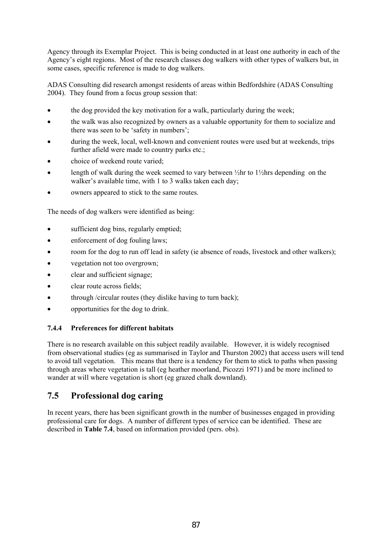Agency through its Exemplar Project. This is being conducted in at least one authority in each of the Agency's eight regions. Most of the research classes dog walkers with other types of walkers but, in some cases, specific reference is made to dog walkers.

ADAS Consulting did research amongst residents of areas within Bedfordshire (ADAS Consulting 2004). They found from a focus group session that:

- the dog provided the key motivation for a walk, particularly during the week;
- the walk was also recognized by owners as a valuable opportunity for them to socialize and there was seen to be 'safety in numbers';
- during the week, local, well-known and convenient routes were used but at weekends, trips further afield were made to country parks etc.;
- choice of weekend route varied;
- length of walk during the week seemed to vary between  $\frac{1}{2}$ hr to  $\frac{1}{2}$ hrs depending on the walker's available time, with 1 to 3 walks taken each day;
- owners appeared to stick to the same routes.

The needs of dog walkers were identified as being:

- sufficient dog bins, regularly emptied;
- enforcement of dog fouling laws;
- room for the dog to run off lead in safety (ie absence of roads, livestock and other walkers);
- vegetation not too overgrown;
- clear and sufficient signage;
- clear route across fields;
- through /circular routes (they dislike having to turn back);
- opportunities for the dog to drink.

# **7.4.4 Preferences for different habitats**

There is no research available on this subject readily available. However, it is widely recognised from observational studies (eg as summarised in Taylor and Thurston 2002) that access users will tend to avoid tall vegetation. This means that there is a tendency for them to stick to paths when passing through areas where vegetation is tall (eg heather moorland, Picozzi 1971) and be more inclined to wander at will where vegetation is short (eg grazed chalk downland).

# **7.5 Professional dog caring**

In recent years, there has been significant growth in the number of businesses engaged in providing professional care for dogs. A number of different types of service can be identified. These are described in **Table 7.4**, based on information provided (pers. obs).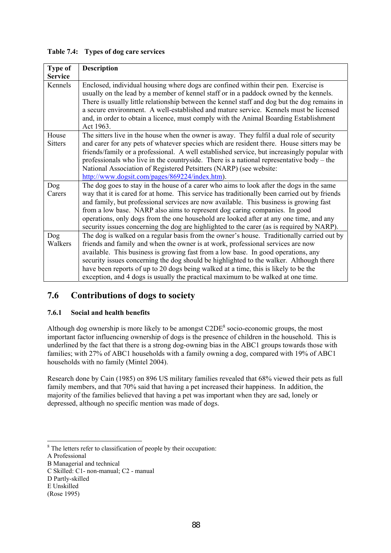| <b>Type of</b>          | <b>Description</b>                                                                                                                                                                                                                                                                                                                                                                                                                                                                                                                                      |
|-------------------------|---------------------------------------------------------------------------------------------------------------------------------------------------------------------------------------------------------------------------------------------------------------------------------------------------------------------------------------------------------------------------------------------------------------------------------------------------------------------------------------------------------------------------------------------------------|
| <b>Service</b>          |                                                                                                                                                                                                                                                                                                                                                                                                                                                                                                                                                         |
| Kennels                 | Enclosed, individual housing where dogs are confined within their pen. Exercise is<br>usually on the lead by a member of kennel staff or in a paddock owned by the kennels.<br>There is usually little relationship between the kennel staff and dog but the dog remains in<br>a secure environment. A well-established and mature service. Kennels must be licensed<br>and, in order to obtain a licence, must comply with the Animal Boarding Establishment<br>Act 1963.                                                                              |
| House<br><b>Sitters</b> | The sitters live in the house when the owner is away. They fulfil a dual role of security<br>and carer for any pets of whatever species which are resident there. House sitters may be<br>friends/family or a professional. A well established service, but increasingly popular with<br>professionals who live in the countryside. There is a national representative body $-$ the<br>National Association of Registered Petsitters (NARP) (see website:<br>http://www.dogsit.com/pages/869224/index.htm).                                             |
| Dog<br>Carers           | The dog goes to stay in the house of a carer who aims to look after the dogs in the same<br>way that it is cared for at home. This service has traditionally been carried out by friends<br>and family, but professional services are now available. This business is growing fast<br>from a low base. NARP also aims to represent dog caring companies. In good<br>operations, only dogs from the one household are looked after at any one time, and any<br>security issues concerning the dog are highlighted to the carer (as is required by NARP). |
| Dog<br>Walkers          | The dog is walked on a regular basis from the owner's house. Traditionally carried out by<br>friends and family and when the owner is at work, professional services are now<br>available. This business is growing fast from a low base. In good operations, any<br>security issues concerning the dog should be highlighted to the walker. Although there<br>have been reports of up to 20 dogs being walked at a time, this is likely to be the<br>exception, and 4 dogs is usually the practical maximum to be walked at one time.                  |

# **Table 7.4: Types of dog care services**

# **7.6 Contributions of dogs to society**

# **7.6.1 Social and health benefits**

Although dog ownership is more likely to be amongst  $C2DE^8$  socio-economic groups, the most important factor influencing ownership of dogs is the presence of children in the household. This is underlined by the fact that there is a strong dog-owning bias in the ABC1 groups towards those with families; with 27% of ABC1 households with a family owning a dog, compared with 19% of ABC1 households with no family (Mintel 2004).

Research done by Cain (1985) on 896 US military families revealed that 68% viewed their pets as full family members, and that 70% said that having a pet increased their happiness. In addition, the majority of the families believed that having a pet was important when they are sad, lonely or depressed, although no specific mention was made of dogs.

l

<sup>&</sup>lt;sup>8</sup> The letters refer to classification of people by their occupation:

A Professional

B Managerial and technical

C Skilled: C1- non-manual; C2 - manual

D Partly-skilled

E Unskilled

<sup>(</sup>Rose 1995)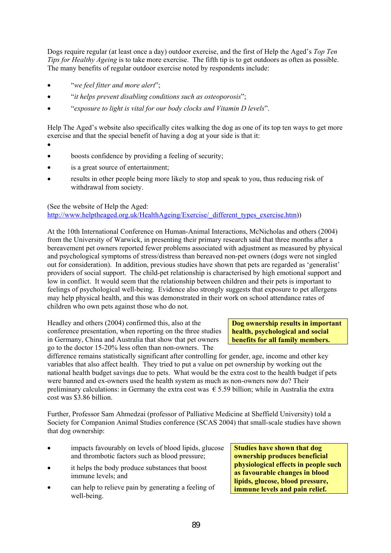Dogs require regular (at least once a day) outdoor exercise, and the first of Help the Aged's *Top Ten Tips for Healthy Ageing* is to take more exercise. The fifth tip is to get outdoors as often as possible. The many benefits of regular outdoor exercise noted by respondents include:

- "*we feel fitter and more alert*";
- "*it helps prevent disabling conditions such as osteoporosis*";
- "*exposure to light is vital for our body clocks and Vitamin D levels*".

Help The Aged's website also specifically cites walking the dog as one of its top ten ways to get more exercise and that the special benefit of having a dog at your side is that it:

- •
- boosts confidence by providing a feeling of security;
- is a great source of entertainment;
- results in other people being more likely to stop and speak to you, thus reducing risk of withdrawal from society.

(See the website of Help the Aged:

http://www.helptheaged.org.uk/HealthAgeing/Exercise/\_different\_types\_exercise.htm))

At the 10th International Conference on Human-Animal Interactions, McNicholas and others (2004) from the University of Warwick, in presenting their primary research said that three months after a bereavement pet owners reported fewer problems associated with adjustment as measured by physical and psychological symptoms of stress/distress than bereaved non-pet owners (dogs were not singled out for consideration). In addition, previous studies have shown that pets are regarded as 'generalist' providers of social support. The child-pet relationship is characterised by high emotional support and low in conflict. It would seem that the relationship between children and their pets is important to feelings of psychological well-being. Evidence also strongly suggests that exposure to pet allergens may help physical health, and this was demonstrated in their work on school attendance rates of children who own pets against those who do not.

Headley and others (2004) confirmed this, also at the conference presentation, when reporting on the three studies in Germany, China and Australia that show that pet owners go to the doctor 15-20% less often than non-owners. The

#### **Dog ownership results in important health, psychological and social benefits for all family members.**

difference remains statistically significant after controlling for gender, age, income and other key variables that also affect health. They tried to put a value on pet ownership by working out the national health budget savings due to pets. What would be the extra cost to the health budget if pets were banned and ex-owners used the health system as much as non-owners now do? Their preliminary calculations: in Germany the extra cost was  $\epsilon$  5.59 billion; while in Australia the extra cost was \$3.86 billion.

Further, Professor Sam Ahmedzai (professor of Palliative Medicine at Sheffield University) told a Society for Companion Animal Studies conference (SCAS 2004) that small-scale studies have shown that dog ownership:

- impacts favourably on levels of blood lipids, glucose and thrombotic factors such as blood pressure;
- it helps the body produce substances that boost immune levels; and
- can help to relieve pain by generating a feeling of well-being.

**Studies have shown that dog ownership produces beneficial physiological effects in people such as favourable changes in blood lipids, glucose, blood pressure, immune levels and pain relief.**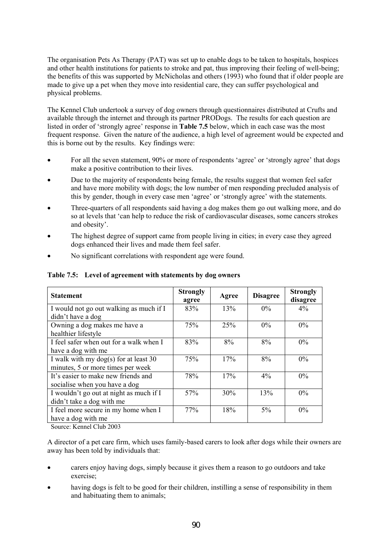The organisation Pets As Therapy (PAT) was set up to enable dogs to be taken to hospitals, hospices and other health institutions for patients to stroke and pat, thus improving their feeling of well-being; the benefits of this was supported by McNicholas and others (1993) who found that if older people are made to give up a pet when they move into residential care, they can suffer psychological and physical problems.

The Kennel Club undertook a survey of dog owners through questionnaires distributed at Crufts and available through the internet and through its partner PRODogs. The results for each question are listed in order of 'strongly agree' response in **Table 7.5** below, which in each case was the most frequent response. Given the nature of the audience, a high level of agreement would be expected and this is borne out by the results. Key findings were:

- For all the seven statement, 90% or more of respondents 'agree' or 'strongly agree' that dogs make a positive contribution to their lives.
- Due to the majority of respondents being female, the results suggest that women feel safer and have more mobility with dogs; the low number of men responding precluded analysis of this by gender, though in every case men 'agree' or 'strongly agree' with the statements.
- Three-quarters of all respondents said having a dog makes them go out walking more, and do so at levels that 'can help to reduce the risk of cardiovascular diseases, some cancers strokes and obesity'.
- The highest degree of support came from people living in cities; in every case they agreed dogs enhanced their lives and made them feel safer.
- No significant correlations with respondent age were found.

**Table 7.5: Level of agreement with statements by dog owners** 

| <b>Statement</b>                        | <b>Strongly</b><br>agree | Agree | <b>Disagree</b> | <b>Strongly</b><br>disagree |
|-----------------------------------------|--------------------------|-------|-----------------|-----------------------------|
| I would not go out walking as much if I | 83%                      | 13%   | $0\%$           | $4\%$                       |
| didn't have a dog                       |                          |       |                 |                             |
| Owning a dog makes me have a            | 75%                      | 25%   | $0\%$           | $0\%$                       |
| healthier lifestyle                     |                          |       |                 |                             |
| I feel safer when out for a walk when I | 83%                      | 8%    | 8%              | $0\%$                       |
| have a dog with me                      |                          |       |                 |                             |
| I walk with my dog(s) for at least $30$ | 75%                      | 17%   | 8%              | $0\%$                       |
| minutes, 5 or more times per week       |                          |       |                 |                             |
| It's easier to make new friends and     | 78%                      | 17%   | 4%              | $0\%$                       |
| socialise when you have a dog           |                          |       |                 |                             |
| I wouldn't go out at night as much if I | 57%                      | 30%   | 13%             | $0\%$                       |
| didn't take a dog with me               |                          |       |                 |                             |
| I feel more secure in my home when I    | 77%                      | 18%   | 5%              | $0\%$                       |
| have a dog with me                      |                          |       |                 |                             |

Source: Kennel Club 2003

A director of a pet care firm, which uses family-based carers to look after dogs while their owners are away has been told by individuals that:

- carers enjoy having dogs, simply because it gives them a reason to go outdoors and take exercise;
- having dogs is felt to be good for their children, instilling a sense of responsibility in them and habituating them to animals;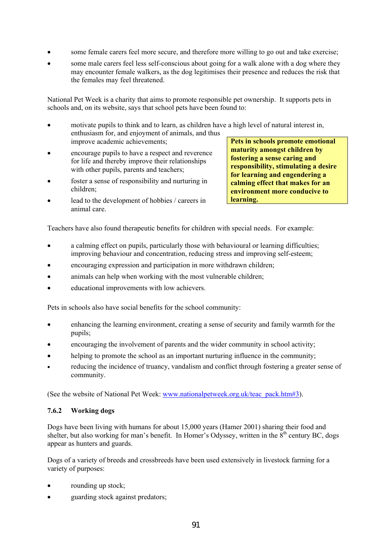- some female carers feel more secure, and therefore more willing to go out and take exercise;
- some male carers feel less self-conscious about going for a walk alone with a dog where they may encounter female walkers, as the dog legitimises their presence and reduces the risk that the females may feel threatened.

National Pet Week is a charity that aims to promote responsible pet ownership. It supports pets in schools and, on its website, says that school pets have been found to:

- motivate pupils to think and to learn, as children have a high level of natural interest in, enthusiasm for, and enjoyment of animals, and thus improve academic achievements;
- encourage pupils to have a respect and reverence for life and thereby improve their relationships with other pupils, parents and teachers;
- foster a sense of responsibility and nurturing in children;
- lead to the development of hobbies / careers in animal care.

**Pets in schools promote emotional maturity amongst children by fostering a sense caring and responsibility, stimulating a desire for learning and engendering a calming effect that makes for an environment more conducive to learning.** 

Teachers have also found therapeutic benefits for children with special needs. For example:

- a calming effect on pupils, particularly those with behavioural or learning difficulties; improving behaviour and concentration, reducing stress and improving self-esteem;
- encouraging expression and participation in more withdrawn children;
- animals can help when working with the most vulnerable children;
- educational improvements with low achievers.

Pets in schools also have social benefits for the school community:

- enhancing the learning environment, creating a sense of security and family warmth for the pupils;
- encouraging the involvement of parents and the wider community in school activity;
- helping to promote the school as an important nurturing influence in the community;
- reducing the incidence of truancy, vandalism and conflict through fostering a greater sense of community.

(See the website of National Pet Week: www.nationalpetweek.org.uk/teac\_pack.htm#3).

# **7.6.2 Working dogs**

Dogs have been living with humans for about 15,000 years (Hamer 2001) sharing their food and shelter, but also working for man's benefit. In Homer's Odyssey, written in the  $8<sup>th</sup>$  century BC, dogs appear as hunters and guards.

Dogs of a variety of breeds and crossbreeds have been used extensively in livestock farming for a variety of purposes:

- rounding up stock;
- guarding stock against predators;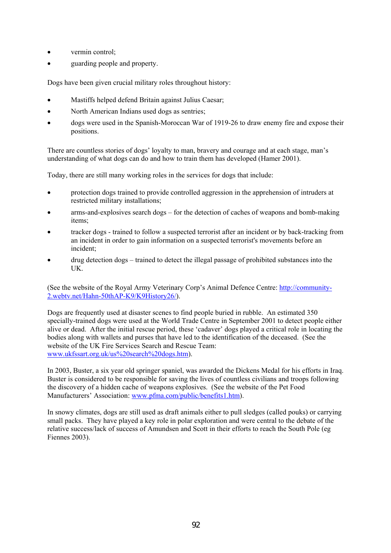- vermin control;
- guarding people and property.

Dogs have been given crucial military roles throughout history:

- Mastiffs helped defend Britain against Julius Caesar;
- North American Indians used dogs as sentries;
- dogs were used in the Spanish-Moroccan War of 1919-26 to draw enemy fire and expose their positions.

There are countless stories of dogs' loyalty to man, bravery and courage and at each stage, man's understanding of what dogs can do and how to train them has developed (Hamer 2001).

Today, there are still many working roles in the services for dogs that include:

- protection dogs trained to provide controlled aggression in the apprehension of intruders at restricted military installations;
- arms-and-explosives search dogs for the detection of caches of weapons and bomb-making items;
- tracker dogs trained to follow a suspected terrorist after an incident or by back-tracking from an incident in order to gain information on a suspected terrorist's movements before an incident;
- drug detection dogs trained to detect the illegal passage of prohibited substances into the UK.

(See the website of the Royal Army Veterinary Corp's Animal Defence Centre: http://community-2.webtv.net/Hahn-50thAP-K9/K9History26/).

Dogs are frequently used at disaster scenes to find people buried in rubble. An estimated 350 specially-trained dogs were used at the World Trade Centre in September 2001 to detect people either alive or dead. After the initial rescue period, these 'cadaver' dogs played a critical role in locating the bodies along with wallets and purses that have led to the identification of the deceased. (See the website of the UK Fire Services Search and Rescue Team: www.ukfssart.org.uk/us%20search%20dogs.htm).

In 2003, Buster, a six year old springer spaniel, was awarded the Dickens Medal for his efforts in Iraq. Buster is considered to be responsible for saving the lives of countless civilians and troops following the discovery of a hidden cache of weapons explosives. (See the website of the Pet Food Manufacturers' Association: www.pfma.com/public/benefits1.htm).

In snowy climates, dogs are still used as draft animals either to pull sledges (called pouks) or carrying small packs. They have played a key role in polar exploration and were central to the debate of the relative success/lack of success of Amundsen and Scott in their efforts to reach the South Pole (eg Fiennes 2003).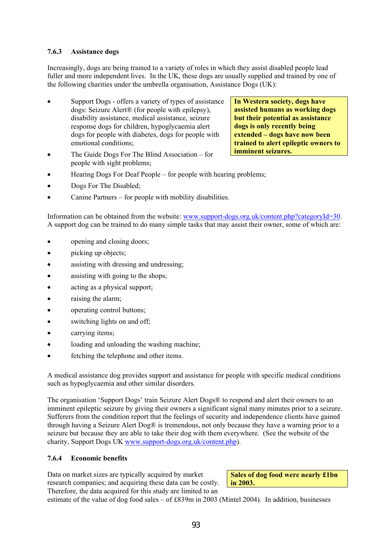# **7.6.3 Assistance dogs**

Increasingly, dogs are being trained to a variety of roles in which they assist disabled people lead fuller and more independent lives. In the UK, these dogs are usually supplied and trained by one of the following charities under the umbrella organisation, Assistance Dogs (UK):

- Support Dogs offers a variety of types of assistance dogs: Seizure Alert® (for people with epilepsy), disability assistance, medical assistance, seizure response dogs for children, hypoglycaemia alert dogs for people with diabetes, dogs for people with emotional conditions;
- The Guide Dogs For The Blind Association for people with sight problems;

**In Western society, dogs have assisted humans as working dogs but their potential as assistance dogs is only recently being extended – dogs have now been trained to alert epileptic owners to imminent seizures.** 

- Hearing Dogs For Deaf People for people with hearing problems;
- Dogs For The Disabled;
- Canine Partners for people with mobility disabilities.

Information can be obtained from the website: www.support-dogs.org.uk/content.php?categoryId=30. A support dog can be trained to do many simple tasks that may assist their owner, some of which are:

- opening and closing doors;
- picking up objects;
- assisting with dressing and undressing;
- assisting with going to the shops;
- acting as a physical support;
- raising the alarm:
- operating control buttons;
- switching lights on and off;
- carrying items;
- loading and unloading the washing machine;
- fetching the telephone and other items.

A medical assistance dog provides support and assistance for people with specific medical conditions such as hypoglycaemia and other similar disorders.

The organisation 'Support Dogs' train Seizure Alert Dogs® to respond and alert their owners to an imminent epileptic seizure by giving their owners a significant signal many minutes prior to a seizure. Sufferers from the condition report that the feelings of security and independence clients have gained through having a Seizure Alert Dog® is tremendous, not only because they have a warning prior to a seizure but because they are able to take their dog with them everywhere. (See the website of the charity, Support Dogs UK www.support-dogs.org.uk/content.php).

# **7.6.4 Economic benefits**

Data on market sizes are typically acquired by market research companies; and acquiring these data can be costly. Therefore, the data acquired for this study are limited to an

**Sales of dog food were nearly £1bn in 2003.** 

estimate of the value of dog food sales – of £839m in 2003 (Mintel 2004). In addition, businesses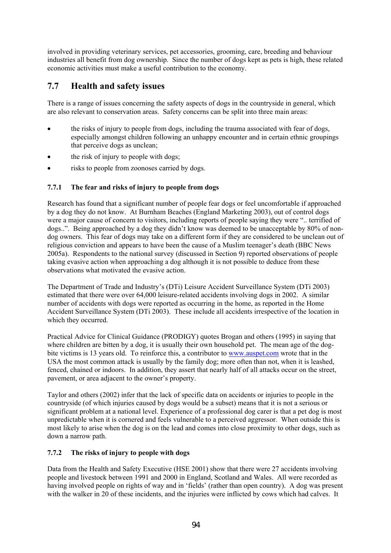involved in providing veterinary services, pet accessories, grooming, care, breeding and behaviour industries all benefit from dog ownership. Since the number of dogs kept as pets is high, these related economic activities must make a useful contribution to the economy.

# **7.7 Health and safety issues**

There is a range of issues concerning the safety aspects of dogs in the countryside in general, which are also relevant to conservation areas. Safety concerns can be split into three main areas:

- the risks of injury to people from dogs, including the trauma associated with fear of dogs, especially amongst children following an unhappy encounter and in certain ethnic groupings that perceive dogs as unclean;
- the risk of injury to people with dogs;
- risks to people from zoonoses carried by dogs.

# **7.7.1 The fear and risks of injury to people from dogs**

Research has found that a significant number of people fear dogs or feel uncomfortable if approached by a dog they do not know. At Burnham Beaches (England Marketing 2003), out of control dogs were a major cause of concern to visitors, including reports of people saying they were ".. terrified of dogs..". Being approached by a dog they didn't know was deemed to be unacceptable by 80% of nondog owners. This fear of dogs may take on a different form if they are considered to be unclean out of religious conviction and appears to have been the cause of a Muslim teenager's death (BBC News 2005a). Respondents to the national survey (discussed in Section 9) reported observations of people taking evasive action when approaching a dog although it is not possible to deduce from these observations what motivated the evasive action.

The Department of Trade and Industry's (DTi) Leisure Accident Surveillance System (DTi 2003) estimated that there were over 64,000 leisure-related accidents involving dogs in 2002. A similar number of accidents with dogs were reported as occurring in the home, as reported in the Home Accident Surveillance System (DTi 2003). These include all accidents irrespective of the location in which they occurred.

Practical Advice for Clinical Guidance (PRODIGY) quotes Brogan and others (1995) in saying that where children are bitten by a dog, it is usually their own household pet. The mean age of the dogbite victims is 13 years old. To reinforce this, a contributor to www.auspet.com wrote that in the USA the most common attack is usually by the family dog; more often than not, when it is leashed, fenced, chained or indoors. In addition, they assert that nearly half of all attacks occur on the street, pavement, or area adjacent to the owner's property.

Taylor and others (2002) infer that the lack of specific data on accidents or injuries to people in the countryside (of which injuries caused by dogs would be a subset) means that it is not a serious or significant problem at a national level. Experience of a professional dog carer is that a pet dog is most unpredictable when it is cornered and feels vulnerable to a perceived aggressor. When outside this is most likely to arise when the dog is on the lead and comes into close proximity to other dogs, such as down a narrow path.

# **7.7.2 The risks of injury to people with dogs**

Data from the Health and Safety Executive (HSE 2001) show that there were 27 accidents involving people and livestock between 1991 and 2000 in England, Scotland and Wales. All were recorded as having involved people on rights of way and in 'fields' (rather than open country). A dog was present with the walker in 20 of these incidents, and the injuries were inflicted by cows which had calves. It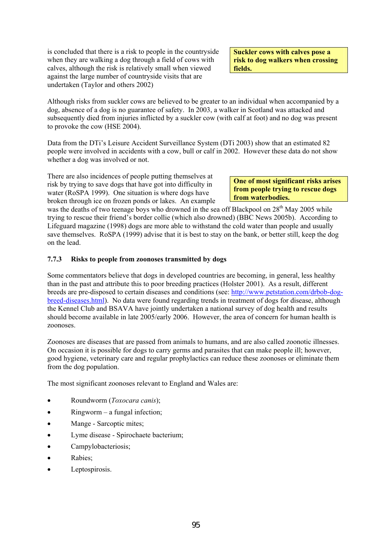is concluded that there is a risk to people in the countryside when they are walking a dog through a field of cows with calves, although the risk is relatively small when viewed against the large number of countryside visits that are undertaken (Taylor and others 2002)

**Suckler cows with calves pose a risk to dog walkers when crossing fields.** 

Although risks from suckler cows are believed to be greater to an individual when accompanied by a dog, absence of a dog is no guarantee of safety. In 2003, a walker in Scotland was attacked and subsequently died from injuries inflicted by a suckler cow (with calf at foot) and no dog was present to provoke the cow (HSE 2004).

Data from the DTi's Leisure Accident Surveillance System (DTi 2003) show that an estimated 82 people were involved in accidents with a cow, bull or calf in 2002. However these data do not show whether a dog was involved or not.

There are also incidences of people putting themselves at risk by trying to save dogs that have got into difficulty in water (RoSPA 1999). One situation is where dogs have broken through ice on frozen ponds or lakes. An example

**One of most significant risks arises from people trying to rescue dogs from waterbodies.** 

was the deaths of two teenage boys who drowned in the sea off Blackpool on 28<sup>th</sup> May 2005 while trying to rescue their friend's border collie (which also drowned) (BBC News 2005b). According to Lifeguard magazine (1998) dogs are more able to withstand the cold water than people and usually save themselves. RoSPA (1999) advise that it is best to stay on the bank, or better still, keep the dog on the lead.

#### **7.7.3 Risks to people from zoonoses transmitted by dogs**

Some commentators believe that dogs in developed countries are becoming, in general, less healthy than in the past and attribute this to poor breeding practices (Holster 2001). As a result, different breeds are pre-disposed to certain diseases and conditions (see: http://www.petstation.com/drbob-dogbreed-diseases.html). No data were found regarding trends in treatment of dogs for disease, although the Kennel Club and BSAVA have jointly undertaken a national survey of dog health and results should become available in late 2005/early 2006. However, the area of concern for human health is zoonoses.

Zoonoses are diseases that are passed from animals to humans, and are also called zoonotic illnesses. On occasion it is possible for dogs to carry germs and parasites that can make people ill; however, good hygiene, veterinary care and regular prophylactics can reduce these zoonoses or eliminate them from the dog population.

The most significant zoonoses relevant to England and Wales are:

- Roundworm (*Toxocara canis*);
- $Ringworm a fungal infection;$
- Mange Sarcoptic mites;
- Lyme disease Spirochaete bacterium;
- Campylobacteriosis;
- Rabies;
- Leptospirosis.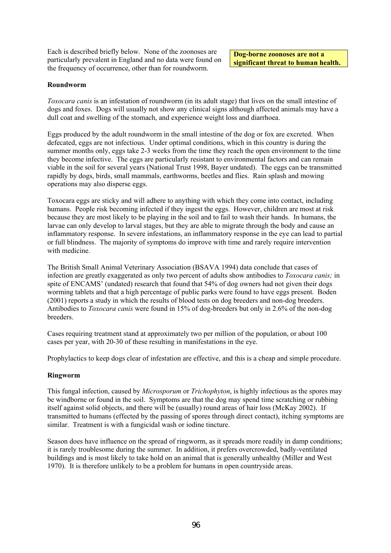Each is described briefly below. None of the zoonoses are particularly prevalent in England and no data were found on the frequency of occurrence, other than for roundworm.

**Dog-borne zoonoses are not a significant threat to human health.** 

#### **Roundworm**

*Toxocara canis* is an infestation of roundworm (in its adult stage) that lives on the small intestine of dogs and foxes. Dogs will usually not show any clinical signs although affected animals may have a dull coat and swelling of the stomach, and experience weight loss and diarrhoea.

Eggs produced by the adult roundworm in the small intestine of the dog or fox are excreted. When defecated, eggs are not infectious. Under optimal conditions, which in this country is during the summer months only, eggs take 2-3 weeks from the time they reach the open environment to the time they become infective. The eggs are particularly resistant to environmental factors and can remain viable in the soil for several years (National Trust 1998, Bayer undated). The eggs can be transmitted rapidly by dogs, birds, small mammals, earthworms, beetles and flies. Rain splash and mowing operations may also disperse eggs.

Toxocara eggs are sticky and will adhere to anything with which they come into contact, including humans. People risk becoming infected if they ingest the eggs. However, children are most at risk because they are most likely to be playing in the soil and to fail to wash their hands. In humans, the larvae can only develop to larval stages, but they are able to migrate through the body and cause an inflammatory response. In severe infestations, an inflammatory response in the eye can lead to partial or full blindness. The majority of symptoms do improve with time and rarely require intervention with medicine.

The British Small Animal Veterinary Association (BSAVA 1994) data conclude that cases of infection are greatly exaggerated as only two percent of adults show antibodies to *Toxocara canis;* in spite of ENCAMS' (undated) research that found that 54% of dog owners had not given their dogs worming tablets and that a high percentage of public parks were found to have eggs present. Boden (2001) reports a study in which the results of blood tests on dog breeders and non-dog breeders. Antibodies to *Toxocara canis* were found in 15% of dog-breeders but only in 2.6% of the non-dog breeders.

Cases requiring treatment stand at approximately two per million of the population, or about 100 cases per year, with 20-30 of these resulting in manifestations in the eye.

Prophylactics to keep dogs clear of infestation are effective, and this is a cheap and simple procedure.

#### **Ringworm**

This fungal infection, caused by *Microsporum* or *Trichophyton*, is highly infectious as the spores may be windborne or found in the soil. Symptoms are that the dog may spend time scratching or rubbing itself against solid objects, and there will be (usually) round areas of hair loss (McKay 2002). If transmitted to humans (effected by the passing of spores through direct contact), itching symptoms are similar. Treatment is with a fungicidal wash or iodine tincture.

Season does have influence on the spread of ringworm, as it spreads more readily in damp conditions; it is rarely troublesome during the summer. In addition, it prefers overcrowded, badly-ventilated buildings and is most likely to take hold on an animal that is generally unhealthy (Miller and West 1970). It is therefore unlikely to be a problem for humans in open countryside areas.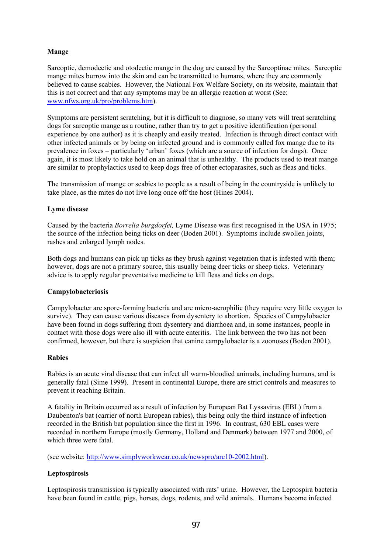# **Mange**

Sarcoptic, demodectic and otodectic mange in the dog are caused by the Sarcoptinae mites. Sarcoptic mange mites burrow into the skin and can be transmitted to humans, where they are commonly believed to cause scabies. However, the National Fox Welfare Society, on its website, maintain that this is not correct and that any symptoms may be an allergic reaction at worst (See: www.nfws.org.uk/pro/problems.htm).

Symptoms are persistent scratching, but it is difficult to diagnose, so many vets will treat scratching dogs for sarcoptic mange as a routine, rather than try to get a positive identification (personal experience by one author) as it is cheaply and easily treated. Infection is through direct contact with other infected animals or by being on infected ground and is commonly called fox mange due to its prevalence in foxes – particularly 'urban' foxes (which are a source of infection for dogs). Once again, it is most likely to take hold on an animal that is unhealthy. The products used to treat mange are similar to prophylactics used to keep dogs free of other ectoparasites, such as fleas and ticks.

The transmission of mange or scabies to people as a result of being in the countryside is unlikely to take place, as the mites do not live long once off the host (Hines 2004).

#### **Lyme disease**

Caused by the bacteria *Borrelia burgdorfei,* Lyme Disease was first recognised in the USA in 1975; the source of the infection being ticks on deer (Boden 2001). Symptoms include swollen joints, rashes and enlarged lymph nodes.

Both dogs and humans can pick up ticks as they brush against vegetation that is infested with them; however, dogs are not a primary source, this usually being deer ticks or sheep ticks. Veterinary advice is to apply regular preventative medicine to kill fleas and ticks on dogs.

#### **Campylobacteriosis**

Campylobacter are spore-forming bacteria and are micro-aerophilic (they require very little oxygen to survive). They can cause various diseases from dysentery to abortion. Species of Campylobacter have been found in dogs suffering from dysentery and diarrhoea and, in some instances, people in contact with those dogs were also ill with acute enteritis. The link between the two has not been confirmed, however, but there is suspicion that canine campylobacter is a zoonoses (Boden 2001).

#### **Rabies**

Rabies is an acute viral disease that can infect all warm-bloodied animals, including humans, and is generally fatal (Sime 1999). Present in continental Europe, there are strict controls and measures to prevent it reaching Britain.

A fatality in Britain occurred as a result of infection by European Bat Lyssavirus (EBL) from a Daubenton's bat (carrier of north European rabies), this being only the third instance of infection recorded in the British bat population since the first in 1996. In contrast, 630 EBL cases were recorded in northern Europe (mostly Germany, Holland and Denmark) between 1977 and 2000, of which three were fatal.

(see website: http://www.simplyworkwear.co.uk/newspro/arc10-2002.html).

# **Leptospirosis**

Leptospirosis transmission is typically associated with rats' urine. However, the Leptospira bacteria have been found in cattle, pigs, horses, dogs, rodents, and wild animals. Humans become infected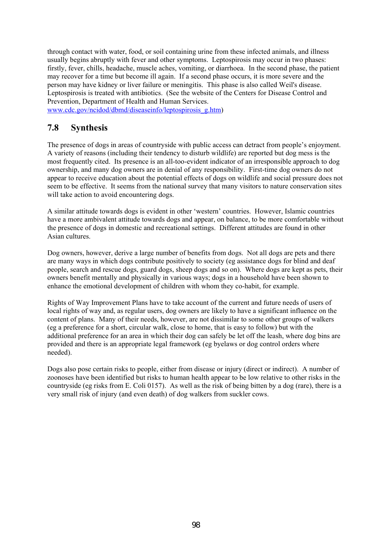through contact with water, food, or soil containing urine from these infected animals, and illness usually begins abruptly with fever and other symptoms. Leptospirosis may occur in two phases: firstly, fever, chills, headache, muscle aches, vomiting, or diarrhoea. In the second phase, the patient may recover for a time but become ill again. If a second phase occurs, it is more severe and the person may have kidney or liver failure or meningitis. This phase is also called Weil's disease. Leptospirosis is treated with antibiotics. (See the website of the Centers for Disease Control and Prevention, Department of Health and Human Services.

www.cdc.gov/ncidod/dbmd/diseaseinfo/leptospirosis\_g.htm)

# **7.8 Synthesis**

The presence of dogs in areas of countryside with public access can detract from people's enjoyment. A variety of reasons (including their tendency to disturb wildlife) are reported but dog mess is the most frequently cited. Its presence is an all-too-evident indicator of an irresponsible approach to dog ownership, and many dog owners are in denial of any responsibility. First-time dog owners do not appear to receive education about the potential effects of dogs on wildlife and social pressure does not seem to be effective. It seems from the national survey that many visitors to nature conservation sites will take action to avoid encountering dogs.

A similar attitude towards dogs is evident in other 'western' countries. However, Islamic countries have a more ambivalent attitude towards dogs and appear, on balance, to be more comfortable without the presence of dogs in domestic and recreational settings. Different attitudes are found in other Asian cultures.

Dog owners, however, derive a large number of benefits from dogs. Not all dogs are pets and there are many ways in which dogs contribute positively to society (eg assistance dogs for blind and deaf people, search and rescue dogs, guard dogs, sheep dogs and so on). Where dogs are kept as pets, their owners benefit mentally and physically in various ways; dogs in a household have been shown to enhance the emotional development of children with whom they co-habit, for example.

Rights of Way Improvement Plans have to take account of the current and future needs of users of local rights of way and, as regular users, dog owners are likely to have a significant influence on the content of plans. Many of their needs, however, are not dissimilar to some other groups of walkers (eg a preference for a short, circular walk, close to home, that is easy to follow) but with the additional preference for an area in which their dog can safely be let off the leash, where dog bins are provided and there is an appropriate legal framework (eg byelaws or dog control orders where needed).

Dogs also pose certain risks to people, either from disease or injury (direct or indirect). A number of zoonoses have been identified but risks to human health appear to be low relative to other risks in the countryside (eg risks from E. Coli 0157). As well as the risk of being bitten by a dog (rare), there is a very small risk of injury (and even death) of dog walkers from suckler cows.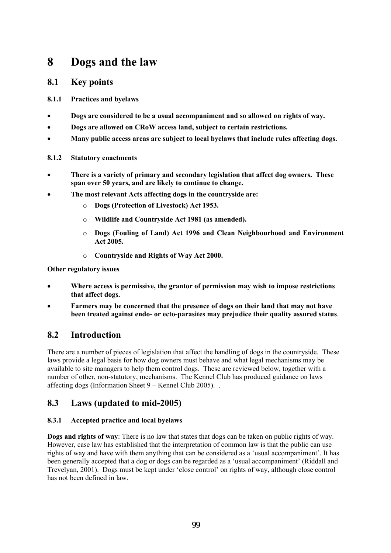# **8 Dogs and the law**

# **8.1 Key points**

- **8.1.1 Practices and byelaws**
- **Dogs are considered to be a usual accompaniment and so allowed on rights of way.**
- **Dogs are allowed on CRoW access land, subject to certain restrictions.**
- **Many public access areas are subject to local byelaws that include rules affecting dogs.**

# **8.1.2 Statutory enactments**

- **There is a variety of primary and secondary legislation that affect dog owners. These span over 50 years, and are likely to continue to change.**
- **The most relevant Acts affecting dogs in the countryside are:**
	- o **Dogs (Protection of Livestock) Act 1953.**
	- o **Wildlife and Countryside Act 1981 (as amended).**
	- o **Dogs (Fouling of Land) Act 1996 and Clean Neighbourhood and Environment Act 2005.**
	- o **Countryside and Rights of Way Act 2000.**

# **Other regulatory issues**

- **Where access is permissive, the grantor of permission may wish to impose restrictions that affect dogs.**
- **Farmers may be concerned that the presence of dogs on their land that may not have been treated against endo- or ecto-parasites may prejudice their quality assured status**.

# **8.2 Introduction**

There are a number of pieces of legislation that affect the handling of dogs in the countryside. These laws provide a legal basis for how dog owners must behave and what legal mechanisms may be available to site managers to help them control dogs. These are reviewed below, together with a number of other, non-statutory, mechanisms. The Kennel Club has produced guidance on laws affecting dogs (Information Sheet 9 – Kennel Club 2005). .

# **8.3 Laws (updated to mid-2005)**

# **8.3.1 Accepted practice and local byelaws**

**Dogs and rights of way**: There is no law that states that dogs can be taken on public rights of way. However, case law has established that the interpretation of common law is that the public can use rights of way and have with them anything that can be considered as a 'usual accompaniment'. It has been generally accepted that a dog or dogs can be regarded as a 'usual accompaniment' (Riddall and Trevelyan, 2001). Dogs must be kept under 'close control' on rights of way, although close control has not been defined in law.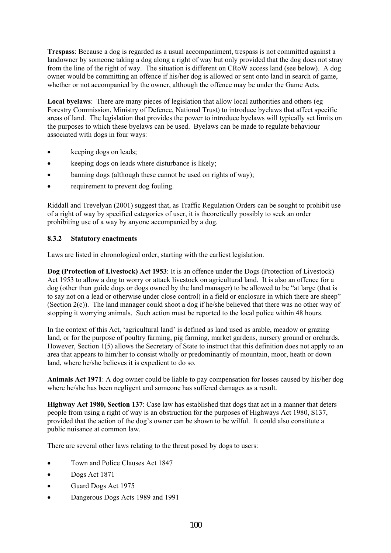**Trespass**: Because a dog is regarded as a usual accompaniment, trespass is not committed against a landowner by someone taking a dog along a right of way but only provided that the dog does not stray from the line of the right of way. The situation is different on CRoW access land (see below). A dog owner would be committing an offence if his/her dog is allowed or sent onto land in search of game, whether or not accompanied by the owner, although the offence may be under the Game Acts.

**Local byelaws**: There are many pieces of legislation that allow local authorities and others (eg Forestry Commission, Ministry of Defence, National Trust) to introduce byelaws that affect specific areas of land. The legislation that provides the power to introduce byelaws will typically set limits on the purposes to which these byelaws can be used. Byelaws can be made to regulate behaviour associated with dogs in four ways:

- keeping dogs on leads;
- keeping dogs on leads where disturbance is likely;
- banning dogs (although these cannot be used on rights of way);
- requirement to prevent dog fouling.

Riddall and Trevelyan (2001) suggest that, as Traffic Regulation Orders can be sought to prohibit use of a right of way by specified categories of user, it is theoretically possibly to seek an order prohibiting use of a way by anyone accompanied by a dog.

# **8.3.2 Statutory enactments**

Laws are listed in chronological order, starting with the earliest legislation.

**Dog (Protection of Livestock) Act 1953**: It is an offence under the Dogs (Protection of Livestock) Act 1953 to allow a dog to worry or attack livestock on agricultural land. It is also an offence for a dog (other than guide dogs or dogs owned by the land manager) to be allowed to be "at large (that is to say not on a lead or otherwise under close control) in a field or enclosure in which there are sheep" (Section 2(c)). The land manager could shoot a dog if he/she believed that there was no other way of stopping it worrying animals. Such action must be reported to the local police within 48 hours.

In the context of this Act, 'agricultural land' is defined as land used as arable, meadow or grazing land, or for the purpose of poultry farming, pig farming, market gardens, nursery ground or orchards. However, Section 1(5) allows the Secretary of State to instruct that this definition does not apply to an area that appears to him/her to consist wholly or predominantly of mountain, moor, heath or down land, where he/she believes it is expedient to do so.

**Animals Act 1971**: A dog owner could be liable to pay compensation for losses caused by his/her dog where he/she has been negligent and someone has suffered damages as a result.

**Highway Act 1980, Section 137**: Case law has established that dogs that act in a manner that deters people from using a right of way is an obstruction for the purposes of Highways Act 1980, S137, provided that the action of the dog's owner can be shown to be wilful. It could also constitute a public nuisance at common law.

There are several other laws relating to the threat posed by dogs to users:

- Town and Police Clauses Act 1847
- Dogs Act 1871
- Guard Dogs Act 1975
- Dangerous Dogs Acts 1989 and 1991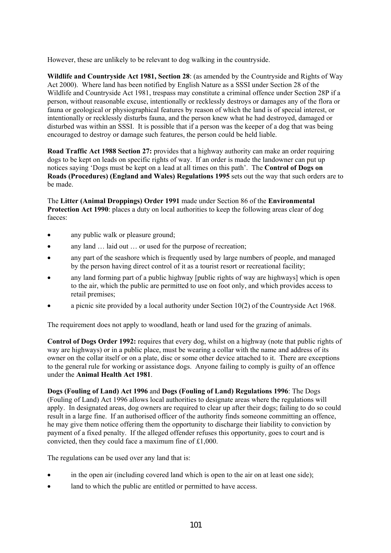However, these are unlikely to be relevant to dog walking in the countryside.

**Wildlife and Countryside Act 1981, Section 28**: (as amended by the Countryside and Rights of Way Act 2000). Where land has been notified by English Nature as a SSSI under Section 28 of the Wildlife and Countryside Act 1981, trespass may constitute a criminal offence under Section 28P if a person, without reasonable excuse, intentionally or recklessly destroys or damages any of the flora or fauna or geological or physiographical features by reason of which the land is of special interest, or intentionally or recklessly disturbs fauna, and the person knew what he had destroyed, damaged or disturbed was within an SSSI. It is possible that if a person was the keeper of a dog that was being encouraged to destroy or damage such features, the person could be held liable.

**Road Traffic Act 1988 Section 27:** provides that a highway authority can make an order requiring dogs to be kept on leads on specific rights of way. If an order is made the landowner can put up notices saying 'Dogs must be kept on a lead at all times on this path'. The **Control of Dogs on Roads (Procedures) (England and Wales) Regulations 1995** sets out the way that such orders are to be made.

The **Litter (Animal Droppings) Order 1991** made under Section 86 of the **Environmental Protection Act 1990**: places a duty on local authorities to keep the following areas clear of dog faeces:

- any public walk or pleasure ground;
- any land ... laid out ... or used for the purpose of recreation;
- any part of the seashore which is frequently used by large numbers of people, and managed by the person having direct control of it as a tourist resort or recreational facility;
- any land forming part of a public highway [public rights of way are highways] which is open to the air, which the public are permitted to use on foot only, and which provides access to retail premises;
- a picnic site provided by a local authority under Section  $10(2)$  of the Countryside Act 1968.

The requirement does not apply to woodland, heath or land used for the grazing of animals.

**Control of Dogs Order 1992:** requires that every dog, whilst on a highway (note that public rights of way are highways) or in a public place, must be wearing a collar with the name and address of its owner on the collar itself or on a plate, disc or some other device attached to it. There are exceptions to the general rule for working or assistance dogs. Anyone failing to comply is guilty of an offence under the **Animal Health Act 1981**.

**Dogs (Fouling of Land) Act 1996** and **Dogs (Fouling of Land) Regulations 1996**: The Dogs (Fouling of Land) Act 1996 allows local authorities to designate areas where the regulations will apply. In designated areas, dog owners are required to clear up after their dogs; failing to do so could result in a large fine. If an authorised officer of the authority finds someone committing an offence, he may give them notice offering them the opportunity to discharge their liability to conviction by payment of a fixed penalty. If the alleged offender refuses this opportunity, goes to court and is convicted, then they could face a maximum fine of £1,000.

The regulations can be used over any land that is:

- in the open air (including covered land which is open to the air on at least one side);
- land to which the public are entitled or permitted to have access.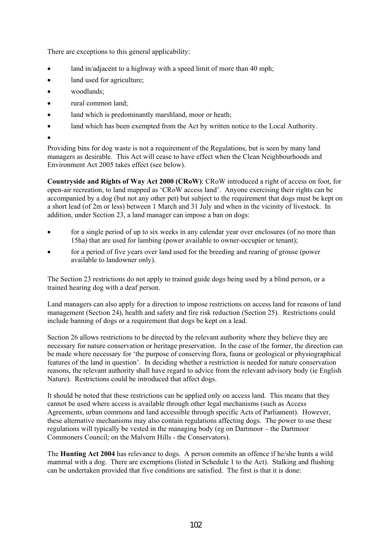There are exceptions to this general applicability:

- land in/adjacent to a highway with a speed limit of more than 40 mph;
- land used for agriculture;
- woodlands:
- rural common land;
- land which is predominantly marshland, moor or heath;
- land which has been exempted from the Act by written notice to the Local Authority.
- •

Providing bins for dog waste is not a requirement of the Regulations, but is seen by many land managers as desirable. This Act will cease to have effect when the Clean Neighbourhoods and Environment Act 2005 takes effect (see below).

**Countryside and Rights of Way Act 2000 (CRoW)**: CRoW introduced a right of access on foot, for open-air recreation, to land mapped as 'CRoW access land'. Anyone exercising their rights can be accompanied by a dog (but not any other pet) but subject to the requirement that dogs must be kept on a short lead (of 2m or less) between 1 March and 31 July and when in the vicinity of livestock. In addition, under Section 23, a land manager can impose a ban on dogs:

- for a single period of up to six weeks in any calendar year over enclosures (of no more than 15ha) that are used for lambing (power available to owner-occupier or tenant);
- for a period of five years over land used for the breeding and rearing of grouse (power available to landowner only).

The Section 23 restrictions do not apply to trained guide dogs being used by a blind person, or a trained hearing dog with a deaf person.

Land managers can also apply for a direction to impose restrictions on access land for reasons of land management (Section 24), health and safety and fire risk reduction (Section 25). Restrictions could include banning of dogs or a requirement that dogs be kept on a lead.

Section 26 allows restrictions to be directed by the relevant authority where they believe they are necessary for nature conservation or heritage preservation. In the case of the former, the direction can be made where necessary for 'the purpose of conserving flora, fauna or geological or physiographical features of the land in question'. In deciding whether a restriction is needed for nature conservation reasons, the relevant authority shall have regard to advice from the relevant advisory body (ie English Nature). Restrictions could be introduced that affect dogs.

It should be noted that these restrictions can be applied only on access land. This means that they cannot be used where access is available through other legal mechanisms (such as Access Agreements, urban commons and land accessible through specific Acts of Parliament). However, these alternative mechanisms may also contain regulations affecting dogs. The power to use these regulations will typically be vested in the managing body (eg on Dartmoor – the Dartmoor Commoners Council; on the Malvern Hills - the Conservators).

The **Hunting Act 2004** has relevance to dogs. A person commits an offence if he/she hunts a wild mammal with a dog. There are exemptions (listed in Schedule 1 to the Act). Stalking and flushing can be undertaken provided that five conditions are satisfied. The first is that it is done: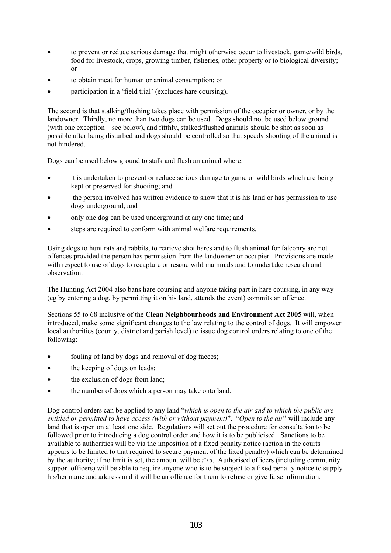- to prevent or reduce serious damage that might otherwise occur to livestock, game/wild birds, food for livestock, crops, growing timber, fisheries, other property or to biological diversity; or
- to obtain meat for human or animal consumption; or
- participation in a 'field trial' (excludes hare coursing).

The second is that stalking/flushing takes place with permission of the occupier or owner, or by the landowner. Thirdly, no more than two dogs can be used. Dogs should not be used below ground (with one exception – see below), and fifthly, stalked/flushed animals should be shot as soon as possible after being disturbed and dogs should be controlled so that speedy shooting of the animal is not hindered.

Dogs can be used below ground to stalk and flush an animal where:

- it is undertaken to prevent or reduce serious damage to game or wild birds which are being kept or preserved for shooting; and
- the person involved has written evidence to show that it is his land or has permission to use dogs underground; and
- only one dog can be used underground at any one time; and
- steps are required to conform with animal welfare requirements.

Using dogs to hunt rats and rabbits, to retrieve shot hares and to flush animal for falconry are not offences provided the person has permission from the landowner or occupier. Provisions are made with respect to use of dogs to recapture or rescue wild mammals and to undertake research and observation.

The Hunting Act 2004 also bans hare coursing and anyone taking part in hare coursing, in any way (eg by entering a dog, by permitting it on his land, attends the event) commits an offence.

Sections 55 to 68 inclusive of the **Clean Neighbourhoods and Environment Act 2005** will, when introduced, make some significant changes to the law relating to the control of dogs. It will empower local authorities (county, district and parish level) to issue dog control orders relating to one of the following:

- fouling of land by dogs and removal of dog faeces;
- the keeping of dogs on leads;
- the exclusion of dogs from land;
- the number of dogs which a person may take onto land.

Dog control orders can be applied to any land "*which is open to the air and to which the public are entitled or permitted to have access (with or without payment)*". "*Open to the air*" will include any land that is open on at least one side. Regulations will set out the procedure for consultation to be followed prior to introducing a dog control order and how it is to be publicised. Sanctions to be available to authorities will be via the imposition of a fixed penalty notice (action in the courts appears to be limited to that required to secure payment of the fixed penalty) which can be determined by the authority; if no limit is set, the amount will be £75. Authorised officers (including community support officers) will be able to require anyone who is to be subject to a fixed penalty notice to supply his/her name and address and it will be an offence for them to refuse or give false information.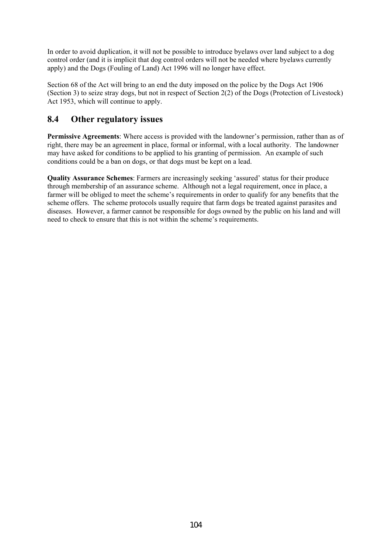In order to avoid duplication, it will not be possible to introduce byelaws over land subject to a dog control order (and it is implicit that dog control orders will not be needed where byelaws currently apply) and the Dogs (Fouling of Land) Act 1996 will no longer have effect.

Section 68 of the Act will bring to an end the duty imposed on the police by the Dogs Act 1906 (Section 3) to seize stray dogs, but not in respect of Section 2(2) of the Dogs (Protection of Livestock) Act 1953, which will continue to apply.

# **8.4 Other regulatory issues**

**Permissive Agreements**: Where access is provided with the landowner's permission, rather than as of right, there may be an agreement in place, formal or informal, with a local authority. The landowner may have asked for conditions to be applied to his granting of permission. An example of such conditions could be a ban on dogs, or that dogs must be kept on a lead.

**Quality Assurance Schemes**: Farmers are increasingly seeking 'assured' status for their produce through membership of an assurance scheme. Although not a legal requirement, once in place, a farmer will be obliged to meet the scheme's requirements in order to qualify for any benefits that the scheme offers. The scheme protocols usually require that farm dogs be treated against parasites and diseases. However, a farmer cannot be responsible for dogs owned by the public on his land and will need to check to ensure that this is not within the scheme's requirements.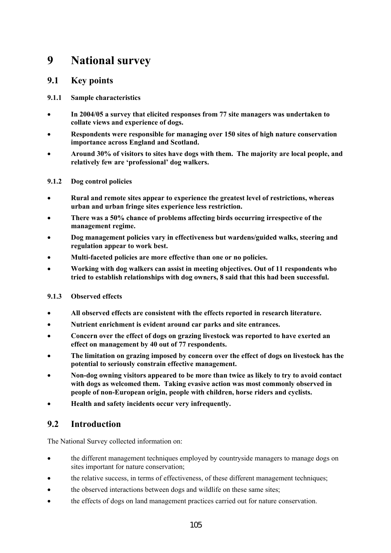# **9 National survey**

# **9.1 Key points**

# **9.1.1 Sample characteristics**

- **In 2004/05 a survey that elicited responses from 77 site managers was undertaken to collate views and experience of dogs.**
- **Respondents were responsible for managing over 150 sites of high nature conservation importance across England and Scotland.**
- **Around 30% of visitors to sites have dogs with them. The majority are local people, and relatively few are 'professional' dog walkers.**

# **9.1.2 Dog control policies**

- **Rural and remote sites appear to experience the greatest level of restrictions, whereas urban and urban fringe sites experience less restriction.**
- **There was a 50% chance of problems affecting birds occurring irrespective of the management regime.**
- **Dog management policies vary in effectiveness but wardens/guided walks, steering and regulation appear to work best.**
- **Multi-faceted policies are more effective than one or no policies.**
- **Working with dog walkers can assist in meeting objectives. Out of 11 respondents who tried to establish relationships with dog owners, 8 said that this had been successful.**

# **9.1.3 Observed effects**

- **All observed effects are consistent with the effects reported in research literature.**
- **Nutrient enrichment is evident around car parks and site entrances.**
- **Concern over the effect of dogs on grazing livestock was reported to have exerted an effect on management by 40 out of 77 respondents.**
- **The limitation on grazing imposed by concern over the effect of dogs on livestock has the potential to seriously constrain effective management.**
- **Non-dog owning visitors appeared to be more than twice as likely to try to avoid contact with dogs as welcomed them. Taking evasive action was most commonly observed in people of non-European origin, people with children, horse riders and cyclists.**
- **Health and safety incidents occur very infrequently.**

# **9.2 Introduction**

The National Survey collected information on:

- the different management techniques employed by countryside managers to manage dogs on sites important for nature conservation;
- the relative success, in terms of effectiveness, of these different management techniques;
- the observed interactions between dogs and wildlife on these same sites;
- the effects of dogs on land management practices carried out for nature conservation.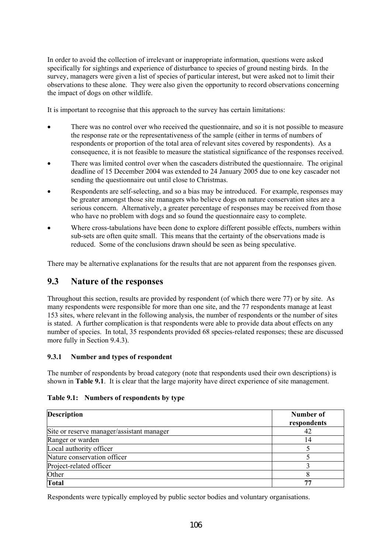In order to avoid the collection of irrelevant or inappropriate information, questions were asked specifically for sightings and experience of disturbance to species of ground nesting birds. In the survey, managers were given a list of species of particular interest, but were asked not to limit their observations to these alone. They were also given the opportunity to record observations concerning the impact of dogs on other wildlife.

It is important to recognise that this approach to the survey has certain limitations:

- There was no control over who received the questionnaire, and so it is not possible to measure the response rate or the representativeness of the sample (either in terms of numbers of respondents or proportion of the total area of relevant sites covered by respondents). As a consequence, it is not feasible to measure the statistical significance of the responses received.
- There was limited control over when the cascaders distributed the questionnaire. The original deadline of 15 December 2004 was extended to 24 January 2005 due to one key cascader not sending the questionnaire out until close to Christmas.
- Respondents are self-selecting, and so a bias may be introduced. For example, responses may be greater amongst those site managers who believe dogs on nature conservation sites are a serious concern. Alternatively, a greater percentage of responses may be received from those who have no problem with dogs and so found the questionnaire easy to complete.
- Where cross-tabulations have been done to explore different possible effects, numbers within sub-sets are often quite small. This means that the certainty of the observations made is reduced. Some of the conclusions drawn should be seen as being speculative.

There may be alternative explanations for the results that are not apparent from the responses given.

# **9.3 Nature of the responses**

Throughout this section, results are provided by respondent (of which there were 77) or by site. As many respondents were responsible for more than one site, and the 77 respondents manage at least 153 sites, where relevant in the following analysis, the number of respondents or the number of sites is stated. A further complication is that respondents were able to provide data about effects on any number of species. In total, 35 respondents provided 68 species-related responses; these are discussed more fully in Section 9.4.3).

# **9.3.1 Number and types of respondent**

The number of respondents by broad category (note that respondents used their own descriptions) is shown in **Table 9.1**. It is clear that the large majority have direct experience of site management.

# **Table 9.1: Numbers of respondents by type**

| <b>Description</b>                        | Number of<br>respondents |
|-------------------------------------------|--------------------------|
| Site or reserve manager/assistant manager | 42                       |
| Ranger or warden                          | 14                       |
| Local authority officer                   |                          |
| Nature conservation officer               |                          |
| Project-related officer                   |                          |
| Other                                     |                          |
| <b>Total</b>                              |                          |

Respondents were typically employed by public sector bodies and voluntary organisations.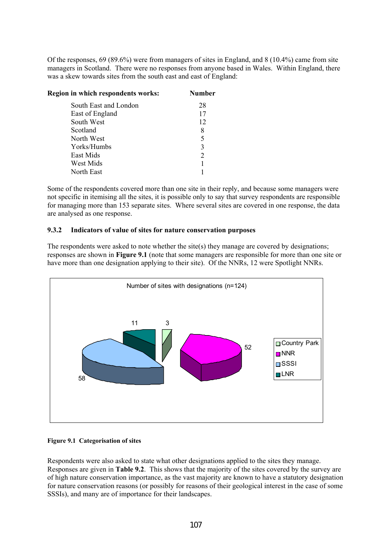Of the responses, 69 (89.6%) were from managers of sites in England, and 8 (10.4%) came from site managers in Scotland. There were no responses from anyone based in Wales. Within England, there was a skew towards sites from the south east and east of England:

| <b>Region in which respondents works:</b> | <b>Number</b> |
|-------------------------------------------|---------------|
| South East and London                     | 28            |
| East of England                           | 17            |
| South West                                | 12            |
| Scotland                                  | 8             |
| North West                                | 5             |
| Yorks/Humbs                               | 3             |
| East Mids                                 | 2             |
| West Mids                                 |               |
| North East                                |               |

Some of the respondents covered more than one site in their reply, and because some managers were not specific in itemising all the sites, it is possible only to say that survey respondents are responsible for managing more than 153 separate sites. Where several sites are covered in one response, the data are analysed as one response.

#### **9.3.2 Indicators of value of sites for nature conservation purposes**

The respondents were asked to note whether the site(s) they manage are covered by designations; responses are shown in **Figure 9.1** (note that some managers are responsible for more than one site or have more than one designation applying to their site). Of the NNRs, 12 were Spotlight NNRs.



#### **Figure 9.1 Categorisation of sites**

Respondents were also asked to state what other designations applied to the sites they manage. Responses are given in **Table 9.2**. This shows that the majority of the sites covered by the survey are of high nature conservation importance, as the vast majority are known to have a statutory designation for nature conservation reasons (or possibly for reasons of their geological interest in the case of some SSSIs), and many are of importance for their landscapes.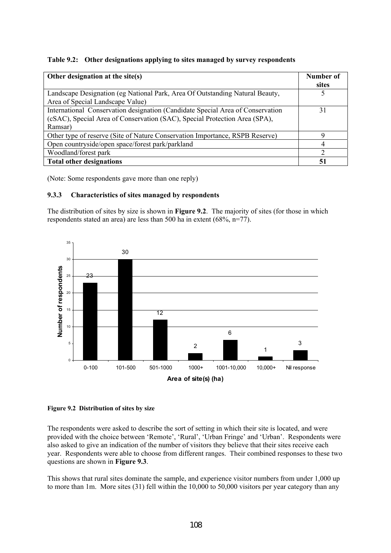|  | Table 9.2: Other designations applying to sites managed by survey respondents |
|--|-------------------------------------------------------------------------------|
|--|-------------------------------------------------------------------------------|

| Other designation at the site(s)                                                                                                                                        | Number of<br>sites |
|-------------------------------------------------------------------------------------------------------------------------------------------------------------------------|--------------------|
| Landscape Designation (eg National Park, Area Of Outstanding Natural Beauty,<br>Area of Special Landscape Value)                                                        |                    |
| International Conservation designation (Candidate Special Area of Conservation<br>(cSAC), Special Area of Conservation (SAC), Special Protection Area (SPA),<br>Ramsar) | 31                 |
| Other type of reserve (Site of Nature Conservation Importance, RSPB Reserve)                                                                                            | 9                  |
| Open countryside/open space/forest park/parkland                                                                                                                        | 4                  |
| Woodland/forest park                                                                                                                                                    | າ                  |
| <b>Total other designations</b>                                                                                                                                         | 51                 |

(Note: Some respondents gave more than one reply)

# **9.3.3 Characteristics of sites managed by respondents**

The distribution of sites by size is shown in **Figure 9.2**. The majority of sites (for those in which respondents stated an area) are less than 500 ha in extent (68%, n=77).





The respondents were asked to describe the sort of setting in which their site is located, and were provided with the choice between 'Remote', 'Rural', 'Urban Fringe' and 'Urban'. Respondents were also asked to give an indication of the number of visitors they believe that their sites receive each year. Respondents were able to choose from different ranges. Their combined responses to these two questions are shown in **Figure 9.3**.

This shows that rural sites dominate the sample, and experience visitor numbers from under 1,000 up to more than 1m. More sites (31) fell within the 10,000 to 50,000 visitors per year category than any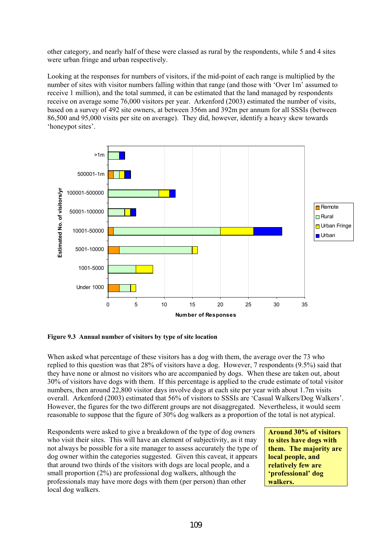other category, and nearly half of these were classed as rural by the respondents, while 5 and 4 sites were urban fringe and urban respectively.

Looking at the responses for numbers of visitors, if the mid-point of each range is multiplied by the number of sites with visitor numbers falling within that range (and those with 'Over 1m' assumed to receive 1 million), and the total summed, it can be estimated that the land managed by respondents receive on average some 76,000 visitors per year. Arkenford (2003) estimated the number of visits, based on a survey of 492 site owners, at between 356m and 392m per annum for all SSSIs (between 86,500 and 95,000 visits per site on average). They did, however, identify a heavy skew towards 'honeypot sites'.



**Figure 9.3 Annual number of visitors by type of site location** 

When asked what percentage of these visitors has a dog with them, the average over the 73 who replied to this question was that 28% of visitors have a dog. However, 7 respondents (9.5%) said that they have none or almost no visitors who are accompanied by dogs. When these are taken out, about 30% of visitors have dogs with them. If this percentage is applied to the crude estimate of total visitor numbers, then around 22,800 visitor days involve dogs at each site per year with about 1.7m visits overall. Arkenford (2003) estimated that 56% of visitors to SSSIs are 'Casual Walkers/Dog Walkers'. However, the figures for the two different groups are not disaggregated. Nevertheless, it would seem reasonable to suppose that the figure of 30% dog walkers as a proportion of the total is not atypical.

Respondents were asked to give a breakdown of the type of dog owners who visit their sites. This will have an element of subjectivity, as it may not always be possible for a site manager to assess accurately the type of dog owner within the categories suggested. Given this caveat, it appears that around two thirds of the visitors with dogs are local people, and a small proportion (2%) are professional dog walkers, although the professionals may have more dogs with them (per person) than other local dog walkers.

**Around 30% of visitors to sites have dogs with them. The majority are local people, and relatively few are 'professional' dog walkers.**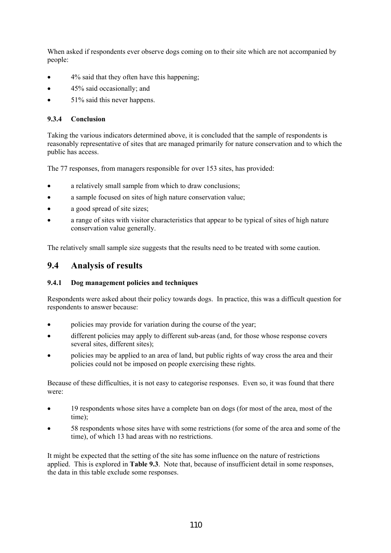When asked if respondents ever observe dogs coming on to their site which are not accompanied by people:

- 4% said that they often have this happening;
- 45% said occasionally; and
- 51% said this never happens.

### **9.3.4 Conclusion**

Taking the various indicators determined above, it is concluded that the sample of respondents is reasonably representative of sites that are managed primarily for nature conservation and to which the public has access.

The 77 responses, from managers responsible for over 153 sites, has provided:

- a relatively small sample from which to draw conclusions;
- a sample focused on sites of high nature conservation value;
- a good spread of site sizes:
- a range of sites with visitor characteristics that appear to be typical of sites of high nature conservation value generally.

The relatively small sample size suggests that the results need to be treated with some caution.

## **9.4 Analysis of results**

### **9.4.1 Dog management policies and techniques**

Respondents were asked about their policy towards dogs. In practice, this was a difficult question for respondents to answer because:

- policies may provide for variation during the course of the year;
- different policies may apply to different sub-areas (and, for those whose response covers several sites, different sites);
- policies may be applied to an area of land, but public rights of way cross the area and their policies could not be imposed on people exercising these rights.

Because of these difficulties, it is not easy to categorise responses. Even so, it was found that there were:

- 19 respondents whose sites have a complete ban on dogs (for most of the area, most of the time);
- 58 respondents whose sites have with some restrictions (for some of the area and some of the time), of which 13 had areas with no restrictions.

It might be expected that the setting of the site has some influence on the nature of restrictions applied. This is explored in **Table 9.3**. Note that, because of insufficient detail in some responses, the data in this table exclude some responses.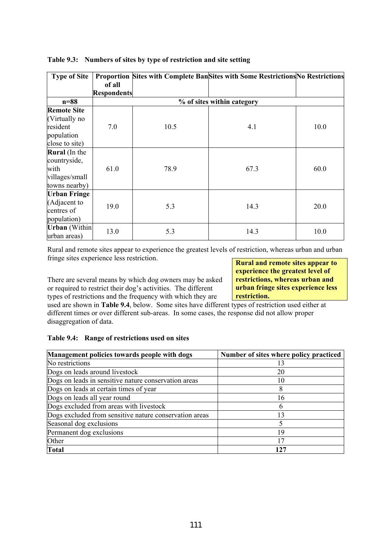| <b>Type of Site</b>                                                             | of all<br><b>Respondents</b> |      | Proportion Sites with Complete BanSites with Some Restrictions No Restrictions |      |
|---------------------------------------------------------------------------------|------------------------------|------|--------------------------------------------------------------------------------|------|
| $n=88$                                                                          |                              |      | % of sites within category                                                     |      |
| <b>Remote Site</b><br>(Virtually no<br>resident<br>population<br>close to site) | 7.0                          | 10.5 | 4.1                                                                            | 10.0 |
| <b>Rural</b> (In the<br>countryside,<br>with<br>villages/small<br>towns nearby) | 61.0                         | 78.9 | 67.3                                                                           | 60.0 |
| <b>Urban Fringe</b><br>(Adjacent to<br>centres of<br>population)                | 19.0                         | 5.3  | 14.3                                                                           | 20.0 |
| <b>Urban</b> (Within<br>urban areas)                                            | 13.0                         | 5.3  | 14.3                                                                           | 10.0 |

### **Table 9.3: Numbers of sites by type of restriction and site setting**

Rural and remote sites appear to experience the greatest levels of restriction, whereas urban and urban fringe sites experience less restriction.

There are several means by which dog owners may be asked or required to restrict their dog's activities. The different types of restrictions and the frequency with which they are

**Rural and remote sites appear to experience the greatest level of restrictions, whereas urban and urban fringe sites experience less restriction.** 

used are shown in **Table 9.4**, below. Some sites have different types of restriction used either at different times or over different sub-areas. In some cases, the response did not allow proper disaggregation of data.

### **Table 9.4: Range of restrictions used on sites**

| Management policies towards people with dogs           | Number of sites where policy practiced |
|--------------------------------------------------------|----------------------------------------|
| No restrictions                                        | 13                                     |
| Dogs on leads around livestock                         | 20                                     |
| Dogs on leads in sensitive nature conservation areas   | 10                                     |
| Dogs on leads at certain times of year                 |                                        |
| Dogs on leads all year round                           | 16                                     |
| Dogs excluded from areas with livestock                | h                                      |
| Dogs excluded from sensitive nature conservation areas | 13                                     |
| Seasonal dog exclusions                                |                                        |
| Permanent dog exclusions                               | 19                                     |
| Other                                                  | 17                                     |
| <b>Total</b>                                           | 127                                    |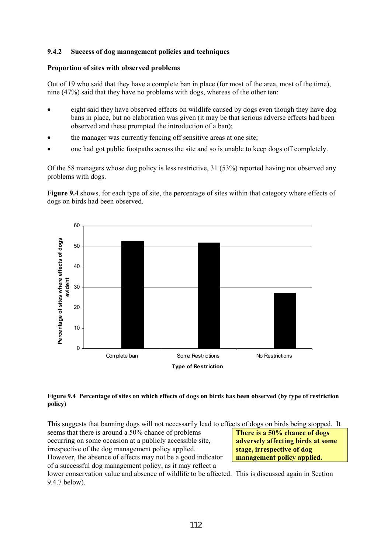### **9.4.2 Success of dog management policies and techniques**

#### **Proportion of sites with observed problems**

Out of 19 who said that they have a complete ban in place (for most of the area, most of the time), nine (47%) said that they have no problems with dogs, whereas of the other ten:

- eight said they have observed effects on wildlife caused by dogs even though they have dog bans in place, but no elaboration was given (it may be that serious adverse effects had been observed and these prompted the introduction of a ban);
- the manager was currently fencing off sensitive areas at one site;
- one had got public footpaths across the site and so is unable to keep dogs off completely.

Of the 58 managers whose dog policy is less restrictive, 31 (53%) reported having not observed any problems with dogs.

**Figure 9.4** shows, for each type of site, the percentage of sites within that category where effects of dogs on birds had been observed.



#### **Figure 9.4 Percentage of sites on which effects of dogs on birds has been observed (by type of restriction policy)**

This suggests that banning dogs will not necessarily lead to effects of dogs on birds being stopped. It

seems that there is around a 50% chance of problems occurring on some occasion at a publicly accessible site, irrespective of the dog management policy applied. However, the absence of effects may not be a good indicator of a successful dog management policy, as it may reflect a

**There is a 50% chance of dogs adversely affecting birds at some stage, irrespective of dog management policy applied.** 

lower conservation value and absence of wildlife to be affected. This is discussed again in Section 9.4.7 below).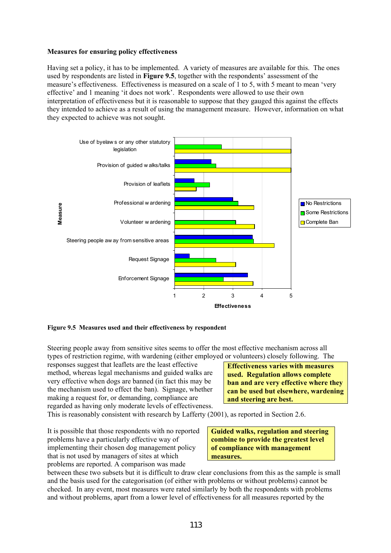#### **Measures for ensuring policy effectiveness**

Having set a policy, it has to be implemented. A variety of measures are available for this. The ones used by respondents are listed in **Figure 9.5**, together with the respondents' assessment of the measure's effectiveness. Effectiveness is measured on a scale of 1 to 5, with 5 meant to mean 'very effective' and 1 meaning 'it does not work'. Respondents were allowed to use their own interpretation of effectiveness but it is reasonable to suppose that they gauged this against the effects they intended to achieve as a result of using the management measure. However, information on what they expected to achieve was not sought.



**Figure 9.5 Measures used and their effectiveness by respondent** 

Steering people away from sensitive sites seems to offer the most effective mechanism across all types of restriction regime, with wardening (either employed or volunteers) closely following. The

responses suggest that leaflets are the least effective method, whereas legal mechanisms and guided walks are very effective when dogs are banned (in fact this may be the mechanism used to effect the ban). Signage, whether making a request for, or demanding, compliance are regarded as having only moderate levels of effectiveness.

**Effectiveness varies with measures used. Regulation allows complete ban and are very effective where they can be used but elsewhere, wardening and steering are best.** 

This is reasonably consistent with research by Lafferty (2001), as reported in Section 2.6.

It is possible that those respondents with no reported problems have a particularly effective way of implementing their chosen dog management policy that is not used by managers of sites at which problems are reported. A comparison was made

**Guided walks, regulation and steering combine to provide the greatest level of compliance with management measures.** 

between these two subsets but it is difficult to draw clear conclusions from this as the sample is small and the basis used for the categorisation (of either with problems or without problems) cannot be checked. In any event, most measures were rated similarly by both the respondents with problems and without problems, apart from a lower level of effectiveness for all measures reported by the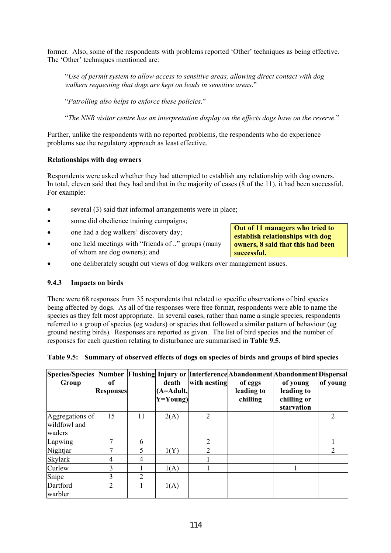former. Also, some of the respondents with problems reported 'Other' techniques as being effective. The 'Other' techniques mentioned are:

"*Use of permit system to allow access to sensitive areas, allowing direct contact with dog walkers requesting that dogs are kept on leads in sensitive areas*."

"*Patrolling also helps to enforce these policies*."

"*The NNR visitor centre has an interpretation display on the effects dogs have on the reserve*."

Further, unlike the respondents with no reported problems, the respondents who do experience problems see the regulatory approach as least effective.

#### **Relationships with dog owners**

Respondents were asked whether they had attempted to establish any relationship with dog owners. In total, eleven said that they had and that in the majority of cases (8 of the 11), it had been successful. For example:

- several (3) said that informal arrangements were in place;
- some did obedience training campaigns;
- one had a dog walkers' discovery day;
- one held meetings with "friends of .." groups (many of whom are dog owners); and
- one deliberately sought out views of dog walkers over management issues.

#### **9.4.3 Impacts on birds**

There were 68 responses from 35 respondents that related to specific observations of bird species being affected by dogs. As all of the responses were free format, respondents were able to name the species as they felt most appropriate. In several cases, rather than name a single species, respondents referred to a group of species (eg waders) or species that followed a similar pattern of behaviour (eg ground nesting birds). Responses are reported as given. The list of bird species and the number of responses for each question relating to disturbance are summarised in **Table 9.5**.

|  |  | Table 9.5: Summary of observed effects of dogs on species of birds and groups of bird species |  |
|--|--|-----------------------------------------------------------------------------------------------|--|
|  |  |                                                                                               |  |

| Species/Species  Number Flushing Injury or Interference Abandonment Abandonment Dispersal<br>Group | of<br><b>Responses</b> |                | death<br>$(A=Adult,$<br>$Y = Young$ | with nesting   | of eggs<br>leading to<br>chilling | of young<br>leading to<br>chilling or<br>starvation | of young                    |
|----------------------------------------------------------------------------------------------------|------------------------|----------------|-------------------------------------|----------------|-----------------------------------|-----------------------------------------------------|-----------------------------|
| Aggregations of<br>wildfowl and<br>waders                                                          | 15                     | 11             | 2(A)                                | 2              |                                   |                                                     | $\overline{2}$              |
| Lapwing                                                                                            |                        | 6              |                                     | $\overline{2}$ |                                   |                                                     |                             |
| Nightjar                                                                                           |                        | 5              | 1(Y)                                | 2              |                                   |                                                     | $\mathcal{D}_{\mathcal{L}}$ |
| <b>Skylark</b>                                                                                     | 4                      | 4              |                                     |                |                                   |                                                     |                             |
| Curlew                                                                                             | 3                      |                | 1(A)                                |                |                                   |                                                     |                             |
| Snipe                                                                                              | 3                      | $\overline{2}$ |                                     |                |                                   |                                                     |                             |
| Dartford<br>warbler                                                                                | 2                      |                | 1(A)                                |                |                                   |                                                     |                             |

**Out of 11 managers who tried to establish relationships with dog owners, 8 said that this had been successful.**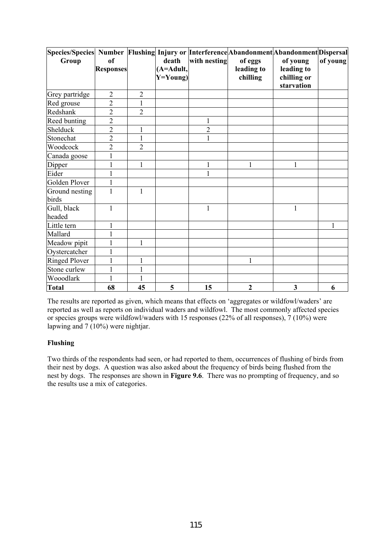| Species/Species  Number  Flushing  Injury or  Interference Abandonment Abandonment Dispersal<br>Group | of               |                | death                         | with nesting   | of eggs                | of young                                | of young |
|-------------------------------------------------------------------------------------------------------|------------------|----------------|-------------------------------|----------------|------------------------|-----------------------------------------|----------|
|                                                                                                       | <b>Responses</b> |                | $(A = A dult,$<br>$Y = Young$ |                | leading to<br>chilling | leading to<br>chilling or<br>starvation |          |
| Grey partridge                                                                                        | $\overline{2}$   | $\overline{2}$ |                               |                |                        |                                         |          |
| Red grouse                                                                                            | $\overline{2}$   | 1              |                               |                |                        |                                         |          |
| Redshank                                                                                              | $\overline{2}$   | $\overline{2}$ |                               |                |                        |                                         |          |
| Reed bunting                                                                                          | $\overline{2}$   |                |                               |                |                        |                                         |          |
| Shelduck                                                                                              | $\overline{2}$   | $\mathbf{1}$   |                               | $\overline{2}$ |                        |                                         |          |
| Stonechat                                                                                             | $\overline{2}$   | $\mathbf{1}$   |                               | $\mathbf{1}$   |                        |                                         |          |
| Woodcock                                                                                              | $\overline{2}$   | $\overline{2}$ |                               |                |                        |                                         |          |
| Canada goose                                                                                          | 1                |                |                               |                |                        |                                         |          |
| Dipper                                                                                                | 1                | $\mathbf{1}$   |                               | $\mathbf{1}$   | $\mathbf{1}$           | $\mathbf{1}$                            |          |
| Eider                                                                                                 |                  |                |                               |                |                        |                                         |          |
| Golden Plover                                                                                         | 1                |                |                               |                |                        |                                         |          |
| Ground nesting<br>birds                                                                               | $\mathbf{1}$     | $\mathbf{1}$   |                               |                |                        |                                         |          |
| Gull, black<br>headed                                                                                 | 1                |                |                               | $\mathbf{1}$   |                        | $\mathbf{1}$                            |          |
| Little tern                                                                                           | 1                |                |                               |                |                        |                                         | 1        |
| Mallard                                                                                               |                  |                |                               |                |                        |                                         |          |
| Meadow pipit                                                                                          | 1                | $\mathbf{1}$   |                               |                |                        |                                         |          |
| Oystercatcher                                                                                         | 1                |                |                               |                |                        |                                         |          |
| <b>Ringed Plover</b>                                                                                  | $\mathbf{1}$     | $\mathbf{1}$   |                               |                | $\mathbf{1}$           |                                         |          |
| Stone curlew                                                                                          | 1                | $\mathbf{1}$   |                               |                |                        |                                         |          |
| Wooodlark                                                                                             | 1                |                |                               |                |                        |                                         |          |
| <b>Total</b>                                                                                          | 68               | 45             | 5                             | 15             | $\boldsymbol{2}$       | 3                                       | 6        |

The results are reported as given, which means that effects on 'aggregates or wildfowl/waders' are reported as well as reports on individual waders and wildfowl. The most commonly affected species or species groups were wildfowl/waders with 15 responses (22% of all responses), 7 (10%) were lapwing and  $7(10\%)$  were nightjar.

### **Flushing**

Two thirds of the respondents had seen, or had reported to them, occurrences of flushing of birds from their nest by dogs. A question was also asked about the frequency of birds being flushed from the nest by dogs. The responses are shown in **Figure 9.6**. There was no prompting of frequency, and so the results use a mix of categories.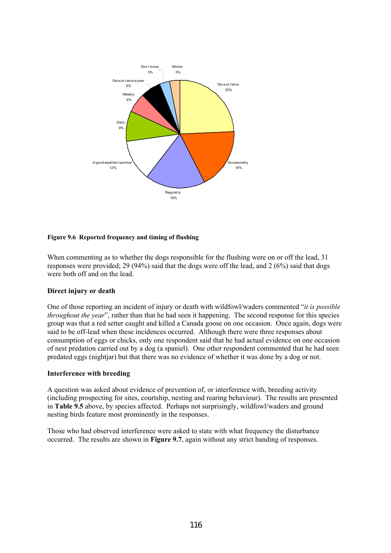

#### **Figure 9.6 Reported frequency and timing of flushing**

When commenting as to whether the dogs responsible for the flushing were on or off the lead, 31 responses were provided; 29 (94%) said that the dogs were off the lead, and 2 (6%) said that dogs were both off and on the lead.

#### **Direct injury or death**

One of those reporting an incident of injury or death with wildfowl/waders commented "*it is possible throughout the year*", rather than that he had seen it happening. The second response for this species group was that a red setter caught and killed a Canada goose on one occasion. Once again, dogs were said to be off-lead when these incidences occurred. Although there were three responses about consumption of eggs or chicks, only one respondent said that he had actual evidence on one occasion of nest predation carried out by a dog (a spaniel). One other respondent commented that he had seen predated eggs (nightjar) but that there was no evidence of whether it was done by a dog or not.

#### **Interference with breeding**

A question was asked about evidence of prevention of, or interference with, breeding activity (including prospecting for sites, courtship, nesting and rearing behaviour). The results are presented in **Table 9.5** above, by species affected. Perhaps not surprisingly, wildfowl/waders and ground nesting birds feature most prominently in the responses.

Those who had observed interference were asked to state with what frequency the disturbance occurred. The results are shown in **Figure 9.7**, again without any strict banding of responses.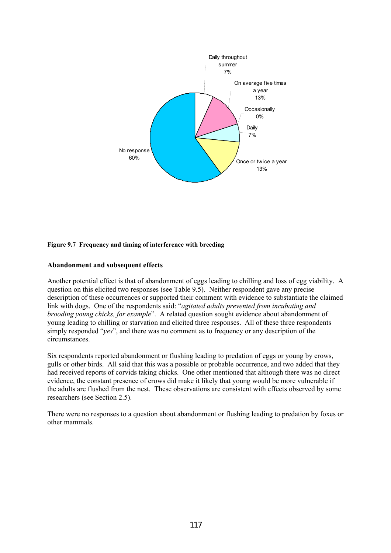

#### **Figure 9.7 Frequency and timing of interference with breeding**

#### **Abandonment and subsequent effects**

Another potential effect is that of abandonment of eggs leading to chilling and loss of egg viability. A question on this elicited two responses (see Table 9.5). Neither respondent gave any precise description of these occurrences or supported their comment with evidence to substantiate the claimed link with dogs. One of the respondents said: "*agitated adults prevented from incubating and brooding young chicks, for example*". A related question sought evidence about abandonment of young leading to chilling or starvation and elicited three responses. All of these three respondents simply responded "*yes*", and there was no comment as to frequency or any description of the circumstances.

Six respondents reported abandonment or flushing leading to predation of eggs or young by crows, gulls or other birds. All said that this was a possible or probable occurrence, and two added that they had received reports of corvids taking chicks. One other mentioned that although there was no direct evidence, the constant presence of crows did make it likely that young would be more vulnerable if the adults are flushed from the nest. These observations are consistent with effects observed by some researchers (see Section 2.5).

There were no responses to a question about abandonment or flushing leading to predation by foxes or other mammals.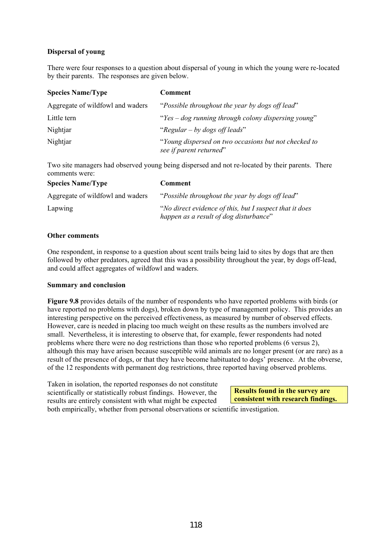### **Dispersal of young**

There were four responses to a question about dispersal of young in which the young were re-located by their parents. The responses are given below.

| <b>Species Name/Type</b>         | Comment                                                                         |
|----------------------------------|---------------------------------------------------------------------------------|
| Aggregate of wildfowl and waders | "Possible throughout the year by dogs off lead"                                 |
| Little tern                      | "Yes $-$ dog running through colony dispersing young"                           |
| Nightjar                         | "Regular – by dogs off leads"                                                   |
| Nightjar                         | "Young dispersed on two occasions but not checked to<br>see if parent returned" |

Two site managers had observed young being dispersed and not re-located by their parents. There comments were:

| <b>Species Name/Type</b>         | <b>Comment</b>                                                                                     |
|----------------------------------|----------------------------------------------------------------------------------------------------|
| Aggregate of wildfowl and waders | "Possible throughout the year by dogs off lead"                                                    |
| Lapwing                          | "No direct evidence of this, but I suspect that it does"<br>happen as a result of dog disturbance" |

#### **Other comments**

One respondent, in response to a question about scent trails being laid to sites by dogs that are then followed by other predators, agreed that this was a possibility throughout the year, by dogs off-lead, and could affect aggregates of wildfowl and waders.

#### **Summary and conclusion**

**Figure 9.8** provides details of the number of respondents who have reported problems with birds (or have reported no problems with dogs), broken down by type of management policy. This provides an interesting perspective on the perceived effectiveness, as measured by number of observed effects. However, care is needed in placing too much weight on these results as the numbers involved are small. Nevertheless, it is interesting to observe that, for example, fewer respondents had noted problems where there were no dog restrictions than those who reported problems (6 versus 2), although this may have arisen because susceptible wild animals are no longer present (or are rare) as a result of the presence of dogs, or that they have become habituated to dogs' presence. At the obverse, of the 12 respondents with permanent dog restrictions, three reported having observed problems.

Taken in isolation, the reported responses do not constitute scientifically or statistically robust findings. However, the results are entirely consistent with what might be expected

**Results found in the survey are consistent with research findings.** 

both empirically, whether from personal observations or scientific investigation.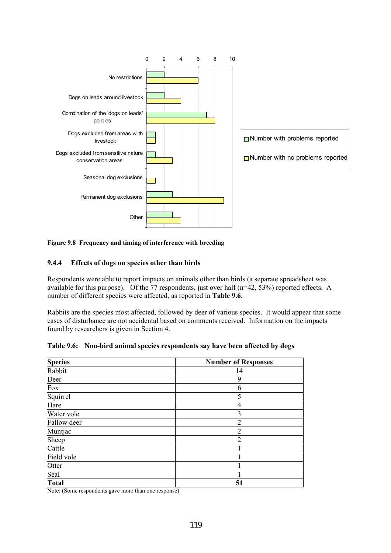

### **Figure 9.8 Frequency and timing of interference with breeding**

### **9.4.4 Effects of dogs on species other than birds**

Respondents were able to report impacts on animals other than birds (a separate spreadsheet was available for this purpose). Of the 77 respondents, just over half (n=42, 53%) reported effects. A number of different species were affected, as reported in **Table 9.6**.

Rabbits are the species most affected, followed by deer of various species. It would appear that some cases of disturbance are not accidental based on comments received. Information on the impacts found by researchers is given in Section 4.

| <b>Species</b> | <b>Number of Responses</b> |
|----------------|----------------------------|
| Rabbit         | 14                         |
| Deer           | 9                          |
| Fox            | 6                          |
| Squirrel       | 5                          |
| Hare           | 4                          |
| Water vole     | 3                          |
| Fallow deer    | $\overline{2}$             |
| Muntjac        | $\mathfrak{D}$             |
| Sheep          | $\overline{2}$             |
| Cattle         |                            |
| Field vole     |                            |
| Otter          |                            |
| Seal           |                            |
| <b>Total</b>   | 51                         |

#### **Table 9.6: Non-bird animal species respondents say have been affected by dogs**

Note: (Some respondents gave more than one response)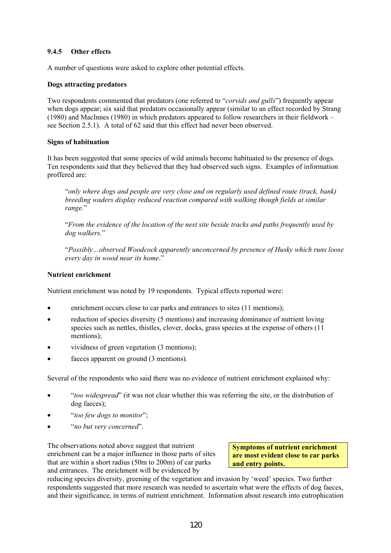### **9.4.5 Other effects**

A number of questions were asked to explore other potential effects.

#### **Dogs attracting predators**

Two respondents commented that predators (one referred to "*corvids and gulls*") frequently appear when dogs appear; six said that predators occasionally appear (similar to an effect recorded by Strang (1980) and MacInnes (1980) in which predators appeared to follow researchers in their fieldwork – see Section 2.5.1). A total of 62 said that this effect had never been observed.

#### **Signs of habituation**

It has been suggested that some species of wild animals become habituated to the presence of dogs. Ten respondents said that they believed that they had observed such signs. Examples of information proffered are:

"*only where dogs and people are very close and on regularly used defined route (track, bank) breeding waders display reduced reaction compared with walking though fields at similar range.*"

"*From the evidence of the location of the nest site beside tracks and paths frequently used by dog walkers.*"

"*Possibly…observed Woodcock apparently unconcerned by presence of Husky which runs loose every day in wood near its home*."

### **Nutrient enrichment**

Nutrient enrichment was noted by 19 respondents. Typical effects reported were:

- enrichment occurs close to car parks and entrances to sites (11 mentions);
- reduction of species diversity (5 mentions) and increasing dominance of nutrient loving species such as nettles, thistles, clover, docks, grass species at the expense of others (11) mentions);
- vividness of green vegetation (3 mentions);
- faeces apparent on ground  $(3 \text{ mentions})$ .

Several of the respondents who said there was no evidence of nutrient enrichment explained why:

- "*too widespread*" (it was not clear whether this was referring the site, or the distribution of dog faeces);
- "*too few dogs to monitor*";
- "*no but very concerned*".

The observations noted above suggest that nutrient enrichment can be a major influence in those parts of sites that are within a short radius (50m to 200m) of car parks and entrances. The enrichment will be evidenced by

**Symptoms of nutrient enrichment are most evident close to car parks and entry points.** 

reducing species diversity, greening of the vegetation and invasion by 'weed' species. Two further respondents suggested that more research was needed to ascertain what were the effects of dog faeces, and their significance, in terms of nutrient enrichment. Information about research into eutrophication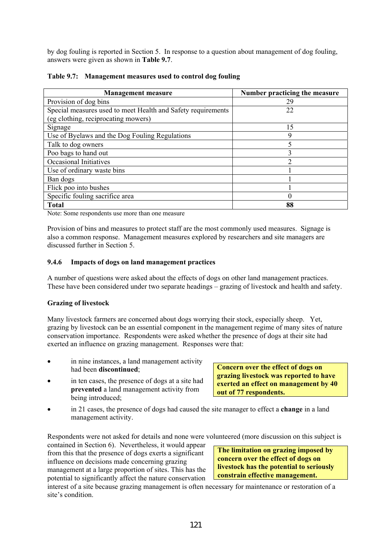by dog fouling is reported in Section 5. In response to a question about management of dog fouling, answers were given as shown in **Table 9.7**.

| <b>Management measure</b>                                    | Number practicing the measure |
|--------------------------------------------------------------|-------------------------------|
| Provision of dog bins                                        | 29                            |
| Special measures used to meet Health and Safety requirements | 22                            |
| (eg clothing, reciprocating mowers)                          |                               |
| Signage                                                      | 15                            |
| Use of Byelaws and the Dog Fouling Regulations               | 9                             |
| Talk to dog owners                                           | 5                             |
| Poo bags to hand out                                         | 3                             |
| Occasional Initiatives                                       | າ                             |
| Use of ordinary waste bins                                   |                               |
| Ban dogs                                                     |                               |
| Flick poo into bushes                                        |                               |
| Specific fouling sacrifice area                              | 0                             |
| <b>Total</b>                                                 | 88                            |

| Table 9.7: Management measures used to control dog fouling |  |
|------------------------------------------------------------|--|
|                                                            |  |

Note: Some respondents use more than one measure

Provision of bins and measures to protect staff are the most commonly used measures. Signage is also a common response. Management measures explored by researchers and site managers are discussed further in Section 5.

### **9.4.6 Impacts of dogs on land management practices**

A number of questions were asked about the effects of dogs on other land management practices. These have been considered under two separate headings – grazing of livestock and health and safety.

### **Grazing of livestock**

Many livestock farmers are concerned about dogs worrying their stock, especially sheep. Yet, grazing by livestock can be an essential component in the management regime of many sites of nature conservation importance. Respondents were asked whether the presence of dogs at their site had exerted an influence on grazing management. Responses were that:

- in nine instances, a land management activity had been **discontinued**;
- in ten cases, the presence of dogs at a site had **prevented** a land management activity from being introduced;

**Concern over the effect of dogs on grazing livestock was reported to have exerted an effect on management by 40 out of 77 respondents.** 

• in 21 cases, the presence of dogs had caused the site manager to effect a **change** in a land management activity.

Respondents were not asked for details and none were volunteered (more discussion on this subject is

contained in Section 6). Nevertheless, it would appear from this that the presence of dogs exerts a significant influence on decisions made concerning grazing management at a large proportion of sites. This has the potential to significantly affect the nature conservation

**The limitation on grazing imposed by concern over the effect of dogs on livestock has the potential to seriously constrain effective management.** 

interest of a site because grazing management is often necessary for maintenance or restoration of a site's condition.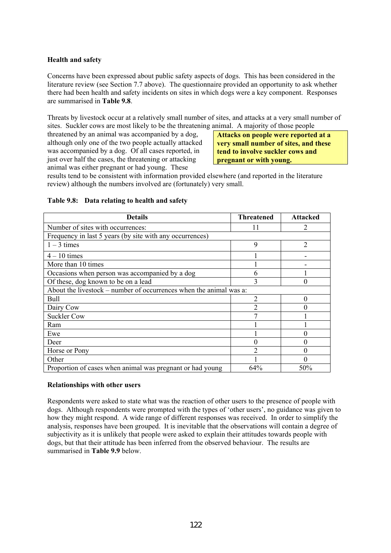### **Health and safety**

Concerns have been expressed about public safety aspects of dogs. This has been considered in the literature review (see Section 7.7 above). The questionnaire provided an opportunity to ask whether there had been health and safety incidents on sites in which dogs were a key component. Responses are summarised in **Table 9.8**.

Threats by livestock occur at a relatively small number of sites, and attacks at a very small number of sites. Suckler cows are most likely to be the threatening animal. A majority of those people

threatened by an animal was accompanied by a dog, although only one of the two people actually attacked was accompanied by a dog. Of all cases reported, in just over half the cases, the threatening or attacking animal was either pregnant or had young. These

**Attacks on people were reported at a very small number of sites, and these tend to involve suckler cows and pregnant or with young.** 

results tend to be consistent with information provided elsewhere (and reported in the literature review) although the numbers involved are (fortunately) very small.

| <b>Details</b>                                                     | <b>Threatened</b> | <b>Attacked</b> |
|--------------------------------------------------------------------|-------------------|-----------------|
| Number of sites with occurrences:                                  |                   | 2               |
| Frequency in last 5 years (by site with any occurrences)           |                   |                 |
| $1 - 3$ times                                                      | 9                 | $\overline{2}$  |
| $4 - 10$ times                                                     |                   |                 |
| More than 10 times                                                 |                   |                 |
| Occasions when person was accompanied by a dog                     | h                 |                 |
| Of these, dog known to be on a lead                                |                   | 0               |
| About the livestock – number of occurrences when the animal was a: |                   |                 |
| Bull                                                               | $\mathfrak{D}$    | 0               |
| Dairy Cow                                                          | 2                 |                 |
| <b>Suckler Cow</b>                                                 |                   |                 |
| Ram                                                                |                   |                 |
| Ewe                                                                |                   | 0               |
| Deer                                                               |                   | 0               |
| Horse or Pony                                                      | ↑                 | 0               |
| Other                                                              |                   | 0               |
| Proportion of cases when animal was pregnant or had young          | 64%               | 50%             |

### **Table 9.8: Data relating to health and safety**

#### **Relationships with other users**

Respondents were asked to state what was the reaction of other users to the presence of people with dogs. Although respondents were prompted with the types of 'other users', no guidance was given to how they might respond. A wide range of different responses was received. In order to simplify the analysis, responses have been grouped. It is inevitable that the observations will contain a degree of subjectivity as it is unlikely that people were asked to explain their attitudes towards people with dogs, but that their attitude has been inferred from the observed behaviour. The results are summarised in **Table 9.9** below.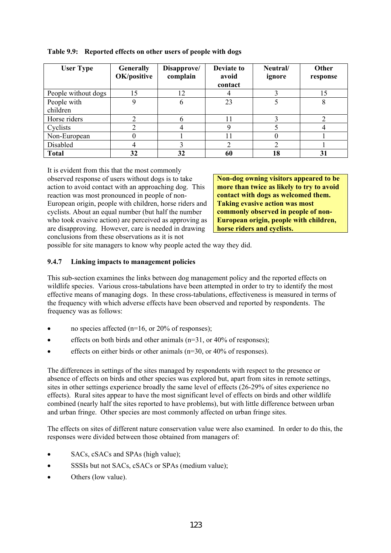| <b>User Type</b>    | <b>Generally</b><br>OK/positive | Disapprove/<br>complain | Deviate to<br>avoid | Neutral/<br>ignore | <b>Other</b><br>response |
|---------------------|---------------------------------|-------------------------|---------------------|--------------------|--------------------------|
|                     |                                 |                         | contact             |                    |                          |
| People without dogs | 15                              | 12                      |                     |                    |                          |
| People with         | Q                               | 6                       | 23                  |                    |                          |
| children            |                                 |                         |                     |                    |                          |
| Horse riders        |                                 |                         |                     |                    |                          |
| Cyclists            |                                 |                         |                     |                    |                          |
| Non-European        |                                 |                         | 11                  |                    |                          |
| Disabled            |                                 |                         |                     |                    |                          |
| <b>Total</b>        | 32                              | 32                      | 60                  | 18                 | 31                       |

### **Table 9.9: Reported effects on other users of people with dogs**

It is evident from this that the most commonly observed response of users without dogs is to take action to avoid contact with an approaching dog. This reaction was most pronounced in people of non-European origin, people with children, horse riders and cyclists. About an equal number (but half the number who took evasive action) are perceived as approving as are disapproving. However, care is needed in drawing conclusions from these observations as it is not

**Non-dog owning visitors appeared to be more than twice as likely to try to avoid contact with dogs as welcomed them. Taking evasive action was most commonly observed in people of non-European origin, people with children, horse riders and cyclists.** 

possible for site managers to know why people acted the way they did.

## **9.4.7 Linking impacts to management policies**

This sub-section examines the links between dog management policy and the reported effects on wildlife species. Various cross-tabulations have been attempted in order to try to identify the most effective means of managing dogs. In these cross-tabulations, effectiveness is measured in terms of the frequency with which adverse effects have been observed and reported by respondents. The frequency was as follows:

- no species affected ( $n=16$ , or 20% of responses);
- effects on both birds and other animals ( $n=31$ , or 40% of responses);
- effects on either birds or other animals (n=30, or 40% of responses).

The differences in settings of the sites managed by respondents with respect to the presence or absence of effects on birds and other species was explored but, apart from sites in remote settings, sites in other settings experience broadly the same level of effects (26-29% of sites experience no effects). Rural sites appear to have the most significant level of effects on birds and other wildlife combined (nearly half the sites reported to have problems), but with little difference between urban and urban fringe. Other species are most commonly affected on urban fringe sites.

The effects on sites of different nature conservation value were also examined. In order to do this, the responses were divided between those obtained from managers of:

- SACs, cSACs and SPAs (high value);
- SSSIs but not SACs, cSACs or SPAs (medium value);
- Others (low value).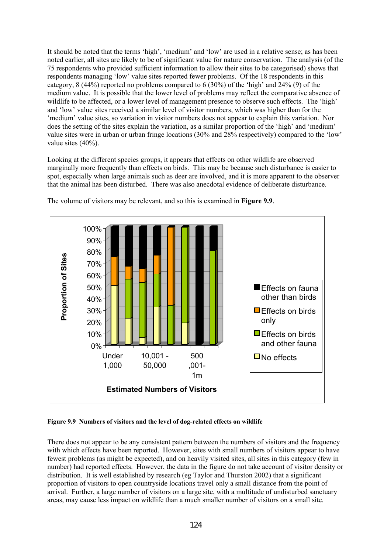It should be noted that the terms 'high', 'medium' and 'low' are used in a relative sense; as has been noted earlier, all sites are likely to be of significant value for nature conservation. The analysis (of the 75 respondents who provided sufficient information to allow their sites to be categorised) shows that respondents managing 'low' value sites reported fewer problems. Of the 18 respondents in this category,  $8(44\%)$  reported no problems compared to 6 (30%) of the 'high' and 24% (9) of the medium value. It is possible that the lower level of problems may reflect the comparative absence of wildlife to be affected, or a lower level of management presence to observe such effects. The 'high' and 'low' value sites received a similar level of visitor numbers, which was higher than for the 'medium' value sites, so variation in visitor numbers does not appear to explain this variation. Nor does the setting of the sites explain the variation, as a similar proportion of the 'high' and 'medium' value sites were in urban or urban fringe locations (30% and 28% respectively) compared to the 'low' value sites (40%).

Looking at the different species groups, it appears that effects on other wildlife are observed marginally more frequently than effects on birds. This may be because such disturbance is easier to spot, especially when large animals such as deer are involved, and it is more apparent to the observer that the animal has been disturbed. There was also anecdotal evidence of deliberate disturbance.



The volume of visitors may be relevant, and so this is examined in **Figure 9.9**.

#### **Figure 9.9 Numbers of visitors and the level of dog-related effects on wildlife**

There does not appear to be any consistent pattern between the numbers of visitors and the frequency with which effects have been reported. However, sites with small numbers of visitors appear to have fewest problems (as might be expected), and on heavily visited sites, all sites in this category (few in number) had reported effects. However, the data in the figure do not take account of visitor density or distribution. It is well established by research (eg Taylor and Thurston 2002) that a significant proportion of visitors to open countryside locations travel only a small distance from the point of arrival. Further, a large number of visitors on a large site, with a multitude of undisturbed sanctuary areas, may cause less impact on wildlife than a much smaller number of visitors on a small site.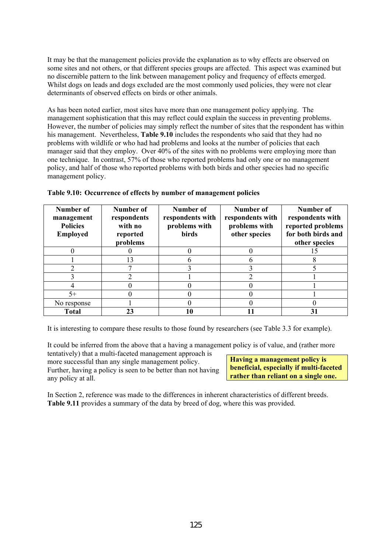It may be that the management policies provide the explanation as to why effects are observed on some sites and not others, or that different species groups are affected. This aspect was examined but no discernible pattern to the link between management policy and frequency of effects emerged. Whilst dogs on leads and dogs excluded are the most commonly used policies, they were not clear determinants of observed effects on birds or other animals.

As has been noted earlier, most sites have more than one management policy applying. The management sophistication that this may reflect could explain the success in preventing problems. However, the number of policies may simply reflect the number of sites that the respondent has within his management. Nevertheless, **Table 9.10** includes the respondents who said that they had no problems with wildlife or who had had problems and looks at the number of policies that each manager said that they employ. Over 40% of the sites with no problems were employing more than one technique. In contrast, 57% of those who reported problems had only one or no management policy, and half of those who reported problems with both birds and other species had no specific management policy.

| Number of<br>management<br><b>Policies</b><br><b>Employed</b> | Number of<br>respondents<br>with no<br>reported<br>problems | Number of<br>respondents with<br>problems with<br><b>birds</b> | Number of<br>respondents with<br>problems with<br>other species | Number of<br>respondents with<br>reported problems<br>for both birds and<br>other species |
|---------------------------------------------------------------|-------------------------------------------------------------|----------------------------------------------------------------|-----------------------------------------------------------------|-------------------------------------------------------------------------------------------|
|                                                               |                                                             |                                                                |                                                                 |                                                                                           |
|                                                               | 13                                                          |                                                                |                                                                 |                                                                                           |
|                                                               |                                                             |                                                                |                                                                 |                                                                                           |
|                                                               | ◠                                                           |                                                                |                                                                 |                                                                                           |
|                                                               |                                                             |                                                                |                                                                 |                                                                                           |
| $5+$                                                          |                                                             |                                                                |                                                                 |                                                                                           |
| No response                                                   |                                                             |                                                                |                                                                 |                                                                                           |
| <b>Total</b>                                                  |                                                             | 10                                                             |                                                                 | 31                                                                                        |

|  |  | Table 9.10: Occurrence of effects by number of management policies |  |
|--|--|--------------------------------------------------------------------|--|
|  |  |                                                                    |  |

It is interesting to compare these results to those found by researchers (see Table 3.3 for example).

It could be inferred from the above that a having a management policy is of value, and (rather more

tentatively) that a multi-faceted management approach is more successful than any single management policy. Further, having a policy is seen to be better than not having any policy at all.

**Having a management policy is beneficial, especially if multi-faceted rather than reliant on a single one.** 

In Section 2, reference was made to the differences in inherent characteristics of different breeds. **Table 9.11** provides a summary of the data by breed of dog, where this was provided.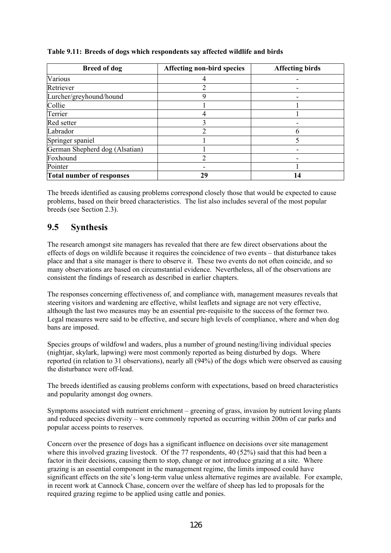| <b>Breed of dog</b>              | <b>Affecting non-bird species</b> | <b>Affecting birds</b> |  |
|----------------------------------|-----------------------------------|------------------------|--|
| Various                          |                                   |                        |  |
| Retriever                        |                                   |                        |  |
| Lurcher/greyhound/hound          |                                   |                        |  |
| Collie                           |                                   |                        |  |
| Terrier                          |                                   |                        |  |
| Red setter                       |                                   |                        |  |
| Labrador                         | າ                                 |                        |  |
| Springer spaniel                 |                                   |                        |  |
| German Shepherd dog (Alsatian)   |                                   |                        |  |
| Foxhound                         |                                   |                        |  |
| Pointer                          |                                   |                        |  |
| <b>Total number of responses</b> | 29                                |                        |  |

### **Table 9.11: Breeds of dogs which respondents say affected wildlife and birds**

The breeds identified as causing problems correspond closely those that would be expected to cause problems, based on their breed characteristics. The list also includes several of the most popular breeds (see Section 2.3).

# **9.5 Synthesis**

The research amongst site managers has revealed that there are few direct observations about the effects of dogs on wildlife because it requires the coincidence of two events – that disturbance takes place and that a site manager is there to observe it. These two events do not often coincide, and so many observations are based on circumstantial evidence. Nevertheless, all of the observations are consistent the findings of research as described in earlier chapters.

The responses concerning effectiveness of, and compliance with, management measures reveals that steering visitors and wardening are effective, whilst leaflets and signage are not very effective, although the last two measures may be an essential pre-requisite to the success of the former two. Legal measures were said to be effective, and secure high levels of compliance, where and when dog bans are imposed.

Species groups of wildfowl and waders, plus a number of ground nesting/living individual species (nightjar, skylark, lapwing) were most commonly reported as being disturbed by dogs. Where reported (in relation to 31 observations), nearly all (94%) of the dogs which were observed as causing the disturbance were off-lead.

The breeds identified as causing problems conform with expectations, based on breed characteristics and popularity amongst dog owners.

Symptoms associated with nutrient enrichment – greening of grass, invasion by nutrient loving plants and reduced species diversity – were commonly reported as occurring within 200m of car parks and popular access points to reserves.

Concern over the presence of dogs has a significant influence on decisions over site management where this involved grazing livestock. Of the 77 respondents, 40 (52%) said that this had been a factor in their decisions, causing them to stop, change or not introduce grazing at a site. Where grazing is an essential component in the management regime, the limits imposed could have significant effects on the site's long-term value unless alternative regimes are available. For example, in recent work at Cannock Chase, concern over the welfare of sheep has led to proposals for the required grazing regime to be applied using cattle and ponies.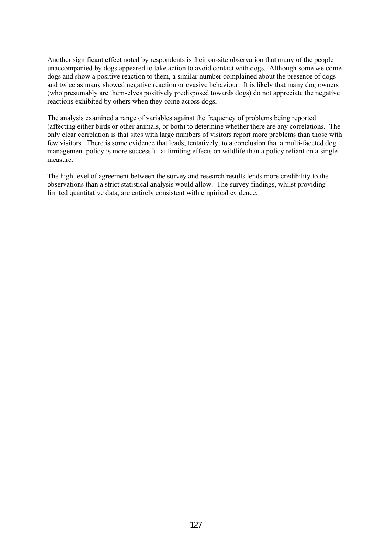Another significant effect noted by respondents is their on-site observation that many of the people unaccompanied by dogs appeared to take action to avoid contact with dogs. Although some welcome dogs and show a positive reaction to them, a similar number complained about the presence of dogs and twice as many showed negative reaction or evasive behaviour. It is likely that many dog owners (who presumably are themselves positively predisposed towards dogs) do not appreciate the negative reactions exhibited by others when they come across dogs.

The analysis examined a range of variables against the frequency of problems being reported (affecting either birds or other animals, or both) to determine whether there are any correlations. The only clear correlation is that sites with large numbers of visitors report more problems than those with few visitors. There is some evidence that leads, tentatively, to a conclusion that a multi-faceted dog management policy is more successful at limiting effects on wildlife than a policy reliant on a single measure.

The high level of agreement between the survey and research results lends more credibility to the observations than a strict statistical analysis would allow. The survey findings, whilst providing limited quantitative data, are entirely consistent with empirical evidence.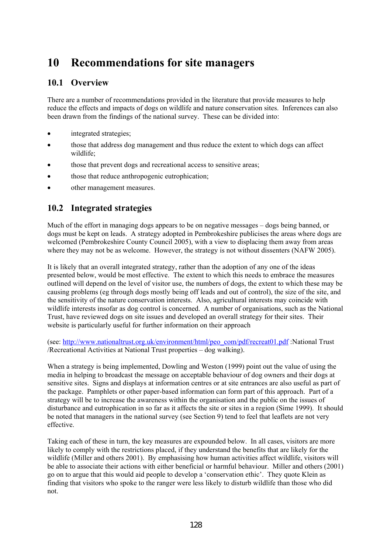# **10 Recommendations for site managers**

# **10.1 Overview**

There are a number of recommendations provided in the literature that provide measures to help reduce the effects and impacts of dogs on wildlife and nature conservation sites. Inferences can also been drawn from the findings of the national survey. These can be divided into:

- integrated strategies;
- those that address dog management and thus reduce the extent to which dogs can affect wildlife;
- those that prevent dogs and recreational access to sensitive areas;
- those that reduce anthropogenic eutrophication;
- other management measures.

# **10.2 Integrated strategies**

Much of the effort in managing dogs appears to be on negative messages – dogs being banned, or dogs must be kept on leads. A strategy adopted in Pembrokeshire publicises the areas where dogs are welcomed (Pembrokeshire County Council 2005), with a view to displacing them away from areas where they may not be as welcome. However, the strategy is not without dissenters (NAFW 2005).

It is likely that an overall integrated strategy, rather than the adoption of any one of the ideas presented below, would be most effective. The extent to which this needs to embrace the measures outlined will depend on the level of visitor use, the numbers of dogs, the extent to which these may be causing problems (eg through dogs mostly being off leads and out of control), the size of the site, and the sensitivity of the nature conservation interests. Also, agricultural interests may coincide with wildlife interests insofar as dog control is concerned. A number of organisations, such as the National Trust, have reviewed dogs on site issues and developed an overall strategy for their sites. Their website is particularly useful for further information on their approach

(see: http://www.nationaltrust.org.uk/environment/html/peo\_com/pdf/recreat01.pdf :National Trust /Recreational Activities at National Trust properties – dog walking).

When a strategy is being implemented. Dowling and Weston (1999) point out the value of using the media in helping to broadcast the message on acceptable behaviour of dog owners and their dogs at sensitive sites. Signs and displays at information centres or at site entrances are also useful as part of the package. Pamphlets or other paper-based information can form part of this approach. Part of a strategy will be to increase the awareness within the organisation and the public on the issues of disturbance and eutrophication in so far as it affects the site or sites in a region (Sime 1999). It should be noted that managers in the national survey (see Section 9) tend to feel that leaflets are not very effective.

Taking each of these in turn, the key measures are expounded below. In all cases, visitors are more likely to comply with the restrictions placed, if they understand the benefits that are likely for the wildlife (Miller and others 2001). By emphasising how human activities affect wildlife, visitors will be able to associate their actions with either beneficial or harmful behaviour. Miller and others (2001) go on to argue that this would aid people to develop a 'conservation ethic'. They quote Klein as finding that visitors who spoke to the ranger were less likely to disturb wildlife than those who did not.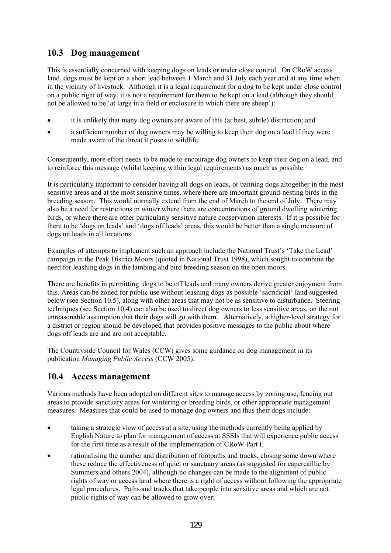# **10.3 Dog management**

This is essentially concerned with keeping dogs on leads or under close control. On CRoW access land, dogs must be kept on a short lead between 1 March and 31 July each year and at any time when in the vicinity of livestock. Although it is a legal requirement for a dog to be kept under close control on a public right of way, it is not a requirement for them to be kept on a lead (although they should not be allowed to be 'at large in a field or enclosure in which there are sheep'):

- it is unlikely that many dog owners are aware of this (at best, subtle) distinction; and
- a sufficient number of dog owners may be willing to keep their dog on a lead if they were made aware of the threat it poses to wildlife.

Consequently, more effort needs to be made to encourage dog owners to keep their dog on a lead, and to reinforce this message (whilst keeping within legal requirements) as much as possible.

It is particularly important to consider having all dogs on leads, or banning dogs altogether in the most sensitive areas and at the most sensitive times, where there are important ground-nesting birds in the breeding season. This would normally extend from the end of March to the end of July. There may also be a need for restrictions in winter where there are concentrations of ground dwelling wintering birds, or where there are other particularly sensitive nature conservation interests. If it is possible for there to be 'dogs on leads' and 'dogs off leads' areas, this would be better than a single measure of dogs on leads in all locations.

Examples of attempts to implement such an approach include the National Trust's 'Take the Lead' campaign in the Peak District Moors (quoted in National Trust 1998), which sought to combine the need for leashing dogs in the lambing and bird breeding season on the open moors.

There are benefits in permitting dogs to be off leads and many owners derive greater enjoyment from this. Areas can be zoned for public use without leashing dogs as possible 'sacrificial' land suggested below (see Section 10.5), along with other areas that may not be as sensitive to disturbance. Steering techniques (see Section 10.4) can also be used to direct dog owners to less sensitive areas, on the not unreasonable assumption that their dogs will go with them. Alternatively, a higher-level strategy for a district or region should be developed that provides positive messages to the public about where dogs off leads are and are not acceptable.

The Countryside Council for Wales (CCW) gives some guidance on dog management in its publication *Managing Public Access* (CCW 2005).

# **10.4 Access management**

Various methods have been adopted on different sites to manage access by zoning use, fencing out areas to provide sanctuary areas for wintering or breeding birds, or other appropriate management measures. Measures that could be used to manage dog owners and thus their dogs include:

- taking a strategic view of access at a site, using the methods currently being applied by English Nature to plan for management of access at SSSIs that will experience public access for the first time as a result of the implementation of CRoW Part I;
- rationalising the number and distribution of footpaths and tracks, closing some down where these reduce the effectiveness of quiet or sanctuary areas (as suggested for capercaillie by Summers and others 2004), although no changes can be made to the alignment of public rights of way or access land where there is a right of access without following the appropriate legal procedures. Paths and tracks that take people into sensitive areas and which are not public rights of way can be allowed to grow over;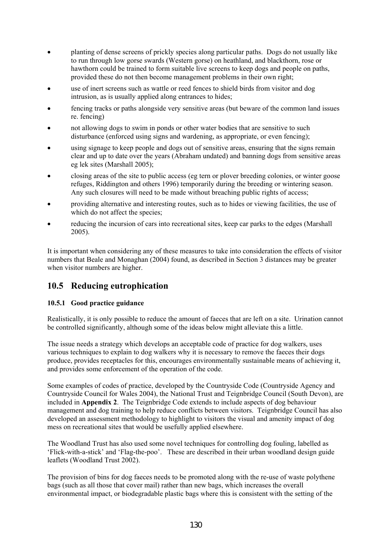- planting of dense screens of prickly species along particular paths. Dogs do not usually like to run through low gorse swards (Western gorse) on heathland, and blackthorn, rose or hawthorn could be trained to form suitable live screens to keep dogs and people on paths, provided these do not then become management problems in their own right;
- use of inert screens such as wattle or reed fences to shield birds from visitor and dog intrusion, as is usually applied along entrances to hides;
- fencing tracks or paths alongside very sensitive areas (but beware of the common land issues re. fencing)
- not allowing dogs to swim in ponds or other water bodies that are sensitive to such disturbance (enforced using signs and wardening, as appropriate, or even fencing);
- using signage to keep people and dogs out of sensitive areas, ensuring that the signs remain clear and up to date over the years (Abraham undated) and banning dogs from sensitive areas eg lek sites (Marshall 2005);
- closing areas of the site to public access (eg tern or plover breeding colonies, or winter goose refuges, Riddington and others 1996) temporarily during the breeding or wintering season. Any such closures will need to be made without breaching public rights of access;
- providing alternative and interesting routes, such as to hides or viewing facilities, the use of which do not affect the species;
- reducing the incursion of cars into recreational sites, keep car parks to the edges (Marshall 2005).

It is important when considering any of these measures to take into consideration the effects of visitor numbers that Beale and Monaghan (2004) found, as described in Section 3 distances may be greater when visitor numbers are higher.

## **10.5 Reducing eutrophication**

### **10.5.1 Good practice guidance**

Realistically, it is only possible to reduce the amount of faeces that are left on a site. Urination cannot be controlled significantly, although some of the ideas below might alleviate this a little.

The issue needs a strategy which develops an acceptable code of practice for dog walkers, uses various techniques to explain to dog walkers why it is necessary to remove the faeces their dogs produce, provides receptacles for this, encourages environmentally sustainable means of achieving it, and provides some enforcement of the operation of the code.

Some examples of codes of practice, developed by the Countryside Code (Countryside Agency and Countryside Council for Wales 2004), the National Trust and Teignbridge Council (South Devon), are included in **Appendix 2**. The Teignbridge Code extends to include aspects of dog behaviour management and dog training to help reduce conflicts between visitors. Teignbridge Council has also developed an assessment methodology to highlight to visitors the visual and amenity impact of dog mess on recreational sites that would be usefully applied elsewhere.

The Woodland Trust has also used some novel techniques for controlling dog fouling, labelled as 'Flick-with-a-stick' and 'Flag-the-poo'. These are described in their urban woodland design guide leaflets (Woodland Trust 2002).

The provision of bins for dog faeces needs to be promoted along with the re-use of waste polythene bags (such as all those that cover mail) rather than new bags, which increases the overall environmental impact, or biodegradable plastic bags where this is consistent with the setting of the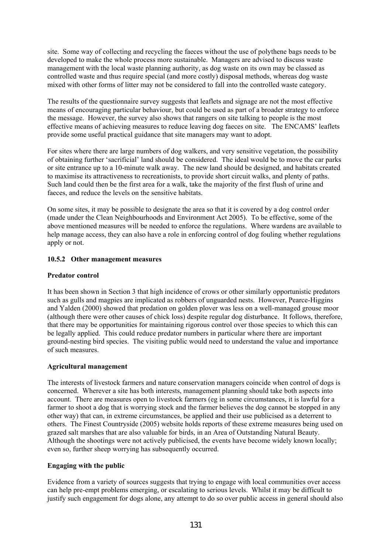site. Some way of collecting and recycling the faeces without the use of polythene bags needs to be developed to make the whole process more sustainable. Managers are advised to discuss waste management with the local waste planning authority, as dog waste on its own may be classed as controlled waste and thus require special (and more costly) disposal methods, whereas dog waste mixed with other forms of litter may not be considered to fall into the controlled waste category.

The results of the questionnaire survey suggests that leaflets and signage are not the most effective means of encouraging particular behaviour, but could be used as part of a broader strategy to enforce the message. However, the survey also shows that rangers on site talking to people is the most effective means of achieving measures to reduce leaving dog faeces on site. The ENCAMS' leaflets provide some useful practical guidance that site managers may want to adopt.

For sites where there are large numbers of dog walkers, and very sensitive vegetation, the possibility of obtaining further 'sacrificial' land should be considered. The ideal would be to move the car parks or site entrance up to a 10-minute walk away. The new land should be designed, and habitats created to maximise its attractiveness to recreationists, to provide short circuit walks, and plenty of paths. Such land could then be the first area for a walk, take the majority of the first flush of urine and faeces, and reduce the levels on the sensitive habitats.

On some sites, it may be possible to designate the area so that it is covered by a dog control order (made under the Clean Neighbourhoods and Environment Act 2005). To be effective, some of the above mentioned measures will be needed to enforce the regulations. Where wardens are available to help manage access, they can also have a role in enforcing control of dog fouling whether regulations apply or not.

### **10.5.2 Other management measures**

#### **Predator control**

It has been shown in Section 3 that high incidence of crows or other similarly opportunistic predators such as gulls and magpies are implicated as robbers of unguarded nests. However, Pearce-Higgins and Yalden (2000) showed that predation on golden plover was less on a well-managed grouse moor (although there were other causes of chick loss) despite regular dog disturbance. It follows, therefore, that there may be opportunities for maintaining rigorous control over those species to which this can be legally applied. This could reduce predator numbers in particular where there are important ground-nesting bird species. The visiting public would need to understand the value and importance of such measures.

### **Agricultural management**

The interests of livestock farmers and nature conservation managers coincide when control of dogs is concerned. Wherever a site has both interests, management planning should take both aspects into account. There are measures open to livestock farmers (eg in some circumstances, it is lawful for a farmer to shoot a dog that is worrying stock and the farmer believes the dog cannot be stopped in any other way) that can, in extreme circumstances, be applied and their use publicised as a deterrent to others. The Finest Countryside (2005) website holds reports of these extreme measures being used on grazed salt marshes that are also valuable for birds, in an Area of Outstanding Natural Beauty. Although the shootings were not actively publicised, the events have become widely known locally; even so, further sheep worrying has subsequently occurred.

#### **Engaging with the public**

Evidence from a variety of sources suggests that trying to engage with local communities over access can help pre-empt problems emerging, or escalating to serious levels. Whilst it may be difficult to justify such engagement for dogs alone, any attempt to do so over public access in general should also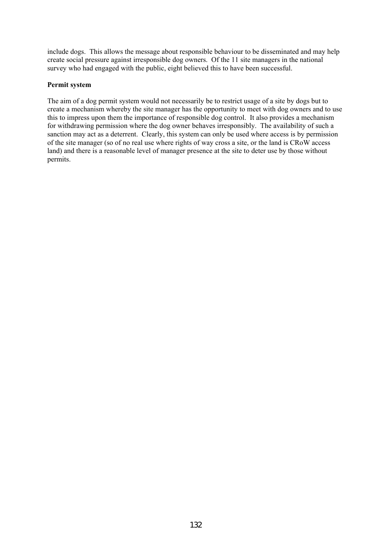include dogs. This allows the message about responsible behaviour to be disseminated and may help create social pressure against irresponsible dog owners. Of the 11 site managers in the national survey who had engaged with the public, eight believed this to have been successful.

### **Permit system**

The aim of a dog permit system would not necessarily be to restrict usage of a site by dogs but to create a mechanism whereby the site manager has the opportunity to meet with dog owners and to use this to impress upon them the importance of responsible dog control. It also provides a mechanism for withdrawing permission where the dog owner behaves irresponsibly. The availability of such a sanction may act as a deterrent. Clearly, this system can only be used where access is by permission of the site manager (so of no real use where rights of way cross a site, or the land is CRoW access land) and there is a reasonable level of manager presence at the site to deter use by those without permits.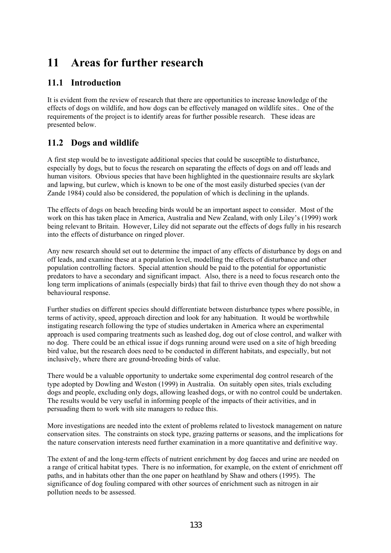# **11 Areas for further research**

# **11.1 Introduction**

It is evident from the review of research that there are opportunities to increase knowledge of the effects of dogs on wildlife, and how dogs can be effectively managed on wildlife sites.. One of the requirements of the project is to identify areas for further possible research. These ideas are presented below.

# **11.2 Dogs and wildlife**

A first step would be to investigate additional species that could be susceptible to disturbance, especially by dogs, but to focus the research on separating the effects of dogs on and off leads and human visitors. Obvious species that have been highlighted in the questionnaire results are skylark and lapwing, but curlew, which is known to be one of the most easily disturbed species (van der Zande 1984) could also be considered, the population of which is declining in the uplands.

The effects of dogs on beach breeding birds would be an important aspect to consider. Most of the work on this has taken place in America, Australia and New Zealand, with only Liley's (1999) work being relevant to Britain. However, Liley did not separate out the effects of dogs fully in his research into the effects of disturbance on ringed plover.

Any new research should set out to determine the impact of any effects of disturbance by dogs on and off leads, and examine these at a population level, modelling the effects of disturbance and other population controlling factors. Special attention should be paid to the potential for opportunistic predators to have a secondary and significant impact. Also, there is a need to focus research onto the long term implications of animals (especially birds) that fail to thrive even though they do not show a behavioural response.

Further studies on different species should differentiate between disturbance types where possible, in terms of activity, speed, approach direction and look for any habituation. It would be worthwhile instigating research following the type of studies undertaken in America where an experimental approach is used comparing treatments such as leashed dog, dog out of close control, and walker with no dog. There could be an ethical issue if dogs running around were used on a site of high breeding bird value, but the research does need to be conducted in different habitats, and especially, but not inclusively, where there are ground-breeding birds of value.

There would be a valuable opportunity to undertake some experimental dog control research of the type adopted by Dowling and Weston (1999) in Australia. On suitably open sites, trials excluding dogs and people, excluding only dogs, allowing leashed dogs, or with no control could be undertaken. The results would be very useful in informing people of the impacts of their activities, and in persuading them to work with site managers to reduce this.

More investigations are needed into the extent of problems related to livestock management on nature conservation sites. The constraints on stock type, grazing patterns or seasons, and the implications for the nature conservation interests need further examination in a more quantitative and definitive way.

The extent of and the long-term effects of nutrient enrichment by dog faeces and urine are needed on a range of critical habitat types. There is no information, for example, on the extent of enrichment off paths, and in habitats other than the one paper on heathland by Shaw and others (1995). The significance of dog fouling compared with other sources of enrichment such as nitrogen in air pollution needs to be assessed.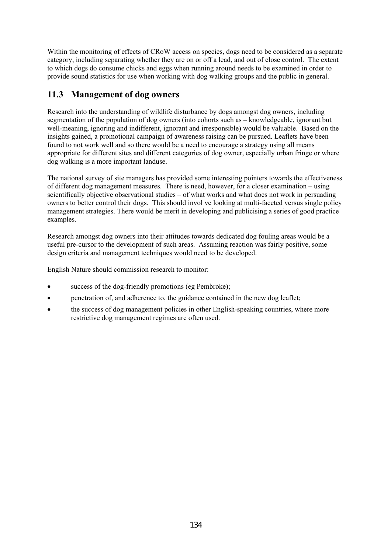Within the monitoring of effects of CRoW access on species, dogs need to be considered as a separate category, including separating whether they are on or off a lead, and out of close control. The extent to which dogs do consume chicks and eggs when running around needs to be examined in order to provide sound statistics for use when working with dog walking groups and the public in general.

# **11.3 Management of dog owners**

Research into the understanding of wildlife disturbance by dogs amongst dog owners, including segmentation of the population of dog owners (into cohorts such as – knowledgeable, ignorant but well-meaning, ignoring and indifferent, ignorant and irresponsible) would be valuable. Based on the insights gained, a promotional campaign of awareness raising can be pursued. Leaflets have been found to not work well and so there would be a need to encourage a strategy using all means appropriate for different sites and different categories of dog owner, especially urban fringe or where dog walking is a more important landuse.

The national survey of site managers has provided some interesting pointers towards the effectiveness of different dog management measures. There is need, however, for a closer examination – using scientifically objective observational studies – of what works and what does not work in persuading owners to better control their dogs. This should invol ve looking at multi-faceted versus single policy management strategies. There would be merit in developing and publicising a series of good practice examples.

Research amongst dog owners into their attitudes towards dedicated dog fouling areas would be a useful pre-cursor to the development of such areas. Assuming reaction was fairly positive, some design criteria and management techniques would need to be developed.

English Nature should commission research to monitor:

- success of the dog-friendly promotions (eg Pembroke);
- penetration of, and adherence to, the guidance contained in the new dog leaflet;
- the success of dog management policies in other English-speaking countries, where more restrictive dog management regimes are often used.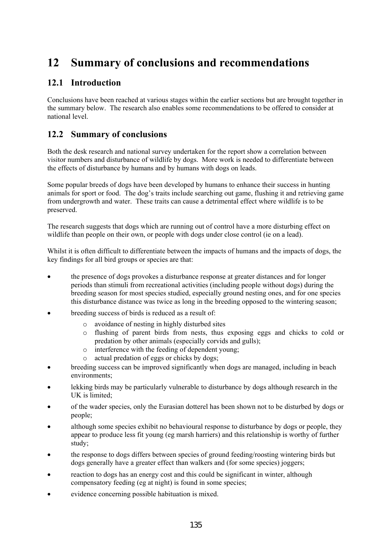# **12 Summary of conclusions and recommendations**

# **12.1 Introduction**

Conclusions have been reached at various stages within the earlier sections but are brought together in the summary below. The research also enables some recommendations to be offered to consider at national level.

# **12.2 Summary of conclusions**

Both the desk research and national survey undertaken for the report show a correlation between visitor numbers and disturbance of wildlife by dogs. More work is needed to differentiate between the effects of disturbance by humans and by humans with dogs on leads.

Some popular breeds of dogs have been developed by humans to enhance their success in hunting animals for sport or food. The dog's traits include searching out game, flushing it and retrieving game from undergrowth and water. These traits can cause a detrimental effect where wildlife is to be preserved.

The research suggests that dogs which are running out of control have a more disturbing effect on wildlife than people on their own, or people with dogs under close control (ie on a lead).

Whilst it is often difficult to differentiate between the impacts of humans and the impacts of dogs, the key findings for all bird groups or species are that:

- the presence of dogs provokes a disturbance response at greater distances and for longer periods than stimuli from recreational activities (including people without dogs) during the breeding season for most species studied, especially ground nesting ones, and for one species this disturbance distance was twice as long in the breeding opposed to the wintering season;
- breeding success of birds is reduced as a result of:
	- o avoidance of nesting in highly disturbed sites
	- o flushing of parent birds from nests, thus exposing eggs and chicks to cold or predation by other animals (especially corvids and gulls);
	- o interference with the feeding of dependent young;
	- o actual predation of eggs or chicks by dogs;
- breeding success can be improved significantly when dogs are managed, including in beach environments;
- lekking birds may be particularly vulnerable to disturbance by dogs although research in the UK is limited;
- of the wader species, only the Eurasian dotterel has been shown not to be disturbed by dogs or people;
- although some species exhibit no behavioural response to disturbance by dogs or people, they appear to produce less fit young (eg marsh harriers) and this relationship is worthy of further study;
- the response to dogs differs between species of ground feeding/roosting wintering birds but dogs generally have a greater effect than walkers and (for some species) joggers;
- reaction to dogs has an energy cost and this could be significant in winter, although compensatory feeding (eg at night) is found in some species;
- evidence concerning possible habituation is mixed.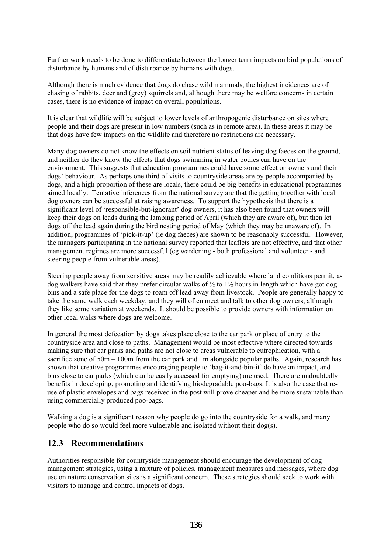Further work needs to be done to differentiate between the longer term impacts on bird populations of disturbance by humans and of disturbance by humans with dogs.

Although there is much evidence that dogs do chase wild mammals, the highest incidences are of chasing of rabbits, deer and (grey) squirrels and, although there may be welfare concerns in certain cases, there is no evidence of impact on overall populations.

It is clear that wildlife will be subject to lower levels of anthropogenic disturbance on sites where people and their dogs are present in low numbers (such as in remote area). In these areas it may be that dogs have few impacts on the wildlife and therefore no restrictions are necessary.

Many dog owners do not know the effects on soil nutrient status of leaving dog faeces on the ground, and neither do they know the effects that dogs swimming in water bodies can have on the environment. This suggests that education programmes could have some effect on owners and their dogs' behaviour. As perhaps one third of visits to countryside areas are by people accompanied by dogs, and a high proportion of these are locals, there could be big benefits in educational programmes aimed locally. Tentative inferences from the national survey are that the getting together with local dog owners can be successful at raising awareness. To support the hypothesis that there is a significant level of 'responsible-but-ignorant' dog owners, it has also been found that owners will keep their dogs on leads during the lambing period of April (which they are aware of), but then let dogs off the lead again during the bird nesting period of May (which they may be unaware of). In addition, programmes of 'pick-it-up' (ie dog faeces) are shown to be reasonably successful. However, the managers participating in the national survey reported that leaflets are not effective, and that other management regimes are more successful (eg wardening - both professional and volunteer - and steering people from vulnerable areas).

Steering people away from sensitive areas may be readily achievable where land conditions permit, as dog walkers have said that they prefer circular walks of  $\frac{1}{2}$  to  $\frac{1}{2}$  hours in length which have got dog bins and a safe place for the dogs to roam off lead away from livestock. People are generally happy to take the same walk each weekday, and they will often meet and talk to other dog owners, although they like some variation at weekends. It should be possible to provide owners with information on other local walks where dogs are welcome.

In general the most defecation by dogs takes place close to the car park or place of entry to the countryside area and close to paths. Management would be most effective where directed towards making sure that car parks and paths are not close to areas vulnerable to eutrophication, with a sacrifice zone of  $50m - 100m$  from the car park and 1m alongside popular paths. Again, research has shown that creative programmes encouraging people to 'bag-it-and-bin-it' do have an impact, and bins close to car parks (which can be easily accessed for emptying) are used. There are undoubtedly benefits in developing, promoting and identifying biodegradable poo-bags. It is also the case that reuse of plastic envelopes and bags received in the post will prove cheaper and be more sustainable than using commercially produced poo-bags.

Walking a dog is a significant reason why people do go into the countryside for a walk, and many people who do so would feel more vulnerable and isolated without their dog(s).

## **12.3 Recommendations**

Authorities responsible for countryside management should encourage the development of dog management strategies, using a mixture of policies, management measures and messages, where dog use on nature conservation sites is a significant concern. These strategies should seek to work with visitors to manage and control impacts of dogs.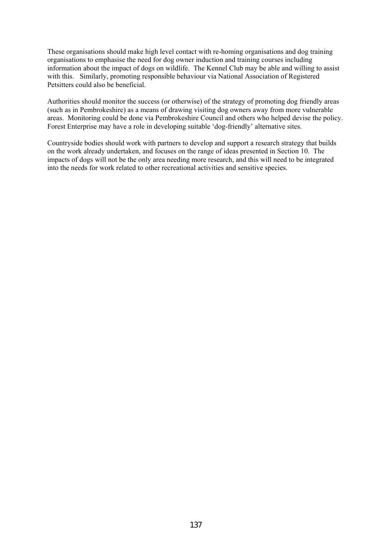These organisations should make high level contact with re-homing organisations and dog training organisations to emphasise the need for dog owner induction and training courses including information about the impact of dogs on wildlife. The Kennel Club may be able and willing to assist with this. Similarly, promoting responsible behaviour via National Association of Registered Petsitters could also be beneficial.

Authorities should monitor the success (or otherwise) of the strategy of promoting dog friendly areas (such as in Pembrokeshire) as a means of drawing visiting dog owners away from more vulnerable areas. Monitoring could be done via Pembrokeshire Council and others who helped devise the policy. Forest Enterprise may have a role in developing suitable 'dog-friendly' alternative sites.

Countryside bodies should work with partners to develop and support a research strategy that builds on the work already undertaken, and focuses on the range of ideas presented in Section 10. The impacts of dogs will not be the only area needing more research, and this will need to be integrated into the needs for work related to other recreational activities and sensitive species.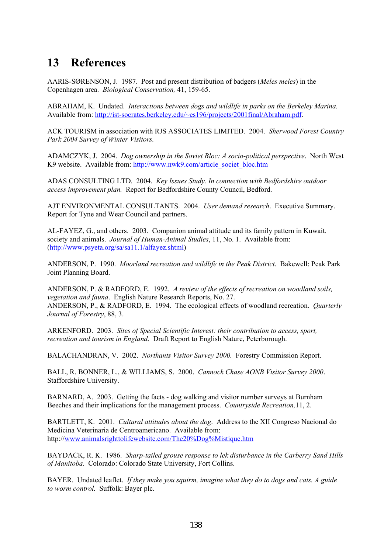# **13 References**

AARIS-SØRENSON, J. 1987. Post and present distribution of badgers (*Meles meles*) in the Copenhagen area. *Biological Conservation,* 41, 159-65.

ABRAHAM, K. Undated. *Interactions between dogs and wildlife in parks on the Berkeley Marina.*  Available from: http://ist-socrates.berkeley.edu/~es196/projects/2001final/Abraham.pdf.

ACK TOURISM in association with RJS ASSOCIATES LIMITED. 2004. *Sherwood Forest Country Park 2004 Survey of Winter Visitors.* 

ADAMCZYK, J. 2004. *Dog ownership in the Soviet Bloc: A socio-political perspective*. North West K9 website. Available from: http://www.nwk9.com/article\_societ\_bloc.htm

ADAS CONSULTING LTD. 2004. *Key Issues Study. In connection with Bedfordshire outdoor access improvement plan.* Report for Bedfordshire County Council, Bedford.

AJT ENVIRONMENTAL CONSULTANTS. 2004. *User demand research*. Executive Summary. Report for Tyne and Wear Council and partners.

AL-FAYEZ, G., and others. 2003. Companion animal attitude and its family pattern in Kuwait. society and animals. *Journal of Human-Animal Studies*, 11, No. 1. Available from: (http://www.psyeta.org/sa/sa11.1/alfayez.shtml)

ANDERSON, P. 1990. *Moorland recreation and wildlife in the Peak District*. Bakewell: Peak Park Joint Planning Board.

ANDERSON, P. & RADFORD, E. 1992. *A review of the effects of recreation on woodland soils, vegetation and fauna*. English Nature Research Reports, No. 27. ANDERSON, P., & RADFORD, E. 1994. The ecological effects of woodland recreation. *Quarterly Journal of Forestry*, 88, 3.

ARKENFORD. 2003. *Sites of Special Scientific Interest: their contribution to access, sport, recreation and tourism in England*. Draft Report to English Nature, Peterborough.

BALACHANDRAN, V. 2002. *Northants Visitor Survey 2000.* Forestry Commission Report.

BALL, R. BONNER, L., & WILLIAMS, S. 2000. *Cannock Chase AONB Visitor Survey 2000*. Staffordshire University.

BARNARD, A. 2003. Getting the facts - dog walking and visitor number surveys at Burnham Beeches and their implications for the management process. *Countryside Recreation,*11, 2.

BARTLETT, K. 2001. *Cultural attitudes about the dog*. Address to the XII Congreso Nacional do Medicina Veterinaria de Centroamericano. Available from: http://www.animalsrighttolifewebsite.com/The20%Dog%Mistique.htm

BAYDACK, R. K. 1986. *Sharp-tailed grouse response to lek disturbance in the Carberry Sand Hills of Manitoba*. Colorado: Colorado State University, Fort Collins.

BAYER. Undated leaflet. *If they make you squirm, imagine what they do to dogs and cats. A guide to worm control.* Suffolk: Bayer plc.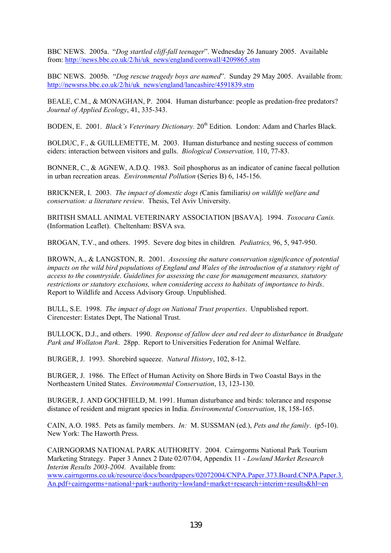BBC NEWS. 2005a. "*Dog startled cliff-fall teenager*". Wednesday 26 January 2005. Available from: http://news.bbc.co.uk/2/hi/uk\_news/england/cornwall/4209865.stm

BBC NEWS. 2005b. "*Dog rescue tragedy boys are named*". Sunday 29 May 2005. Available from: http://newsrss.bbc.co.uk/2/hi/uk\_news/england/lancashire/4591839.stm

BEALE, C.M., & MONAGHAN, P. 2004. Human disturbance: people as predation-free predators? *Journal of Applied Ecology*, 41, 335-343.

BODEN, E. 2001. *Black's Veterinary Dictionary*. 20<sup>th</sup> Edition. London: Adam and Charles Black.

BOLDUC, F., & GUILLEMETTE, M. 2003. Human disturbance and nesting success of common eiders: interaction between visitors and gulls. *Biological Conservation,* 110, 77-83.

BONNER, C., & AGNEW, A.D.Q. 1983. Soil phosphorus as an indicator of canine faecal pollution in urban recreation areas. *Environmental Pollution* (Series B) 6, 145-156.

BRICKNER, I. 2003. *The impact of domestic dogs (*Canis familiaris*) on wildlife welfare and conservation: a literature review*. Thesis, Tel Aviv University.

BRITISH SMALL ANIMAL VETERINARY ASSOCIATION [BSAVA]. 1994. *Toxocara Canis.*  (Information Leaflet). Cheltenham: BSVA sva.

BROGAN, T.V., and others. 1995. Severe dog bites in children*. Pediatrics,* 96, 5, 947-950.

BROWN, A., & LANGSTON, R. 2001. *Assessing the nature conservation significance of potential impacts on the wild bird populations of England and Wales of the introduction of a statutory right of access to the countryside*. *Guidelines for assessing the case for management measures, statutory restrictions or statutory exclusions, when considering access to habitats of importance to birds*. Report to Wildlife and Access Advisory Group. Unpublished.

BULL, S.E. 1998. *The impact of dogs on National Trust properties*. Unpublished report. Cirencester: Estates Dept, The National Trust.

BULLOCK, D.J., and others. 1990. *Response of fallow deer and red deer to disturbance in Bradgate Park and Wollaton Park*. 28pp. Report to Universities Federation for Animal Welfare.

BURGER, J. 1993. Shorebird squeeze. *Natural History*, 102, 8-12.

BURGER, J. 1986. The Effect of Human Activity on Shore Birds in Two Coastal Bays in the Northeastern United States. *Environmental Conservation*, 13, 123-130.

BURGER, J. AND GOCHFIELD, M. 1991. Human disturbance and birds: tolerance and response distance of resident and migrant species in India. *Environmental Conservation*, 18, 158-165.

CAIN, A.O. 1985. Pets as family members. *In:* M. SUSSMAN (ed.), *Pets and the family*. (p5-10). New York: The Haworth Press.

CAIRNGORMS NATIONAL PARK AUTHORITY. 2004. Cairngorms National Park Tourism Marketing Strategy. Paper 3 Annex 2 Date 02/07/04, Appendix 11 - *Lowland Market Research Interim Results 2003-2004.* Available from:

www.cairngorms.co.uk/resource/docs/boardpapers/02072004/CNPA.Paper.373.Board.CNPA.Paper.3. An.pdf+cairngorms+national+park+authority+lowland+market+research+interim+results&hl=en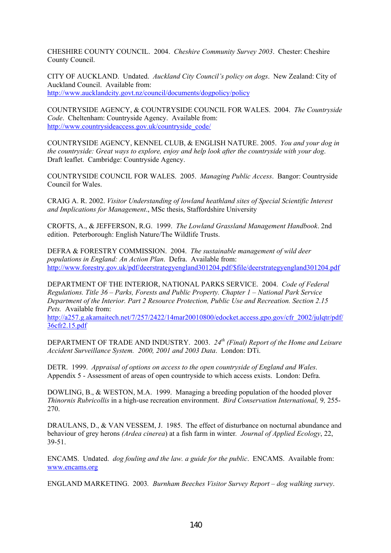CHESHIRE COUNTY COUNCIL. 2004. *Cheshire Community Survey 2003*. Chester: Cheshire County Council.

CITY OF AUCKLAND. Undated. *Auckland City Council's policy on dogs*. New Zealand: City of Auckland Council. Available from: http://www.aucklandcity.govt.nz/council/documents/dogpolicy/policy

COUNTRYSIDE AGENCY, & COUNTRYSIDE COUNCIL FOR WALES. 2004. *The Countryside Code*. Cheltenham: Countryside Agency. Available from: http://www.countrysideaccess.gov.uk/countryside\_code/

COUNTRYSIDE AGENCY, KENNEL CLUB, & ENGLISH NATURE. 2005. *You and your dog in the countryside: Great ways to explore, enjoy and help look after the countryside with your dog*. Draft leaflet. Cambridge: Countryside Agency.

COUNTRYSIDE COUNCIL FOR WALES. 2005. *Managing Public Access*. Bangor: Countryside Council for Wales.

CRAIG A. R. 2002. *Visitor Understanding of lowland heathland sites of Special Scientific Interest and Implications for Management*., MSc thesis, Staffordshire University

CROFTS, A., & JEFFERSON, R.G. 1999. *The Lowland Grassland Management Handbook*. 2nd edition. Peterborough: English Nature/The Wildlife Trusts.

DEFRA & FORESTRY COMMISSION. 2004. *The sustainable management of wild deer populations in England: An Action Plan*. Defra. Available from: http://www.forestry.gov.uk/pdf/deerstrategyengland301204.pdf/\$file/deerstrategyengland301204.pdf

DEPARTMENT OF THE INTERIOR, NATIONAL PARKS SERVICE. 2004. *Code of Federal Regulations. Title 36 – Parks, Forests and Public Property. Chapter 1 – National Park Service Department of the Interior. Part 2 Resource Protection, Public Use and Recreation. Section 2.15 Pets.* Available from:

http://a257.g.akamaitech.net/7/257/2422/14mar20010800/edocket.access.gpo.gov/cfr\_2002/julqtr/pdf/ 36cfr2.15.pdf

DEPARTMENT OF TRADE AND INDUSTRY. 2003. *24th (Final) Report of the Home and Leisure Accident Surveillance System. 2000, 2001 and 2003 Data*. London: DTi.

DETR. 1999. *Appraisal of options on access to the open countryside of England and Wales*. Appendix 5 - Assessment of areas of open countryside to which access exists. London: Defra.

DOWLING, B., & WESTON, M.A. 1999. Managing a breeding population of the hooded plover *Thinornis Rubricollis* in a high-use recreation environment. *Bird Conservation International,* 9*,* 255- 270.

DRAULANS, D., & VAN VESSEM, J. 1985. The effect of disturbance on nocturnal abundance and behaviour of grey herons *(Ardea cinerea*) at a fish farm in winter*. Journal of Applied Ecology*, 22, 39-51.

ENCAMS. Undated. *dog fouling and the law. a guide for the public*. ENCAMS. Available from: www.encams.org

ENGLAND MARKETING. 2003*. Burnham Beeches Visitor Survey Report – dog walking survey*.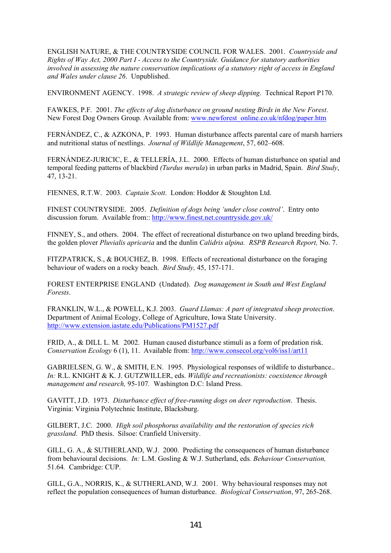ENGLISH NATURE, & THE COUNTRYSIDE COUNCIL FOR WALES. 2001. *Countryside and Rights of Way Act, 2000 Part I - Access to the Countryside. Guidance for statutory authorities involved in assessing the nature conservation implications of a statutory right of access in England and Wales under clause 26*. Unpublished.

ENVIRONMENT AGENCY. 1998. *A strategic review of sheep dipping*. Technical Report P170.

FAWKES, P.F*.* 2001. *The effects of dog disturbance on ground nesting Birds in the New Forest*. New Forest Dog Owners Group. Available from: www.newforest\_online.co.uk/nfdog/paper.htm

FERNÁNDEZ, C., & AZKONA, P. 1993. Human disturbance affects parental care of marsh harriers and nutritional status of nestlings. *Journal of Wildlife Management*, 57, 602–608.

FERNÁNDEZ-JURICIC, E., & TELLERÍA, J.L. 2000. Effects of human disturbance on spatial and temporal feeding patterns of blackbird *(Turdus merula*) in urban parks in Madrid, Spain. *Bird Study*, 47, 13-21.

FIENNES, R.T.W. 2003. *Captain Scott*. London: Hoddor & Stoughton Ltd.

FINEST COUNTRYSIDE. 2005. *Definition of dogs being 'under close control'*. Entry onto discussion forum. Available from:: http://www.finest.net.countryside.gov.uk/

FINNEY, S., and others. 2004. The effect of recreational disturbance on two upland breeding birds, the golden plover *Pluvialis apricaria* and the dunlin *Calidris alpina. RSPB Research Report,* No. 7.

FITZPATRICK, S., & BOUCHEZ, B. 1998. Effects of recreational disturbance on the foraging behaviour of waders on a rocky beach. *Bird Study,* 45, 157-171.

FOREST ENTERPRISE ENGLAND (Undated). *Dog management in South and West England Forests*.

FRANKLIN, W.L., & POWELL, K.J. 2003. *Guard Llamas: A part of integrated sheep protection*. Department of Animal Ecology, College of Agriculture, Iowa State University. http://www.extension.iastate.edu/Publications/PM1527.pdf

FRID, A., & DILL L. M*.* 2002. Human caused disturbance stimuli as a form of predation risk. *Conservation Ecology* 6 (1), 11. Available from: http://www.consecol.org/vol6/iss1/art11

GABRIELSEN, G. W., & SMITH, E.N. 1995. Physiological responses of wildlife to disturbance.. *In:* R.L. KNIGHT & K. J. GUTZWILLER, eds. *Wildlife and recreationists: coexistence through management and research,* 95-107*.* Washington D.C: Island Press.

GAVITT, J.D. 1973. *Disturbance effect of free-running dogs on deer reproduction*. Thesis. Virginia: Virginia Polytechnic Institute, Blacksburg.

GILBERT, J.C. 2000. *High soil phosphorus availability and the restoration of species rich grassland*. PhD thesis. Silsoe: Cranfield University.

GILL, G. A., & SUTHERLAND, W.J. 2000. Predicting the consequences of human disturbance from behavioural decisions. *In:* L.M. Gosling & W.J. Sutherland, eds*. Behaviour Conservation,*  51.64*.* Cambridge: CUP.

GILL, G.A., NORRIS, K., & SUTHERLAND, W.J*.* 2001. Why behavioural responses may not reflect the population consequences of human disturbance. *Biological Conservation*, 97, 265-268.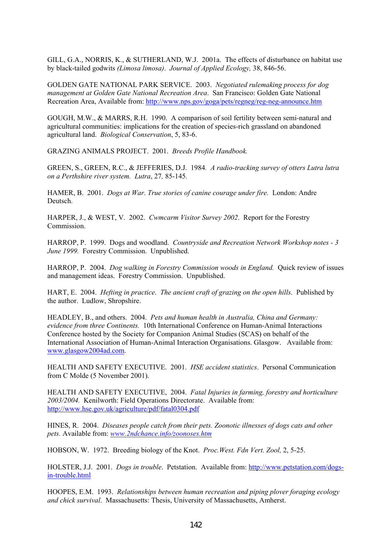GILL, G.A., NORRIS, K., & SUTHERLAND, W.J. 2001a.The effects of disturbance on habitat use by black-tailed godwits *(Limosa limosa)*. *Journal of Applied Ecology,* 38, 846-56.

GOLDEN GATE NATIONAL PARK SERVICE. 2003. *Negotiated rulemaking process for dog management at Golden Gate National Recreation Area*. San Francisco: Golden Gate National Recreation Area, Available from: http://www.nps.gov/goga/pets/regneg/reg-neg-announce.htm

GOUGH, M.W., & MARRS, R.H. 1990. A comparison of soil fertility between semi-natural and agricultural communities: implications for the creation of species-rich grassland on abandoned agricultural land. *Biological Conservation*, 5, 83-6.

GRAZING ANIMALS PROJECT. 2001. *Breeds Profile Handbook.*

GREEN, S., GREEN, R.C., & JEFFERIES, D.J. 1984*. A radio-tracking survey of otters Lutra lutra on a Perthshire river system. Lutra*, 27*,* 85-145*.* 

HAMER, B. 2001. *Dogs at War*. *True stories of canine courage under fire.* London: Andre Deutsch.

HARPER, J., & WEST, V. 2002. *Cwmcarm Visitor Survey 2002*. Report for the Forestry Commission.

HARROP, P. 1999. Dogs and woodland. *Countryside and Recreation Network Workshop notes - 3 June 1999.* Forestry Commission. Unpublished.

HARROP, P. 2004. *Dog walking in Forestry Commission woods in England.* Quick review of issues and management ideas. Forestry Commission. Unpublished.

HART, E. 2004. *Hefting in practice*. *The ancient craft of grazing on the open hills*. Published by the author. Ludlow, Shropshire.

HEADLEY, B., and others. 2004. *Pets and human health in Australia, China and Germany: evidence from three Continents.* 10th International Conference on Human-Animal Interactions Conference hosted by the Society for Companion Animal Studies (SCAS) on behalf of the International Association of Human-Animal Interaction Organisations. Glasgow. Available from: www.glasgow2004ad.com.

HEALTH AND SAFETY EXECUTIVE. 2001. *HSE accident statistics*. Personal Communication from C Molde (5 November 2001).

HEALTH AND SAFETY EXECUTIVE, 2004. *Fatal Injuries in farming, forestry and horticulture 2003/2004.* Kenilworth: Field Operations Directorate. Available from: http://www.hse.gov.uk/agriculture/pdf/fatal0304.pdf

HINES, R. 2004. *Diseases people catch from their pets. Zoonotic illnesses of dogs cats and other pets.* Available from: *www.2ndchance.info/zoonoses.htm*

HOBSON, W. 1972. Breeding biology of the Knot. *Proc.West. Fdn Vert. Zool,* 2, 5-25.

HOLSTER, J.J. 2001. *Dogs in trouble*. Petstation. Available from: http://www.petstation.com/dogsin-trouble.html

HOOPES, E.M. 1993. *Relationships between human recreation and piping plover foraging ecology and chick survival*. Massachusetts: Thesis, University of Massachusetts, Amherst.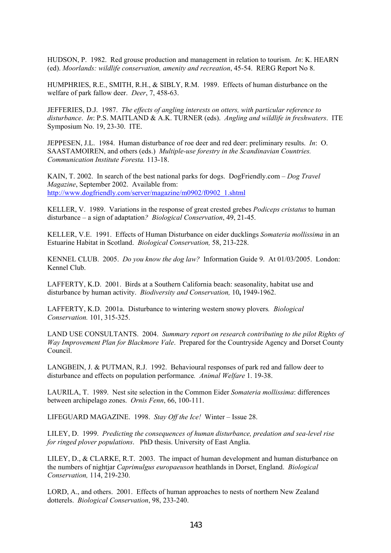HUDSON, P. 1982.Red grouse production and management in relation to tourism. *In*: K. HEARN (ed). *Moorlands: wildlife conservation, amenity and recreation*, 45-54. RERG Report No 8.

HUMPHRIES, R.E., SMITH, R.H., & SIBLY, R.M. 1989. Effects of human disturbance on the welfare of park fallow deer. *Deer*, 7, 458-63.

JEFFERIES, D.J. 1987. *The effects of angling interests on otters, with particular reference to disturbance*. *In*: P.S. MAITLAND & A.K. TURNER (eds). *Angling and wildlife in freshwaters*. ITE Symposium No. 19, 23-30. ITE.

JEPPESEN, J.L. 1984. Human disturbance of roe deer and red deer: preliminary results. *In*: O. SAASTAMOIREN, and others (eds.) *Multiple-use forestry in the Scandinavian Countries. Communication Institute Foresta.* 113-18.

KAIN, T. 2002. In search of the best national parks for dogs. DogFriendly.com – *Dog Travel Magazine*, September 2002. Available from: http://www.dogfriendly.com/server/magazine/m0902/f0902\_1.shtml

KELLER, V. 1989. Variations in the response of great crested grebes *Podiceps cristatus* to human disturbance – a sign of adaptation*? Biological Conservation*, 49, 21-45.

KELLER, V.E. 1991. Effects of Human Disturbance on eider ducklings *Somateria mollissima* in an Estuarine Habitat in Scotland. *Biological Conservation,* 58, 213-228.

KENNEL CLUB. 2005. *Do you know the dog law?* Information Guide 9. At 01/03/2005. London: Kennel Club.

LAFFERTY, K.D. 2001. Birds at a Southern California beach: seasonality, habitat use and disturbance by human activity. *Biodiversity and Conservation,* 10**,** 1949-1962.

LAFFERTY, K.D. 2001a. Disturbance to wintering western snowy plovers*. Biological Conservation.* 101, 315-325.

LAND USE CONSULTANTS. 2004. *Summary report on research contributing to the pilot Rights of Way Improvement Plan for Blackmore Vale*. Prepared for the Countryside Agency and Dorset County Council.

LANGBEIN, J. & PUTMAN, R.J. 1992. Behavioural responses of park red and fallow deer to disturbance and effects on population performance*. Animal Welfare* 1. 19-38.

LAURILA, T. 1989. Nest site selection in the Common Eider *Somateria mollissima*: differences between archipelago zones. *Ornis Fenn*, 66, 100-111.

LIFEGUARD MAGAZINE. 1998. *Stay Off the Ice!* Winter – Issue 28.

LILEY, D. 1999. *Predicting the consequences of human disturbance, predation and sea-level rise for ringed plover populations*. PhD thesis. University of East Anglia.

LILEY, D., & CLARKE, R.T. 2003. The impact of human development and human disturbance on the numbers of nightjar *Caprimulgus europaeuson* heathlands in Dorset, England. *Biological Conservation,* 114, 219-230.

LORD, A., and others. 2001. Effects of human approaches to nests of northern New Zealand dotterels. *Biological Conservation*, 98, 233-240.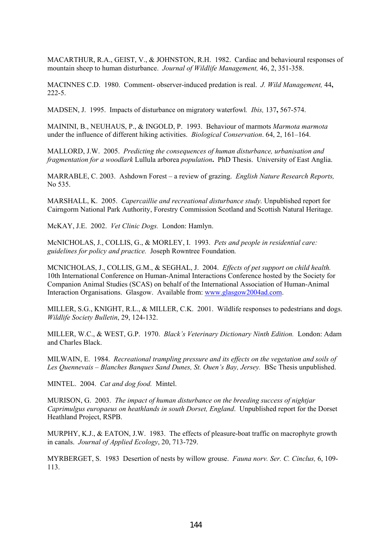MACARTHUR, R.A., GEIST, V., & JOHNSTON, R.H. 1982. Cardiac and behavioural responses of mountain sheep to human disturbance. *Journal of Wildlife Management,* 46, 2, 351-358.

MACINNES C.D. 1980. Comment- observer-induced predation is real. *J. Wild Management,* 44**,**  222-5.

MADSEN, J. 1995. Impacts of disturbance on migratory waterfowl*. Ibis,* 137**,** 567-574.

MAININI, B., NEUHAUS, P., & INGOLD, P. 1993. Behaviour of marmots *Marmota marmota* under the influence of different hiking activities. *Biological Conservation*. 64, 2, 161–164.

MALLORD, J.W. 2005.*Predicting the consequences of human disturbance, urbanisation and fragmentation for a woodlark* Lullula arborea *population***.** PhD Thesis. University of East Anglia.

MARRABLE, C. 2003. Ashdown Forest – a review of grazing. *English Nature Research Reports,* No 535.

MARSHALL, K. 2005. *Capercaillie and recreational disturbance study.* Unpublished report for Cairngorm National Park Authority, Forestry Commission Scotland and Scottish Natural Heritage.

McKAY, J.E. 2002. *Vet Clinic Dogs.* London: Hamlyn.

McNICHOLAS, J., COLLIS, G., & MORLEY, I. 1993. *Pets and people in residential care: guidelines for policy and practice.* Joseph Rowntree Foundation*.* 

MCNICHOLAS, J., COLLIS, G.M., & SEGHAL, J. 2004. *Effects of pet support on child health.* 10th International Conference on Human-Animal Interactions Conference hosted by the Society for Companion Animal Studies (SCAS) on behalf of the International Association of Human-Animal Interaction Organisations. Glasgow. Available from: www.glasgow2004ad.com.

MILLER, S.G., KNIGHT, R.L., & MILLER, C.K. 2001. Wildlife responses to pedestrians and dogs. *Wildlife Society Bulletin*, 29, 124-132.

MILLER, W.C., & WEST, G.P. 1970. *Black's Veterinary Dictionary Ninth Edition.* London: Adam and Charles Black.

MILWAIN, E. 1984. *Recreational trampling pressure and its effects on the vegetation and soils of*  Les Quennevais – Blanches Banques Sand Dunes, St. Ouen's Bay, Jersey. BSc Thesis unpublished.

MINTEL. 2004. *Cat and dog food.* Mintel.

MURISON, G. 2003. *The impact of human disturbance on the breeding success of nightjar Caprimulgus europaeus on heathlands in south Dorset, England*. Unpublished report for the Dorset Heathland Project, RSPB.

MURPHY, K.J., & EATON, J.W. 1983. The effects of pleasure-boat traffic on macrophyte growth in canals. *Journal of Applied Ecology*, 20, 713-729.

MYRBERGET, S. 1983 Desertion of nests by willow grouse. *Fauna norv. Ser. C. Cinclus,* 6, 109- 113.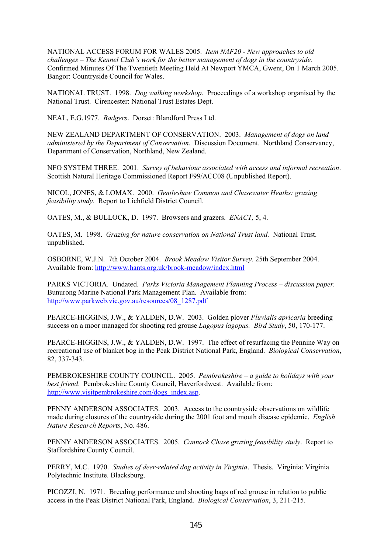NATIONAL ACCESS FORUM FOR WALES 2005. *Item NAF20 - New approaches to old challenges – The Kennel Club's work for the better management of dogs in the countryside.*  Confirmed Minutes Of The Twentieth Meeting Held At Newport YMCA, Gwent, On 1 March 2005. Bangor: Countryside Council for Wales.

NATIONAL TRUST. 1998. *Dog walking workshop.* Proceedings of a workshop organised by the National Trust. Cirencester: National Trust Estates Dept.

NEAL, E.G.1977. *Badgers*. Dorset: Blandford Press Ltd.

NEW ZEALAND DEPARTMENT OF CONSERVATION. 2003. *Management of dogs on land administered by the Department of Conservation*. Discussion Document. Northland Conservancy, Department of Conservation, Northland, New Zealand.

NFO SYSTEM THREE. 2001. *Survey of behaviour associated with access and informal recreation*. Scottish Natural Heritage Commissioned Report F99/ACC08 (Unpublished Report).

NICOL, JONES, & LOMAX. 2000. *Gentleshaw Common and Chasewater Heaths: grazing feasibility study*. Report to Lichfield District Council.

OATES, M., & BULLOCK, D. 1997. Browsers and grazers. *ENACT,* 5, 4.

OATES, M. 1998. *Grazing for nature conservation on National Trust land.* National Trust. unpublished.

OSBORNE, W.J.N. 7th October 2004. *Brook Meadow Visitor Survey.* 25th September 2004. Available from: http://www.hants.org.uk/brook-meadow/index.html

PARKS VICTORIA. Undated. *Parks Victoria Management Planning Process – discussion paper.*  Bunurong Marine National Park Management Plan. Available from: http://www.parkweb.vic.gov.au/resources/08\_1287.pdf

PEARCE-HIGGINS, J.W., & YALDEN, D.W. 2003. Golden plover *Pluvialis apricaria* breeding success on a moor managed for shooting red grouse *Lagopus lagopus. Bird Study*, 50, 170-177.

PEARCE-HIGGINS, J.W., & YALDEN, D.W. 1997. The effect of resurfacing the Pennine Way on recreational use of blanket bog in the Peak District National Park, England. *Biological Conservation*, 82, 337-343.

PEMBROKESHIRE COUNTY COUNCIL. 2005. *Pembrokeshire – a guide to holidays with your best friend*. Pembrokeshire County Council, Haverfordwest. Available from: http://www.visitpembrokeshire.com/dogs\_index.asp.

PENNY ANDERSON ASSOCIATES. 2003. Access to the countryside observations on wildlife made during closures of the countryside during the 2001 foot and mouth disease epidemic. *English Nature Research Reports*, No. 486.

PENNY ANDERSON ASSOCIATES. 2005. *Cannock Chase grazing feasibility study*. Report to Staffordshire County Council.

PERRY, M.C. 1970. *Studies of deer-related dog activity in Virginia*. Thesis. Virginia: Virginia Polytechnic Institute. Blacksburg.

PICOZZI, N. 1971*.* Breeding performance and shooting bags of red grouse in relation to public access in the Peak District National Park, England*. Biological Conservation*, 3, 211-215.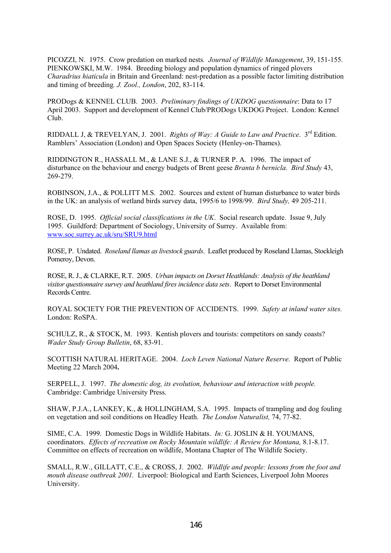PICOZZI, N. 1975. Crow predation on marked nests*. Journal of Wildlife Management*, 39, 151-155. PIENKOWSKI, M.W. 1984. Breeding biology and population dynamics of ringed plovers *Charadrius hiaticula* in Britain and Greenland: nest-predation as a possible factor limiting distribution and timing of breeding*. J. Zool., London*, 202, 83-114.

PRODogs & KENNEL CLUB. 2003. *Preliminary findings of UKDOG questionnaire*: Data to 17 April 2003. Support and development of Kennel Club/PRODogs UKDOG Project. London: Kennel Club.

RIDDALL J, & TREVELYAN, J. 2001. *Rights of Way: A Guide to Law and Practice*.  $3^{rd}$  Edition. Ramblers' Association (London) and Open Spaces Society (Henley-on-Thames).

RIDDINGTON R., HASSALL M., & LANE S.J., & TURNER P. A. 1996. The impact of disturbance on the behaviour and energy budgets of Brent geese *Branta b bernicla. Bird Study* 43, 269-279.

ROBINSON, J.A., & POLLITT M.S. 2002. Sources and extent of human disturbance to water birds in the UK: an analysis of wetland birds survey data, 1995/6 to 1998/99. *Bird Study,* 49 205-211.

ROSE, D. 1995. *Official social classifications in the UK*. Social research update. Issue 9, July 1995. Guildford: Department of Sociology, University of Surrey. Available from: www.soc.surrey.ac.uk/sru/SRU9.html

ROSE, P. Undated. *Roseland llamas as livestock guards*. Leaflet produced by Roseland Llamas, Stockleigh Pomeroy, Devon.

ROSE, R. J., & CLARKE, R.T. 2005. *Urban impacts on Dorset Heathlands: Analysis of the heathland visitor questionnaire survey and heathland fires incidence data sets*. Report to Dorset Environmental Records Centre.

ROYAL SOCIETY FOR THE PREVENTION OF ACCIDENTS. 1999. *Safety at inland water sites.* London: RoSPA.

SCHULZ, R., & STOCK, M. 1993. Kentish plovers and tourists: competitors on sandy coasts? *Wader Study Group Bulletin*, 68, 83-91.

SCOTTISH NATURAL HERITAGE. 2004. *Loch Leven National Nature Reserve.* Report of Public Meeting 22 March 2004**.** 

SERPELL, J. 1997. *The domestic dog, its evolution, behaviour and interaction with people.* Cambridge: Cambridge University Press.

SHAW, P.J.A., LANKEY, K., & HOLLINGHAM, S.A. 1995. Impacts of trampling and dog fouling on vegetation and soil conditions on Headley Heath. *The London Naturalist,* 74, 77-82.

SIME, C.A. 1999. Domestic Dogs in Wildlife Habitats. *In:* G. JOSLIN & H. YOUMANS, coordinators. *Effects of recreation on Rocky Mountain wildlife: A Review for Montana,* 8.1-8.17. Committee on effects of recreation on wildlife, Montana Chapter of The Wildlife Society.

SMALL, R.W., GILLATT, C.E., & CROSS, J. 2002. *Wildlife and people: lessons from the foot and mouth disease outbreak 2001.* Liverpool: Biological and Earth Sciences, Liverpool John Moores University.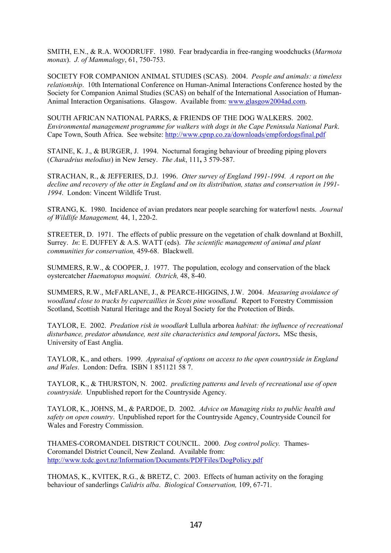SMITH, E.N., & R.A. WOODRUFF. 1980. Fear bradycardia in free-ranging woodchucks (*Marmota monax*). *J. of Mammalogy*, 61, 750-753.

SOCIETY FOR COMPANION ANIMAL STUDIES (SCAS). 2004. *People and animals: a timeless relationship*. 10th International Conference on Human-Animal Interactions Conference hosted by the Society for Companion Animal Studies (SCAS) on behalf of the International Association of Human-Animal Interaction Organisations. Glasgow. Available from: www.glasgow2004ad.com.

SOUTH AFRICAN NATIONAL PARKS, & FRIENDS OF THE DOG WALKERS. 2002. *Environmental management programme for walkers with dogs in the Cape Peninsula National Park*. Cape Town, South Africa. See website: http://www.cpnp.co.za/downloads/empfordogsfinal.pdf

STAINE, K. J., & BURGER, J. 1994. Nocturnal foraging behaviour of breeding piping plovers (*Charadrius melodius*) in New Jersey. *The Auk*, 111**,** 3 579-587.

STRACHAN, R., & JEFFERIES, D.J. 1996. *Otter survey of England 1991-1994. A report on the decline and recovery of the otter in England and on its distribution, status and conservation in 1991- 1994*. London: Vincent Wildlife Trust.

STRANG, K. 1980. Incidence of avian predators near people searching for waterfowl nests. *Journal of Wildlife Management,* 44, 1, 220-2.

STREETER, D. 1971. The effects of public pressure on the vegetation of chalk downland at Boxhill, Surrey. *In*: E. DUFFEY & A.S. WATT (eds). *The scientific management of animal and plant communities for conservation,* 459-68. Blackwell.

SUMMERS, R.W., & COOPER, J. 1977. The population, ecology and conservation of the black oystercatcher *Haematopus moquini. Ostrich,* 48, 8-40.

SUMMERS, R.W., McFARLANE, J., & PEARCE-HIGGINS, J.W. 2004. *Measuring avoidance of woodland close to tracks by capercaillies in Scots pine woodland.* Report to Forestry Commission Scotland, Scottish Natural Heritage and the Royal Society for the Protection of Birds.

TAYLOR, E. 2002. *Predation risk in woodlark* Lullula arborea *habitat: the influence of recreational disturbance, predator abundance, nest site characteristics and temporal factors***.** MSc thesis, University of East Anglia.

TAYLOR, K., and others. 1999. *Appraisal of options on access to the open countryside in England and Wales*. London: Defra. ISBN 1 851121 58 7.

TAYLOR, K., & THURSTON, N. 2002. *predicting patterns and levels of recreational use of open countryside.* Unpublished report for the Countryside Agency.

TAYLOR, K., JOHNS, M., & PARDOE, D. 2002. *Advice on Managing risks to public health and safety on open country*. Unpublished report for the Countryside Agency, Countryside Council for Wales and Forestry Commission.

THAMES-COROMANDEL DISTRICT COUNCIL. 2000. *Dog control policy.* Thames-Coromandel District Council, New Zealand. Available from: http://www.tcdc.govt.nz/Information/Documents/PDFFiles/DogPolicy.pdf

THOMAS, K., KVITEK, R.G., & BRETZ, C. 2003. Effects of human activity on the foraging behaviour of sanderlings *Calidris alba*. *Biological Conservation,* 109, 67-71.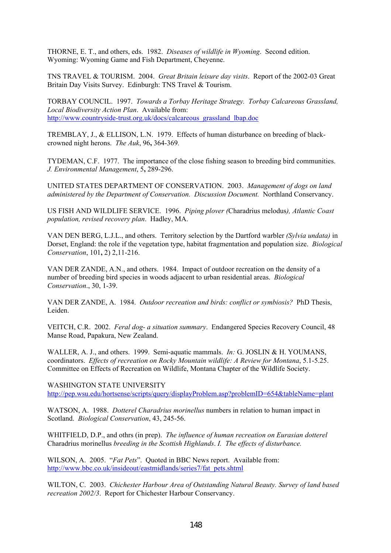THORNE, E. T., and others, eds. 1982. *Diseases of wildlife in Wyoming*. Second edition. Wyoming: Wyoming Game and Fish Department, Cheyenne.

TNS TRAVEL & TOURISM. 2004. *Great Britain leisure day visits*. Report of the 2002-03 Great Britain Day Visits Survey. Edinburgh: TNS Travel & Tourism.

TORBAY COUNCIL. 1997. *Towards a Torbay Heritage Strategy. Torbay Calcareous Grassland, Local Biodiversity Action Plan*. Available from: http://www.countryside-trust.org.uk/docs/calcareous\_grassland\_lbap.doc

TREMBLAY, J., & ELLISON, L.N. 1979. Effects of human disturbance on breeding of blackcrowned night herons. *The Auk*, 96**,** 364-369*.* 

TYDEMAN, C.F. 1977. The importance of the close fishing season to breeding bird communities. *J. Environmental Management*, 5**,** 289-296.

UNITED STATES DEPARTMENT OF CONSERVATION. 2003. *Management of dogs on land administered by the Department of Conservation. Discussion Document.* Northland Conservancy.

US FISH AND WILDLIFE SERVICE. 1996. *Piping plover (*Charadrius melodus*), Atlantic Coast population, revised recovery plan*. Hadley, MA.

VAN DEN BERG, L.J.L., and others. Territory selection by the Dartford warbler *(Sylvia undata)* in Dorset, England: the role if the vegetation type, habitat fragmentation and population size. *Biological Conservation*, 101**,** 2) 2,11-216.

VAN DER ZANDE, A.N., and others. 1984. Impact of outdoor recreation on the density of a number of breeding bird species in woods adjacent to urban residential areas. *Biological Conservation*., 30, 1-39.

VAN DER ZANDE, A. 1984. *Outdoor recreation and birds: conflict or symbiosis?* PhD Thesis, Leiden.

VEITCH, C.R. 2002. *Feral dog- a situation summary*. Endangered Species Recovery Council, 48 Manse Road, Papakura, New Zealand.

WALLER, A. J., and others. 1999. Semi-aquatic mammals. *In:* G. JOSLIN & H. YOUMANS, coordinators. *Effects of recreation on Rocky Mountain wildlife: A Review for Montana*, 5.1-5.25. Committee on Effects of Recreation on Wildlife, Montana Chapter of the Wildlife Society.

WASHINGTON STATE UNIVERSITY http://pep.wsu.edu/hortsense/scripts/query/displayProblem.asp?problemID=654&tableName=plant

WATSON, A. 1988. *Dotterel Charadrius morinellus* numbers in relation to human impact in Scotland. *Biological Conservation*, 43, 245-56.

WHITFIELD, D.P., and othrs (in prep). *The influence of human recreation on Eurasian dotterel*  Charadrius morinellus *breeding in the Scottish Highlands*. *I. The effects of disturbance.* 

WILSON, A. 2005. "*Fat Pets*". Quoted in BBC News report. Available from: http://www.bbc.co.uk/insideout/eastmidlands/series7/fat\_pets.shtml

WILTON, C. 2003. *Chichester Harbour Area of Outstanding Natural Beauty. Survey of land based recreation 2002/3*. Report for Chichester Harbour Conservancy.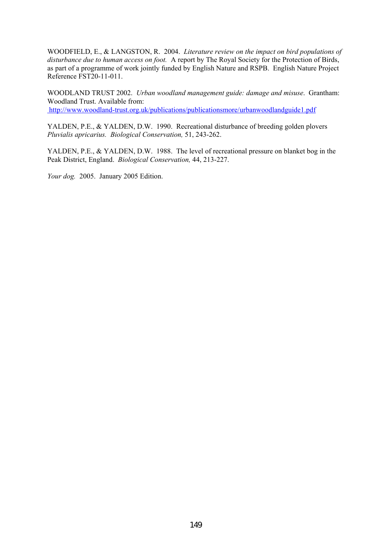WOODFIELD, E., & LANGSTON, R. 2004. *Literature review on the impact on bird populations of disturbance due to human access on foot.* A report by The Royal Society for the Protection of Birds, as part of a programme of work jointly funded by English Nature and RSPB. English Nature Project Reference FST20-11-011.

WOODLAND TRUST 2002. *Urban woodland management guide: damage and misuse*. Grantham: Woodland Trust. Available from: http://www.woodland-trust.org.uk/publications/publicationsmore/urbanwoodlandguide1.pdf

YALDEN, P.E., & YALDEN, D.W. 1990. Recreational disturbance of breeding golden plovers *Pluvialis apricarius. Biological Conservation,* 51, 243-262.

YALDEN, P.E., & YALDEN, D.W. 1988. The level of recreational pressure on blanket bog in the Peak District, England. *Biological Conservation,* 44, 213-227.

*Your dog.* 2005. January 2005 Edition.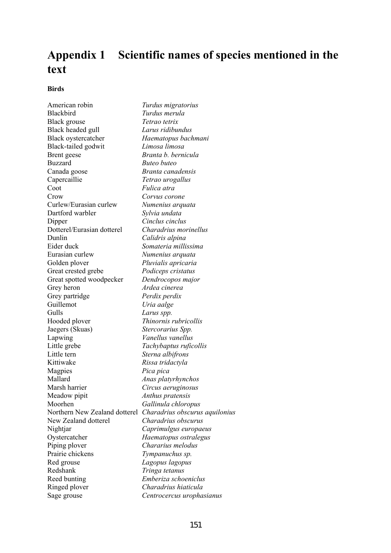# **Appendix 1 Scientific names of species mentioned in the text**

### **Birds**

American robin *Turdus migratorius*  Blackbird *Turdus merula* Black grouse *Tetrao tetrix* Black headed gull *Larus ridibundus*  Black oystercatcher *Haematopus bachmani* Black-tailed godwit *Limosa limosa*  Brent geese *Branta b. bernicula*  Buzzard *Buteo buteo* Canada goose *Branta canadensis* Capercaillie *Tetrao urogallus*  Coot *Fulica atra*  Crow *Corvus corone* Curlew/Eurasian curlew *Numenius arquata* Dartford warbler *Sylvia undata*  Dipper *Cinclus cinclus*  Dotterel/Eurasian dotterel *Charadrius morinellus* Dunlin *Calidris alpina*  Eider duck *Somateria millissima* Eurasian curlew *Numenius arquata* Golden plover *Pluvialis apricaria* Great crested grebe *Podiceps cristatus*  Great spotted woodpecker *Dendrocopos major*  Grey heron *Ardea cinerea* Grey partridge *Perdix perdix* Guillemot *Uria aalge*  Gulls *Larus spp.* Hooded plover *Thinornis rubricollis*  Jaegers (Skuas) *Stercorarius Spp.* Lapwing *Vanellus vanellus*  Little grebe *Tachybaptus ruficollis*  Little tern *Sterna albifrons*  Kittiwake *Rissa tridactyla*  Magpies *Pica pica* Mallard *Anas platyrhynchos*  Marsh harrier *Circus aeruginosus* Meadow pipit *Anthus pratensis* Moorhen *Gallinula chloropus*  Northern New Zealand dotterel *Charadrius obscurus aquilonius*  New Zealand dotterel *Charadrius obscurus* Nightjar *Caprimulgus europaeus* Oystercatcher *Haematopus ostralegus*  Piping plover *Chararius melodus* Prairie chickens *Tympanuchus sp.* Red grouse *Lagopus lagopus* Redshank *Tringa tetanus*  Reed bunting *Emberiza schoeniclus*  Ringed plover *Charadrius hiaticula* Sage grouse *Centrocercus urophasianus*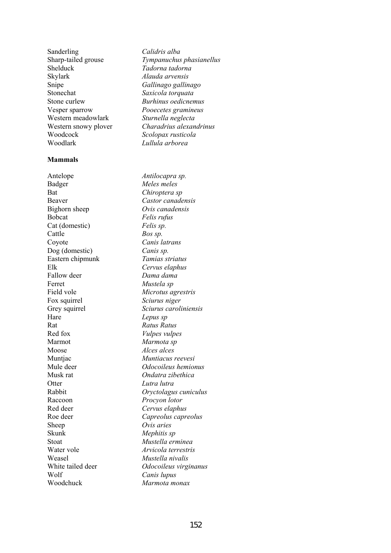Sanderling *Calidris alba*  Shelduck *Tadorna tadorna*  Skylark *Alauda arvensis*  Snipe *Gallinago gallinago*  Stonechat *Saxicola torquata*  Stone curlew *Burhinus oedicnemus*  Vesper sparrow *Pooecetes gramineus*  Western meadowlark *Sturnella neglecta* Woodcock *Scolopax rusticola*  Woodlark *Lullula arborea* 

#### **Mammals**

Antelope *Antilocapra sp.* Badger *Meles meles*  Bat *Chiroptera sp* Beaver *Castor canadensis* Bighorn sheep *Ovis canadensis* Bobcat *Felis rufus* Cat (domestic) *Felis sp.* Cattle *Bos sp.* Coyote *Canis latrans* Dog (domestic) *Canis sp.* Eastern chipmunk *Tamias striatus* Elk *Cervus elaphus* Fallow deer *Dama dama* Ferret *Mustela sp* Field vole *Microtus agrestris* Fox squirrel *Sciurus niger* Hare *Lepus sp* Rat **Ratus** Ratus Ratus **Ratus** Red fox *Vulpes vulpes*  Marmot *Marmota sp* Moose *Alces alces* Muntjac *Muntiacus reevesi*  Musk rat *Ondatra zibethica* Otter *Lutra lutra* Raccoon *Procyon lotor*  Red deer *Cervus elaphus* Sheep *Ovis aries* Skunk *Mephitis sp*  Stoat *Mustella erminea*  Weasel *Mustella nivalis*  Wolf *Canis lupus* Woodchuck *Marmota monax* 

Sharp-tailed grouse *Tympanuchus phasianellus* Western snowy plover *Charadrius alexandrinus*

Grey squirrel *Sciurus caroliniensis* Mule deer *Odocoileus hemionus* Rabbit *Oryctolagus cuniculus*  Roe deer *Capreolus capreolus* Water vole *Arvicola terrestris* White tailed deer *Odocoileus virginanus*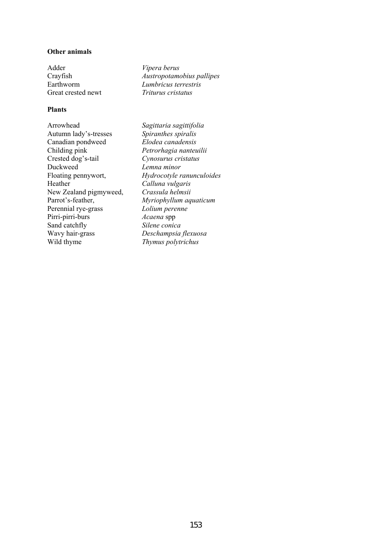#### **Other animals**

Adder *Vipera berus*  Great crested newt *Triturus cristatus* 

### **Plants**

Arrowhead *Sagittaria sagittifolia* Autumn lady's-tresses *Spiranthes spiralis*  Canadian pondweed *Elodea canadensis* Childing pink *Petrorhagia nanteuilii*  Duckweed *Lemna minor*  Heather *Calluna vulgaris*  New Zealand pigmyweed, *Crassula helmsii*  Perennial rye-grass *Lolium perenne* Pirri-pirri-burs *Acaena* spp Sand catchfly *Silene conica*  Wavy hair-grass *Deschampsia flexuosa* Wild thyme *Thymus polytrichus*

Crayfish *Austropotamobius pallipes* Earthworm *Lumbricus terrestris* 

Crested dog's-tail *Cynosurus cristatus*  Floating pennywort, *Hydrocotyle ranunculoides*  Parrot's-feather, *Myriophyllum aquaticum*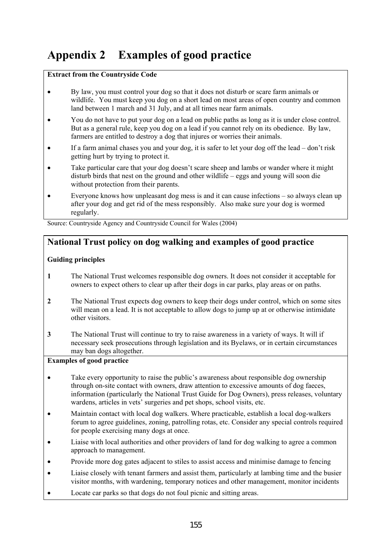# **Appendix 2 Examples of good practice**

### **Extract from the Countryside Code**

- By law, you must control your dog so that it does not disturb or scare farm animals or wildlife. You must keep you dog on a short lead on most areas of open country and common land between 1 march and 31 July, and at all times near farm animals.
- You do not have to put your dog on a lead on public paths as long as it is under close control. But as a general rule, keep you dog on a lead if you cannot rely on its obedience. By law, farmers are entitled to destroy a dog that injures or worries their animals.
- If a farm animal chases you and your dog, it is safer to let your dog off the lead don't risk getting hurt by trying to protect it.
- Take particular care that your dog doesn't scare sheep and lambs or wander where it might disturb birds that nest on the ground and other wildlife – eggs and young will soon die without protection from their parents.
- Everyone knows how unpleasant dog mess is and it can cause infections so always clean up after your dog and get rid of the mess responsibly. Also make sure your dog is wormed regularly.

Source: Countryside Agency and Countryside Council for Wales (2004)

## **National Trust policy on dog walking and examples of good practice**

## **Guiding principles**

- **1** The National Trust welcomes responsible dog owners. It does not consider it acceptable for owners to expect others to clear up after their dogs in car parks, play areas or on paths.
- **2** The National Trust expects dog owners to keep their dogs under control, which on some sites will mean on a lead. It is not acceptable to allow dogs to jump up at or otherwise intimidate other visitors.
- **3** The National Trust will continue to try to raise awareness in a variety of ways. It will if necessary seek prosecutions through legislation and its Byelaws, or in certain circumstances may ban dogs altogether.

## **Examples of good practice**

- Take every opportunity to raise the public's awareness about responsible dog ownership through on-site contact with owners, draw attention to excessive amounts of dog faeces, information (particularly the National Trust Guide for Dog Owners), press releases, voluntary wardens, articles in vets' surgeries and pet shops, school visits, etc.
- Maintain contact with local dog walkers. Where practicable, establish a local dog-walkers forum to agree guidelines, zoning, patrolling rotas, etc. Consider any special controls required for people exercising many dogs at once.
- Liaise with local authorities and other providers of land for dog walking to agree a common approach to management.
- Provide more dog gates adjacent to stiles to assist access and minimise damage to fencing
- Liaise closely with tenant farmers and assist them, particularly at lambing time and the busier visitor months, with wardening, temporary notices and other management, monitor incidents
- Locate car parks so that dogs do not foul picnic and sitting areas.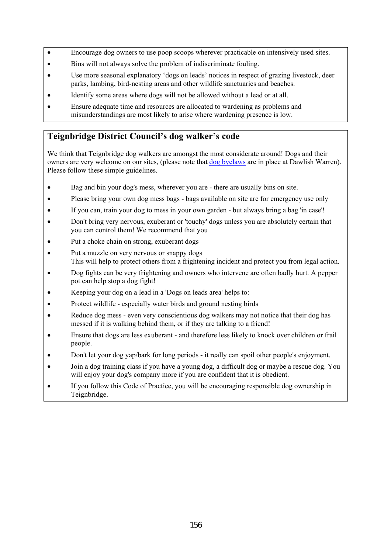- Encourage dog owners to use poop scoops wherever practicable on intensively used sites.
- Bins will not always solve the problem of indiscriminate fouling.
- Use more seasonal explanatory 'dogs on leads' notices in respect of grazing livestock, deer parks, lambing, bird-nesting areas and other wildlife sanctuaries and beaches.
- Identify some areas where dogs will not be allowed without a lead or at all.
- Ensure adequate time and resources are allocated to wardening as problems and misunderstandings are most likely to arise where wardening presence is low.

# **Teignbridge District Council's dog walker's code**

We think that Teignbridge dog walkers are amongst the most considerate around! Dogs and their owners are very welcome on our sites, (please note that  $\frac{d^{2}y}{dx^{2}}$  are in place at Dawlish Warren). Please follow these simple guidelines.

- Bag and bin your dog's mess, wherever you are there are usually bins on site.
- Please bring your own dog mess bags bags available on site are for emergency use only
- If you can, train your dog to mess in your own garden but always bring a bag 'in case'!
- Don't bring very nervous, exuberant or 'touchy' dogs unless you are absolutely certain that you can control them! We recommend that you
- Put a choke chain on strong, exuberant dogs
- Put a muzzle on very nervous or snappy dogs This will help to protect others from a frightening incident and protect you from legal action.
- Dog fights can be very frightening and owners who intervene are often badly hurt. A pepper pot can help stop a dog fight!
- Keeping your dog on a lead in a 'Dogs on leads area' helps to:
- Protect wildlife especially water birds and ground nesting birds
- Reduce dog mess even very conscientious dog walkers may not notice that their dog has messed if it is walking behind them, or if they are talking to a friend!
- Ensure that dogs are less exuberant and therefore less likely to knock over children or frail people.
- Don't let your dog yap/bark for long periods it really can spoil other people's enjoyment.
- Join a dog training class if you have a young dog, a difficult dog or maybe a rescue dog. You will enjoy your dog's company more if you are confident that it is obedient.
- If you follow this Code of Practice, you will be encouraging responsible dog ownership in Teignbridge.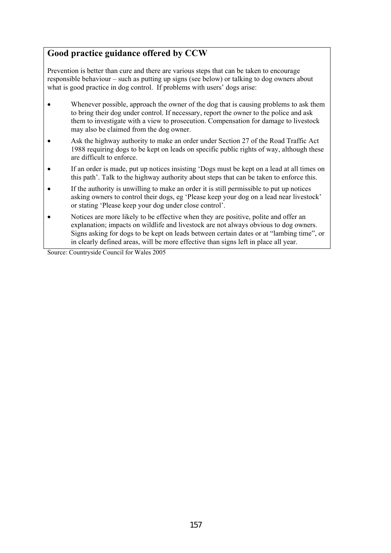# **Good practice guidance offered by CCW**

Prevention is better than cure and there are various steps that can be taken to encourage responsible behaviour – such as putting up signs (see below) or talking to dog owners about what is good practice in dog control. If problems with users' dogs arise:

- Whenever possible, approach the owner of the dog that is causing problems to ask them to bring their dog under control. If necessary, report the owner to the police and ask them to investigate with a view to prosecution. Compensation for damage to livestock may also be claimed from the dog owner.
- Ask the highway authority to make an order under Section 27 of the Road Traffic Act 1988 requiring dogs to be kept on leads on specific public rights of way, although these are difficult to enforce.
- If an order is made, put up notices insisting 'Dogs must be kept on a lead at all times on this path'. Talk to the highway authority about steps that can be taken to enforce this.
- If the authority is unwilling to make an order it is still permissible to put up notices asking owners to control their dogs, eg 'Please keep your dog on a lead near livestock' or stating 'Please keep your dog under close control'.
- Notices are more likely to be effective when they are positive, polite and offer an explanation; impacts on wildlife and livestock are not always obvious to dog owners. Signs asking for dogs to be kept on leads between certain dates or at "lambing time", or in clearly defined areas, will be more effective than signs left in place all year.

Source: Countryside Council for Wales 2005